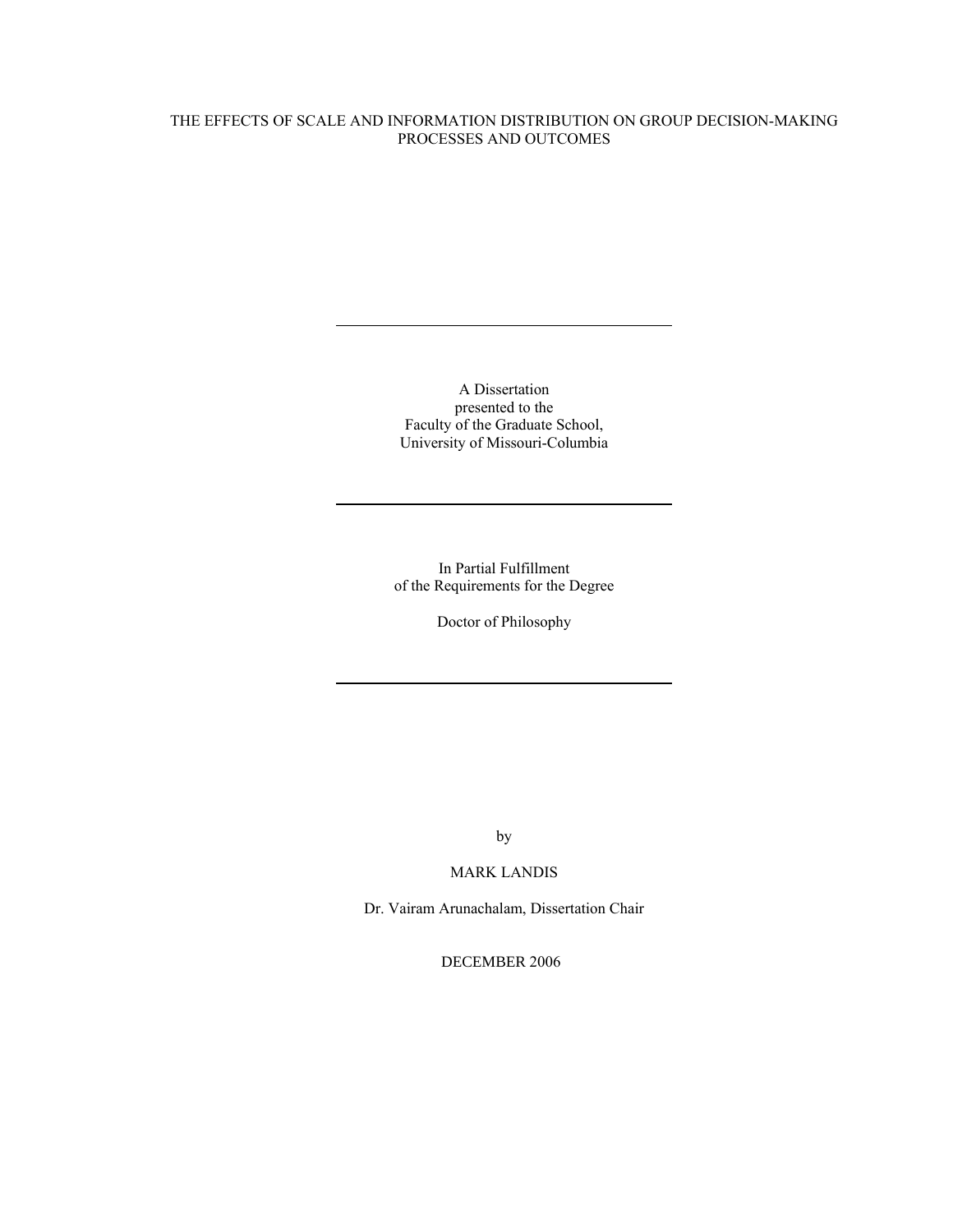# THE EFFECTS OF SCALE AND INFORMATION DISTRIBUTION ON GROUP DECISION-MAKING PROCESSES AND OUTCOMES

A Dissertation presented to the Faculty of the Graduate School, University of Missouri-Columbia

In Partial Fulfillment of the Requirements for the Degree

Doctor of Philosophy

by

# MARK LANDIS

Dr. Vairam Arunachalam, Dissertation Chair

DECEMBER 2006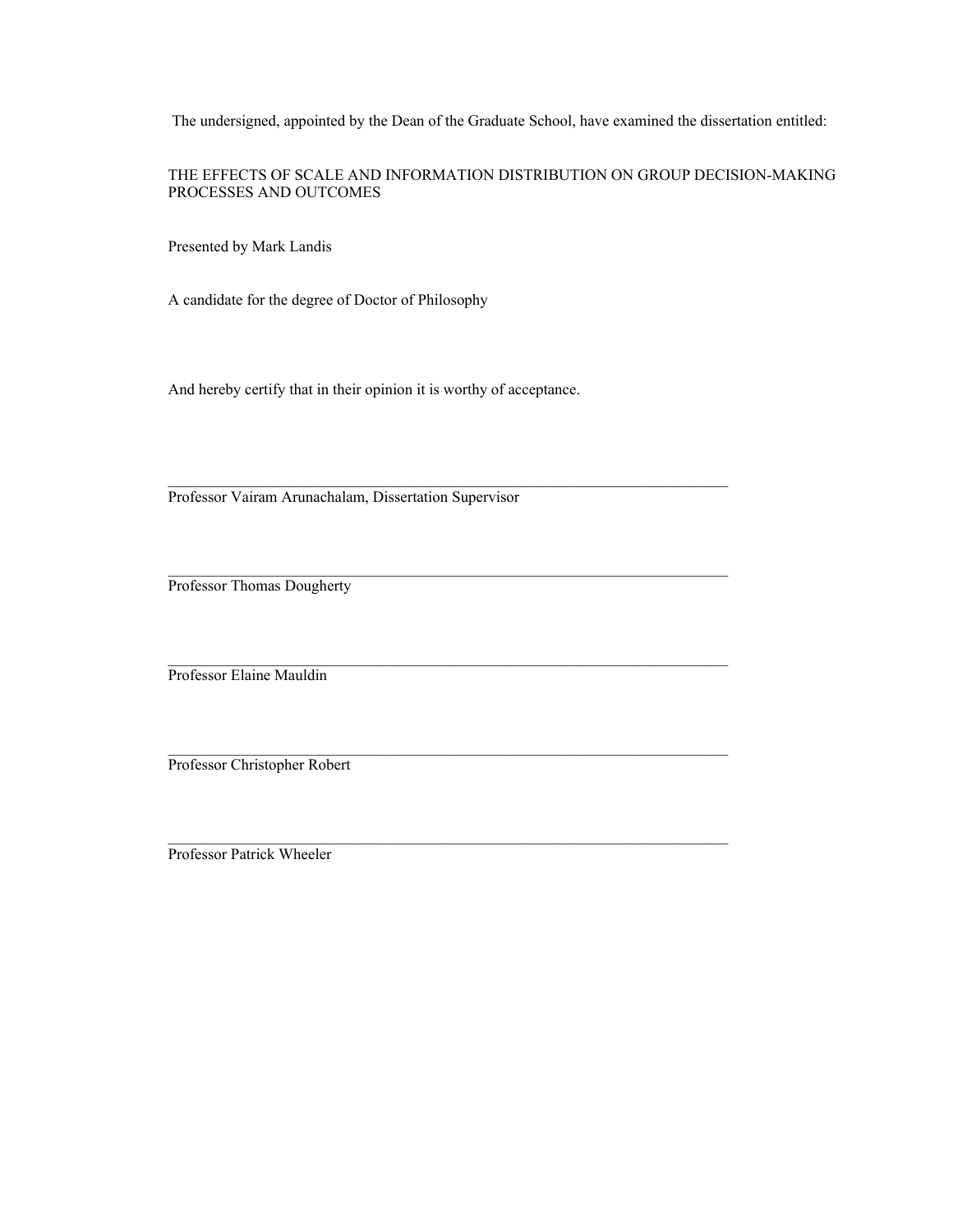The undersigned, appointed by the Dean of the Graduate School, have examined the dissertation entitled:

THE EFFECTS OF SCALE AND INFORMATION DISTRIBUTION ON GROUP DECISION-MAKING PROCESSES AND OUTCOMES

Presented by Mark Landis

A candidate for the degree of Doctor of Philosophy

And hereby certify that in their opinion it is worthy of acceptance.

 $\_$  , and the set of the set of the set of the set of the set of the set of the set of the set of the set of the set of the set of the set of the set of the set of the set of the set of the set of the set of the set of th

Professor Vairam Arunachalam, Dissertation Supervisor

Professor Thomas Dougherty

Professor Elaine Mauldin

Professor Christopher Robert

Professor Patrick Wheeler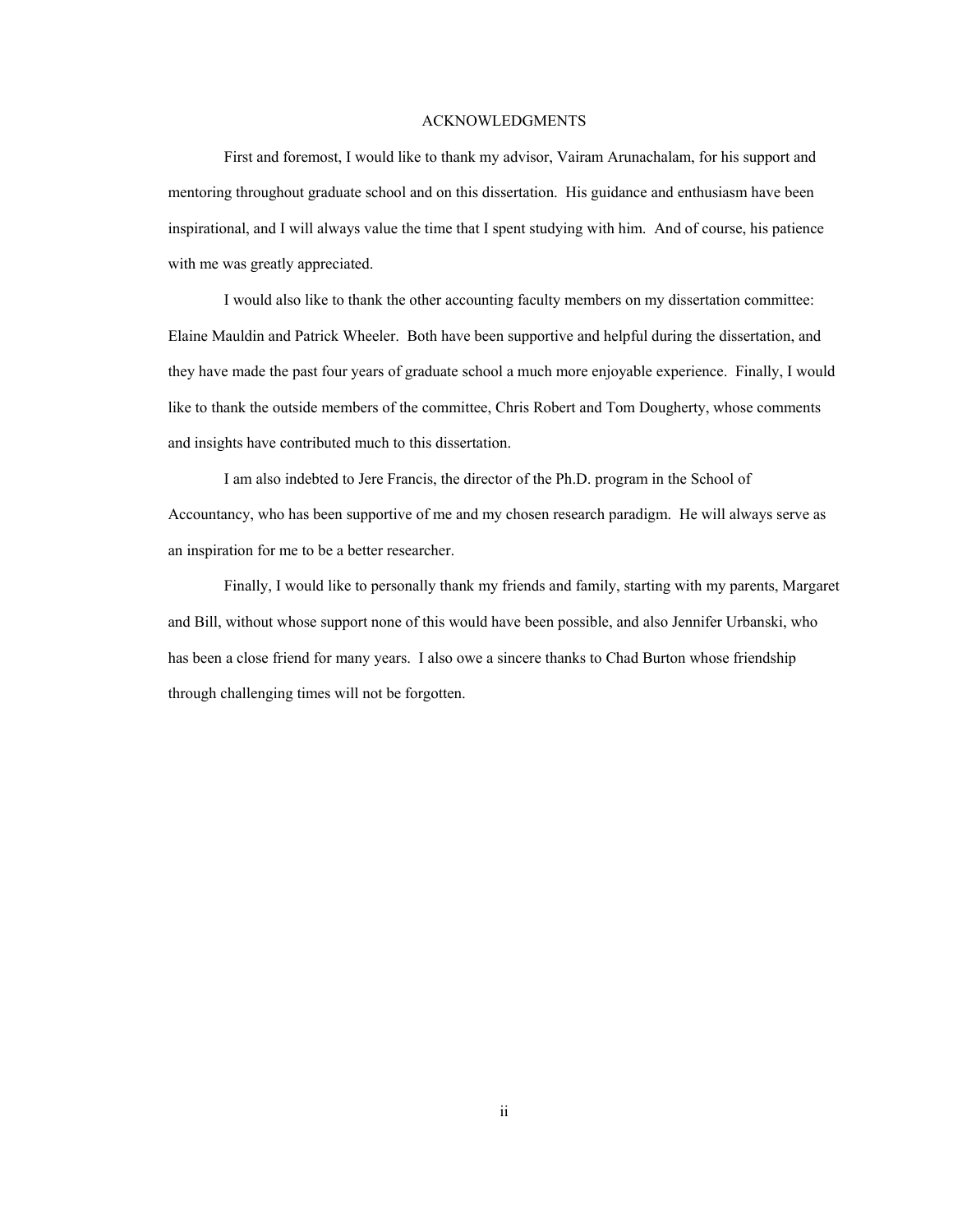## ACKNOWLEDGMENTS

 First and foremost, I would like to thank my advisor, Vairam Arunachalam, for his support and mentoring throughout graduate school and on this dissertation. His guidance and enthusiasm have been inspirational, and I will always value the time that I spent studying with him. And of course, his patience with me was greatly appreciated.

 I would also like to thank the other accounting faculty members on my dissertation committee: Elaine Mauldin and Patrick Wheeler. Both have been supportive and helpful during the dissertation, and they have made the past four years of graduate school a much more enjoyable experience. Finally, I would like to thank the outside members of the committee, Chris Robert and Tom Dougherty, whose comments and insights have contributed much to this dissertation.

 I am also indebted to Jere Francis, the director of the Ph.D. program in the School of Accountancy, who has been supportive of me and my chosen research paradigm. He will always serve as an inspiration for me to be a better researcher.

 Finally, I would like to personally thank my friends and family, starting with my parents, Margaret and Bill, without whose support none of this would have been possible, and also Jennifer Urbanski, who has been a close friend for many years. I also owe a sincere thanks to Chad Burton whose friendship through challenging times will not be forgotten.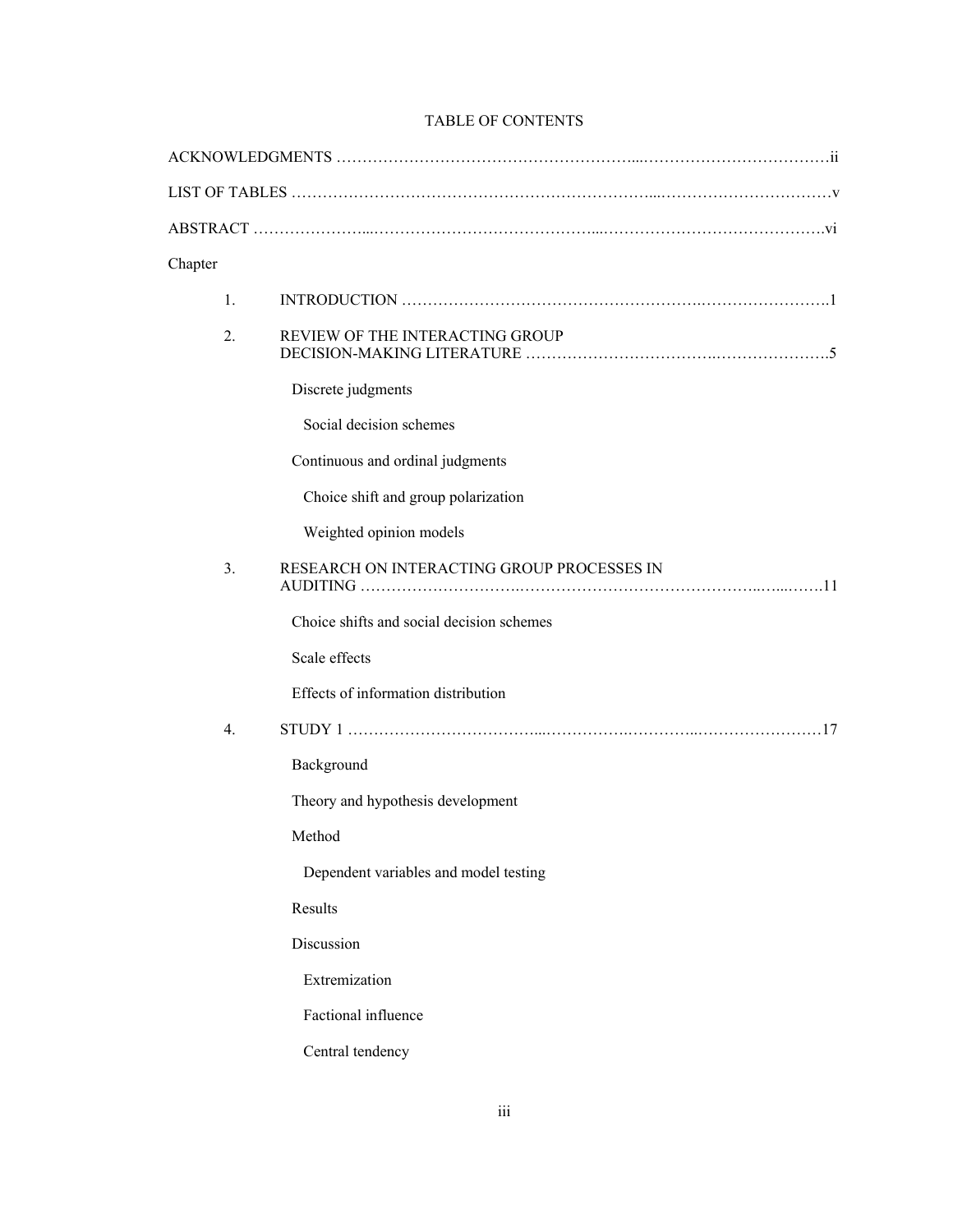# TABLE OF CONTENTS

| Chapter          |                                            |
|------------------|--------------------------------------------|
| $\mathbf{1}$ .   |                                            |
| 2.               | REVIEW OF THE INTERACTING GROUP            |
|                  | Discrete judgments                         |
|                  | Social decision schemes                    |
|                  | Continuous and ordinal judgments           |
|                  | Choice shift and group polarization        |
|                  | Weighted opinion models                    |
| 3.               | RESEARCH ON INTERACTING GROUP PROCESSES IN |
|                  | Choice shifts and social decision schemes  |
|                  | Scale effects                              |
|                  | Effects of information distribution        |
| $\overline{4}$ . |                                            |
|                  | Background                                 |
|                  | Theory and hypothesis development          |
|                  | Method                                     |
|                  | Dependent variables and model testing      |
|                  | Results                                    |
|                  | Discussion                                 |
|                  | Extremization                              |
|                  | Factional influence                        |
|                  | Central tendency                           |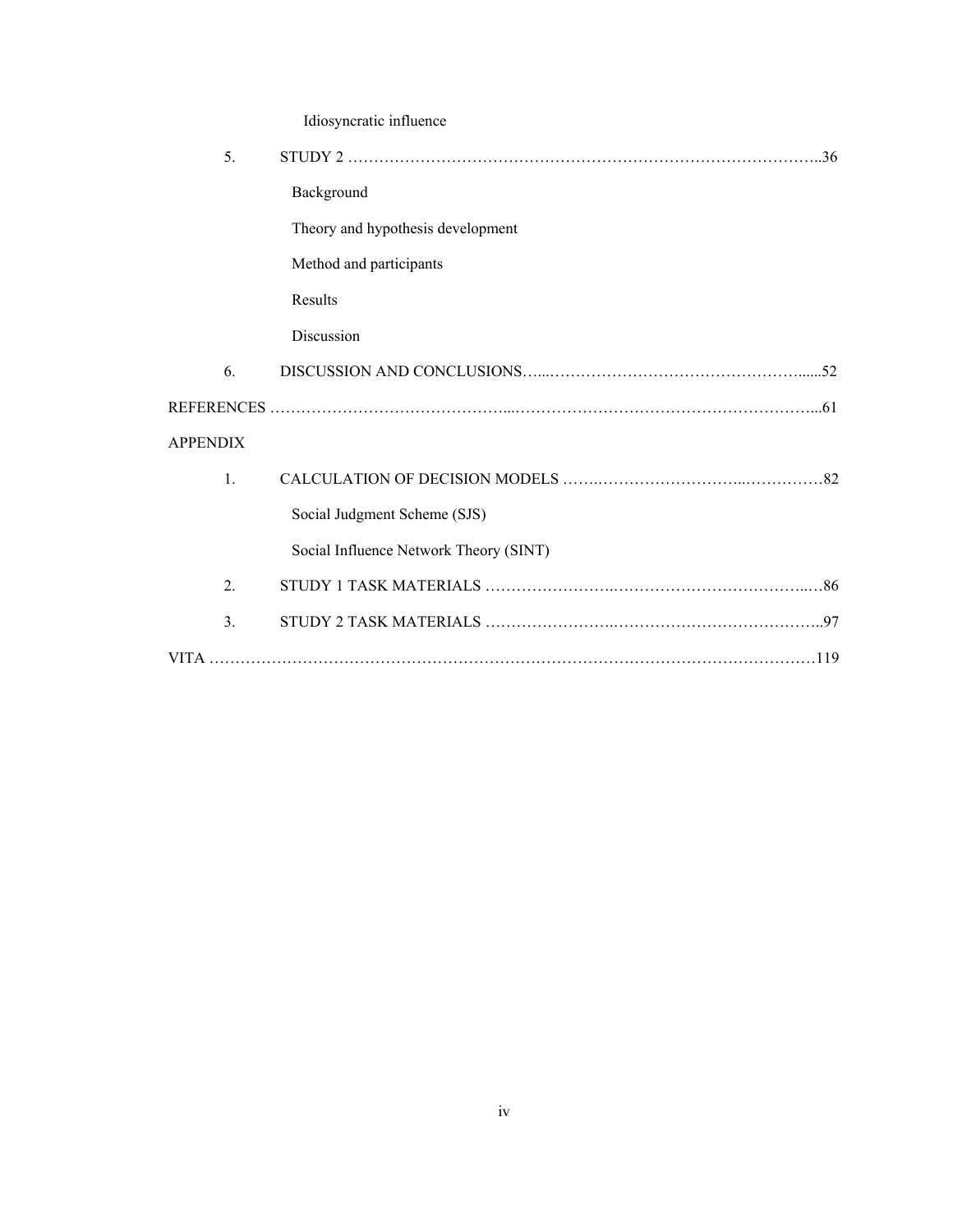|                    | Idiosyncratic influence                |  |  |  |
|--------------------|----------------------------------------|--|--|--|
| 5.                 |                                        |  |  |  |
|                    | Background                             |  |  |  |
|                    | Theory and hypothesis development      |  |  |  |
|                    | Method and participants                |  |  |  |
|                    | Results                                |  |  |  |
|                    | Discussion                             |  |  |  |
| 6.                 |                                        |  |  |  |
|                    |                                        |  |  |  |
| <b>APPENDIX</b>    |                                        |  |  |  |
| $\mathbf{1}$       |                                        |  |  |  |
|                    | Social Judgment Scheme (SJS)           |  |  |  |
|                    | Social Influence Network Theory (SINT) |  |  |  |
| 2.                 |                                        |  |  |  |
| $\overline{3}$ .   |                                        |  |  |  |
| <b>VITA</b><br>119 |                                        |  |  |  |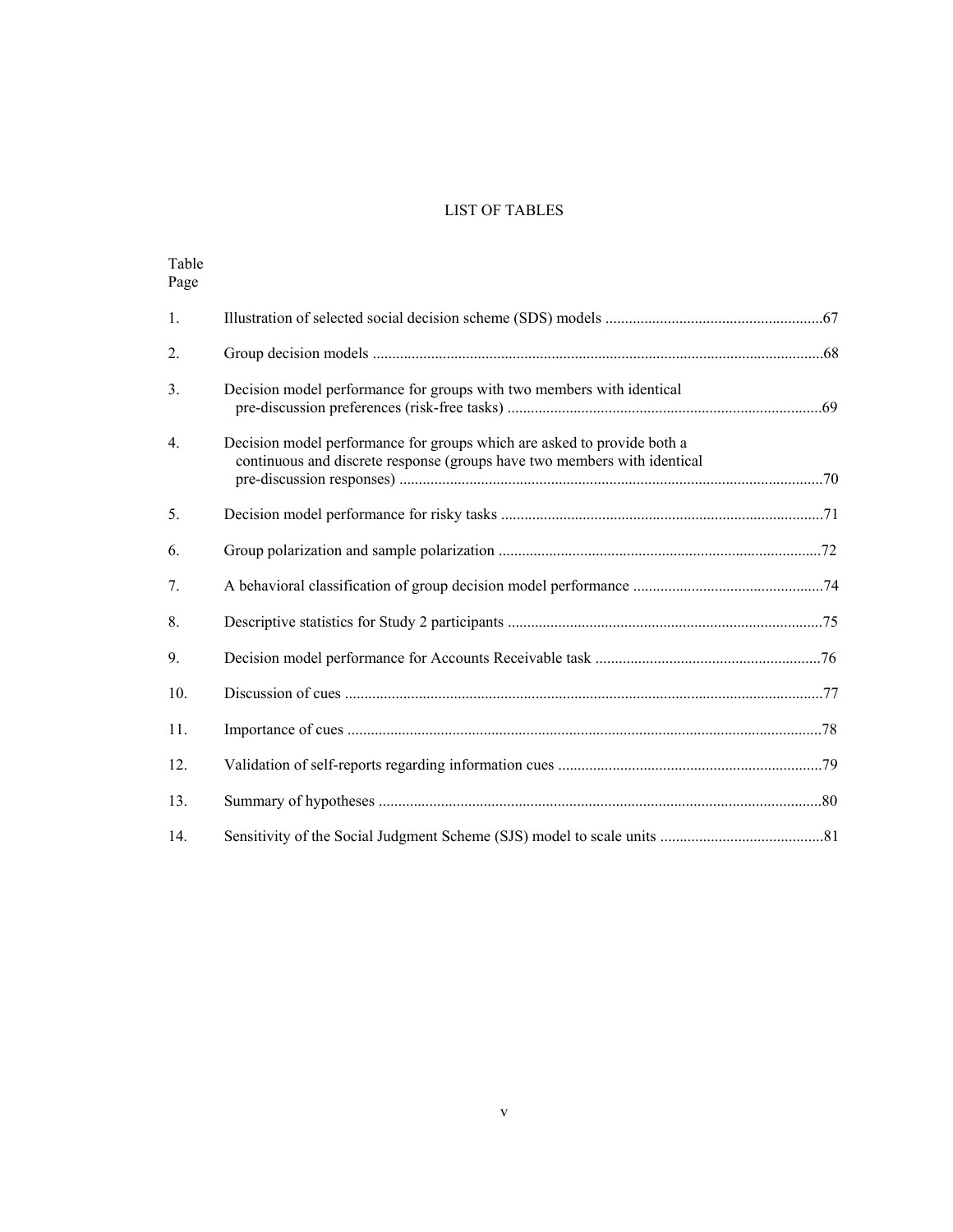# LIST OF TABLES

| Table<br>Page  |                                                                                                                                                     |  |
|----------------|-----------------------------------------------------------------------------------------------------------------------------------------------------|--|
| 1.             |                                                                                                                                                     |  |
| 2.             |                                                                                                                                                     |  |
| 3.             | Decision model performance for groups with two members with identical                                                                               |  |
| 4.             | Decision model performance for groups which are asked to provide both a<br>continuous and discrete response (groups have two members with identical |  |
| 5 <sub>1</sub> |                                                                                                                                                     |  |
| 6.             |                                                                                                                                                     |  |
| 7.             |                                                                                                                                                     |  |
| 8.             |                                                                                                                                                     |  |
| 9.             |                                                                                                                                                     |  |
| 10.            |                                                                                                                                                     |  |
| 11.            |                                                                                                                                                     |  |
| 12.            |                                                                                                                                                     |  |
| 13.            |                                                                                                                                                     |  |
| 14.            |                                                                                                                                                     |  |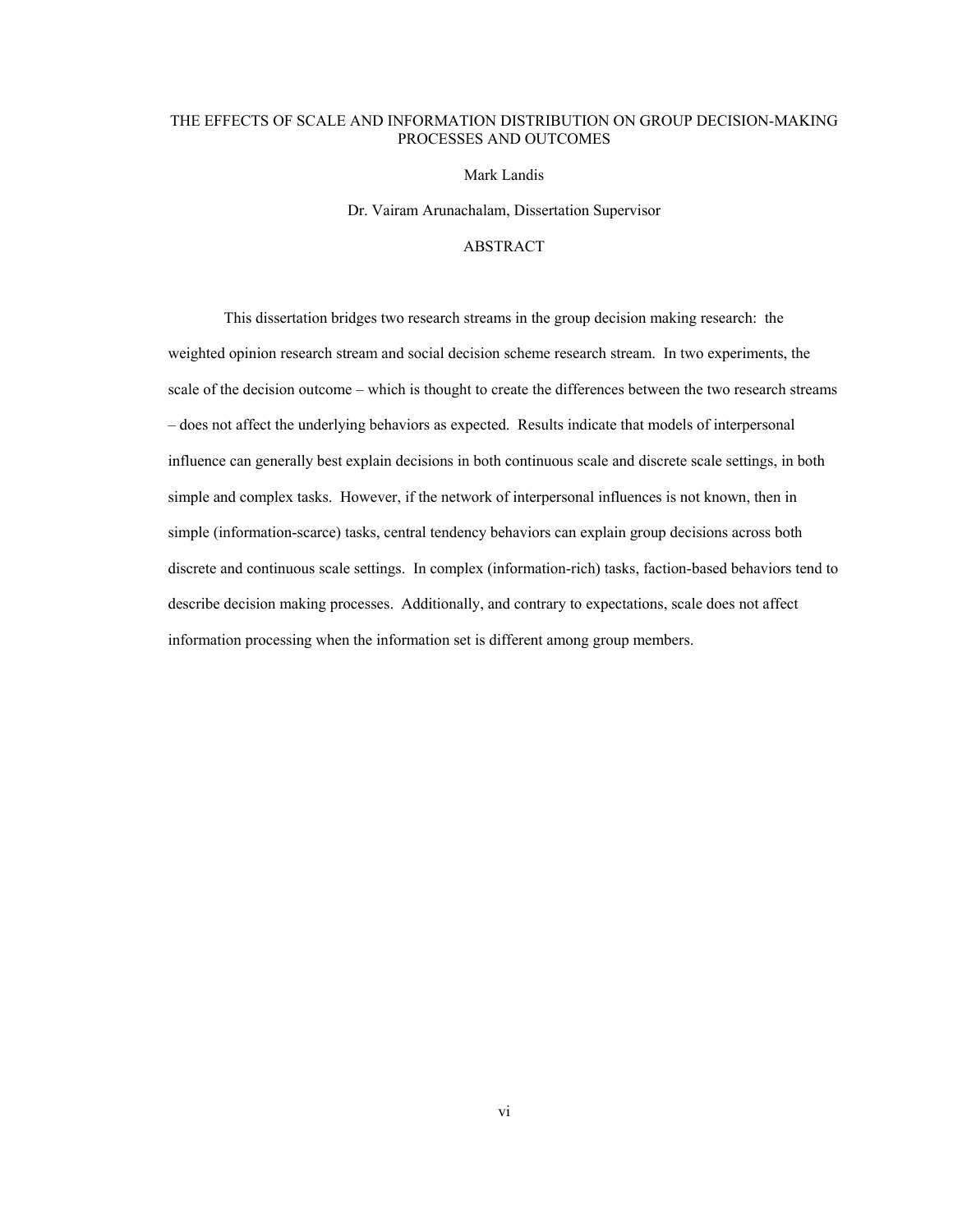# THE EFFECTS OF SCALE AND INFORMATION DISTRIBUTION ON GROUP DECISION-MAKING PROCESSES AND OUTCOMES

Mark Landis

Dr. Vairam Arunachalam, Dissertation Supervisor

## ABSTRACT

This dissertation bridges two research streams in the group decision making research: the weighted opinion research stream and social decision scheme research stream. In two experiments, the scale of the decision outcome – which is thought to create the differences between the two research streams – does not affect the underlying behaviors as expected. Results indicate that models of interpersonal influence can generally best explain decisions in both continuous scale and discrete scale settings, in both simple and complex tasks. However, if the network of interpersonal influences is not known, then in simple (information-scarce) tasks, central tendency behaviors can explain group decisions across both discrete and continuous scale settings. In complex (information-rich) tasks, faction-based behaviors tend to describe decision making processes. Additionally, and contrary to expectations, scale does not affect information processing when the information set is different among group members.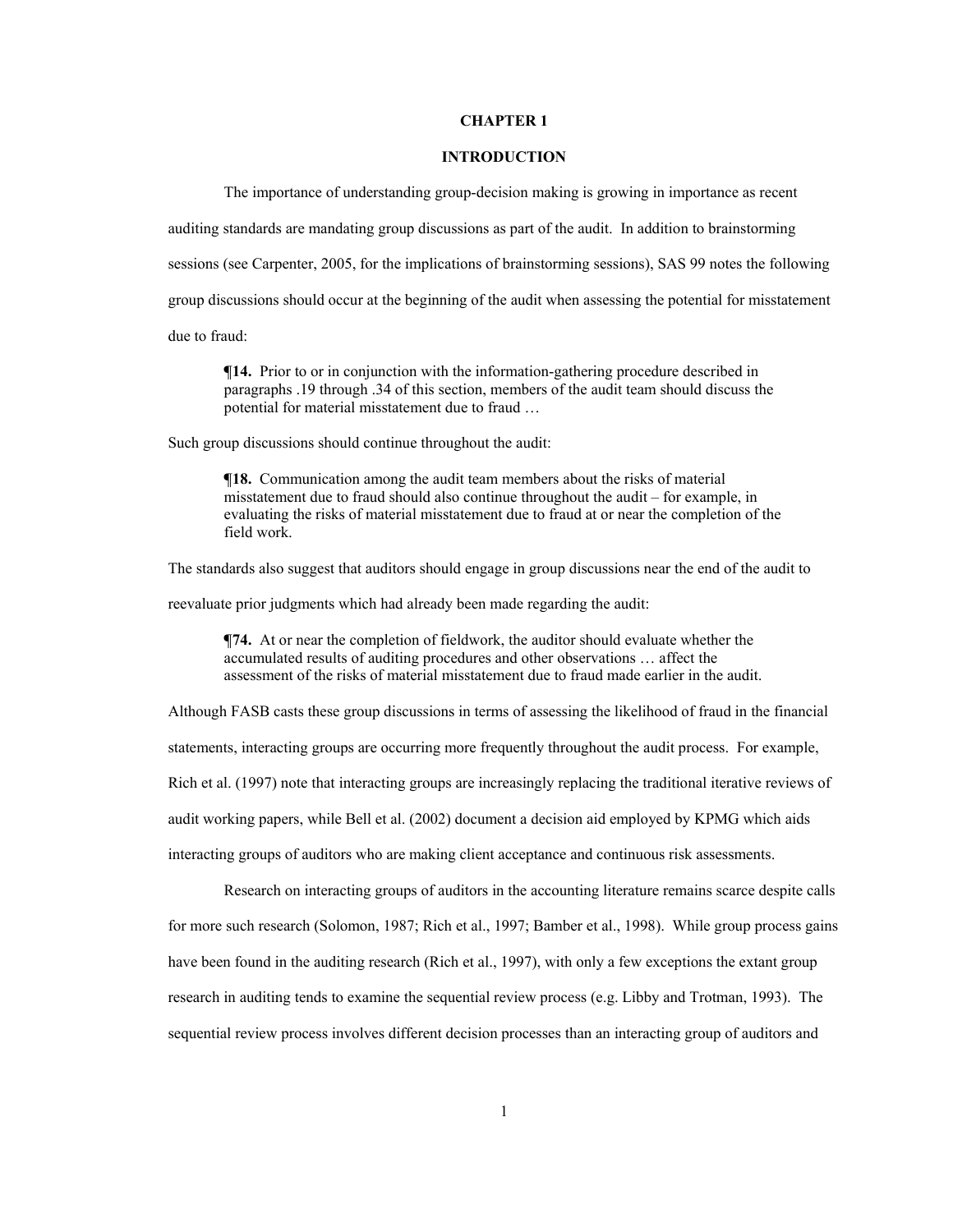## **CHAPTER 1**

## **INTRODUCTION**

The importance of understanding group-decision making is growing in importance as recent

auditing standards are mandating group discussions as part of the audit. In addition to brainstorming

sessions (see Carpenter, 2005, for the implications of brainstorming sessions), SAS 99 notes the following

group discussions should occur at the beginning of the audit when assessing the potential for misstatement

due to fraud:

 $\P$ **14.** Prior to or in conjunction with the information-gathering procedure described in paragraphs .19 through .34 of this section, members of the audit team should discuss the potential for material misstatement due to fraud …

Such group discussions should continue throughout the audit:

**¶18.** Communication among the audit team members about the risks of material misstatement due to fraud should also continue throughout the audit – for example, in evaluating the risks of material misstatement due to fraud at or near the completion of the field work.

The standards also suggest that auditors should engage in group discussions near the end of the audit to

reevaluate prior judgments which had already been made regarding the audit:

**¶74.** At or near the completion of fieldwork, the auditor should evaluate whether the accumulated results of auditing procedures and other observations … affect the assessment of the risks of material misstatement due to fraud made earlier in the audit.

Although FASB casts these group discussions in terms of assessing the likelihood of fraud in the financial

statements, interacting groups are occurring more frequently throughout the audit process. For example,

Rich et al. (1997) note that interacting groups are increasingly replacing the traditional iterative reviews of

audit working papers, while Bell et al. (2002) document a decision aid employed by KPMG which aids

interacting groups of auditors who are making client acceptance and continuous risk assessments.

Research on interacting groups of auditors in the accounting literature remains scarce despite calls for more such research (Solomon, 1987; Rich et al., 1997; Bamber et al., 1998). While group process gains have been found in the auditing research (Rich et al., 1997), with only a few exceptions the extant group research in auditing tends to examine the sequential review process (e.g. Libby and Trotman, 1993). The sequential review process involves different decision processes than an interacting group of auditors and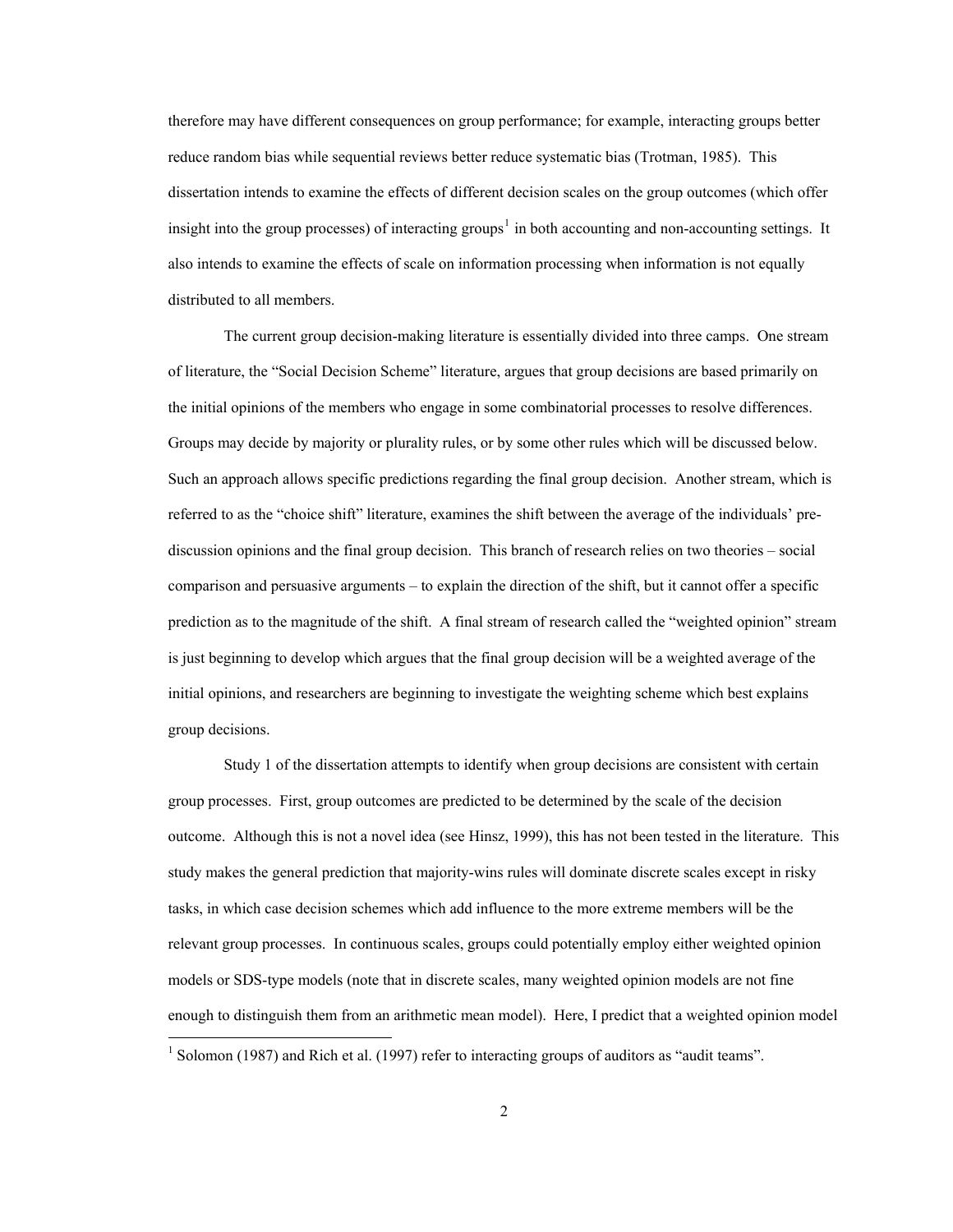therefore may have different consequences on group performance; for example, interacting groups better reduce random bias while sequential reviews better reduce systematic bias (Trotman, 1985). This dissertation intends to examine the effects of different decision scales on the group outcomes (which offer insight into the group processes) of interacting groups<sup>[1](#page-8-0)</sup> in both accounting and non-accounting settings. It also intends to examine the effects of scale on information processing when information is not equally distributed to all members.

The current group decision-making literature is essentially divided into three camps. One stream of literature, the "Social Decision Scheme" literature, argues that group decisions are based primarily on the initial opinions of the members who engage in some combinatorial processes to resolve differences. Groups may decide by majority or plurality rules, or by some other rules which will be discussed below. Such an approach allows specific predictions regarding the final group decision. Another stream, which is referred to as the "choice shift" literature, examines the shift between the average of the individuals' prediscussion opinions and the final group decision. This branch of research relies on two theories – social comparison and persuasive arguments – to explain the direction of the shift, but it cannot offer a specific prediction as to the magnitude of the shift. A final stream of research called the "weighted opinion" stream is just beginning to develop which argues that the final group decision will be a weighted average of the initial opinions, and researchers are beginning to investigate the weighting scheme which best explains group decisions.

Study 1 of the dissertation attempts to identify when group decisions are consistent with certain group processes. First, group outcomes are predicted to be determined by the scale of the decision outcome. Although this is not a novel idea (see Hinsz, 1999), this has not been tested in the literature. This study makes the general prediction that majority-wins rules will dominate discrete scales except in risky tasks, in which case decision schemes which add influence to the more extreme members will be the relevant group processes. In continuous scales, groups could potentially employ either weighted opinion models or SDS-type models (note that in discrete scales, many weighted opinion models are not fine enough to distinguish them from an arithmetic mean model). Here, I predict that a weighted opinion model  $\overline{a}$ 

<span id="page-8-0"></span><sup>&</sup>lt;sup>1</sup> Solomon (1987) and Rich et al. (1997) refer to interacting groups of auditors as "audit teams".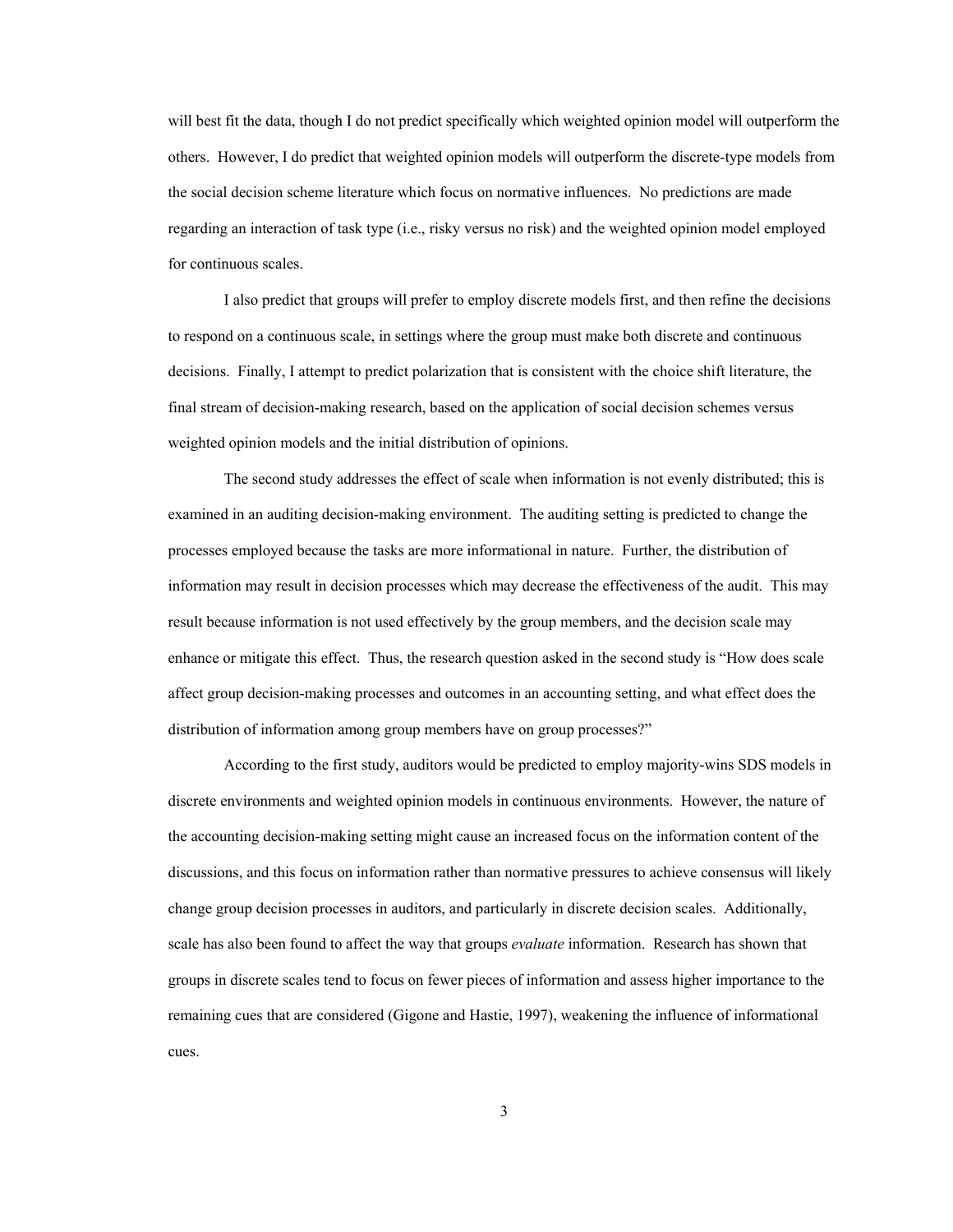will best fit the data, though I do not predict specifically which weighted opinion model will outperform the others. However, I do predict that weighted opinion models will outperform the discrete-type models from the social decision scheme literature which focus on normative influences. No predictions are made regarding an interaction of task type (i.e., risky versus no risk) and the weighted opinion model employed for continuous scales.

I also predict that groups will prefer to employ discrete models first, and then refine the decisions to respond on a continuous scale, in settings where the group must make both discrete and continuous decisions. Finally, I attempt to predict polarization that is consistent with the choice shift literature, the final stream of decision-making research, based on the application of social decision schemes versus weighted opinion models and the initial distribution of opinions.

The second study addresses the effect of scale when information is not evenly distributed; this is examined in an auditing decision-making environment. The auditing setting is predicted to change the processes employed because the tasks are more informational in nature. Further, the distribution of information may result in decision processes which may decrease the effectiveness of the audit. This may result because information is not used effectively by the group members, and the decision scale may enhance or mitigate this effect. Thus, the research question asked in the second study is "How does scale affect group decision-making processes and outcomes in an accounting setting, and what effect does the distribution of information among group members have on group processes?"

According to the first study, auditors would be predicted to employ majority-wins SDS models in discrete environments and weighted opinion models in continuous environments. However, the nature of the accounting decision-making setting might cause an increased focus on the information content of the discussions, and this focus on information rather than normative pressures to achieve consensus will likely change group decision processes in auditors, and particularly in discrete decision scales. Additionally, scale has also been found to affect the way that groups *evaluate* information. Research has shown that groups in discrete scales tend to focus on fewer pieces of information and assess higher importance to the remaining cues that are considered (Gigone and Hastie, 1997), weakening the influence of informational cues.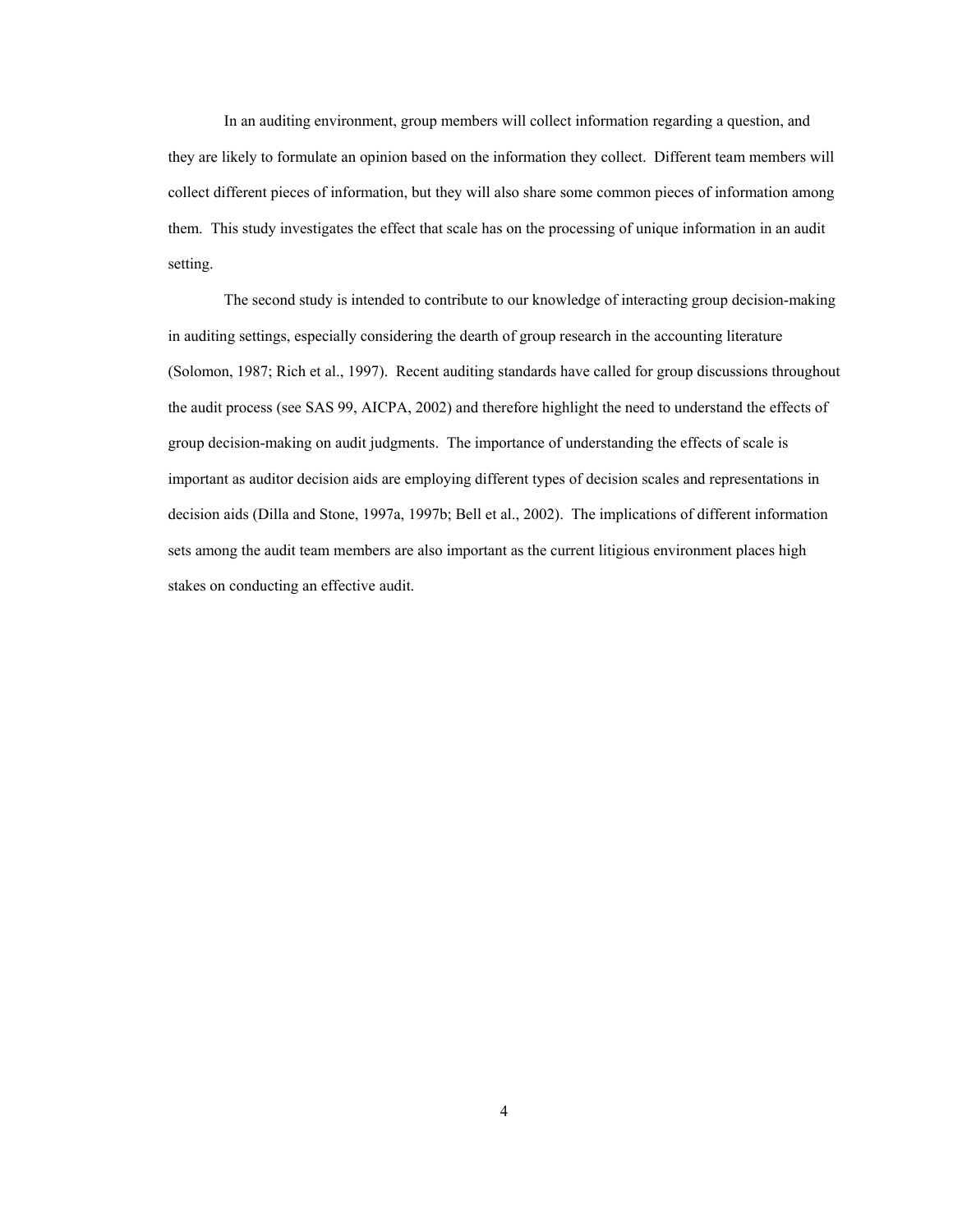In an auditing environment, group members will collect information regarding a question, and they are likely to formulate an opinion based on the information they collect. Different team members will collect different pieces of information, but they will also share some common pieces of information among them. This study investigates the effect that scale has on the processing of unique information in an audit setting.

The second study is intended to contribute to our knowledge of interacting group decision-making in auditing settings, especially considering the dearth of group research in the accounting literature (Solomon, 1987; Rich et al., 1997). Recent auditing standards have called for group discussions throughout the audit process (see SAS 99, AICPA, 2002) and therefore highlight the need to understand the effects of group decision-making on audit judgments. The importance of understanding the effects of scale is important as auditor decision aids are employing different types of decision scales and representations in decision aids (Dilla and Stone, 1997a, 1997b; Bell et al., 2002). The implications of different information sets among the audit team members are also important as the current litigious environment places high stakes on conducting an effective audit.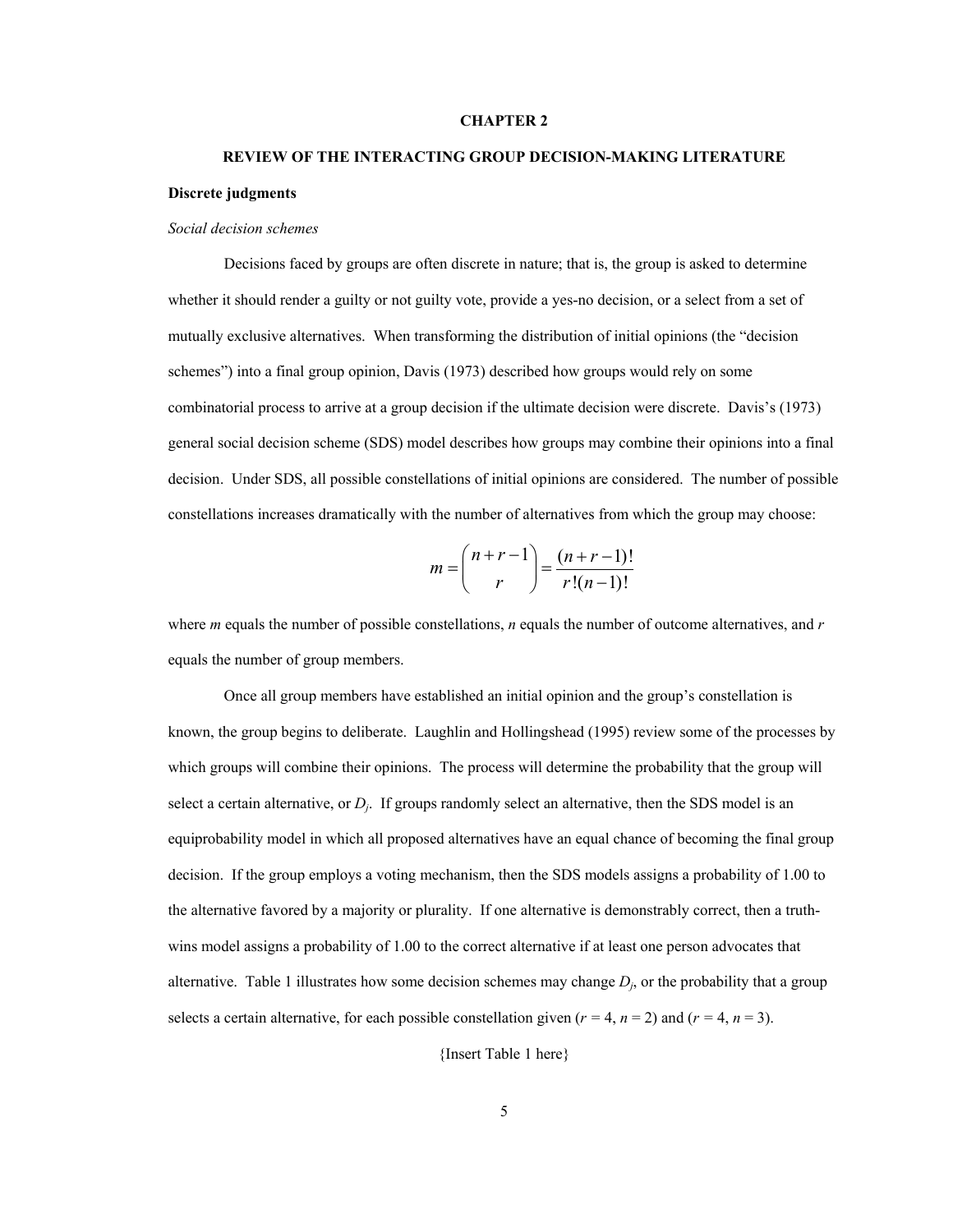## **CHAPTER 2**

# **REVIEW OF THE INTERACTING GROUP DECISION-MAKING LITERATURE Discrete judgments**

#### *Social decision schemes*

 Decisions faced by groups are often discrete in nature; that is, the group is asked to determine whether it should render a guilty or not guilty vote, provide a yes-no decision, or a select from a set of mutually exclusive alternatives. When transforming the distribution of initial opinions (the "decision schemes") into a final group opinion, Davis (1973) described how groups would rely on some combinatorial process to arrive at a group decision if the ultimate decision were discrete. Davis's (1973) general social decision scheme (SDS) model describes how groups may combine their opinions into a final decision. Under SDS, all possible constellations of initial opinions are considered. The number of possible constellations increases dramatically with the number of alternatives from which the group may choose:

$$
m = {n+r-1 \choose r} = \frac{(n+r-1)!}{r!(n-1)!}
$$

where *m* equals the number of possible constellations, *n* equals the number of outcome alternatives, and *r*  equals the number of group members.

Once all group members have established an initial opinion and the group's constellation is known, the group begins to deliberate. Laughlin and Hollingshead (1995) review some of the processes by which groups will combine their opinions. The process will determine the probability that the group will select a certain alternative, or *Dj*. If groups randomly select an alternative, then the SDS model is an equiprobability model in which all proposed alternatives have an equal chance of becoming the final group decision. If the group employs a voting mechanism, then the SDS models assigns a probability of 1.00 to the alternative favored by a majority or plurality. If one alternative is demonstrably correct, then a truthwins model assigns a probability of 1.00 to the correct alternative if at least one person advocates that alternative. Table 1 illustrates how some decision schemes may change  $D_i$ , or the probability that a group selects a certain alternative, for each possible constellation given  $(r = 4, n = 2)$  and  $(r = 4, n = 3)$ .

{Insert Table 1 here}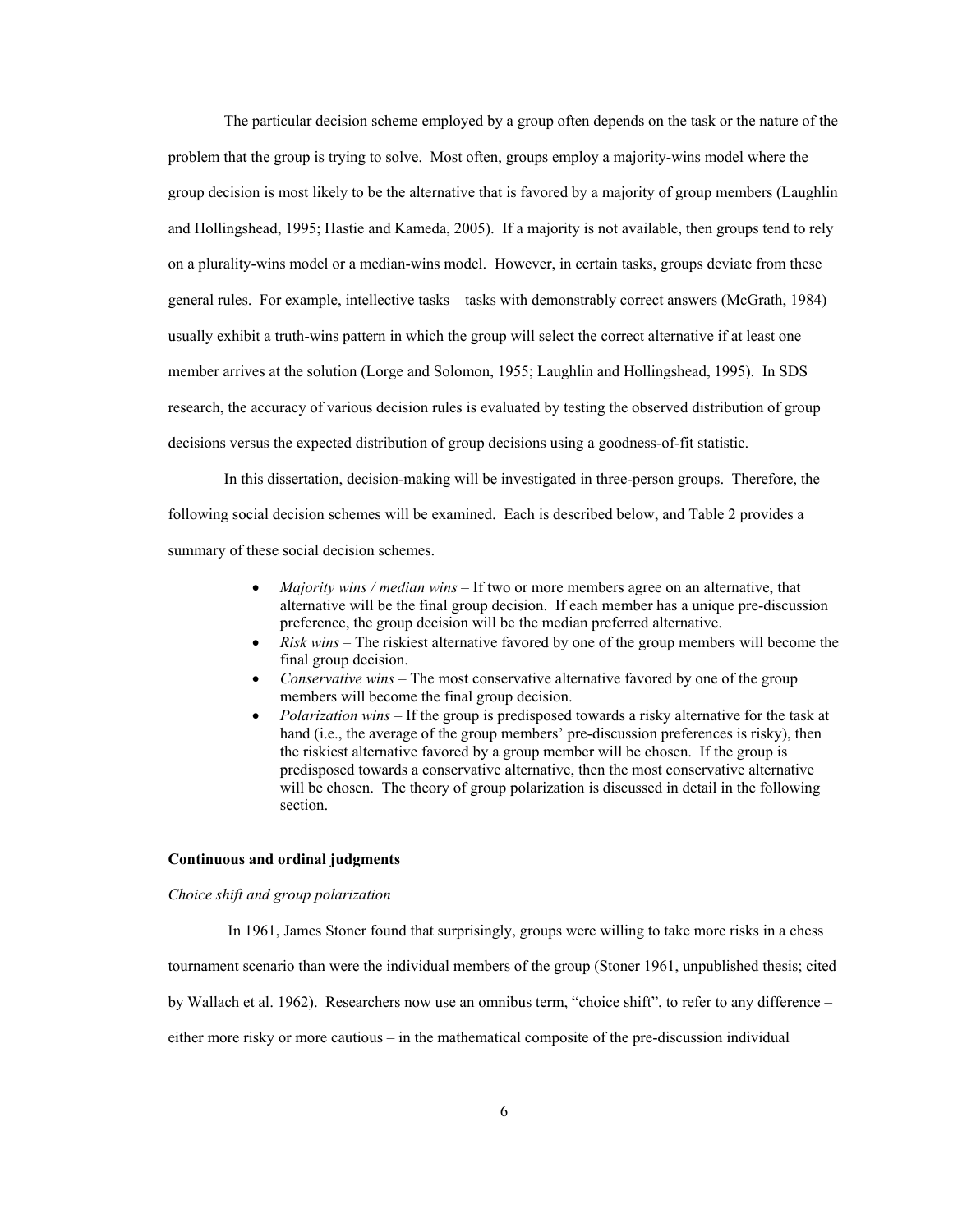The particular decision scheme employed by a group often depends on the task or the nature of the problem that the group is trying to solve. Most often, groups employ a majority-wins model where the group decision is most likely to be the alternative that is favored by a majority of group members (Laughlin and Hollingshead, 1995; Hastie and Kameda, 2005). If a majority is not available, then groups tend to rely on a plurality-wins model or a median-wins model. However, in certain tasks, groups deviate from these general rules. For example, intellective tasks – tasks with demonstrably correct answers (McGrath, 1984) – usually exhibit a truth-wins pattern in which the group will select the correct alternative if at least one member arrives at the solution (Lorge and Solomon, 1955; Laughlin and Hollingshead, 1995). In SDS research, the accuracy of various decision rules is evaluated by testing the observed distribution of group decisions versus the expected distribution of group decisions using a goodness-of-fit statistic.

In this dissertation, decision-making will be investigated in three-person groups. Therefore, the following social decision schemes will be examined. Each is described below, and Table 2 provides a summary of these social decision schemes.

- *Majority wins / median wins*  If two or more members agree on an alternative, that alternative will be the final group decision. If each member has a unique pre-discussion preference, the group decision will be the median preferred alternative.
- *Risk wins* The riskiest alternative favored by one of the group members will become the final group decision.
- *Conservative wins* The most conservative alternative favored by one of the group members will become the final group decision.
- *Polarization wins* If the group is predisposed towards a risky alternative for the task at hand (i.e., the average of the group members' pre-discussion preferences is risky), then the riskiest alternative favored by a group member will be chosen. If the group is predisposed towards a conservative alternative, then the most conservative alternative will be chosen. The theory of group polarization is discussed in detail in the following section.

#### **Continuous and ordinal judgments**

## *Choice shift and group polarization*

In 1961, James Stoner found that surprisingly, groups were willing to take more risks in a chess

tournament scenario than were the individual members of the group (Stoner 1961, unpublished thesis; cited

by Wallach et al. 1962). Researchers now use an omnibus term, "choice shift", to refer to any difference –

either more risky or more cautious – in the mathematical composite of the pre-discussion individual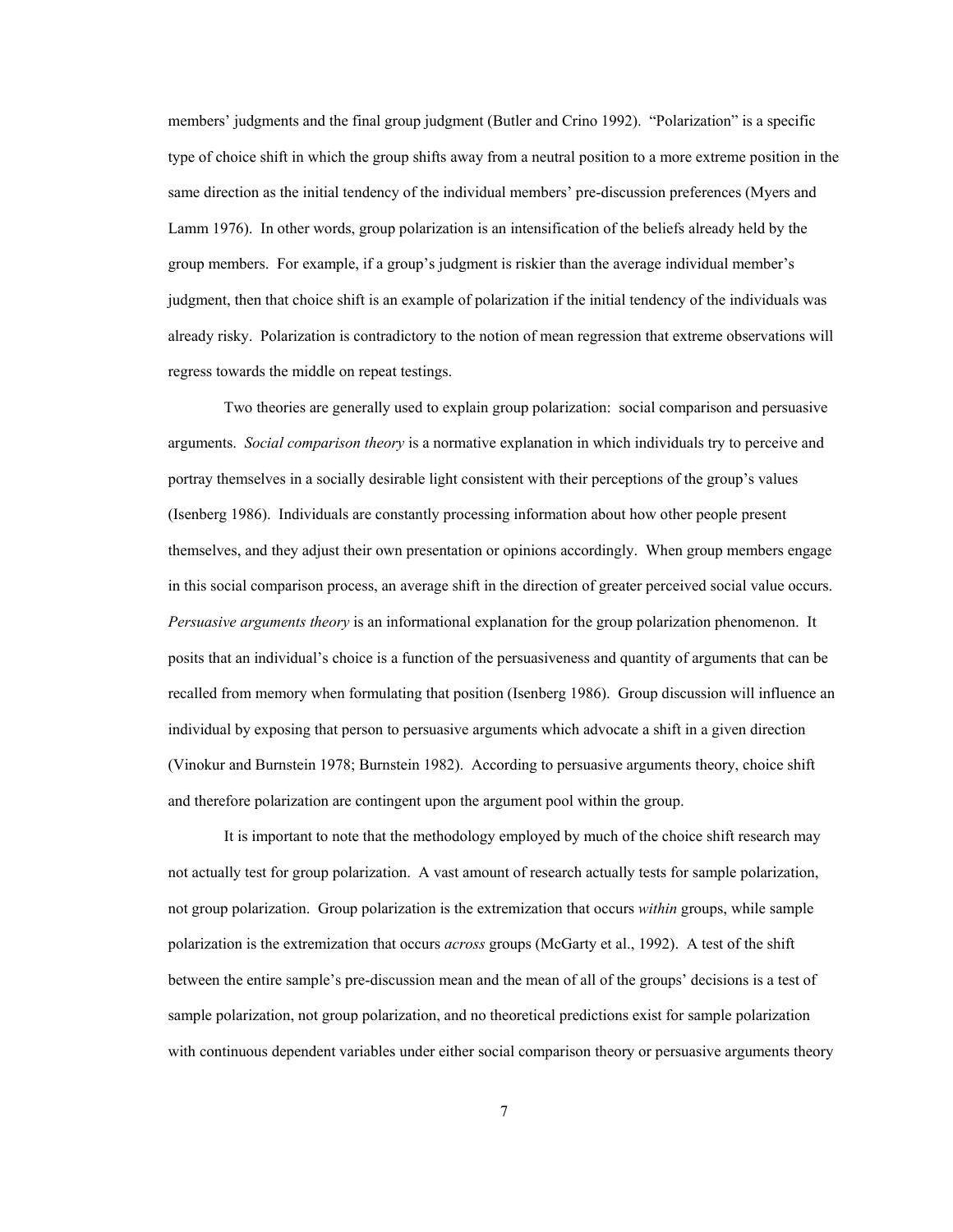members' judgments and the final group judgment (Butler and Crino 1992). "Polarization" is a specific type of choice shift in which the group shifts away from a neutral position to a more extreme position in the same direction as the initial tendency of the individual members' pre-discussion preferences (Myers and Lamm 1976). In other words, group polarization is an intensification of the beliefs already held by the group members. For example, if a group's judgment is riskier than the average individual member's judgment, then that choice shift is an example of polarization if the initial tendency of the individuals was already risky. Polarization is contradictory to the notion of mean regression that extreme observations will regress towards the middle on repeat testings.

Two theories are generally used to explain group polarization: social comparison and persuasive arguments. *Social comparison theory* is a normative explanation in which individuals try to perceive and portray themselves in a socially desirable light consistent with their perceptions of the group's values (Isenberg 1986). Individuals are constantly processing information about how other people present themselves, and they adjust their own presentation or opinions accordingly. When group members engage in this social comparison process, an average shift in the direction of greater perceived social value occurs. *Persuasive arguments theory* is an informational explanation for the group polarization phenomenon. It posits that an individual's choice is a function of the persuasiveness and quantity of arguments that can be recalled from memory when formulating that position (Isenberg 1986). Group discussion will influence an individual by exposing that person to persuasive arguments which advocate a shift in a given direction (Vinokur and Burnstein 1978; Burnstein 1982). According to persuasive arguments theory, choice shift and therefore polarization are contingent upon the argument pool within the group.

It is important to note that the methodology employed by much of the choice shift research may not actually test for group polarization. A vast amount of research actually tests for sample polarization, not group polarization. Group polarization is the extremization that occurs *within* groups, while sample polarization is the extremization that occurs *across* groups (McGarty et al., 1992). A test of the shift between the entire sample's pre-discussion mean and the mean of all of the groups' decisions is a test of sample polarization, not group polarization, and no theoretical predictions exist for sample polarization with continuous dependent variables under either social comparison theory or persuasive arguments theory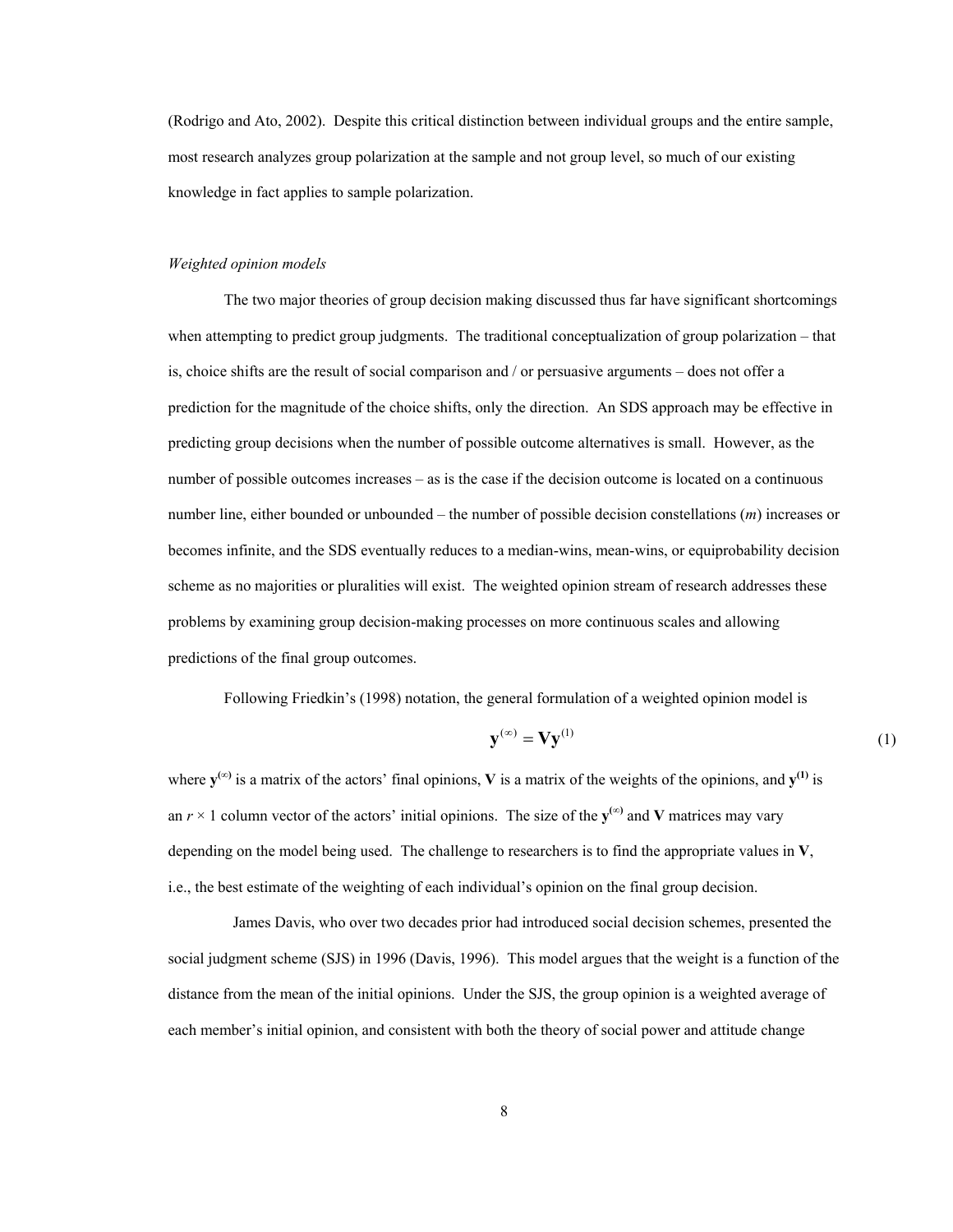(Rodrigo and Ato, 2002). Despite this critical distinction between individual groups and the entire sample, most research analyzes group polarization at the sample and not group level, so much of our existing knowledge in fact applies to sample polarization.

## *Weighted opinion models*

 The two major theories of group decision making discussed thus far have significant shortcomings when attempting to predict group judgments. The traditional conceptualization of group polarization – that is, choice shifts are the result of social comparison and / or persuasive arguments – does not offer a prediction for the magnitude of the choice shifts, only the direction. An SDS approach may be effective in predicting group decisions when the number of possible outcome alternatives is small. However, as the number of possible outcomes increases – as is the case if the decision outcome is located on a continuous number line, either bounded or unbounded – the number of possible decision constellations (*m*) increases or becomes infinite, and the SDS eventually reduces to a median-wins, mean-wins, or equiprobability decision scheme as no majorities or pluralities will exist. The weighted opinion stream of research addresses these problems by examining group decision-making processes on more continuous scales and allowing predictions of the final group outcomes.

Following Friedkin's (1998) notation, the general formulation of a weighted opinion model is

$$
\mathbf{y}^{(\infty)} = \mathbf{V} \mathbf{y}^{(1)} \tag{1}
$$

where  $y^{(\infty)}$  is a matrix of the actors' final opinions, **V** is a matrix of the weights of the opinions, and  $y^{(1)}$  is an  $r \times 1$  column vector of the actors' initial opinions. The size of the  $y^{(\infty)}$  and **V** matrices may vary depending on the model being used. The challenge to researchers is to find the appropriate values in **V**, i.e., the best estimate of the weighting of each individual's opinion on the final group decision.

 James Davis, who over two decades prior had introduced social decision schemes, presented the social judgment scheme (SJS) in 1996 (Davis, 1996). This model argues that the weight is a function of the distance from the mean of the initial opinions. Under the SJS, the group opinion is a weighted average of each member's initial opinion, and consistent with both the theory of social power and attitude change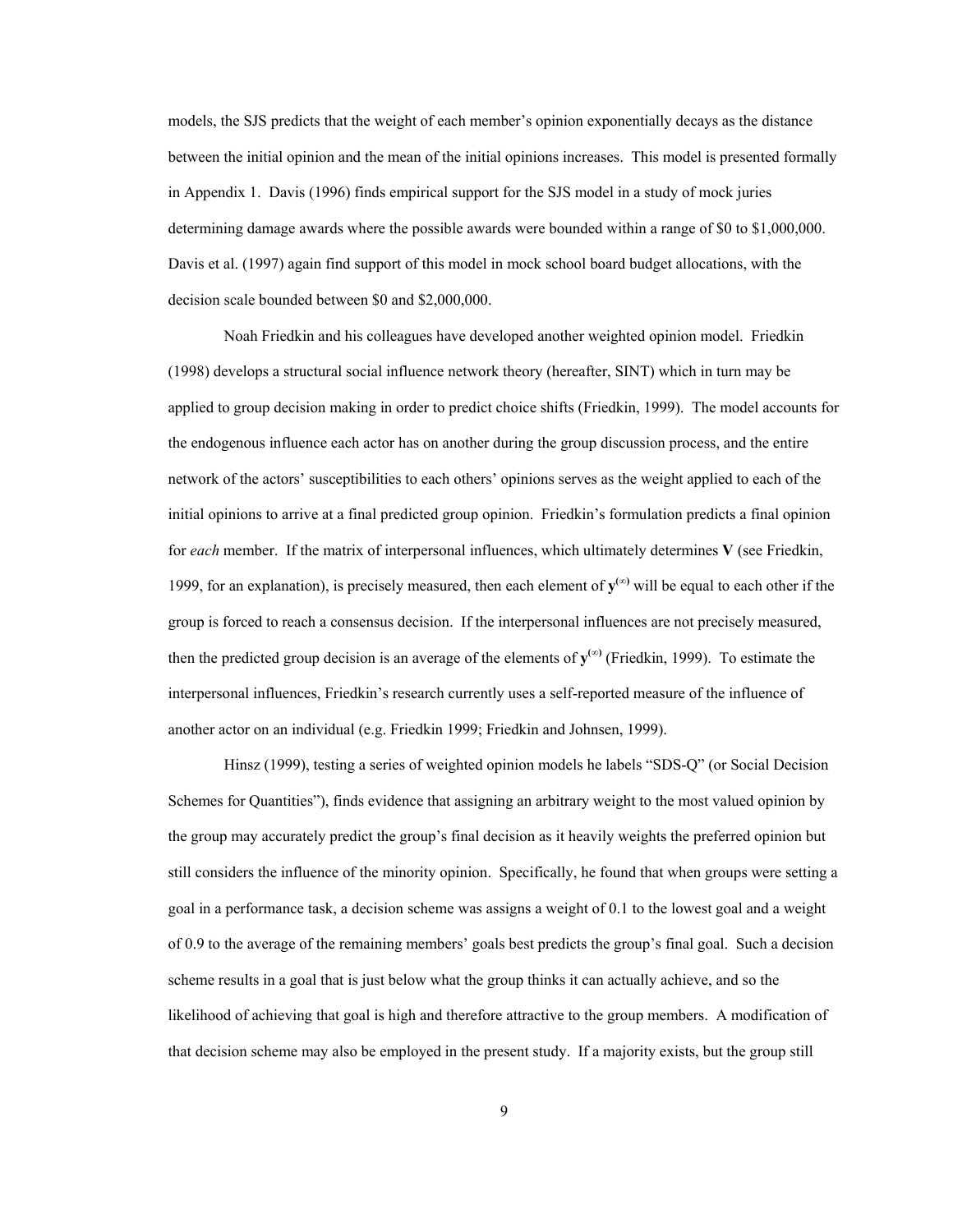models, the SJS predicts that the weight of each member's opinion exponentially decays as the distance between the initial opinion and the mean of the initial opinions increases. This model is presented formally in Appendix 1. Davis (1996) finds empirical support for the SJS model in a study of mock juries determining damage awards where the possible awards were bounded within a range of \$0 to \$1,000,000. Davis et al. (1997) again find support of this model in mock school board budget allocations, with the decision scale bounded between \$0 and \$2,000,000.

Noah Friedkin and his colleagues have developed another weighted opinion model. Friedkin (1998) develops a structural social influence network theory (hereafter, SINT) which in turn may be applied to group decision making in order to predict choice shifts (Friedkin, 1999). The model accounts for the endogenous influence each actor has on another during the group discussion process, and the entire network of the actors' susceptibilities to each others' opinions serves as the weight applied to each of the initial opinions to arrive at a final predicted group opinion. Friedkin's formulation predicts a final opinion for *each* member. If the matrix of interpersonal influences, which ultimately determines **V** (see Friedkin, 1999, for an explanation), is precisely measured, then each element of  $\mathbf{v}^{(\infty)}$  will be equal to each other if the group is forced to reach a consensus decision. If the interpersonal influences are not precisely measured, then the predicted group decision is an average of the elements of  $y^{(\infty)}$  (Friedkin, 1999). To estimate the interpersonal influences, Friedkin's research currently uses a self-reported measure of the influence of another actor on an individual (e.g. Friedkin 1999; Friedkin and Johnsen, 1999).

Hinsz (1999), testing a series of weighted opinion models he labels "SDS-Q" (or Social Decision Schemes for Quantities"), finds evidence that assigning an arbitrary weight to the most valued opinion by the group may accurately predict the group's final decision as it heavily weights the preferred opinion but still considers the influence of the minority opinion. Specifically, he found that when groups were setting a goal in a performance task, a decision scheme was assigns a weight of 0.1 to the lowest goal and a weight of 0.9 to the average of the remaining members' goals best predicts the group's final goal. Such a decision scheme results in a goal that is just below what the group thinks it can actually achieve, and so the likelihood of achieving that goal is high and therefore attractive to the group members. A modification of that decision scheme may also be employed in the present study. If a majority exists, but the group still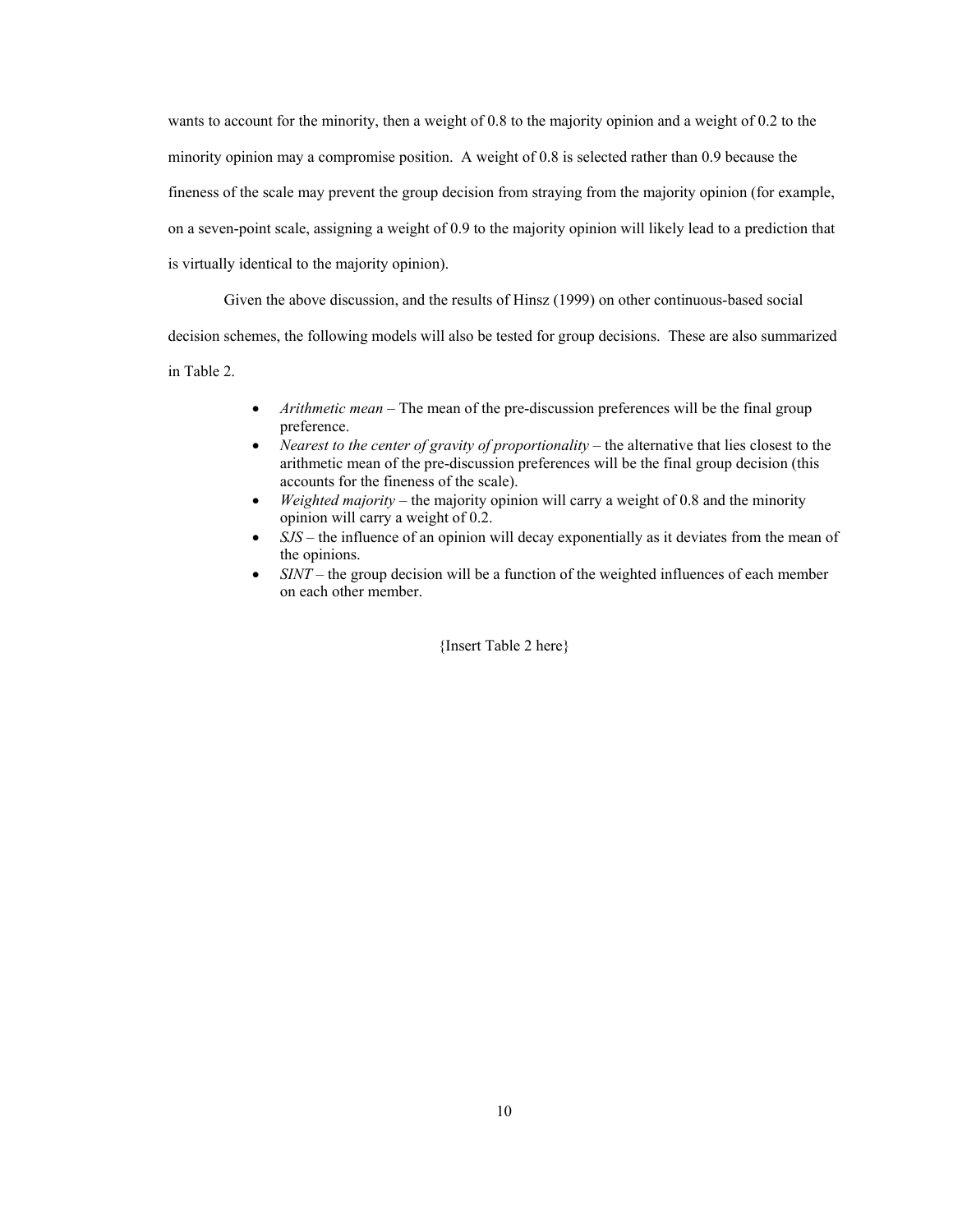wants to account for the minority, then a weight of 0.8 to the majority opinion and a weight of 0.2 to the minority opinion may a compromise position. A weight of 0.8 is selected rather than 0.9 because the fineness of the scale may prevent the group decision from straying from the majority opinion (for example, on a seven-point scale, assigning a weight of 0.9 to the majority opinion will likely lead to a prediction that is virtually identical to the majority opinion).

Given the above discussion, and the results of Hinsz (1999) on other continuous-based social decision schemes, the following models will also be tested for group decisions. These are also summarized in Table 2.

- *Arithmetic mean* The mean of the pre-discussion preferences will be the final group preference.
- *Nearest to the center of gravity of proportionality* the alternative that lies closest to the arithmetic mean of the pre-discussion preferences will be the final group decision (this accounts for the fineness of the scale).
- *Weighted majority*  the majority opinion will carry a weight of 0.8 and the minority opinion will carry a weight of 0.2.
- *SJS* the influence of an opinion will decay exponentially as it deviates from the mean of the opinions.
- *SINT* the group decision will be a function of the weighted influences of each member on each other member.

{Insert Table 2 here}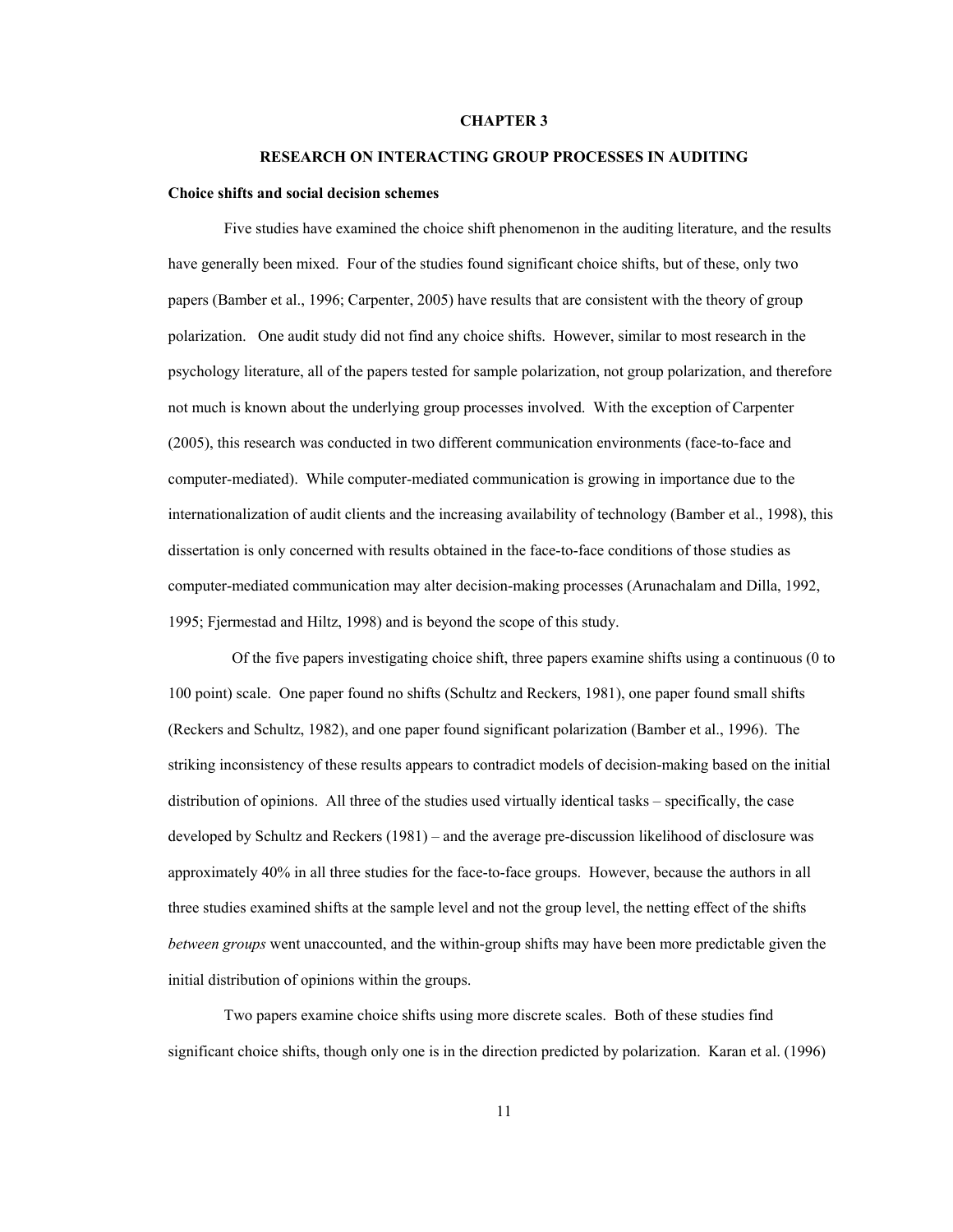## **CHAPTER 3**

#### **RESEARCH ON INTERACTING GROUP PROCESSES IN AUDITING**

#### **Choice shifts and social decision schemes**

Five studies have examined the choice shift phenomenon in the auditing literature, and the results have generally been mixed. Four of the studies found significant choice shifts, but of these, only two papers (Bamber et al., 1996; Carpenter, 2005) have results that are consistent with the theory of group polarization. One audit study did not find any choice shifts. However, similar to most research in the psychology literature, all of the papers tested for sample polarization, not group polarization, and therefore not much is known about the underlying group processes involved. With the exception of Carpenter (2005), this research was conducted in two different communication environments (face-to-face and computer-mediated). While computer-mediated communication is growing in importance due to the internationalization of audit clients and the increasing availability of technology (Bamber et al., 1998), this dissertation is only concerned with results obtained in the face-to-face conditions of those studies as computer-mediated communication may alter decision-making processes (Arunachalam and Dilla, 1992, 1995; Fjermestad and Hiltz, 1998) and is beyond the scope of this study.

 Of the five papers investigating choice shift, three papers examine shifts using a continuous (0 to 100 point) scale. One paper found no shifts (Schultz and Reckers, 1981), one paper found small shifts (Reckers and Schultz, 1982), and one paper found significant polarization (Bamber et al., 1996). The striking inconsistency of these results appears to contradict models of decision-making based on the initial distribution of opinions. All three of the studies used virtually identical tasks – specifically, the case developed by Schultz and Reckers (1981) – and the average pre-discussion likelihood of disclosure was approximately 40% in all three studies for the face-to-face groups. However, because the authors in all three studies examined shifts at the sample level and not the group level, the netting effect of the shifts *between groups* went unaccounted, and the within-group shifts may have been more predictable given the initial distribution of opinions within the groups.

 Two papers examine choice shifts using more discrete scales. Both of these studies find significant choice shifts, though only one is in the direction predicted by polarization. Karan et al. (1996)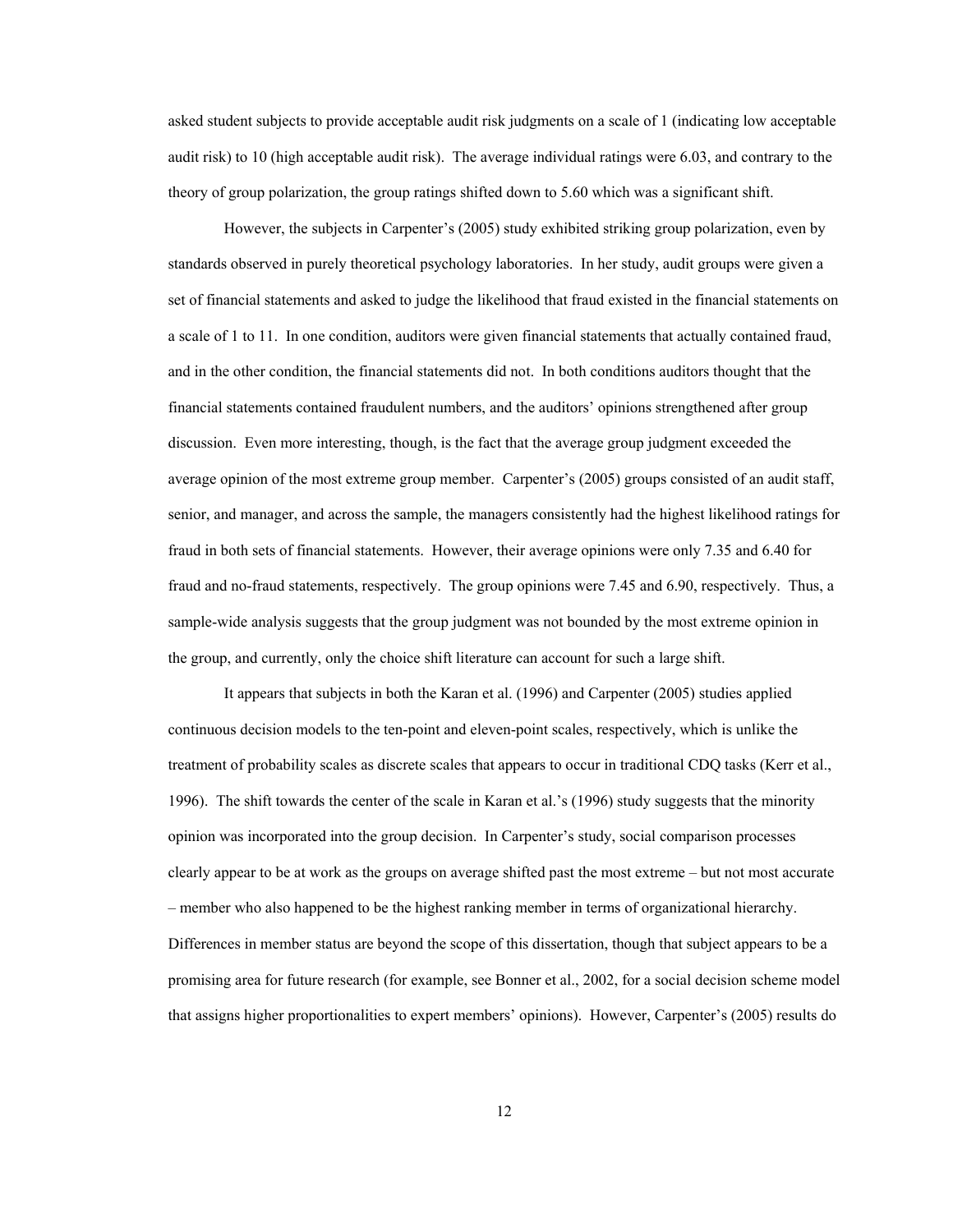asked student subjects to provide acceptable audit risk judgments on a scale of 1 (indicating low acceptable audit risk) to 10 (high acceptable audit risk). The average individual ratings were 6.03, and contrary to the theory of group polarization, the group ratings shifted down to 5.60 which was a significant shift.

However, the subjects in Carpenter's (2005) study exhibited striking group polarization, even by standards observed in purely theoretical psychology laboratories. In her study, audit groups were given a set of financial statements and asked to judge the likelihood that fraud existed in the financial statements on a scale of 1 to 11. In one condition, auditors were given financial statements that actually contained fraud, and in the other condition, the financial statements did not. In both conditions auditors thought that the financial statements contained fraudulent numbers, and the auditors' opinions strengthened after group discussion. Even more interesting, though, is the fact that the average group judgment exceeded the average opinion of the most extreme group member. Carpenter's (2005) groups consisted of an audit staff, senior, and manager, and across the sample, the managers consistently had the highest likelihood ratings for fraud in both sets of financial statements. However, their average opinions were only 7.35 and 6.40 for fraud and no-fraud statements, respectively. The group opinions were 7.45 and 6.90, respectively. Thus, a sample-wide analysis suggests that the group judgment was not bounded by the most extreme opinion in the group, and currently, only the choice shift literature can account for such a large shift.

It appears that subjects in both the Karan et al. (1996) and Carpenter (2005) studies applied continuous decision models to the ten-point and eleven-point scales, respectively, which is unlike the treatment of probability scales as discrete scales that appears to occur in traditional CDQ tasks (Kerr et al., 1996). The shift towards the center of the scale in Karan et al.'s (1996) study suggests that the minority opinion was incorporated into the group decision. In Carpenter's study, social comparison processes clearly appear to be at work as the groups on average shifted past the most extreme – but not most accurate – member who also happened to be the highest ranking member in terms of organizational hierarchy. Differences in member status are beyond the scope of this dissertation, though that subject appears to be a promising area for future research (for example, see Bonner et al., 2002, for a social decision scheme model that assigns higher proportionalities to expert members' opinions). However, Carpenter's (2005) results do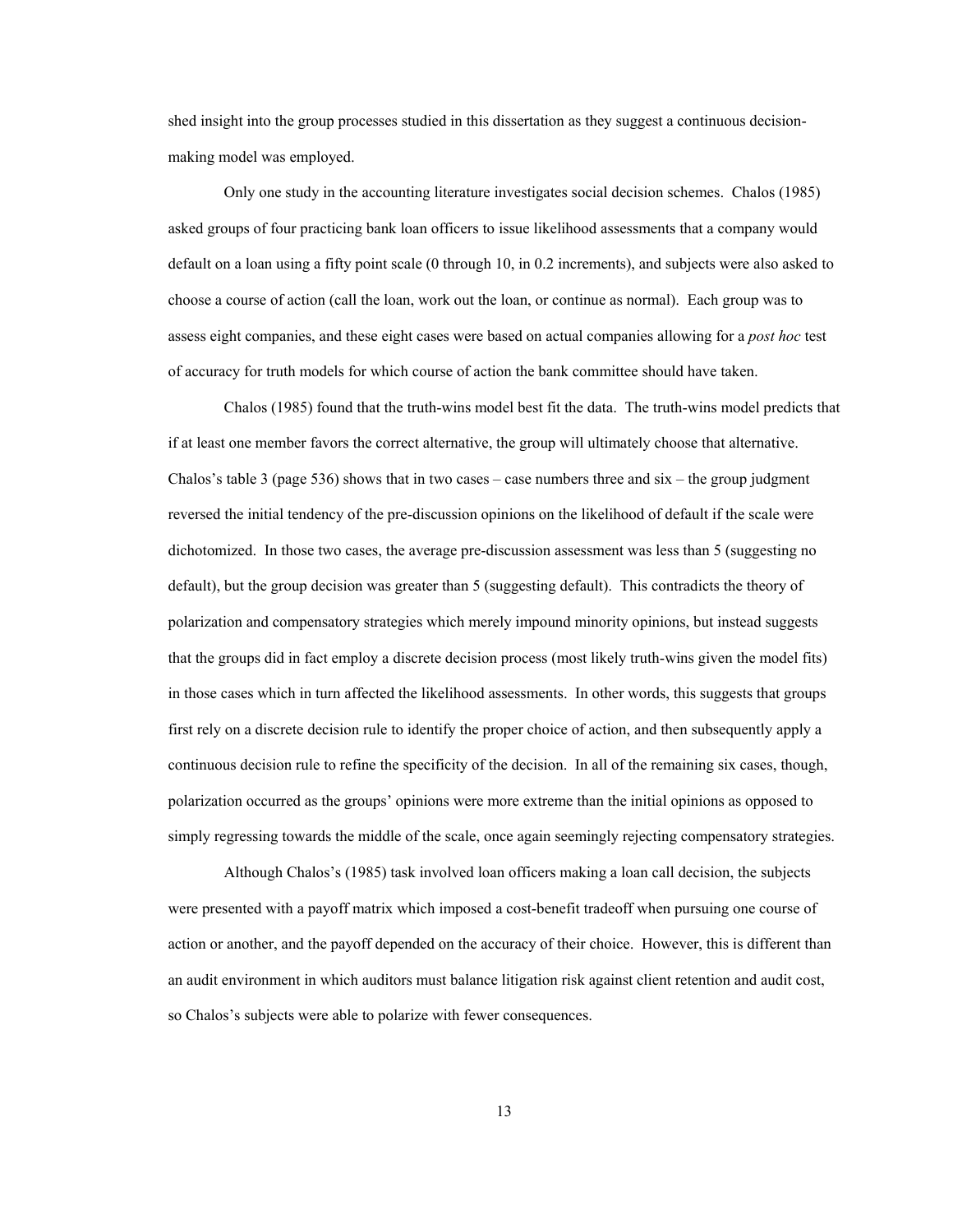shed insight into the group processes studied in this dissertation as they suggest a continuous decisionmaking model was employed.

Only one study in the accounting literature investigates social decision schemes. Chalos (1985) asked groups of four practicing bank loan officers to issue likelihood assessments that a company would default on a loan using a fifty point scale (0 through 10, in 0.2 increments), and subjects were also asked to choose a course of action (call the loan, work out the loan, or continue as normal). Each group was to assess eight companies, and these eight cases were based on actual companies allowing for a *post hoc* test of accuracy for truth models for which course of action the bank committee should have taken.

Chalos (1985) found that the truth-wins model best fit the data. The truth-wins model predicts that if at least one member favors the correct alternative, the group will ultimately choose that alternative. Chalos's table 3 (page 536) shows that in two cases – case numbers three and  $six$  – the group judgment reversed the initial tendency of the pre-discussion opinions on the likelihood of default if the scale were dichotomized. In those two cases, the average pre-discussion assessment was less than 5 (suggesting no default), but the group decision was greater than 5 (suggesting default). This contradicts the theory of polarization and compensatory strategies which merely impound minority opinions, but instead suggests that the groups did in fact employ a discrete decision process (most likely truth-wins given the model fits) in those cases which in turn affected the likelihood assessments. In other words, this suggests that groups first rely on a discrete decision rule to identify the proper choice of action, and then subsequently apply a continuous decision rule to refine the specificity of the decision. In all of the remaining six cases, though, polarization occurred as the groups' opinions were more extreme than the initial opinions as opposed to simply regressing towards the middle of the scale, once again seemingly rejecting compensatory strategies.

Although Chalos's (1985) task involved loan officers making a loan call decision, the subjects were presented with a payoff matrix which imposed a cost-benefit tradeoff when pursuing one course of action or another, and the payoff depended on the accuracy of their choice. However, this is different than an audit environment in which auditors must balance litigation risk against client retention and audit cost, so Chalos's subjects were able to polarize with fewer consequences.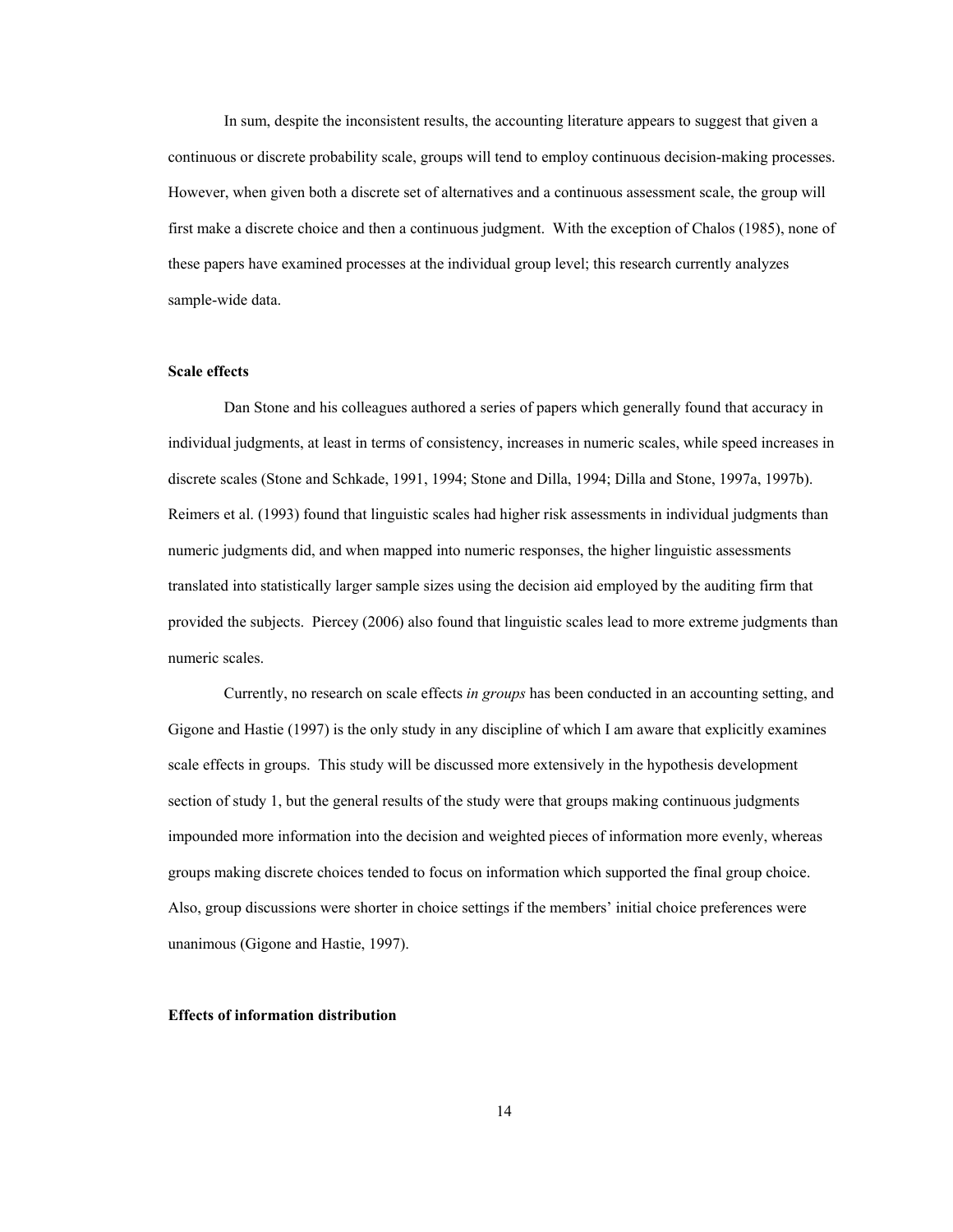In sum, despite the inconsistent results, the accounting literature appears to suggest that given a continuous or discrete probability scale, groups will tend to employ continuous decision-making processes. However, when given both a discrete set of alternatives and a continuous assessment scale, the group will first make a discrete choice and then a continuous judgment. With the exception of Chalos (1985), none of these papers have examined processes at the individual group level; this research currently analyzes sample-wide data.

## **Scale effects**

 Dan Stone and his colleagues authored a series of papers which generally found that accuracy in individual judgments, at least in terms of consistency, increases in numeric scales, while speed increases in discrete scales (Stone and Schkade, 1991, 1994; Stone and Dilla, 1994; Dilla and Stone, 1997a, 1997b). Reimers et al. (1993) found that linguistic scales had higher risk assessments in individual judgments than numeric judgments did, and when mapped into numeric responses, the higher linguistic assessments translated into statistically larger sample sizes using the decision aid employed by the auditing firm that provided the subjects. Piercey (2006) also found that linguistic scales lead to more extreme judgments than numeric scales.

Currently, no research on scale effects *in groups* has been conducted in an accounting setting, and Gigone and Hastie (1997) is the only study in any discipline of which I am aware that explicitly examines scale effects in groups. This study will be discussed more extensively in the hypothesis development section of study 1, but the general results of the study were that groups making continuous judgments impounded more information into the decision and weighted pieces of information more evenly, whereas groups making discrete choices tended to focus on information which supported the final group choice. Also, group discussions were shorter in choice settings if the members' initial choice preferences were unanimous (Gigone and Hastie, 1997).

#### **Effects of information distribution**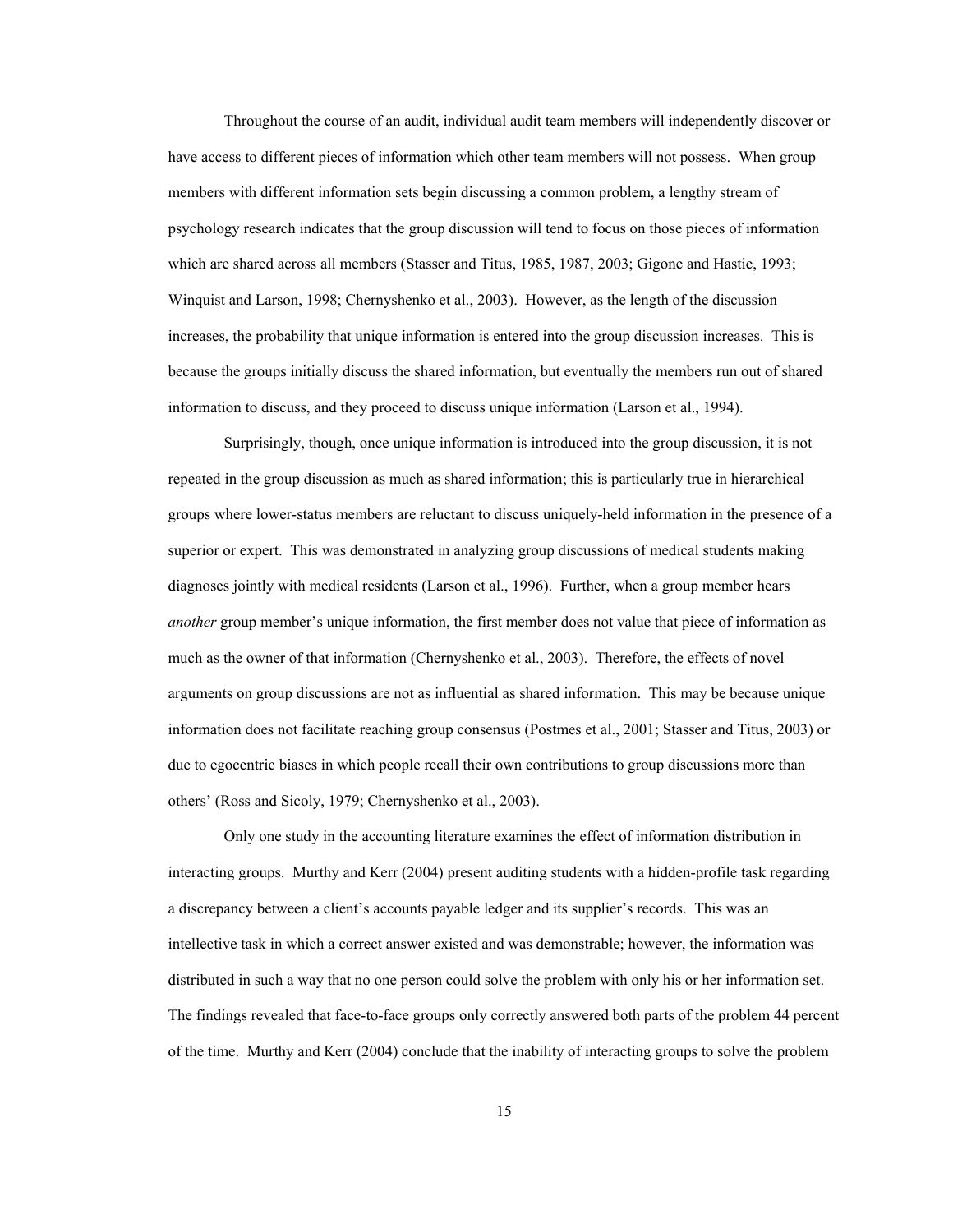Throughout the course of an audit, individual audit team members will independently discover or have access to different pieces of information which other team members will not possess. When group members with different information sets begin discussing a common problem, a lengthy stream of psychology research indicates that the group discussion will tend to focus on those pieces of information which are shared across all members (Stasser and Titus, 1985, 1987, 2003; Gigone and Hastie, 1993; Winquist and Larson, 1998; Chernyshenko et al., 2003). However, as the length of the discussion increases, the probability that unique information is entered into the group discussion increases. This is because the groups initially discuss the shared information, but eventually the members run out of shared information to discuss, and they proceed to discuss unique information (Larson et al., 1994).

Surprisingly, though, once unique information is introduced into the group discussion, it is not repeated in the group discussion as much as shared information; this is particularly true in hierarchical groups where lower-status members are reluctant to discuss uniquely-held information in the presence of a superior or expert. This was demonstrated in analyzing group discussions of medical students making diagnoses jointly with medical residents (Larson et al., 1996). Further, when a group member hears *another* group member's unique information, the first member does not value that piece of information as much as the owner of that information (Chernyshenko et al., 2003). Therefore, the effects of novel arguments on group discussions are not as influential as shared information. This may be because unique information does not facilitate reaching group consensus (Postmes et al., 2001; Stasser and Titus, 2003) or due to egocentric biases in which people recall their own contributions to group discussions more than others' (Ross and Sicoly, 1979; Chernyshenko et al., 2003).

Only one study in the accounting literature examines the effect of information distribution in interacting groups. Murthy and Kerr (2004) present auditing students with a hidden-profile task regarding a discrepancy between a client's accounts payable ledger and its supplier's records. This was an intellective task in which a correct answer existed and was demonstrable; however, the information was distributed in such a way that no one person could solve the problem with only his or her information set. The findings revealed that face-to-face groups only correctly answered both parts of the problem 44 percent of the time. Murthy and Kerr (2004) conclude that the inability of interacting groups to solve the problem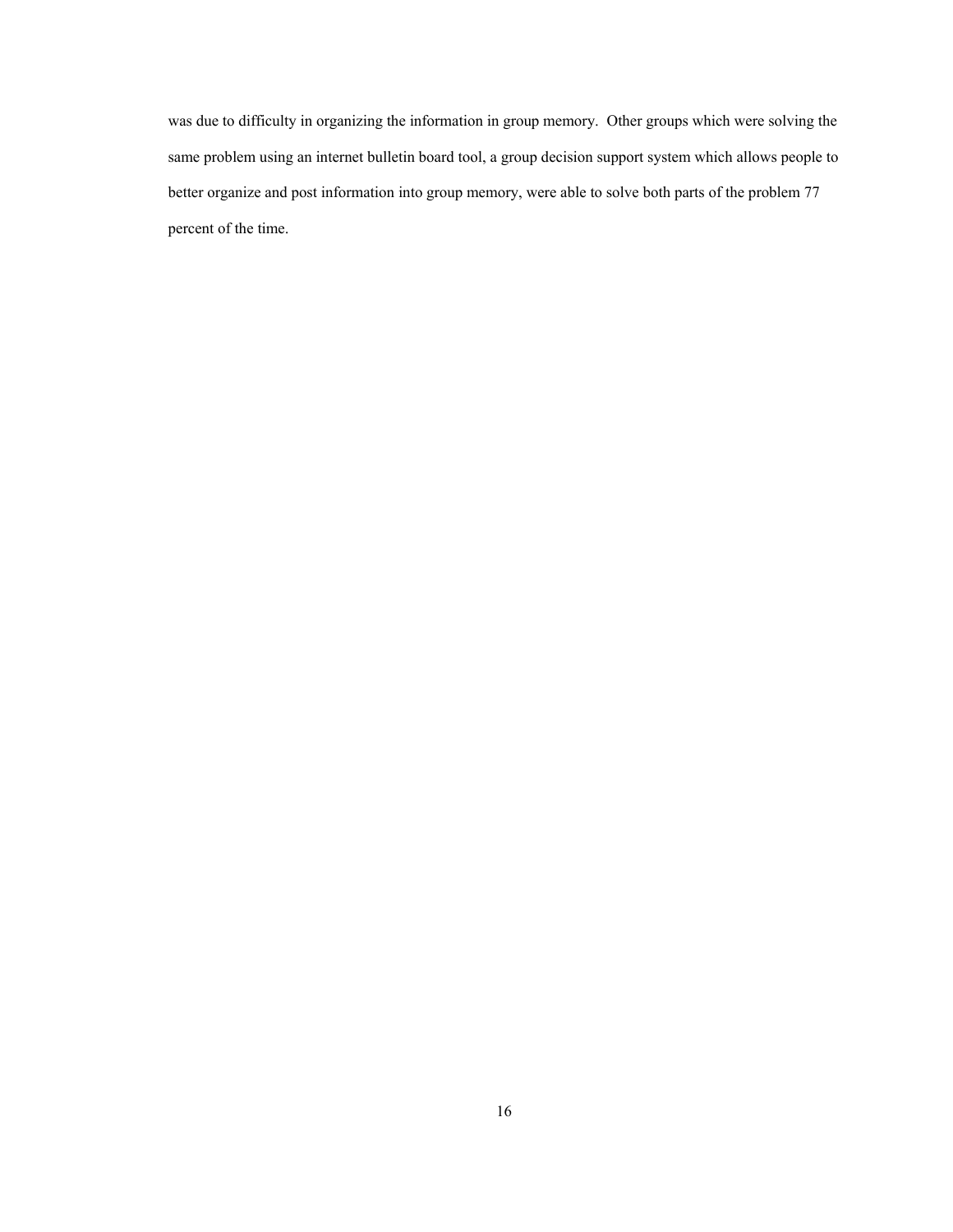was due to difficulty in organizing the information in group memory. Other groups which were solving the same problem using an internet bulletin board tool, a group decision support system which allows people to better organize and post information into group memory, were able to solve both parts of the problem 77 percent of the time.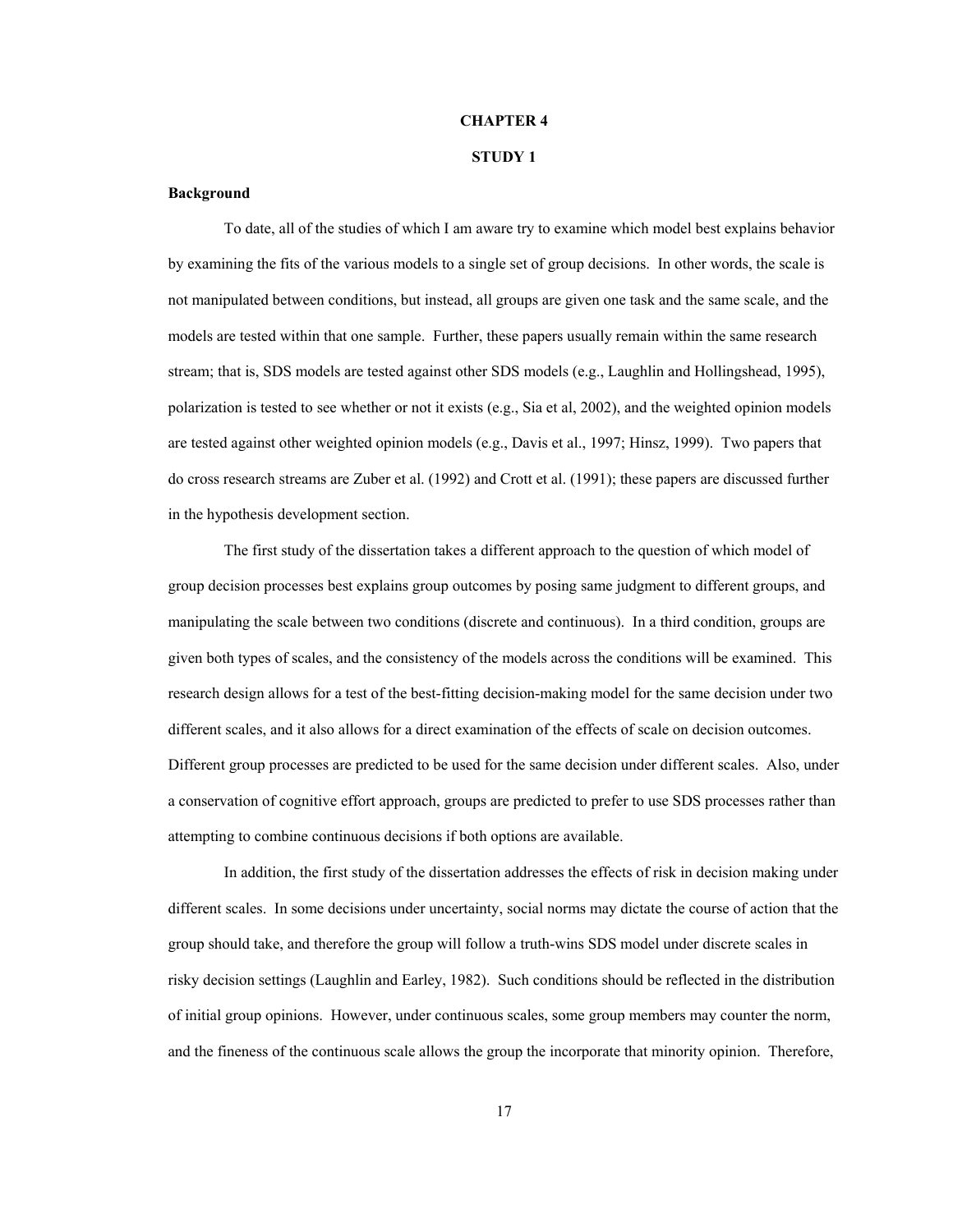## **CHAPTER 4**

## **STUDY 1**

#### **Background**

To date, all of the studies of which I am aware try to examine which model best explains behavior by examining the fits of the various models to a single set of group decisions. In other words, the scale is not manipulated between conditions, but instead, all groups are given one task and the same scale, and the models are tested within that one sample. Further, these papers usually remain within the same research stream; that is, SDS models are tested against other SDS models (e.g., Laughlin and Hollingshead, 1995), polarization is tested to see whether or not it exists (e.g., Sia et al, 2002), and the weighted opinion models are tested against other weighted opinion models (e.g., Davis et al., 1997; Hinsz, 1999). Two papers that do cross research streams are Zuber et al. (1992) and Crott et al. (1991); these papers are discussed further in the hypothesis development section.

The first study of the dissertation takes a different approach to the question of which model of group decision processes best explains group outcomes by posing same judgment to different groups, and manipulating the scale between two conditions (discrete and continuous). In a third condition, groups are given both types of scales, and the consistency of the models across the conditions will be examined. This research design allows for a test of the best-fitting decision-making model for the same decision under two different scales, and it also allows for a direct examination of the effects of scale on decision outcomes. Different group processes are predicted to be used for the same decision under different scales. Also, under a conservation of cognitive effort approach, groups are predicted to prefer to use SDS processes rather than attempting to combine continuous decisions if both options are available.

In addition, the first study of the dissertation addresses the effects of risk in decision making under different scales. In some decisions under uncertainty, social norms may dictate the course of action that the group should take, and therefore the group will follow a truth-wins SDS model under discrete scales in risky decision settings (Laughlin and Earley, 1982). Such conditions should be reflected in the distribution of initial group opinions. However, under continuous scales, some group members may counter the norm, and the fineness of the continuous scale allows the group the incorporate that minority opinion. Therefore,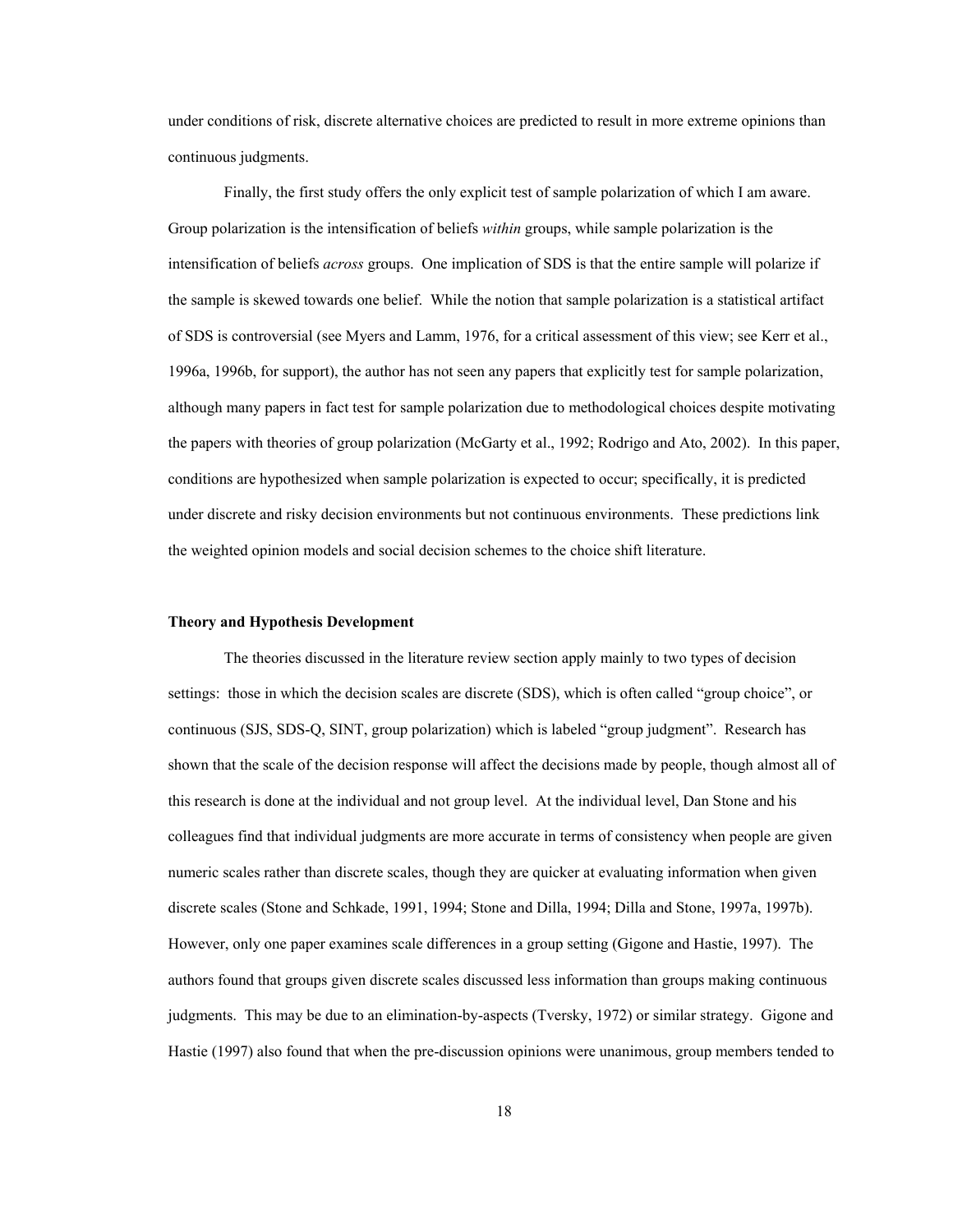under conditions of risk, discrete alternative choices are predicted to result in more extreme opinions than continuous judgments.

Finally, the first study offers the only explicit test of sample polarization of which I am aware. Group polarization is the intensification of beliefs *within* groups, while sample polarization is the intensification of beliefs *across* groups. One implication of SDS is that the entire sample will polarize if the sample is skewed towards one belief. While the notion that sample polarization is a statistical artifact of SDS is controversial (see Myers and Lamm, 1976, for a critical assessment of this view; see Kerr et al., 1996a, 1996b, for support), the author has not seen any papers that explicitly test for sample polarization, although many papers in fact test for sample polarization due to methodological choices despite motivating the papers with theories of group polarization (McGarty et al., 1992; Rodrigo and Ato, 2002). In this paper, conditions are hypothesized when sample polarization is expected to occur; specifically, it is predicted under discrete and risky decision environments but not continuous environments. These predictions link the weighted opinion models and social decision schemes to the choice shift literature.

## **Theory and Hypothesis Development**

The theories discussed in the literature review section apply mainly to two types of decision settings: those in which the decision scales are discrete (SDS), which is often called "group choice", or continuous (SJS, SDS-Q, SINT, group polarization) which is labeled "group judgment". Research has shown that the scale of the decision response will affect the decisions made by people, though almost all of this research is done at the individual and not group level. At the individual level, Dan Stone and his colleagues find that individual judgments are more accurate in terms of consistency when people are given numeric scales rather than discrete scales, though they are quicker at evaluating information when given discrete scales (Stone and Schkade, 1991, 1994; Stone and Dilla, 1994; Dilla and Stone, 1997a, 1997b). However, only one paper examines scale differences in a group setting (Gigone and Hastie, 1997). The authors found that groups given discrete scales discussed less information than groups making continuous judgments. This may be due to an elimination-by-aspects (Tversky, 1972) or similar strategy. Gigone and Hastie (1997) also found that when the pre-discussion opinions were unanimous, group members tended to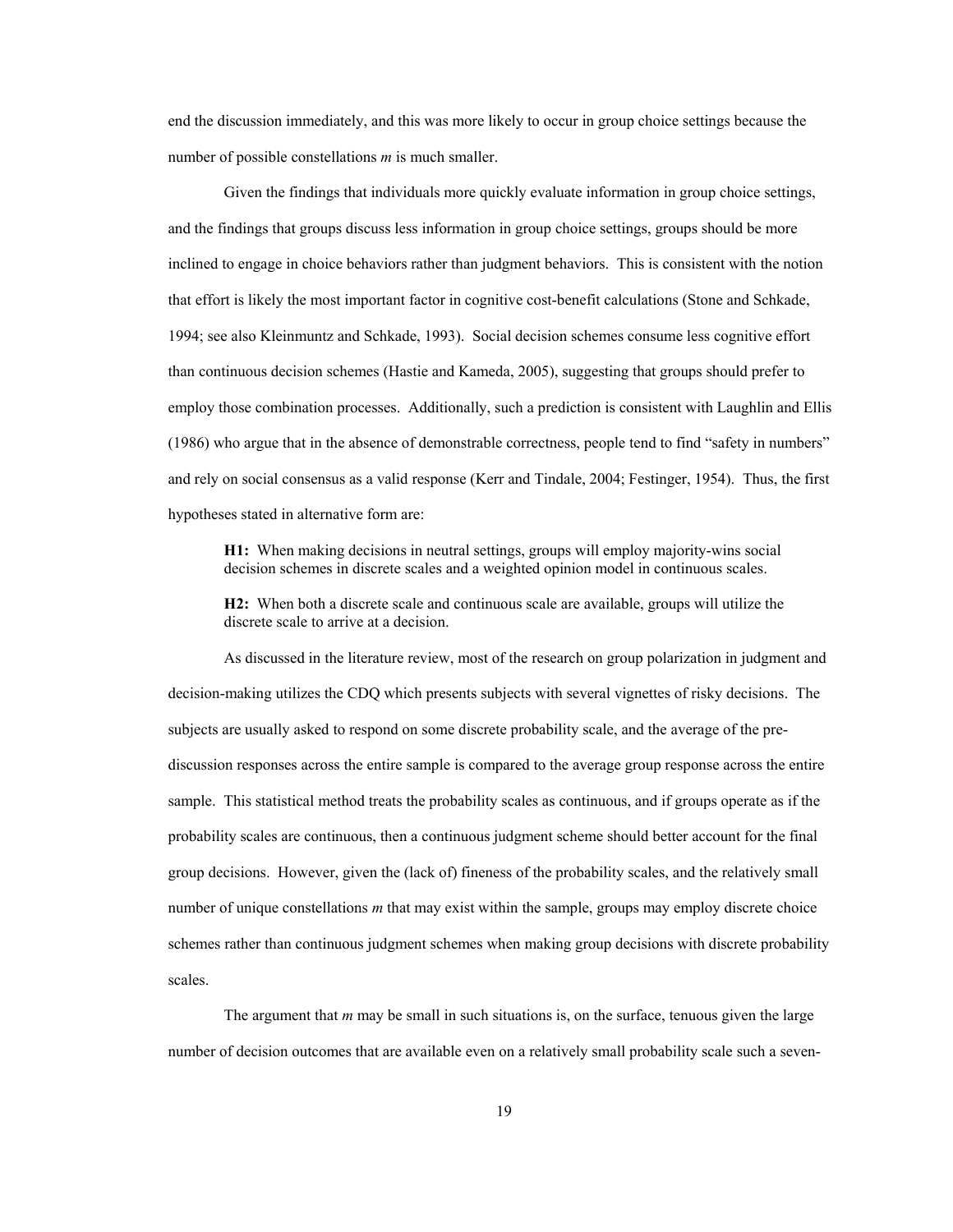end the discussion immediately, and this was more likely to occur in group choice settings because the number of possible constellations *m* is much smaller.

Given the findings that individuals more quickly evaluate information in group choice settings, and the findings that groups discuss less information in group choice settings, groups should be more inclined to engage in choice behaviors rather than judgment behaviors. This is consistent with the notion that effort is likely the most important factor in cognitive cost-benefit calculations (Stone and Schkade, 1994; see also Kleinmuntz and Schkade, 1993). Social decision schemes consume less cognitive effort than continuous decision schemes (Hastie and Kameda, 2005), suggesting that groups should prefer to employ those combination processes. Additionally, such a prediction is consistent with Laughlin and Ellis (1986) who argue that in the absence of demonstrable correctness, people tend to find "safety in numbers" and rely on social consensus as a valid response (Kerr and Tindale, 2004; Festinger, 1954). Thus, the first hypotheses stated in alternative form are:

**H1:** When making decisions in neutral settings, groups will employ majority-wins social decision schemes in discrete scales and a weighted opinion model in continuous scales.

**H2:** When both a discrete scale and continuous scale are available, groups will utilize the discrete scale to arrive at a decision.

 As discussed in the literature review, most of the research on group polarization in judgment and decision-making utilizes the CDQ which presents subjects with several vignettes of risky decisions. The subjects are usually asked to respond on some discrete probability scale, and the average of the prediscussion responses across the entire sample is compared to the average group response across the entire sample. This statistical method treats the probability scales as continuous, and if groups operate as if the probability scales are continuous, then a continuous judgment scheme should better account for the final group decisions. However, given the (lack of) fineness of the probability scales, and the relatively small number of unique constellations *m* that may exist within the sample, groups may employ discrete choice schemes rather than continuous judgment schemes when making group decisions with discrete probability scales.

 The argument that *m* may be small in such situations is, on the surface, tenuous given the large number of decision outcomes that are available even on a relatively small probability scale such a seven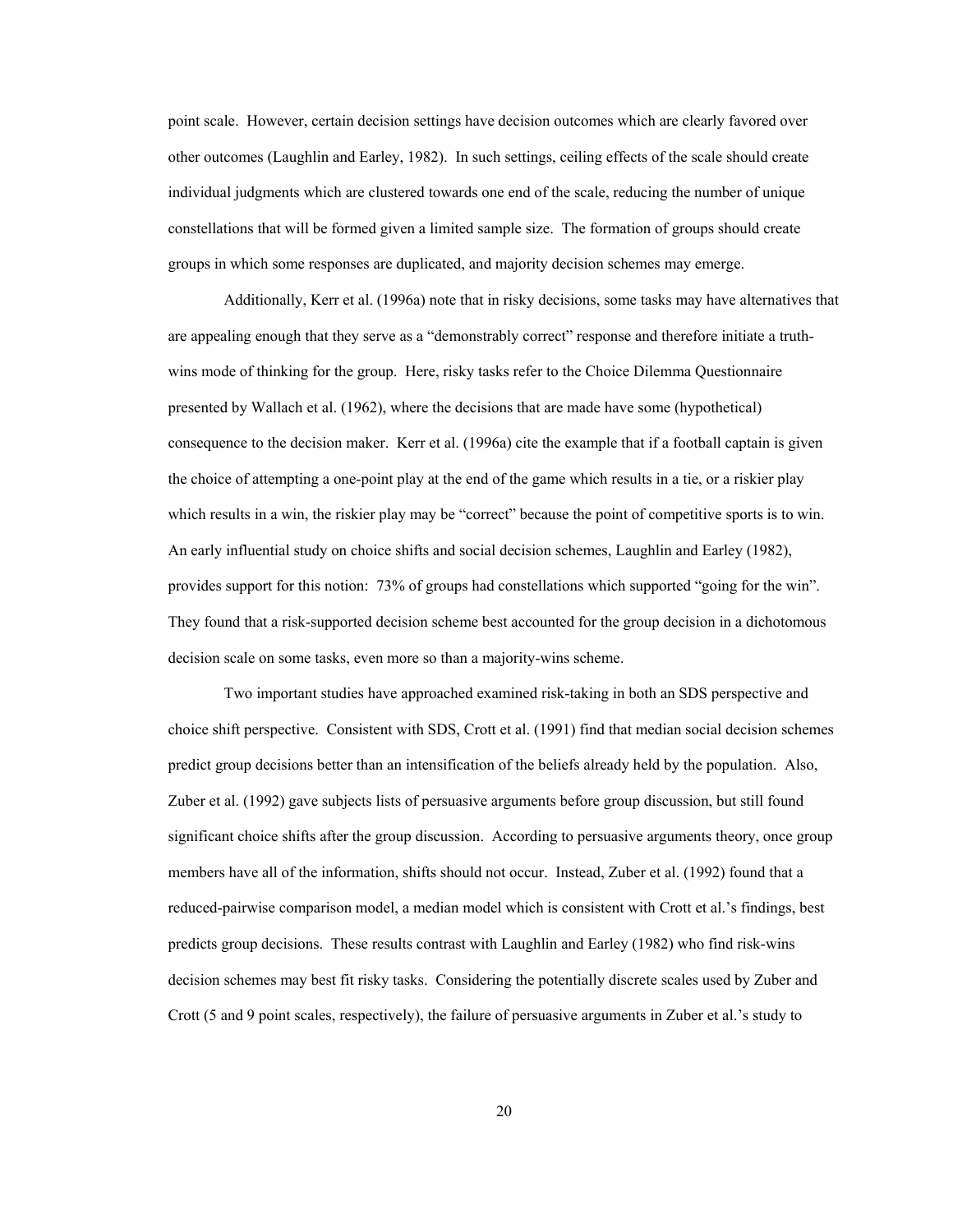point scale. However, certain decision settings have decision outcomes which are clearly favored over other outcomes (Laughlin and Earley, 1982). In such settings, ceiling effects of the scale should create individual judgments which are clustered towards one end of the scale, reducing the number of unique constellations that will be formed given a limited sample size. The formation of groups should create groups in which some responses are duplicated, and majority decision schemes may emerge.

Additionally, Kerr et al. (1996a) note that in risky decisions, some tasks may have alternatives that are appealing enough that they serve as a "demonstrably correct" response and therefore initiate a truthwins mode of thinking for the group. Here, risky tasks refer to the Choice Dilemma Questionnaire presented by Wallach et al. (1962), where the decisions that are made have some (hypothetical) consequence to the decision maker. Kerr et al. (1996a) cite the example that if a football captain is given the choice of attempting a one-point play at the end of the game which results in a tie, or a riskier play which results in a win, the riskier play may be "correct" because the point of competitive sports is to win. An early influential study on choice shifts and social decision schemes, Laughlin and Earley (1982), provides support for this notion: 73% of groups had constellations which supported "going for the win". They found that a risk-supported decision scheme best accounted for the group decision in a dichotomous decision scale on some tasks, even more so than a majority-wins scheme.

Two important studies have approached examined risk-taking in both an SDS perspective and choice shift perspective. Consistent with SDS, Crott et al. (1991) find that median social decision schemes predict group decisions better than an intensification of the beliefs already held by the population. Also, Zuber et al. (1992) gave subjects lists of persuasive arguments before group discussion, but still found significant choice shifts after the group discussion. According to persuasive arguments theory, once group members have all of the information, shifts should not occur. Instead, Zuber et al. (1992) found that a reduced-pairwise comparison model, a median model which is consistent with Crott et al.'s findings, best predicts group decisions. These results contrast with Laughlin and Earley (1982) who find risk-wins decision schemes may best fit risky tasks. Considering the potentially discrete scales used by Zuber and Crott (5 and 9 point scales, respectively), the failure of persuasive arguments in Zuber et al.'s study to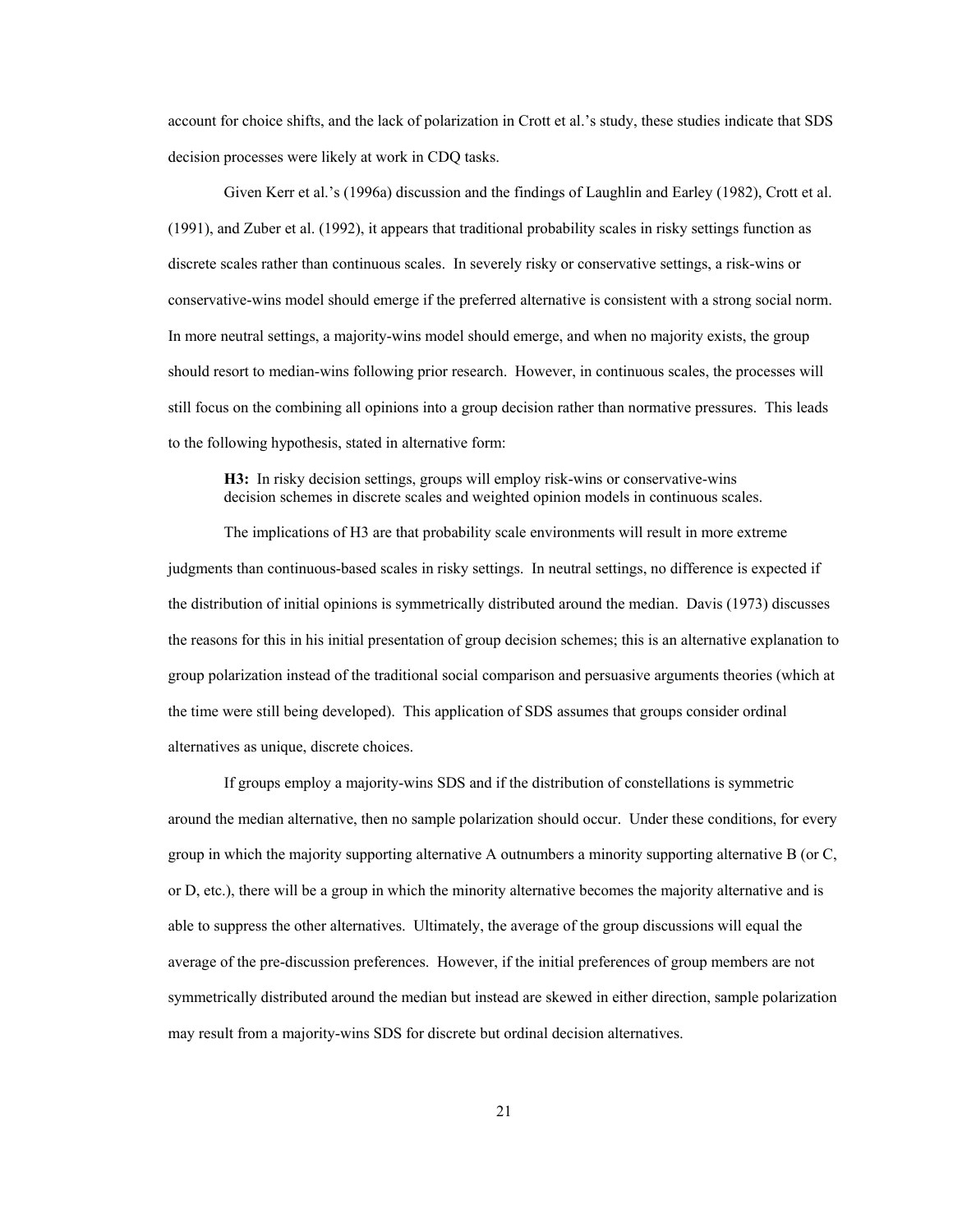account for choice shifts, and the lack of polarization in Crott et al.'s study, these studies indicate that SDS decision processes were likely at work in CDQ tasks.

Given Kerr et al.'s (1996a) discussion and the findings of Laughlin and Earley (1982), Crott et al. (1991), and Zuber et al. (1992), it appears that traditional probability scales in risky settings function as discrete scales rather than continuous scales. In severely risky or conservative settings, a risk-wins or conservative-wins model should emerge if the preferred alternative is consistent with a strong social norm. In more neutral settings, a majority-wins model should emerge, and when no majority exists, the group should resort to median-wins following prior research. However, in continuous scales, the processes will still focus on the combining all opinions into a group decision rather than normative pressures. This leads to the following hypothesis, stated in alternative form:

**H3:** In risky decision settings, groups will employ risk-wins or conservative-wins decision schemes in discrete scales and weighted opinion models in continuous scales.

The implications of H3 are that probability scale environments will result in more extreme judgments than continuous-based scales in risky settings. In neutral settings, no difference is expected if the distribution of initial opinions is symmetrically distributed around the median. Davis (1973) discusses the reasons for this in his initial presentation of group decision schemes; this is an alternative explanation to group polarization instead of the traditional social comparison and persuasive arguments theories (which at the time were still being developed). This application of SDS assumes that groups consider ordinal alternatives as unique, discrete choices.

If groups employ a majority-wins SDS and if the distribution of constellations is symmetric around the median alternative, then no sample polarization should occur. Under these conditions, for every group in which the majority supporting alternative A outnumbers a minority supporting alternative B (or C, or D, etc.), there will be a group in which the minority alternative becomes the majority alternative and is able to suppress the other alternatives. Ultimately, the average of the group discussions will equal the average of the pre-discussion preferences. However, if the initial preferences of group members are not symmetrically distributed around the median but instead are skewed in either direction, sample polarization may result from a majority-wins SDS for discrete but ordinal decision alternatives.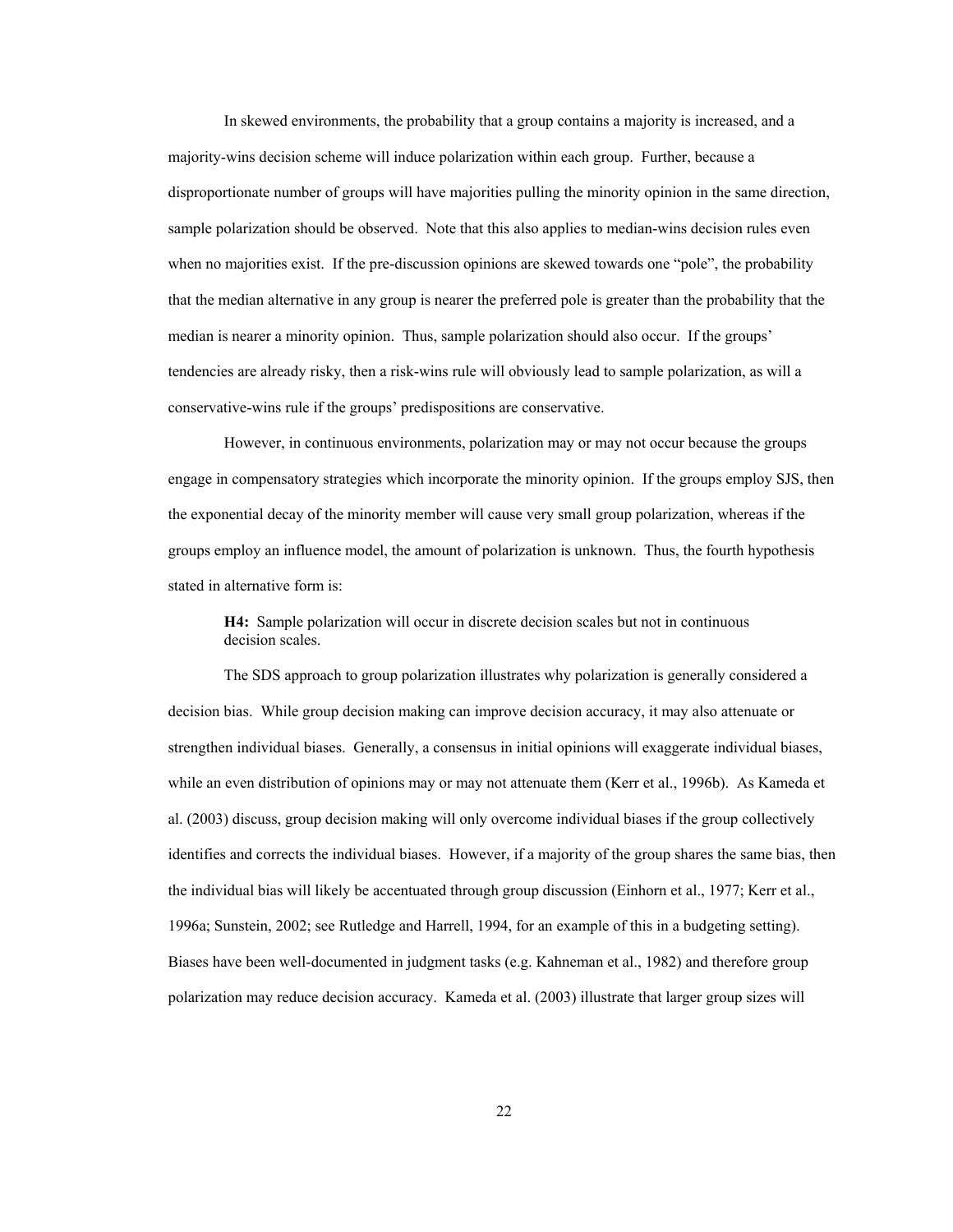In skewed environments, the probability that a group contains a majority is increased, and a majority-wins decision scheme will induce polarization within each group. Further, because a disproportionate number of groups will have majorities pulling the minority opinion in the same direction, sample polarization should be observed. Note that this also applies to median-wins decision rules even when no majorities exist. If the pre-discussion opinions are skewed towards one "pole", the probability that the median alternative in any group is nearer the preferred pole is greater than the probability that the median is nearer a minority opinion. Thus, sample polarization should also occur. If the groups' tendencies are already risky, then a risk-wins rule will obviously lead to sample polarization, as will a conservative-wins rule if the groups' predispositions are conservative.

However, in continuous environments, polarization may or may not occur because the groups engage in compensatory strategies which incorporate the minority opinion. If the groups employ SJS, then the exponential decay of the minority member will cause very small group polarization, whereas if the groups employ an influence model, the amount of polarization is unknown. Thus, the fourth hypothesis stated in alternative form is:

**H4:** Sample polarization will occur in discrete decision scales but not in continuous decision scales.

The SDS approach to group polarization illustrates why polarization is generally considered a decision bias. While group decision making can improve decision accuracy, it may also attenuate or strengthen individual biases. Generally, a consensus in initial opinions will exaggerate individual biases, while an even distribution of opinions may or may not attenuate them (Kerr et al., 1996b). As Kameda et al. (2003) discuss, group decision making will only overcome individual biases if the group collectively identifies and corrects the individual biases. However, if a majority of the group shares the same bias, then the individual bias will likely be accentuated through group discussion (Einhorn et al., 1977; Kerr et al., 1996a; Sunstein, 2002; see Rutledge and Harrell, 1994, for an example of this in a budgeting setting). Biases have been well-documented in judgment tasks (e.g. Kahneman et al., 1982) and therefore group polarization may reduce decision accuracy. Kameda et al. (2003) illustrate that larger group sizes will

22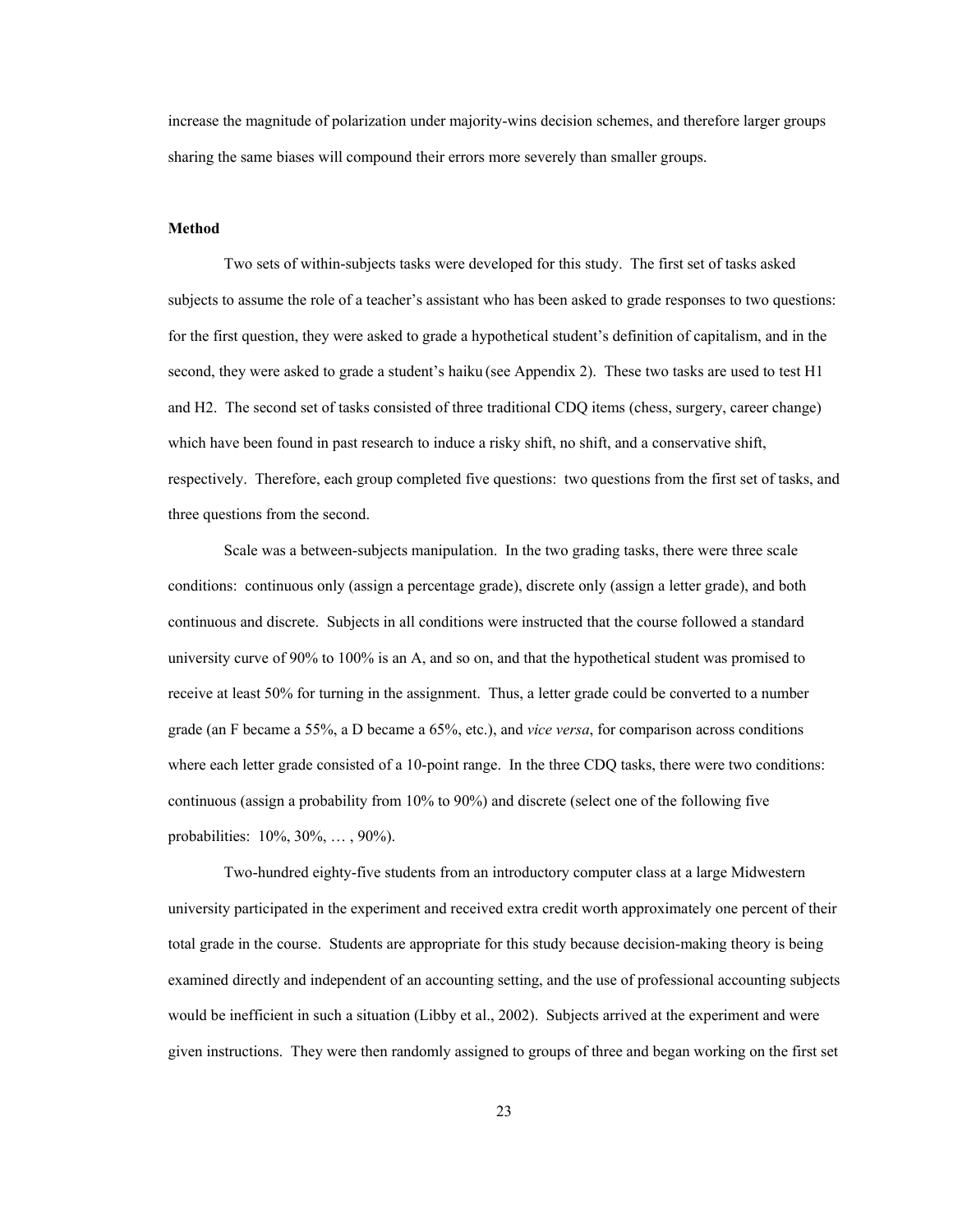increase the magnitude of polarization under majority-wins decision schemes, and therefore larger groups sharing the same biases will compound their errors more severely than smaller groups.

#### **Method**

Two sets of within-subjects tasks were developed for this study. The first set of tasks asked subjects to assume the role of a teacher's assistant who has been asked to grade responses to two questions: for the first question, they were asked to grade a hypothetical student's definition of capitalism, and in the second, they were asked to grade a student's haiku (see Appendix 2). These two tasks are used to test H1 and H2. The second set of tasks consisted of three traditional CDQ items (chess, surgery, career change) which have been found in past research to induce a risky shift, no shift, and a conservative shift, respectively. Therefore, each group completed five questions: two questions from the first set of tasks, and three questions from the second.

Scale was a between-subjects manipulation. In the two grading tasks, there were three scale conditions: continuous only (assign a percentage grade), discrete only (assign a letter grade), and both continuous and discrete. Subjects in all conditions were instructed that the course followed a standard university curve of 90% to 100% is an A, and so on, and that the hypothetical student was promised to receive at least 50% for turning in the assignment. Thus, a letter grade could be converted to a number grade (an F became a 55%, a D became a 65%, etc.), and *vice versa*, for comparison across conditions where each letter grade consisted of a 10-point range. In the three CDQ tasks, there were two conditions: continuous (assign a probability from 10% to 90%) and discrete (select one of the following five probabilities: 10%, 30%, … , 90%).

Two-hundred eighty-five students from an introductory computer class at a large Midwestern university participated in the experiment and received extra credit worth approximately one percent of their total grade in the course. Students are appropriate for this study because decision-making theory is being examined directly and independent of an accounting setting, and the use of professional accounting subjects would be inefficient in such a situation (Libby et al., 2002). Subjects arrived at the experiment and were given instructions. They were then randomly assigned to groups of three and began working on the first set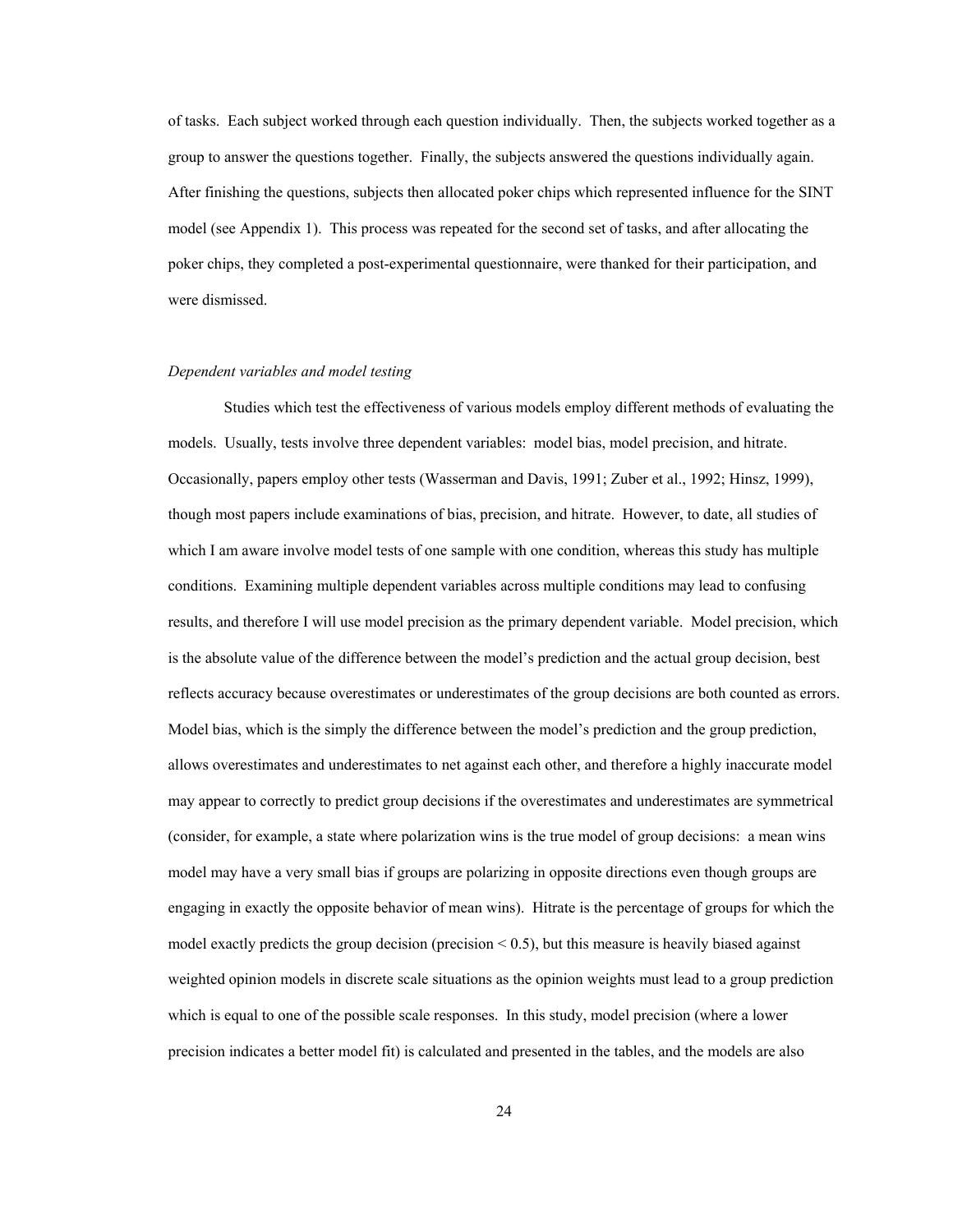of tasks. Each subject worked through each question individually. Then, the subjects worked together as a group to answer the questions together. Finally, the subjects answered the questions individually again. After finishing the questions, subjects then allocated poker chips which represented influence for the SINT model (see Appendix 1). This process was repeated for the second set of tasks, and after allocating the poker chips, they completed a post-experimental questionnaire, were thanked for their participation, and were dismissed.

## *Dependent variables and model testing*

 Studies which test the effectiveness of various models employ different methods of evaluating the models. Usually, tests involve three dependent variables: model bias, model precision, and hitrate. Occasionally, papers employ other tests (Wasserman and Davis, 1991; Zuber et al., 1992; Hinsz, 1999), though most papers include examinations of bias, precision, and hitrate. However, to date, all studies of which I am aware involve model tests of one sample with one condition, whereas this study has multiple conditions. Examining multiple dependent variables across multiple conditions may lead to confusing results, and therefore I will use model precision as the primary dependent variable. Model precision, which is the absolute value of the difference between the model's prediction and the actual group decision, best reflects accuracy because overestimates or underestimates of the group decisions are both counted as errors. Model bias, which is the simply the difference between the model's prediction and the group prediction, allows overestimates and underestimates to net against each other, and therefore a highly inaccurate model may appear to correctly to predict group decisions if the overestimates and underestimates are symmetrical (consider, for example, a state where polarization wins is the true model of group decisions: a mean wins model may have a very small bias if groups are polarizing in opposite directions even though groups are engaging in exactly the opposite behavior of mean wins). Hitrate is the percentage of groups for which the model exactly predicts the group decision (precision  $\leq 0.5$ ), but this measure is heavily biased against weighted opinion models in discrete scale situations as the opinion weights must lead to a group prediction which is equal to one of the possible scale responses. In this study, model precision (where a lower precision indicates a better model fit) is calculated and presented in the tables, and the models are also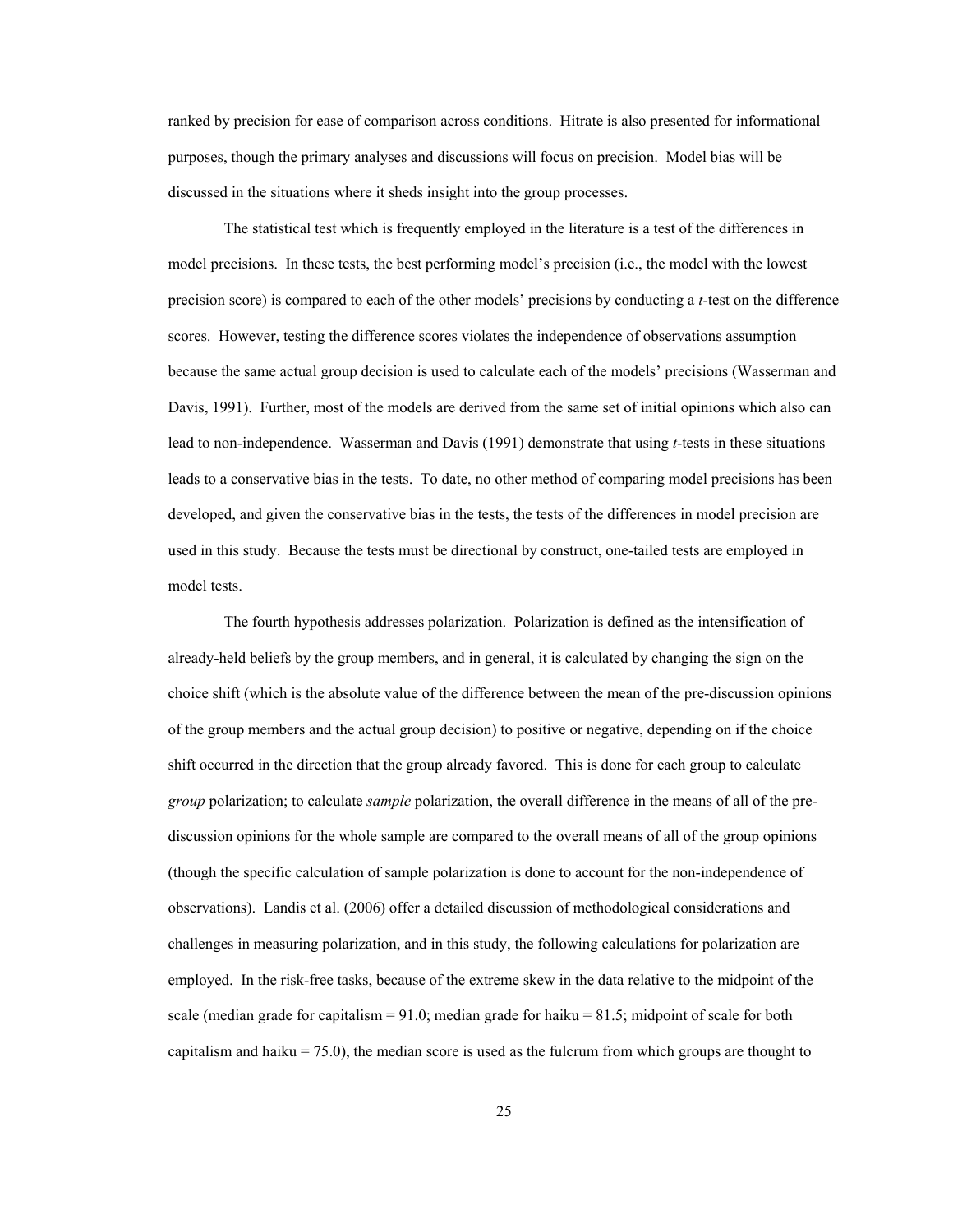ranked by precision for ease of comparison across conditions. Hitrate is also presented for informational purposes, though the primary analyses and discussions will focus on precision. Model bias will be discussed in the situations where it sheds insight into the group processes.

The statistical test which is frequently employed in the literature is a test of the differences in model precisions. In these tests, the best performing model's precision (i.e., the model with the lowest precision score) is compared to each of the other models' precisions by conducting a *t*-test on the difference scores. However, testing the difference scores violates the independence of observations assumption because the same actual group decision is used to calculate each of the models' precisions (Wasserman and Davis, 1991). Further, most of the models are derived from the same set of initial opinions which also can lead to non-independence. Wasserman and Davis (1991) demonstrate that using *t*-tests in these situations leads to a conservative bias in the tests. To date, no other method of comparing model precisions has been developed, and given the conservative bias in the tests, the tests of the differences in model precision are used in this study. Because the tests must be directional by construct, one-tailed tests are employed in model tests.

The fourth hypothesis addresses polarization. Polarization is defined as the intensification of already-held beliefs by the group members, and in general, it is calculated by changing the sign on the choice shift (which is the absolute value of the difference between the mean of the pre-discussion opinions of the group members and the actual group decision) to positive or negative, depending on if the choice shift occurred in the direction that the group already favored. This is done for each group to calculate *group* polarization; to calculate *sample* polarization, the overall difference in the means of all of the prediscussion opinions for the whole sample are compared to the overall means of all of the group opinions (though the specific calculation of sample polarization is done to account for the non-independence of observations). Landis et al. (2006) offer a detailed discussion of methodological considerations and challenges in measuring polarization, and in this study, the following calculations for polarization are employed. In the risk-free tasks, because of the extreme skew in the data relative to the midpoint of the scale (median grade for capitalism  $= 91.0$ ; median grade for haiku  $= 81.5$ ; midpoint of scale for both capitalism and haiku  $= 75.0$ ), the median score is used as the fulcrum from which groups are thought to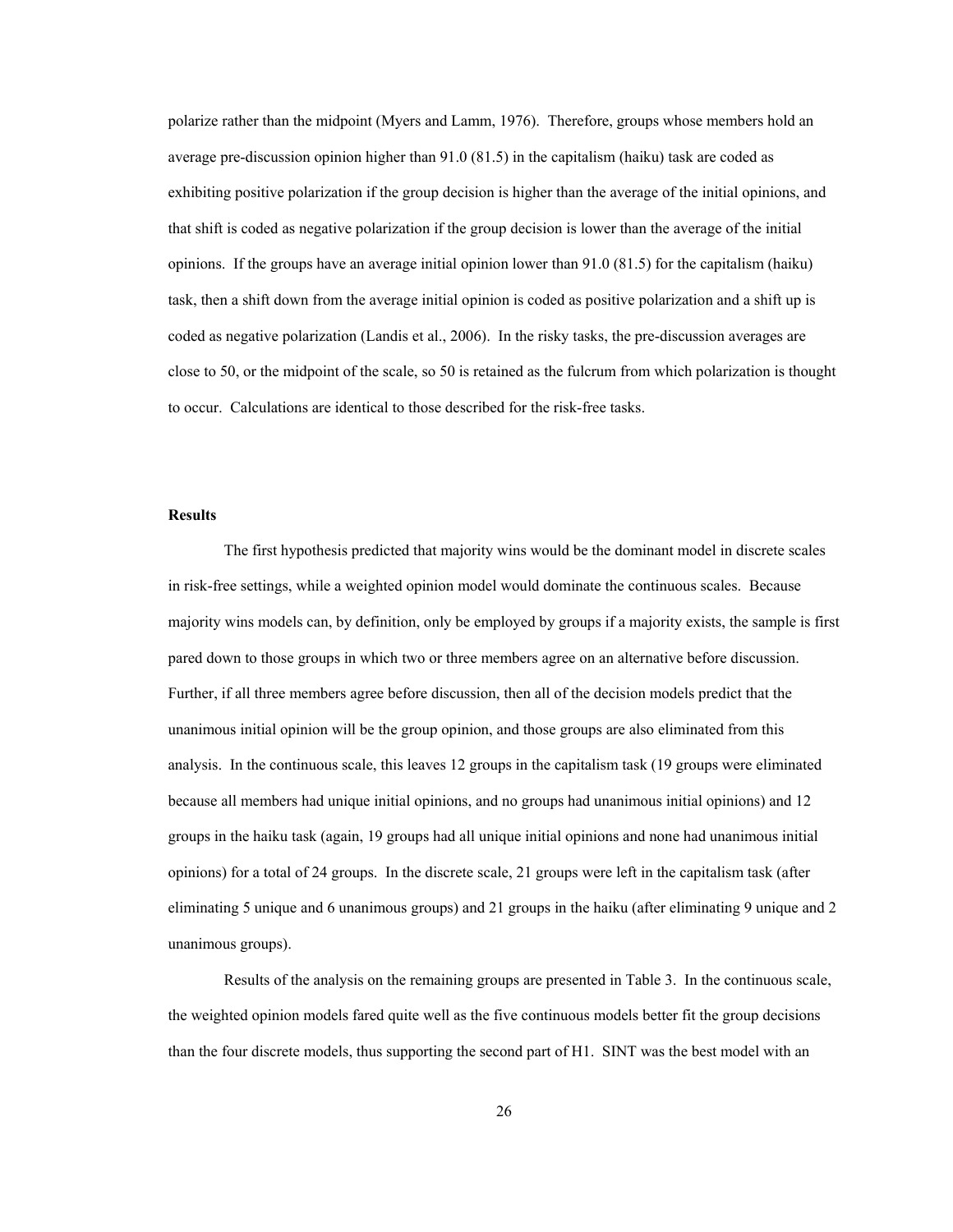polarize rather than the midpoint (Myers and Lamm, 1976). Therefore, groups whose members hold an average pre-discussion opinion higher than 91.0 (81.5) in the capitalism (haiku) task are coded as exhibiting positive polarization if the group decision is higher than the average of the initial opinions, and that shift is coded as negative polarization if the group decision is lower than the average of the initial opinions. If the groups have an average initial opinion lower than 91.0 (81.5) for the capitalism (haiku) task, then a shift down from the average initial opinion is coded as positive polarization and a shift up is coded as negative polarization (Landis et al., 2006). In the risky tasks, the pre-discussion averages are close to 50, or the midpoint of the scale, so 50 is retained as the fulcrum from which polarization is thought to occur. Calculations are identical to those described for the risk-free tasks.

## **Results**

The first hypothesis predicted that majority wins would be the dominant model in discrete scales in risk-free settings, while a weighted opinion model would dominate the continuous scales. Because majority wins models can, by definition, only be employed by groups if a majority exists, the sample is first pared down to those groups in which two or three members agree on an alternative before discussion. Further, if all three members agree before discussion, then all of the decision models predict that the unanimous initial opinion will be the group opinion, and those groups are also eliminated from this analysis. In the continuous scale, this leaves 12 groups in the capitalism task (19 groups were eliminated because all members had unique initial opinions, and no groups had unanimous initial opinions) and 12 groups in the haiku task (again, 19 groups had all unique initial opinions and none had unanimous initial opinions) for a total of 24 groups. In the discrete scale, 21 groups were left in the capitalism task (after eliminating 5 unique and 6 unanimous groups) and 21 groups in the haiku (after eliminating 9 unique and 2 unanimous groups).

 Results of the analysis on the remaining groups are presented in Table 3. In the continuous scale, the weighted opinion models fared quite well as the five continuous models better fit the group decisions than the four discrete models, thus supporting the second part of H1. SINT was the best model with an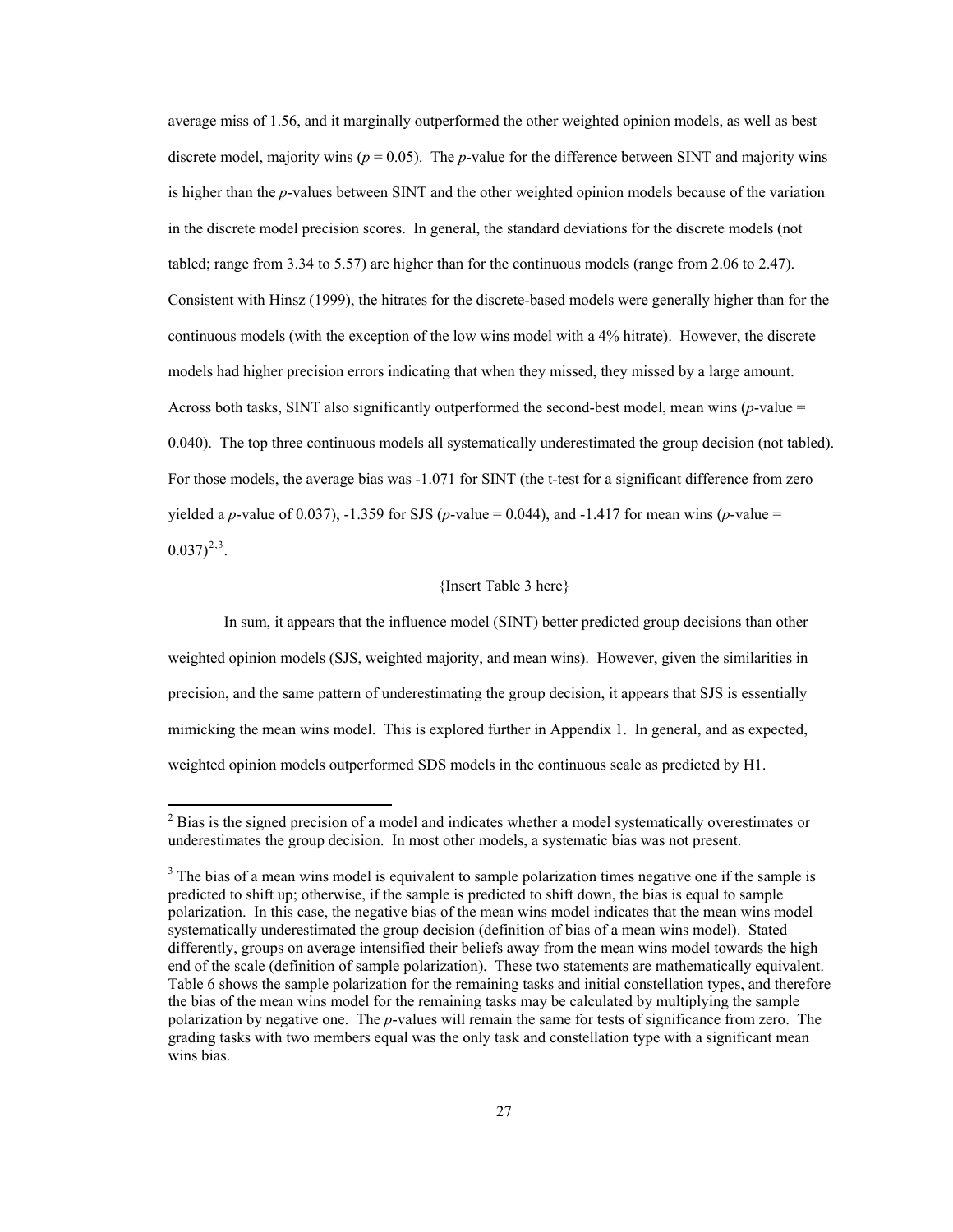<span id="page-33-0"></span>average miss of 1.56, and it marginally outperformed the other weighted opinion models, as well as best discrete model, majority wins ( $p = 0.05$ ). The *p*-value for the difference between SINT and majority wins is higher than the *p*-values between SINT and the other weighted opinion models because of the variation in the discrete model precision scores. In general, the standard deviations for the discrete models (not tabled; range from 3.34 to 5.57) are higher than for the continuous models (range from 2.06 to 2.47). Consistent with Hinsz (1999), the hitrates for the discrete-based models were generally higher than for the continuous models (with the exception of the low wins model with a 4% hitrate). However, the discrete models had higher precision errors indicating that when they missed, they missed by a large amount. Across both tasks, SINT also significantly outperformed the second-best model, mean wins (*p*-value = 0.040). The top three continuous models all systematically underestimated the group decision (not tabled). For those models, the average bias was -1.071 for SINT (the t-test for a significant difference from zero yielded a *p*-value of 0.037), -1.359 for SJS (*p*-value = 0.044), and -1.417 for mean wins (*p*-value =  $(0.037)^{2,3}$  $(0.037)^{2,3}$  $(0.037)^{2,3}$  $(0.037)^{2,3}$  $(0.037)^{2,3}$ .

## {Insert Table 3 here}

In sum, it appears that the influence model (SINT) better predicted group decisions than other weighted opinion models (SJS, weighted majority, and mean wins). However, given the similarities in precision, and the same pattern of underestimating the group decision, it appears that SJS is essentially mimicking the mean wins model. This is explored further in Appendix 1. In general, and as expected, weighted opinion models outperformed SDS models in the continuous scale as predicted by H1.

 $\overline{a}$ 

 $2^{2}$  Bias is the signed precision of a model and indicates whether a model systematically overestimates or underestimates the group decision. In most other models, a systematic bias was not present.

 $3$  The bias of a mean wins model is equivalent to sample polarization times negative one if the sample is predicted to shift up; otherwise, if the sample is predicted to shift down, the bias is equal to sample polarization. In this case, the negative bias of the mean wins model indicates that the mean wins model systematically underestimated the group decision (definition of bias of a mean wins model). Stated differently, groups on average intensified their beliefs away from the mean wins model towards the high end of the scale (definition of sample polarization). These two statements are mathematically equivalent. Table 6 shows the sample polarization for the remaining tasks and initial constellation types, and therefore the bias of the mean wins model for the remaining tasks may be calculated by multiplying the sample polarization by negative one. The *p*-values will remain the same for tests of significance from zero. The grading tasks with two members equal was the only task and constellation type with a significant mean wins bias.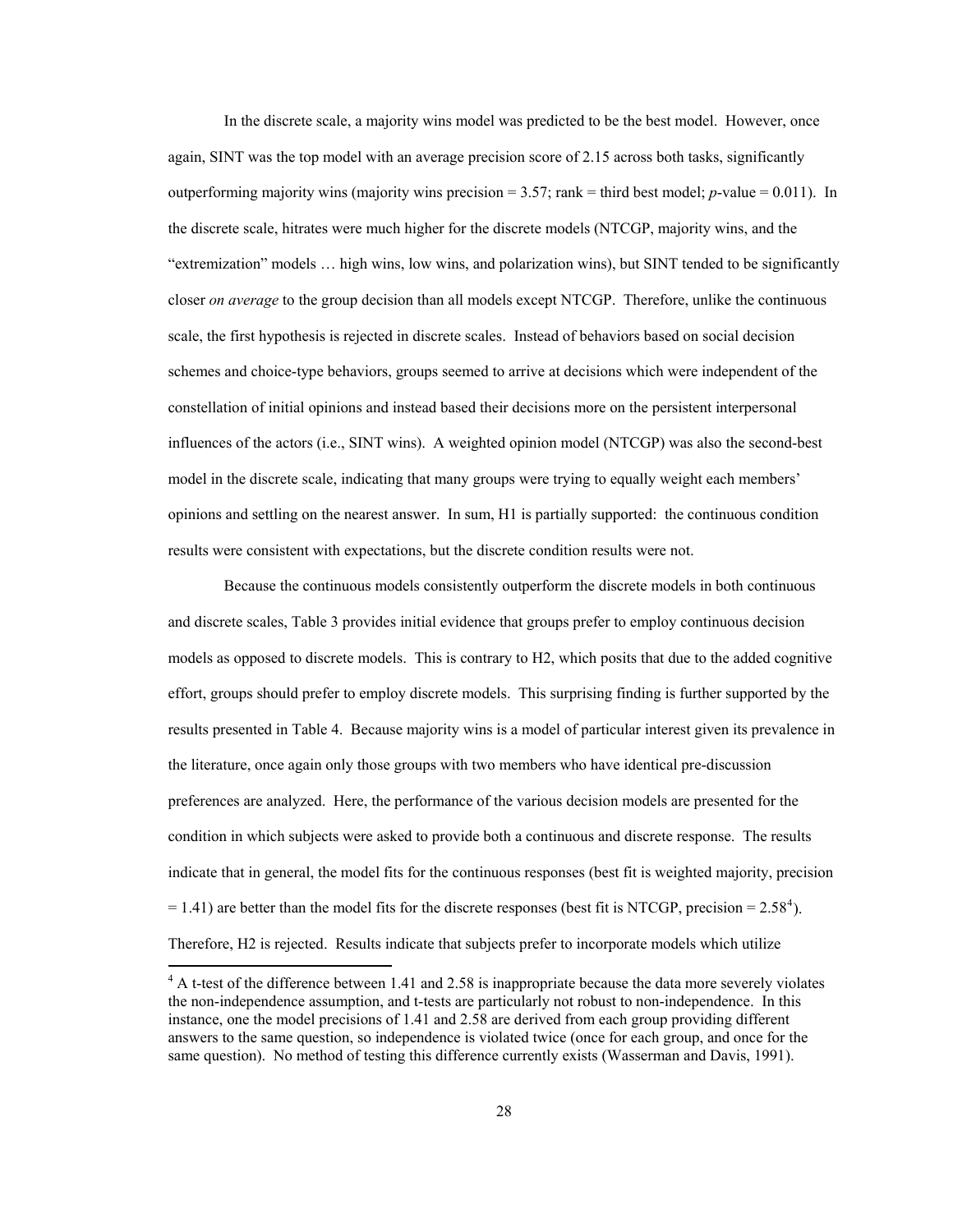<span id="page-34-0"></span> In the discrete scale, a majority wins model was predicted to be the best model. However, once again, SINT was the top model with an average precision score of 2.15 across both tasks, significantly outperforming majority wins (majority wins precision  $= 3.57$ ; rank  $=$  third best model; *p*-value  $= 0.011$ ). In the discrete scale, hitrates were much higher for the discrete models (NTCGP, majority wins, and the "extremization" models … high wins, low wins, and polarization wins), but SINT tended to be significantly closer *on average* to the group decision than all models except NTCGP. Therefore, unlike the continuous scale, the first hypothesis is rejected in discrete scales. Instead of behaviors based on social decision schemes and choice-type behaviors, groups seemed to arrive at decisions which were independent of the constellation of initial opinions and instead based their decisions more on the persistent interpersonal influences of the actors (i.e., SINT wins). A weighted opinion model (NTCGP) was also the second-best model in the discrete scale, indicating that many groups were trying to equally weight each members' opinions and settling on the nearest answer. In sum, H1 is partially supported: the continuous condition results were consistent with expectations, but the discrete condition results were not.

 Because the continuous models consistently outperform the discrete models in both continuous and discrete scales, Table 3 provides initial evidence that groups prefer to employ continuous decision models as opposed to discrete models. This is contrary to H2, which posits that due to the added cognitive effort, groups should prefer to employ discrete models. This surprising finding is further supported by the results presented in Table 4. Because majority wins is a model of particular interest given its prevalence in the literature, once again only those groups with two members who have identical pre-discussion preferences are analyzed. Here, the performance of the various decision models are presented for the condition in which subjects were asked to provide both a continuous and discrete response. The results indicate that in general, the model fits for the continuous responses (best fit is weighted majority, precision  $= 1.41$  $= 1.41$  $= 1.41$ ) are better than the model fits for the discrete responses (best fit is NTCGP, precision  $= 2.58<sup>4</sup>$ ). Therefore, H2 is rejected. Results indicate that subjects prefer to incorporate models which utilize

 $\overline{a}$ 

<sup>&</sup>lt;sup>4</sup> A t-test of the difference between 1.41 and 2.58 is inappropriate because the data more severely violates the non-independence assumption, and t-tests are particularly not robust to non-independence. In this instance, one the model precisions of 1.41 and 2.58 are derived from each group providing different answers to the same question, so independence is violated twice (once for each group, and once for the same question). No method of testing this difference currently exists (Wasserman and Davis, 1991).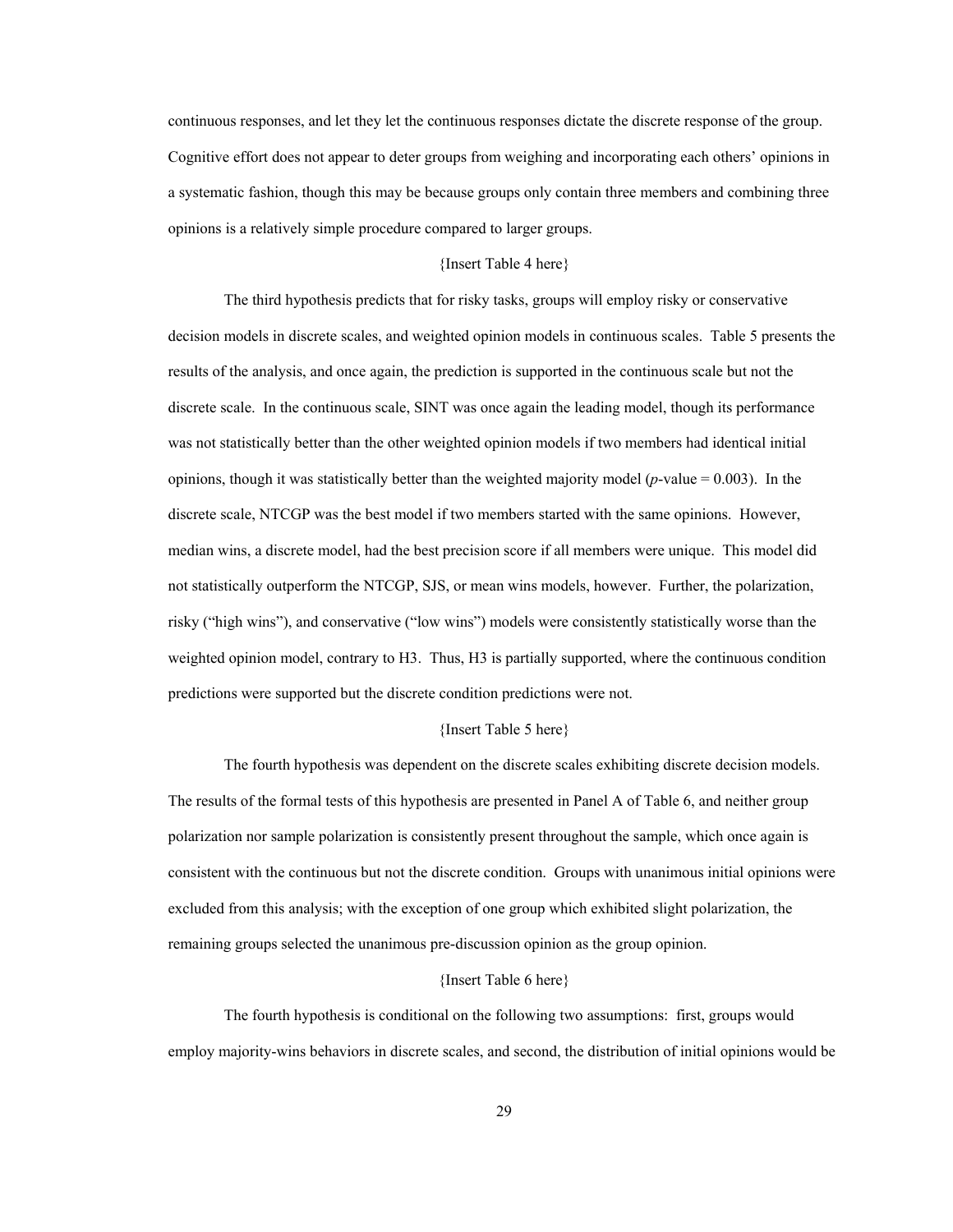continuous responses, and let they let the continuous responses dictate the discrete response of the group. Cognitive effort does not appear to deter groups from weighing and incorporating each others' opinions in a systematic fashion, though this may be because groups only contain three members and combining three opinions is a relatively simple procedure compared to larger groups.

## {Insert Table 4 here}

 The third hypothesis predicts that for risky tasks, groups will employ risky or conservative decision models in discrete scales, and weighted opinion models in continuous scales. Table 5 presents the results of the analysis, and once again, the prediction is supported in the continuous scale but not the discrete scale. In the continuous scale, SINT was once again the leading model, though its performance was not statistically better than the other weighted opinion models if two members had identical initial opinions, though it was statistically better than the weighted majority model (*p*-value = 0.003). In the discrete scale, NTCGP was the best model if two members started with the same opinions. However, median wins, a discrete model, had the best precision score if all members were unique. This model did not statistically outperform the NTCGP, SJS, or mean wins models, however. Further, the polarization, risky ("high wins"), and conservative ("low wins") models were consistently statistically worse than the weighted opinion model, contrary to H3. Thus, H3 is partially supported, where the continuous condition predictions were supported but the discrete condition predictions were not.

### {Insert Table 5 here}

The fourth hypothesis was dependent on the discrete scales exhibiting discrete decision models. The results of the formal tests of this hypothesis are presented in Panel A of Table 6, and neither group polarization nor sample polarization is consistently present throughout the sample, which once again is consistent with the continuous but not the discrete condition. Groups with unanimous initial opinions were excluded from this analysis; with the exception of one group which exhibited slight polarization, the remaining groups selected the unanimous pre-discussion opinion as the group opinion.

#### {Insert Table 6 here}

The fourth hypothesis is conditional on the following two assumptions: first, groups would employ majority-wins behaviors in discrete scales, and second, the distribution of initial opinions would be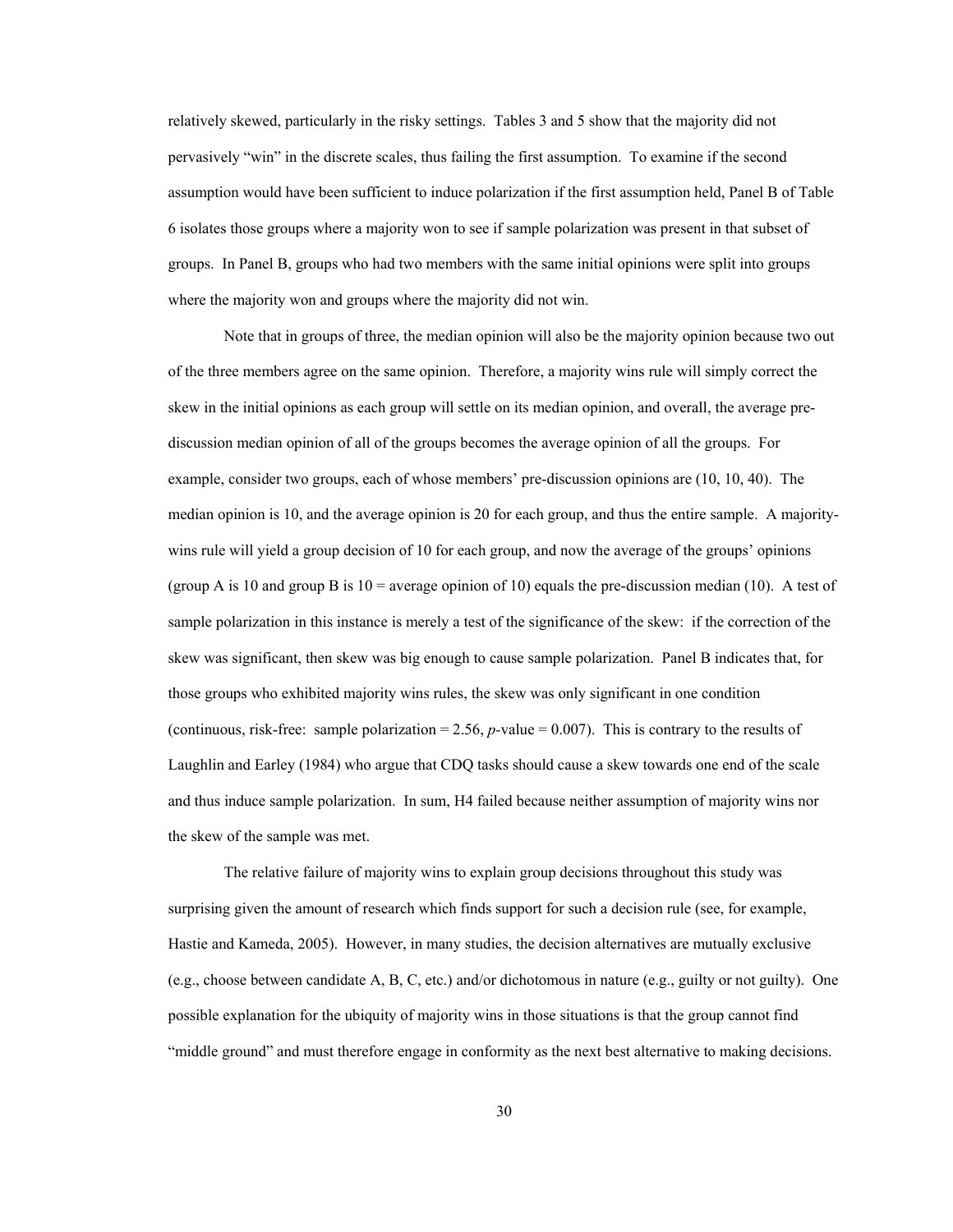relatively skewed, particularly in the risky settings. Tables 3 and 5 show that the majority did not pervasively "win" in the discrete scales, thus failing the first assumption. To examine if the second assumption would have been sufficient to induce polarization if the first assumption held, Panel B of Table 6 isolates those groups where a majority won to see if sample polarization was present in that subset of groups. In Panel B, groups who had two members with the same initial opinions were split into groups where the majority won and groups where the majority did not win.

Note that in groups of three, the median opinion will also be the majority opinion because two out of the three members agree on the same opinion. Therefore, a majority wins rule will simply correct the skew in the initial opinions as each group will settle on its median opinion, and overall, the average prediscussion median opinion of all of the groups becomes the average opinion of all the groups. For example, consider two groups, each of whose members' pre-discussion opinions are (10, 10, 40). The median opinion is 10, and the average opinion is 20 for each group, and thus the entire sample. A majoritywins rule will yield a group decision of 10 for each group, and now the average of the groups' opinions (group A is 10 and group B is  $10 =$  average opinion of 10) equals the pre-discussion median (10). A test of sample polarization in this instance is merely a test of the significance of the skew: if the correction of the skew was significant, then skew was big enough to cause sample polarization. Panel B indicates that, for those groups who exhibited majority wins rules, the skew was only significant in one condition (continuous, risk-free: sample polarization =  $2.56$ , *p*-value = 0.007). This is contrary to the results of Laughlin and Earley (1984) who argue that CDQ tasks should cause a skew towards one end of the scale and thus induce sample polarization. In sum, H4 failed because neither assumption of majority wins nor the skew of the sample was met.

The relative failure of majority wins to explain group decisions throughout this study was surprising given the amount of research which finds support for such a decision rule (see, for example, Hastie and Kameda, 2005). However, in many studies, the decision alternatives are mutually exclusive (e.g., choose between candidate A, B, C, etc.) and/or dichotomous in nature (e.g., guilty or not guilty). One possible explanation for the ubiquity of majority wins in those situations is that the group cannot find "middle ground" and must therefore engage in conformity as the next best alternative to making decisions.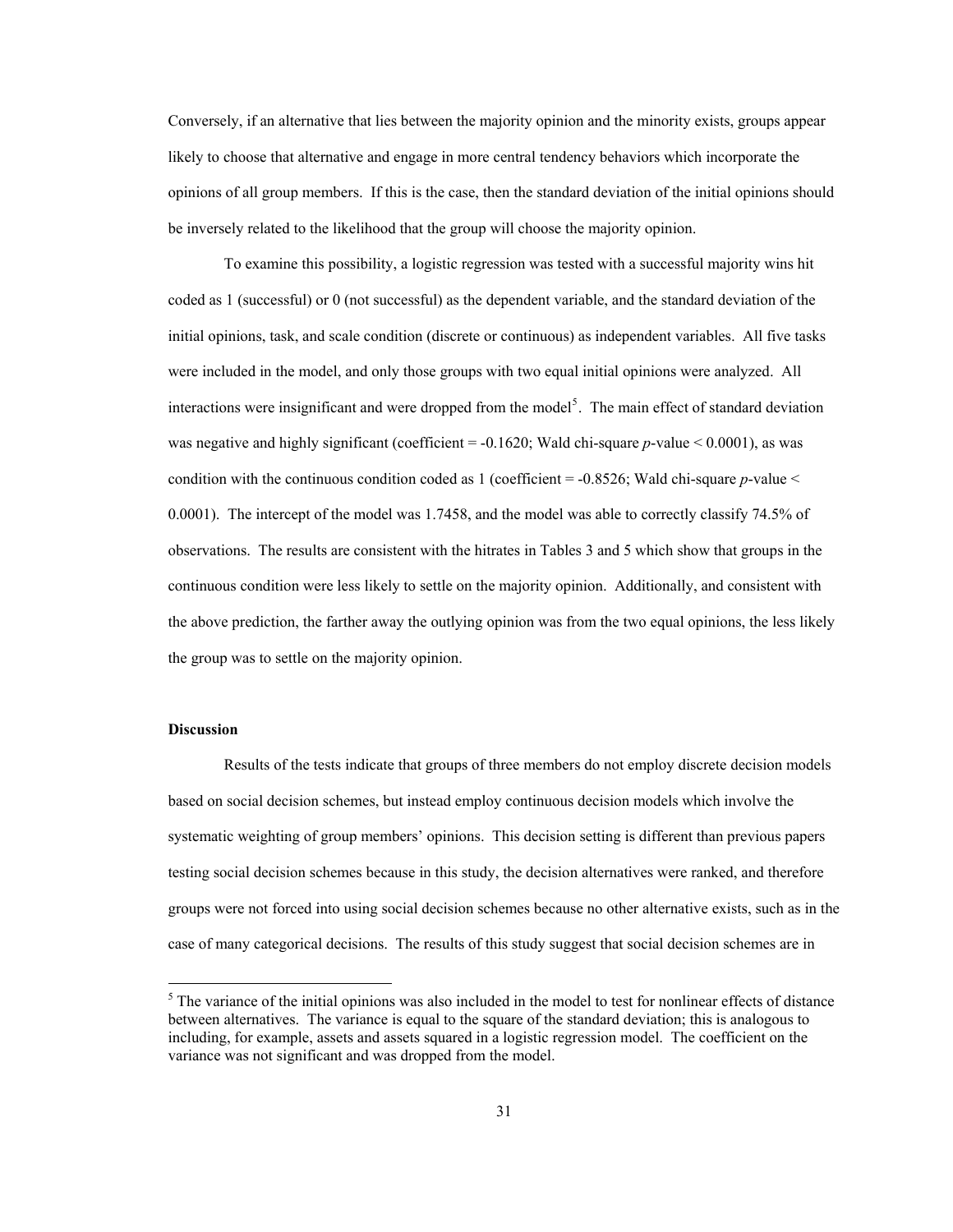<span id="page-37-0"></span>Conversely, if an alternative that lies between the majority opinion and the minority exists, groups appear likely to choose that alternative and engage in more central tendency behaviors which incorporate the opinions of all group members. If this is the case, then the standard deviation of the initial opinions should be inversely related to the likelihood that the group will choose the majority opinion.

To examine this possibility, a logistic regression was tested with a successful majority wins hit coded as 1 (successful) or 0 (not successful) as the dependent variable, and the standard deviation of the initial opinions, task, and scale condition (discrete or continuous) as independent variables. All five tasks were included in the model, and only those groups with two equal initial opinions were analyzed. All interactions were insignificant and were dropped from the model<sup>[5](#page-37-0)</sup>. The main effect of standard deviation was negative and highly significant (coefficient = -0.1620; Wald chi-square *p*-value < 0.0001), as was condition with the continuous condition coded as 1 (coefficient  $=$  -0.8526; Wald chi-square *p*-value  $\le$ 0.0001). The intercept of the model was 1.7458, and the model was able to correctly classify 74.5% of observations. The results are consistent with the hitrates in Tables 3 and 5 which show that groups in the continuous condition were less likely to settle on the majority opinion. Additionally, and consistent with the above prediction, the farther away the outlying opinion was from the two equal opinions, the less likely the group was to settle on the majority opinion.

# **Discussion**

 $\overline{a}$ 

Results of the tests indicate that groups of three members do not employ discrete decision models based on social decision schemes, but instead employ continuous decision models which involve the systematic weighting of group members' opinions. This decision setting is different than previous papers testing social decision schemes because in this study, the decision alternatives were ranked, and therefore groups were not forced into using social decision schemes because no other alternative exists, such as in the case of many categorical decisions. The results of this study suggest that social decision schemes are in

 $<sup>5</sup>$  The variance of the initial opinions was also included in the model to test for nonlinear effects of distance</sup> between alternatives. The variance is equal to the square of the standard deviation; this is analogous to including, for example, assets and assets squared in a logistic regression model. The coefficient on the variance was not significant and was dropped from the model.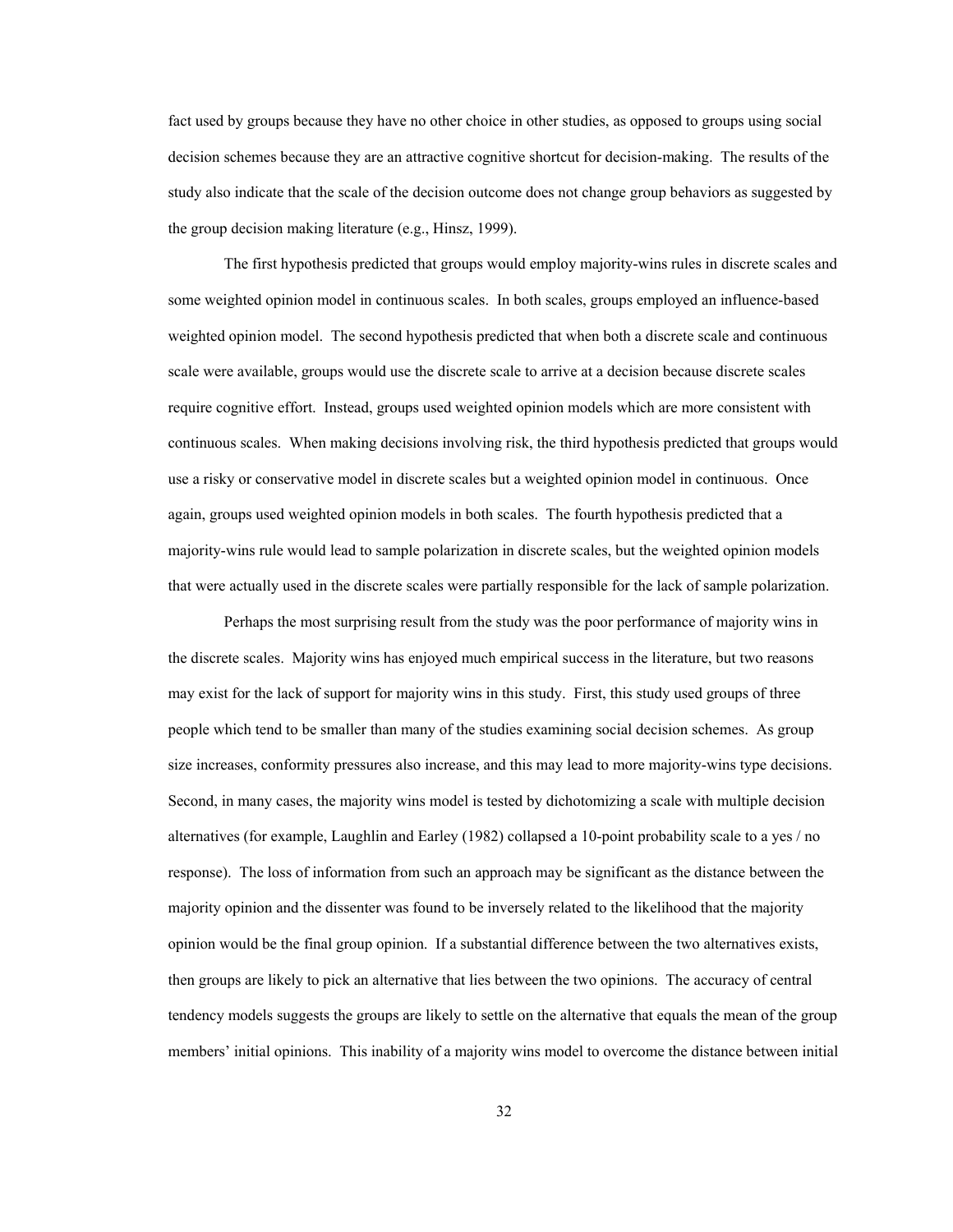fact used by groups because they have no other choice in other studies, as opposed to groups using social decision schemes because they are an attractive cognitive shortcut for decision-making. The results of the study also indicate that the scale of the decision outcome does not change group behaviors as suggested by the group decision making literature (e.g., Hinsz, 1999).

 The first hypothesis predicted that groups would employ majority-wins rules in discrete scales and some weighted opinion model in continuous scales. In both scales, groups employed an influence-based weighted opinion model. The second hypothesis predicted that when both a discrete scale and continuous scale were available, groups would use the discrete scale to arrive at a decision because discrete scales require cognitive effort. Instead, groups used weighted opinion models which are more consistent with continuous scales. When making decisions involving risk, the third hypothesis predicted that groups would use a risky or conservative model in discrete scales but a weighted opinion model in continuous. Once again, groups used weighted opinion models in both scales. The fourth hypothesis predicted that a majority-wins rule would lead to sample polarization in discrete scales, but the weighted opinion models that were actually used in the discrete scales were partially responsible for the lack of sample polarization.

Perhaps the most surprising result from the study was the poor performance of majority wins in the discrete scales. Majority wins has enjoyed much empirical success in the literature, but two reasons may exist for the lack of support for majority wins in this study. First, this study used groups of three people which tend to be smaller than many of the studies examining social decision schemes. As group size increases, conformity pressures also increase, and this may lead to more majority-wins type decisions. Second, in many cases, the majority wins model is tested by dichotomizing a scale with multiple decision alternatives (for example, Laughlin and Earley (1982) collapsed a 10-point probability scale to a yes / no response). The loss of information from such an approach may be significant as the distance between the majority opinion and the dissenter was found to be inversely related to the likelihood that the majority opinion would be the final group opinion. If a substantial difference between the two alternatives exists, then groups are likely to pick an alternative that lies between the two opinions. The accuracy of central tendency models suggests the groups are likely to settle on the alternative that equals the mean of the group members' initial opinions. This inability of a majority wins model to overcome the distance between initial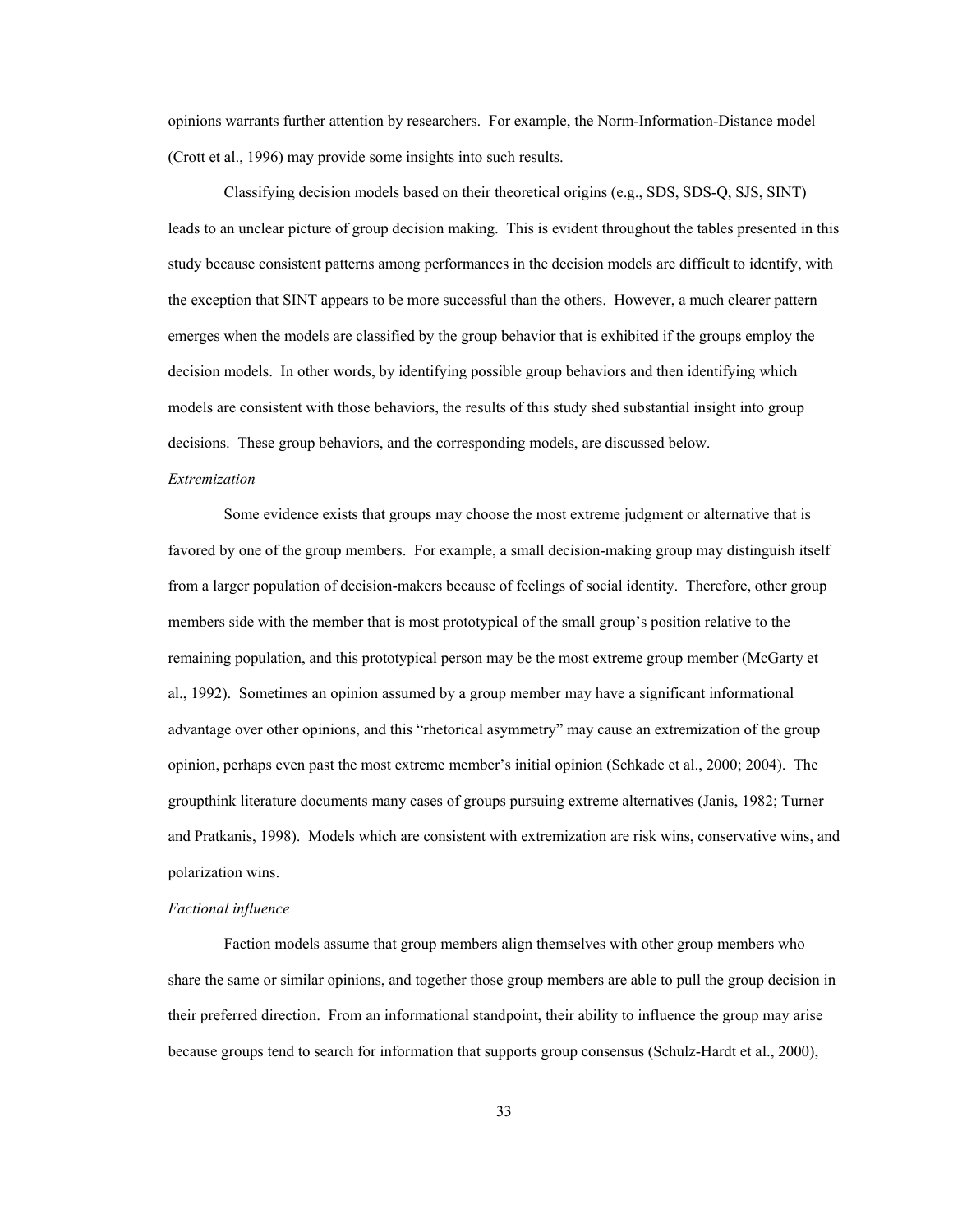opinions warrants further attention by researchers. For example, the Norm-Information-Distance model (Crott et al., 1996) may provide some insights into such results.

 Classifying decision models based on their theoretical origins (e.g., SDS, SDS-Q, SJS, SINT) leads to an unclear picture of group decision making. This is evident throughout the tables presented in this study because consistent patterns among performances in the decision models are difficult to identify, with the exception that SINT appears to be more successful than the others. However, a much clearer pattern emerges when the models are classified by the group behavior that is exhibited if the groups employ the decision models. In other words, by identifying possible group behaviors and then identifying which models are consistent with those behaviors, the results of this study shed substantial insight into group decisions. These group behaviors, and the corresponding models, are discussed below.

#### *Extremization*

 Some evidence exists that groups may choose the most extreme judgment or alternative that is favored by one of the group members. For example, a small decision-making group may distinguish itself from a larger population of decision-makers because of feelings of social identity. Therefore, other group members side with the member that is most prototypical of the small group's position relative to the remaining population, and this prototypical person may be the most extreme group member (McGarty et al., 1992). Sometimes an opinion assumed by a group member may have a significant informational advantage over other opinions, and this "rhetorical asymmetry" may cause an extremization of the group opinion, perhaps even past the most extreme member's initial opinion (Schkade et al., 2000; 2004). The groupthink literature documents many cases of groups pursuing extreme alternatives (Janis, 1982; Turner and Pratkanis, 1998). Models which are consistent with extremization are risk wins, conservative wins, and polarization wins.

### *Factional influence*

 Faction models assume that group members align themselves with other group members who share the same or similar opinions, and together those group members are able to pull the group decision in their preferred direction. From an informational standpoint, their ability to influence the group may arise because groups tend to search for information that supports group consensus (Schulz-Hardt et al., 2000),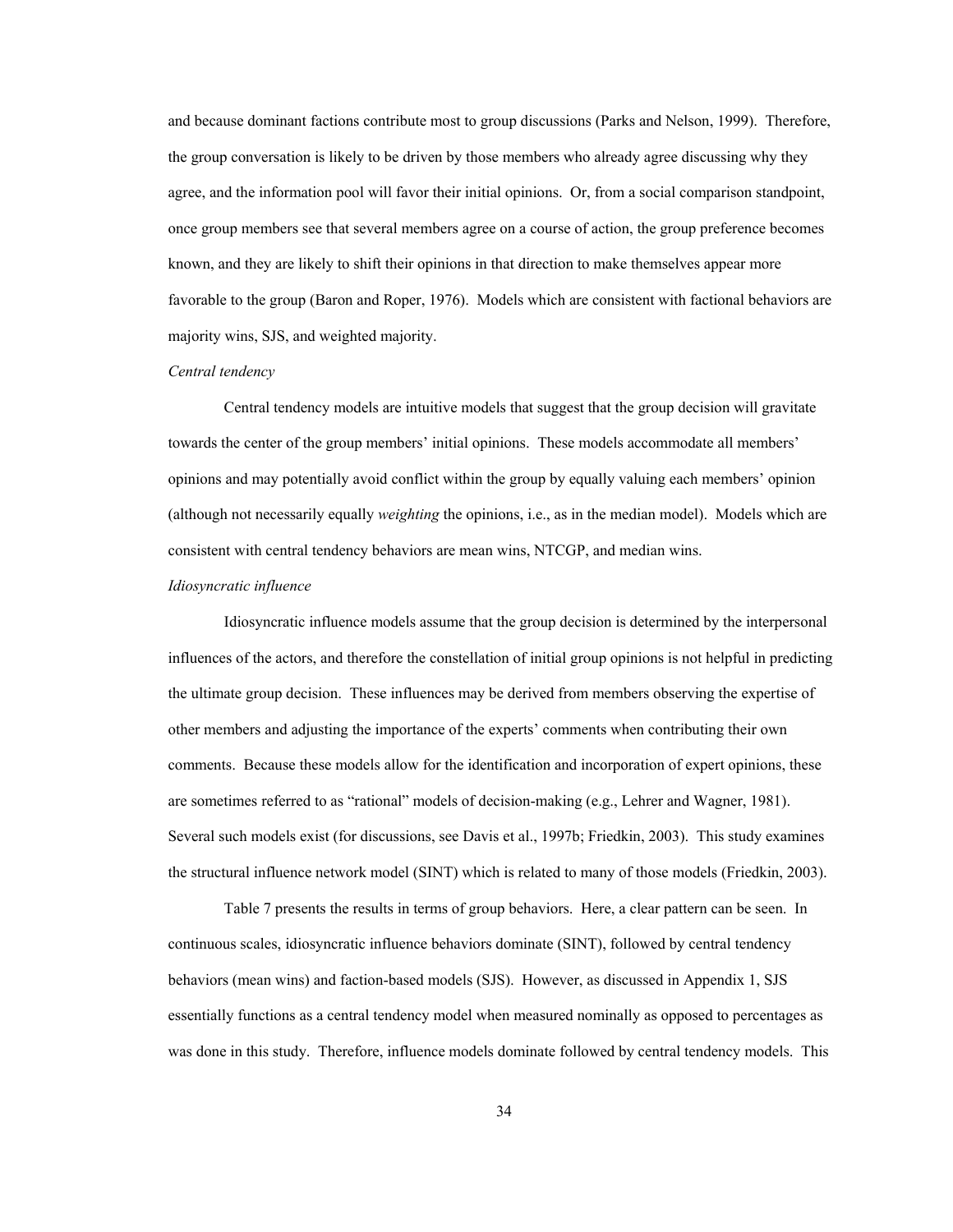and because dominant factions contribute most to group discussions (Parks and Nelson, 1999). Therefore, the group conversation is likely to be driven by those members who already agree discussing why they agree, and the information pool will favor their initial opinions. Or, from a social comparison standpoint, once group members see that several members agree on a course of action, the group preference becomes known, and they are likely to shift their opinions in that direction to make themselves appear more favorable to the group (Baron and Roper, 1976). Models which are consistent with factional behaviors are majority wins, SJS, and weighted majority.

### *Central tendency*

 Central tendency models are intuitive models that suggest that the group decision will gravitate towards the center of the group members' initial opinions. These models accommodate all members' opinions and may potentially avoid conflict within the group by equally valuing each members' opinion (although not necessarily equally *weighting* the opinions, i.e., as in the median model). Models which are consistent with central tendency behaviors are mean wins, NTCGP, and median wins.

#### *Idiosyncratic influence*

 Idiosyncratic influence models assume that the group decision is determined by the interpersonal influences of the actors, and therefore the constellation of initial group opinions is not helpful in predicting the ultimate group decision. These influences may be derived from members observing the expertise of other members and adjusting the importance of the experts' comments when contributing their own comments. Because these models allow for the identification and incorporation of expert opinions, these are sometimes referred to as "rational" models of decision-making (e.g., Lehrer and Wagner, 1981). Several such models exist (for discussions, see Davis et al., 1997b; Friedkin, 2003). This study examines the structural influence network model (SINT) which is related to many of those models (Friedkin, 2003).

Table 7 presents the results in terms of group behaviors. Here, a clear pattern can be seen. In continuous scales, idiosyncratic influence behaviors dominate (SINT), followed by central tendency behaviors (mean wins) and faction-based models (SJS). However, as discussed in Appendix 1, SJS essentially functions as a central tendency model when measured nominally as opposed to percentages as was done in this study. Therefore, influence models dominate followed by central tendency models. This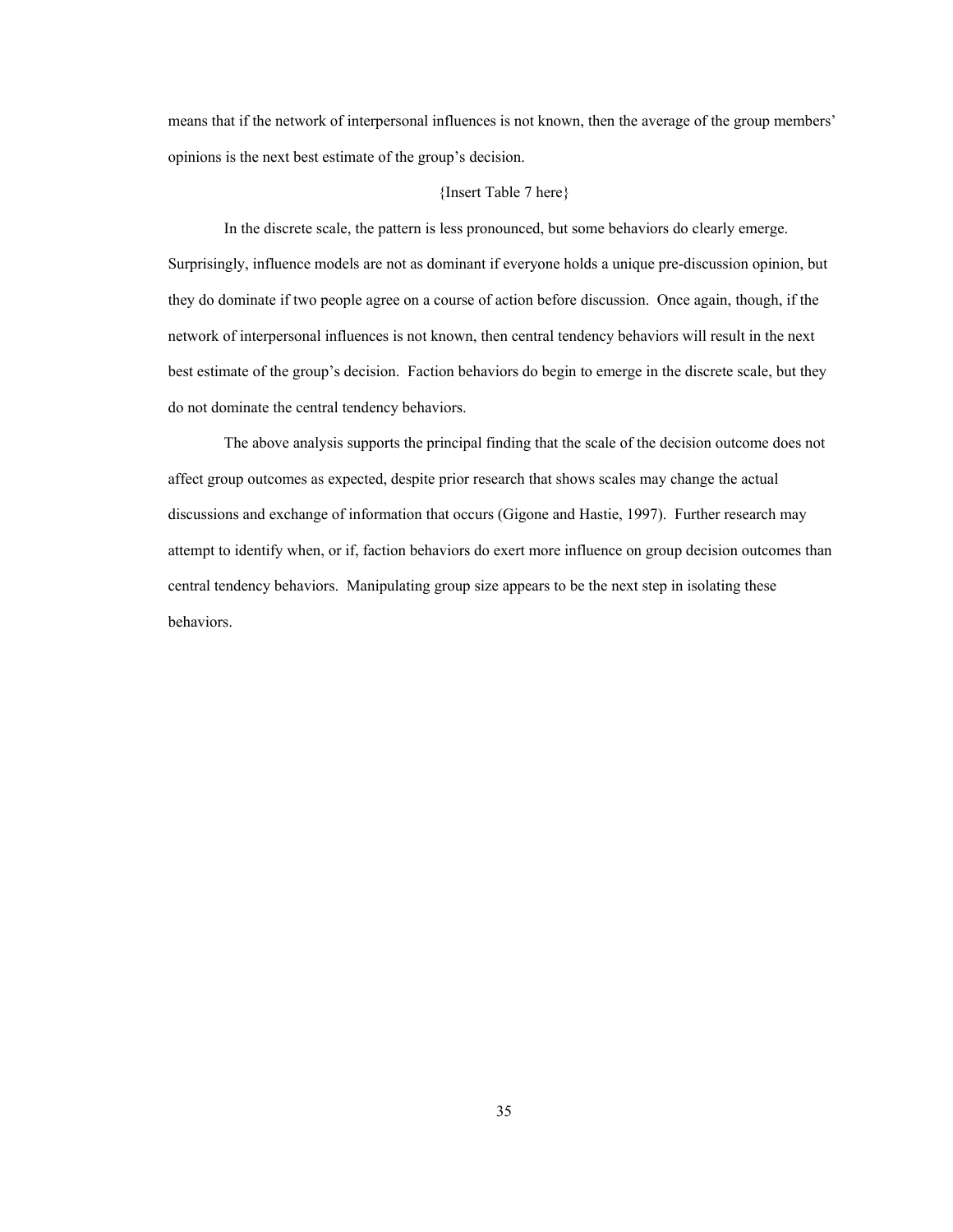means that if the network of interpersonal influences is not known, then the average of the group members' opinions is the next best estimate of the group's decision.

#### {Insert Table 7 here}

In the discrete scale, the pattern is less pronounced, but some behaviors do clearly emerge. Surprisingly, influence models are not as dominant if everyone holds a unique pre-discussion opinion, but they do dominate if two people agree on a course of action before discussion. Once again, though, if the network of interpersonal influences is not known, then central tendency behaviors will result in the next best estimate of the group's decision. Faction behaviors do begin to emerge in the discrete scale, but they do not dominate the central tendency behaviors.

The above analysis supports the principal finding that the scale of the decision outcome does not affect group outcomes as expected, despite prior research that shows scales may change the actual discussions and exchange of information that occurs (Gigone and Hastie, 1997). Further research may attempt to identify when, or if, faction behaviors do exert more influence on group decision outcomes than central tendency behaviors. Manipulating group size appears to be the next step in isolating these behaviors.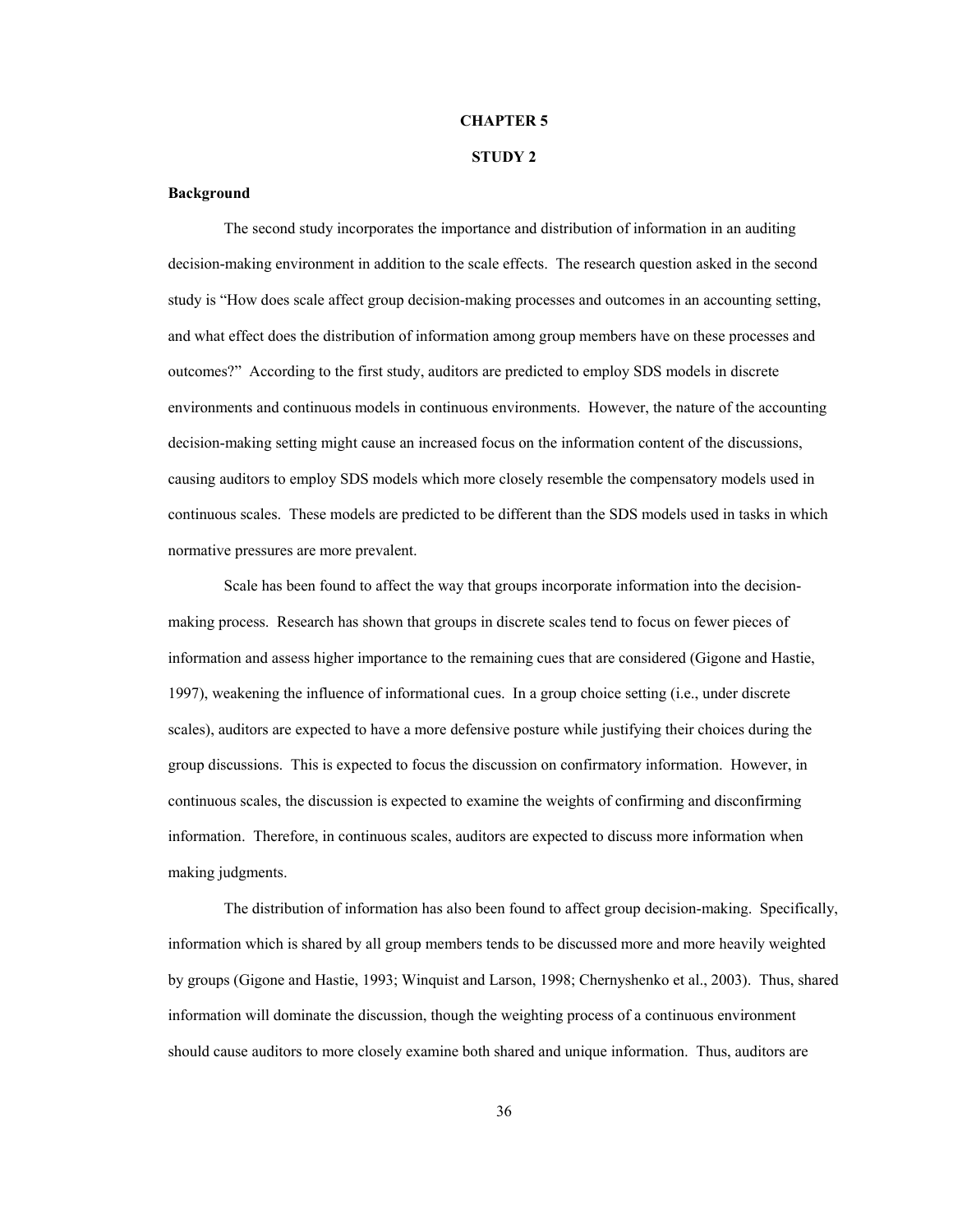### **CHAPTER 5**

# **STUDY 2**

#### **Background**

The second study incorporates the importance and distribution of information in an auditing decision-making environment in addition to the scale effects. The research question asked in the second study is "How does scale affect group decision-making processes and outcomes in an accounting setting, and what effect does the distribution of information among group members have on these processes and outcomes?" According to the first study, auditors are predicted to employ SDS models in discrete environments and continuous models in continuous environments. However, the nature of the accounting decision-making setting might cause an increased focus on the information content of the discussions, causing auditors to employ SDS models which more closely resemble the compensatory models used in continuous scales. These models are predicted to be different than the SDS models used in tasks in which normative pressures are more prevalent.

Scale has been found to affect the way that groups incorporate information into the decisionmaking process. Research has shown that groups in discrete scales tend to focus on fewer pieces of information and assess higher importance to the remaining cues that are considered (Gigone and Hastie, 1997), weakening the influence of informational cues. In a group choice setting (i.e., under discrete scales), auditors are expected to have a more defensive posture while justifying their choices during the group discussions. This is expected to focus the discussion on confirmatory information. However, in continuous scales, the discussion is expected to examine the weights of confirming and disconfirming information. Therefore, in continuous scales, auditors are expected to discuss more information when making judgments.

The distribution of information has also been found to affect group decision-making. Specifically, information which is shared by all group members tends to be discussed more and more heavily weighted by groups (Gigone and Hastie, 1993; Winquist and Larson, 1998; Chernyshenko et al., 2003). Thus, shared information will dominate the discussion, though the weighting process of a continuous environment should cause auditors to more closely examine both shared and unique information. Thus, auditors are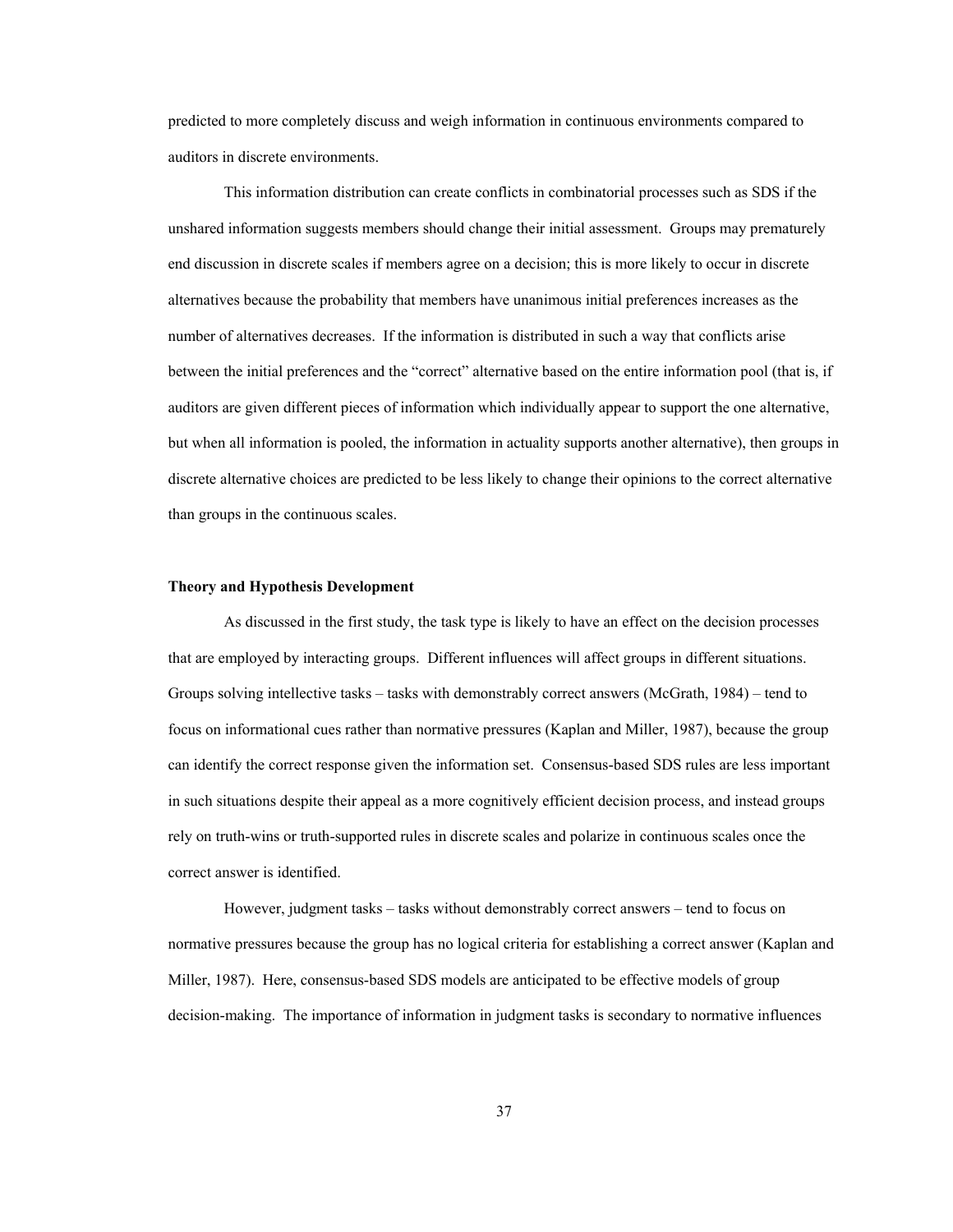predicted to more completely discuss and weigh information in continuous environments compared to auditors in discrete environments.

This information distribution can create conflicts in combinatorial processes such as SDS if the unshared information suggests members should change their initial assessment. Groups may prematurely end discussion in discrete scales if members agree on a decision; this is more likely to occur in discrete alternatives because the probability that members have unanimous initial preferences increases as the number of alternatives decreases. If the information is distributed in such a way that conflicts arise between the initial preferences and the "correct" alternative based on the entire information pool (that is, if auditors are given different pieces of information which individually appear to support the one alternative, but when all information is pooled, the information in actuality supports another alternative), then groups in discrete alternative choices are predicted to be less likely to change their opinions to the correct alternative than groups in the continuous scales.

#### **Theory and Hypothesis Development**

As discussed in the first study, the task type is likely to have an effect on the decision processes that are employed by interacting groups. Different influences will affect groups in different situations. Groups solving intellective tasks – tasks with demonstrably correct answers (McGrath, 1984) – tend to focus on informational cues rather than normative pressures (Kaplan and Miller, 1987), because the group can identify the correct response given the information set. Consensus-based SDS rules are less important in such situations despite their appeal as a more cognitively efficient decision process, and instead groups rely on truth-wins or truth-supported rules in discrete scales and polarize in continuous scales once the correct answer is identified.

However, judgment tasks – tasks without demonstrably correct answers – tend to focus on normative pressures because the group has no logical criteria for establishing a correct answer (Kaplan and Miller, 1987). Here, consensus-based SDS models are anticipated to be effective models of group decision-making. The importance of information in judgment tasks is secondary to normative influences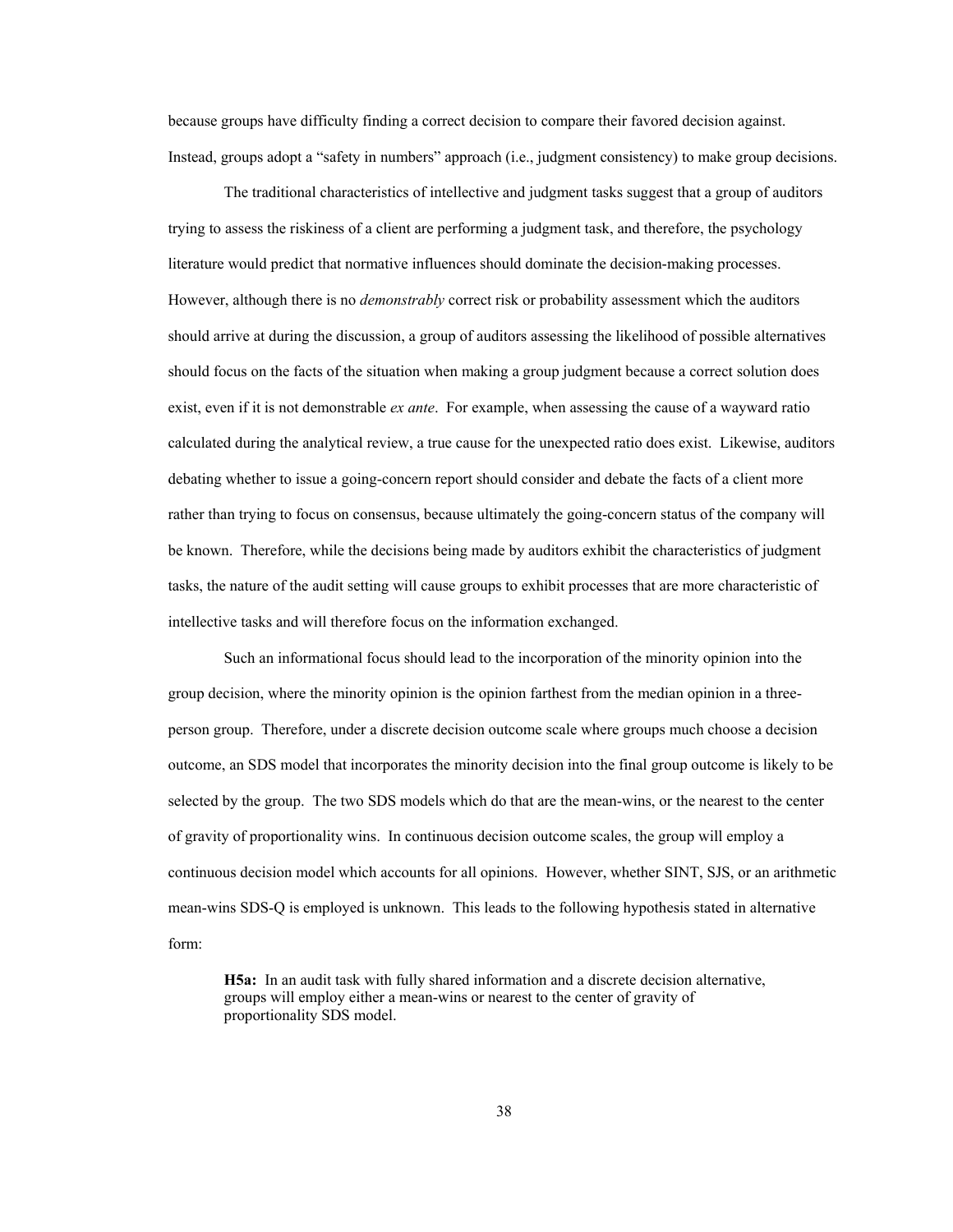because groups have difficulty finding a correct decision to compare their favored decision against. Instead, groups adopt a "safety in numbers" approach (i.e., judgment consistency) to make group decisions.

The traditional characteristics of intellective and judgment tasks suggest that a group of auditors trying to assess the riskiness of a client are performing a judgment task, and therefore, the psychology literature would predict that normative influences should dominate the decision-making processes. However, although there is no *demonstrably* correct risk or probability assessment which the auditors should arrive at during the discussion, a group of auditors assessing the likelihood of possible alternatives should focus on the facts of the situation when making a group judgment because a correct solution does exist, even if it is not demonstrable *ex ante*. For example, when assessing the cause of a wayward ratio calculated during the analytical review, a true cause for the unexpected ratio does exist. Likewise, auditors debating whether to issue a going-concern report should consider and debate the facts of a client more rather than trying to focus on consensus, because ultimately the going-concern status of the company will be known. Therefore, while the decisions being made by auditors exhibit the characteristics of judgment tasks, the nature of the audit setting will cause groups to exhibit processes that are more characteristic of intellective tasks and will therefore focus on the information exchanged.

Such an informational focus should lead to the incorporation of the minority opinion into the group decision, where the minority opinion is the opinion farthest from the median opinion in a threeperson group. Therefore, under a discrete decision outcome scale where groups much choose a decision outcome, an SDS model that incorporates the minority decision into the final group outcome is likely to be selected by the group. The two SDS models which do that are the mean-wins, or the nearest to the center of gravity of proportionality wins. In continuous decision outcome scales, the group will employ a continuous decision model which accounts for all opinions. However, whether SINT, SJS, or an arithmetic mean-wins SDS-Q is employed is unknown. This leads to the following hypothesis stated in alternative form:

**H5a:** In an audit task with fully shared information and a discrete decision alternative, groups will employ either a mean-wins or nearest to the center of gravity of proportionality SDS model.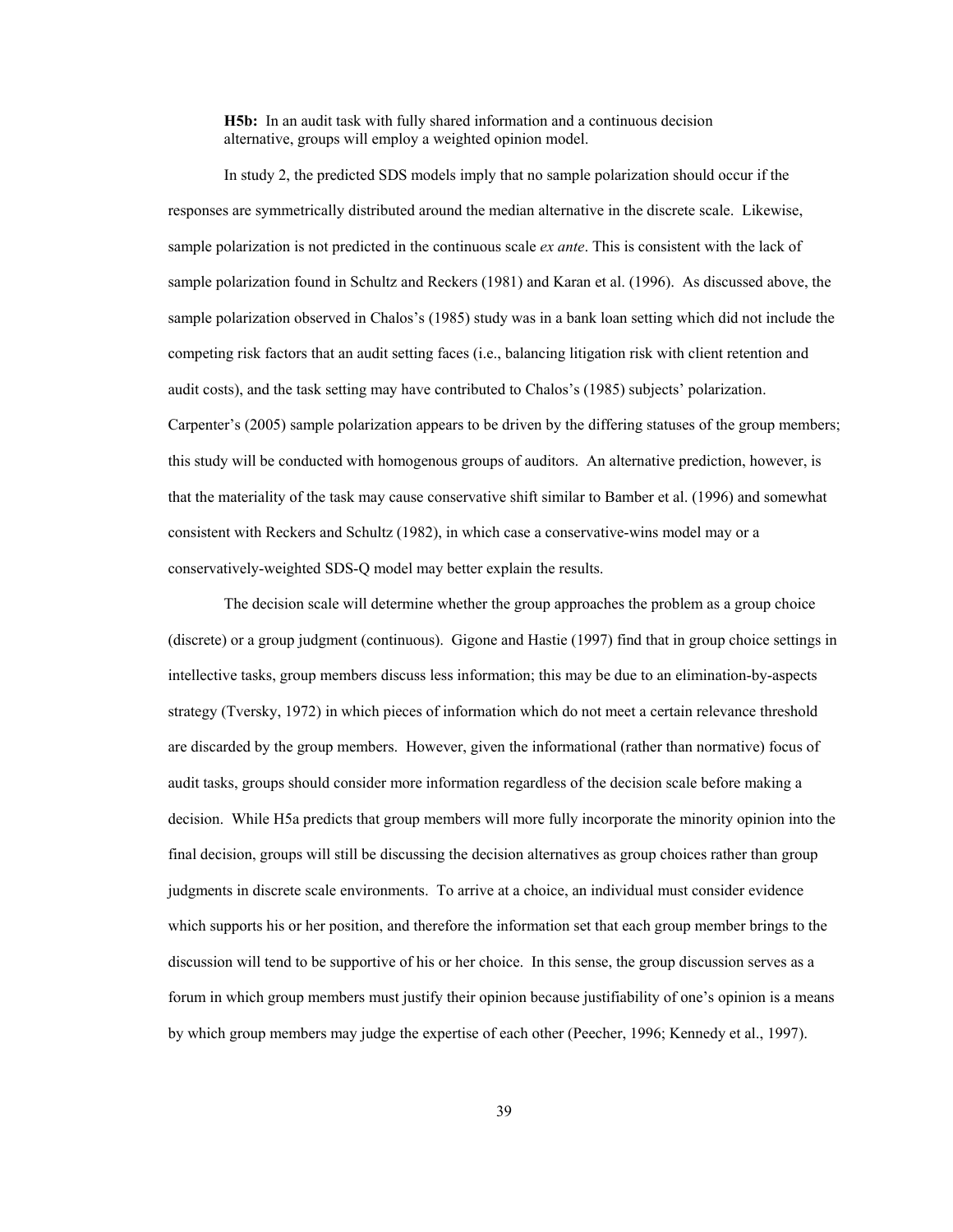**H5b:** In an audit task with fully shared information and a continuous decision alternative, groups will employ a weighted opinion model.

In study 2, the predicted SDS models imply that no sample polarization should occur if the responses are symmetrically distributed around the median alternative in the discrete scale. Likewise, sample polarization is not predicted in the continuous scale *ex ante*. This is consistent with the lack of sample polarization found in Schultz and Reckers (1981) and Karan et al. (1996). As discussed above, the sample polarization observed in Chalos's (1985) study was in a bank loan setting which did not include the competing risk factors that an audit setting faces (i.e., balancing litigation risk with client retention and audit costs), and the task setting may have contributed to Chalos's (1985) subjects' polarization. Carpenter's (2005) sample polarization appears to be driven by the differing statuses of the group members; this study will be conducted with homogenous groups of auditors. An alternative prediction, however, is that the materiality of the task may cause conservative shift similar to Bamber et al. (1996) and somewhat consistent with Reckers and Schultz (1982), in which case a conservative-wins model may or a conservatively-weighted SDS-Q model may better explain the results.

The decision scale will determine whether the group approaches the problem as a group choice (discrete) or a group judgment (continuous). Gigone and Hastie (1997) find that in group choice settings in intellective tasks, group members discuss less information; this may be due to an elimination-by-aspects strategy (Tversky, 1972) in which pieces of information which do not meet a certain relevance threshold are discarded by the group members. However, given the informational (rather than normative) focus of audit tasks, groups should consider more information regardless of the decision scale before making a decision. While H5a predicts that group members will more fully incorporate the minority opinion into the final decision, groups will still be discussing the decision alternatives as group choices rather than group judgments in discrete scale environments. To arrive at a choice, an individual must consider evidence which supports his or her position, and therefore the information set that each group member brings to the discussion will tend to be supportive of his or her choice. In this sense, the group discussion serves as a forum in which group members must justify their opinion because justifiability of one's opinion is a means by which group members may judge the expertise of each other (Peecher, 1996; Kennedy et al., 1997).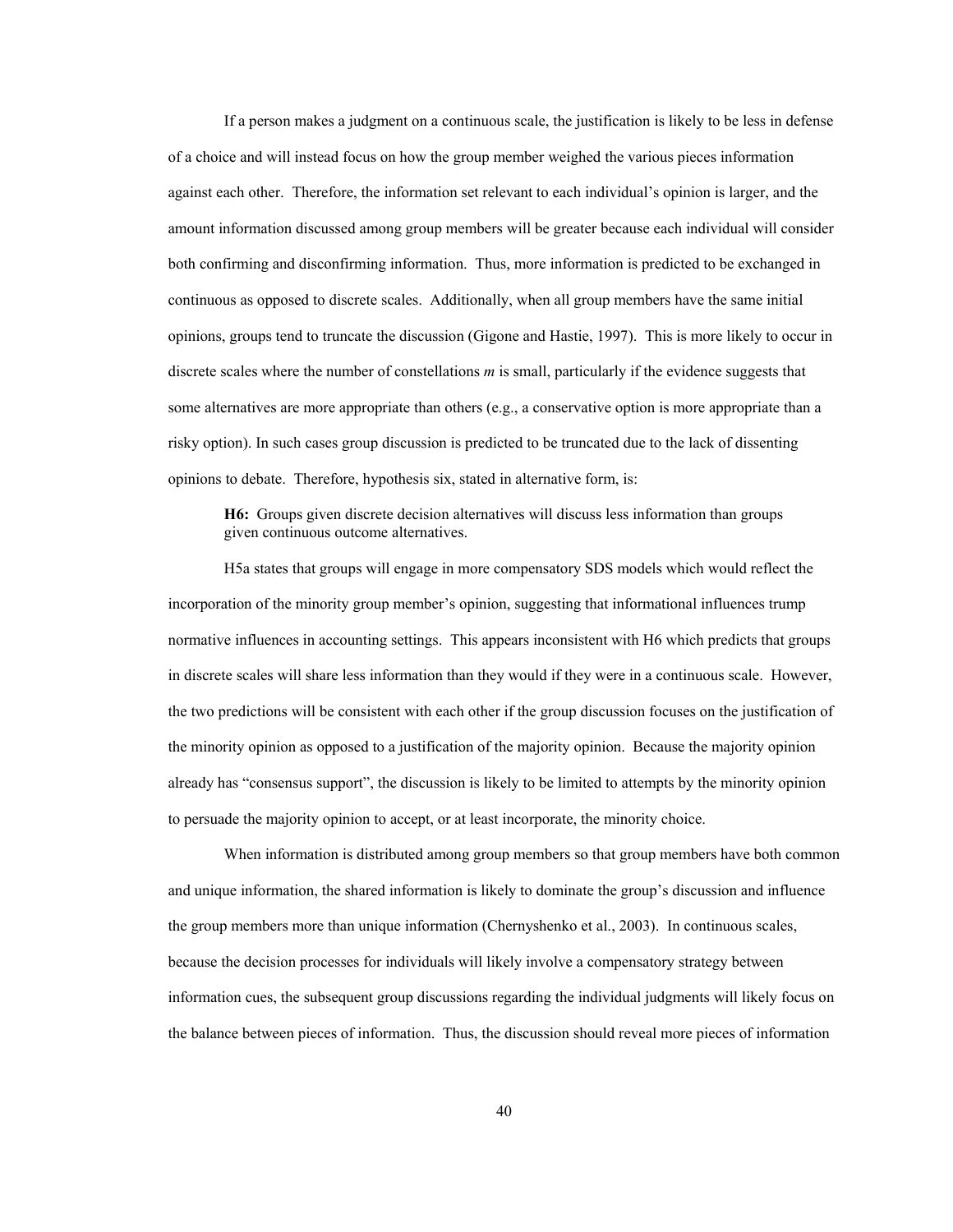If a person makes a judgment on a continuous scale, the justification is likely to be less in defense of a choice and will instead focus on how the group member weighed the various pieces information against each other. Therefore, the information set relevant to each individual's opinion is larger, and the amount information discussed among group members will be greater because each individual will consider both confirming and disconfirming information. Thus, more information is predicted to be exchanged in continuous as opposed to discrete scales. Additionally, when all group members have the same initial opinions, groups tend to truncate the discussion (Gigone and Hastie, 1997). This is more likely to occur in discrete scales where the number of constellations *m* is small, particularly if the evidence suggests that some alternatives are more appropriate than others (e.g., a conservative option is more appropriate than a risky option). In such cases group discussion is predicted to be truncated due to the lack of dissenting opinions to debate. Therefore, hypothesis six, stated in alternative form, is:

**H6:** Groups given discrete decision alternatives will discuss less information than groups given continuous outcome alternatives.

 H5a states that groups will engage in more compensatory SDS models which would reflect the incorporation of the minority group member's opinion, suggesting that informational influences trump normative influences in accounting settings. This appears inconsistent with H6 which predicts that groups in discrete scales will share less information than they would if they were in a continuous scale. However, the two predictions will be consistent with each other if the group discussion focuses on the justification of the minority opinion as opposed to a justification of the majority opinion. Because the majority opinion already has "consensus support", the discussion is likely to be limited to attempts by the minority opinion to persuade the majority opinion to accept, or at least incorporate, the minority choice.

 When information is distributed among group members so that group members have both common and unique information, the shared information is likely to dominate the group's discussion and influence the group members more than unique information (Chernyshenko et al., 2003). In continuous scales, because the decision processes for individuals will likely involve a compensatory strategy between information cues, the subsequent group discussions regarding the individual judgments will likely focus on the balance between pieces of information. Thus, the discussion should reveal more pieces of information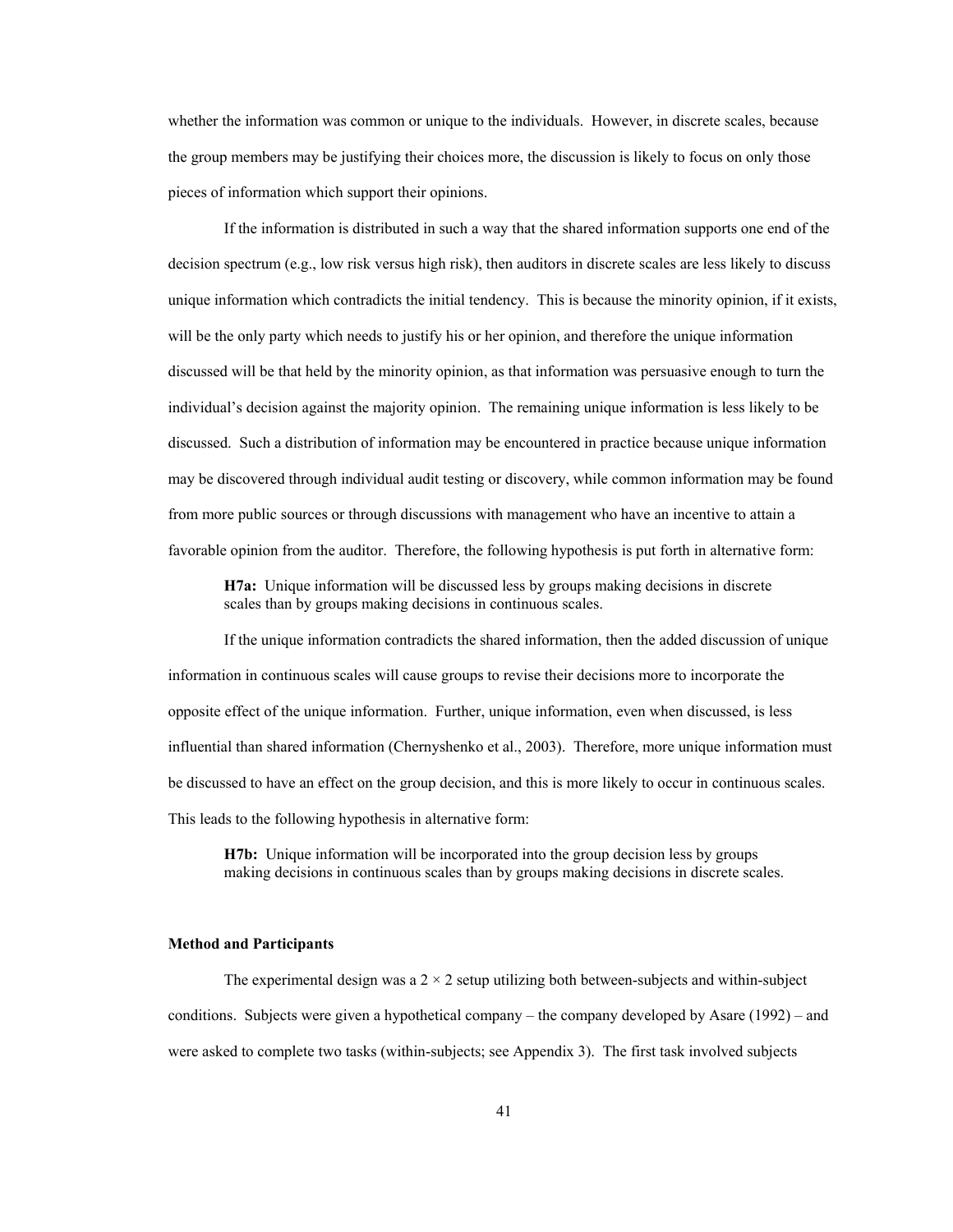whether the information was common or unique to the individuals. However, in discrete scales, because the group members may be justifying their choices more, the discussion is likely to focus on only those pieces of information which support their opinions.

 If the information is distributed in such a way that the shared information supports one end of the decision spectrum (e.g., low risk versus high risk), then auditors in discrete scales are less likely to discuss unique information which contradicts the initial tendency. This is because the minority opinion, if it exists, will be the only party which needs to justify his or her opinion, and therefore the unique information discussed will be that held by the minority opinion, as that information was persuasive enough to turn the individual's decision against the majority opinion. The remaining unique information is less likely to be discussed. Such a distribution of information may be encountered in practice because unique information may be discovered through individual audit testing or discovery, while common information may be found from more public sources or through discussions with management who have an incentive to attain a favorable opinion from the auditor. Therefore, the following hypothesis is put forth in alternative form:

**H7a:** Unique information will be discussed less by groups making decisions in discrete scales than by groups making decisions in continuous scales.

If the unique information contradicts the shared information, then the added discussion of unique information in continuous scales will cause groups to revise their decisions more to incorporate the opposite effect of the unique information. Further, unique information, even when discussed, is less influential than shared information (Chernyshenko et al., 2003). Therefore, more unique information must be discussed to have an effect on the group decision, and this is more likely to occur in continuous scales. This leads to the following hypothesis in alternative form:

**H7b:** Unique information will be incorporated into the group decision less by groups making decisions in continuous scales than by groups making decisions in discrete scales.

### **Method and Participants**

The experimental design was a  $2 \times 2$  setup utilizing both between-subjects and within-subject conditions. Subjects were given a hypothetical company – the company developed by Asare (1992) – and were asked to complete two tasks (within-subjects; see Appendix 3). The first task involved subjects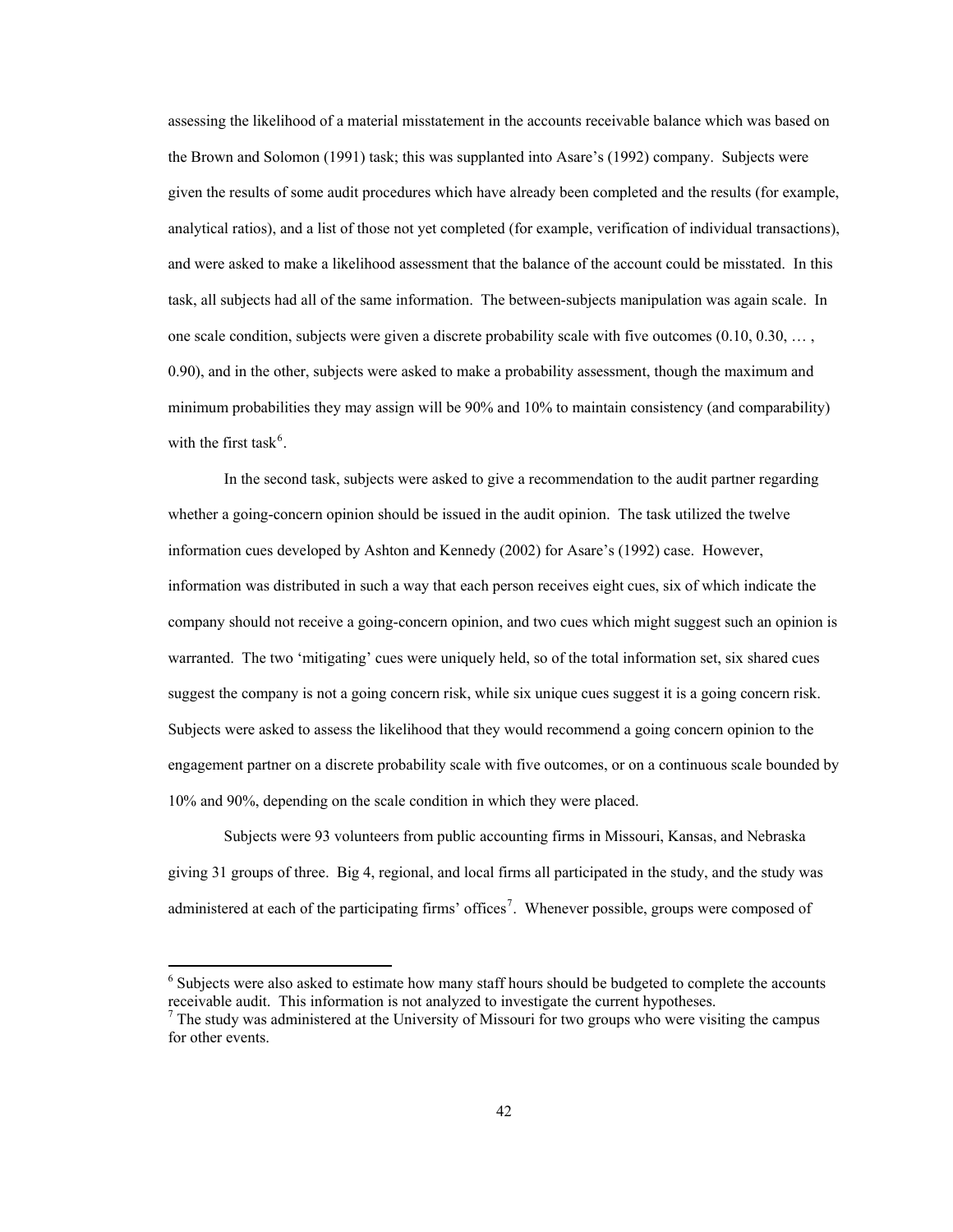<span id="page-48-0"></span>assessing the likelihood of a material misstatement in the accounts receivable balance which was based on the Brown and Solomon (1991) task; this was supplanted into Asare's (1992) company. Subjects were given the results of some audit procedures which have already been completed and the results (for example, analytical ratios), and a list of those not yet completed (for example, verification of individual transactions), and were asked to make a likelihood assessment that the balance of the account could be misstated. In this task, all subjects had all of the same information. The between-subjects manipulation was again scale. In one scale condition, subjects were given a discrete probability scale with five outcomes  $(0.10, 0.30, \ldots,$ 0.90), and in the other, subjects were asked to make a probability assessment, though the maximum and minimum probabilities they may assign will be 90% and 10% to maintain consistency (and comparability) with the first task<sup>[6](#page-48-0)</sup>.

 In the second task, subjects were asked to give a recommendation to the audit partner regarding whether a going-concern opinion should be issued in the audit opinion. The task utilized the twelve information cues developed by Ashton and Kennedy (2002) for Asare's (1992) case. However, information was distributed in such a way that each person receives eight cues, six of which indicate the company should not receive a going-concern opinion, and two cues which might suggest such an opinion is warranted. The two 'mitigating' cues were uniquely held, so of the total information set, six shared cues suggest the company is not a going concern risk, while six unique cues suggest it is a going concern risk. Subjects were asked to assess the likelihood that they would recommend a going concern opinion to the engagement partner on a discrete probability scale with five outcomes, or on a continuous scale bounded by 10% and 90%, depending on the scale condition in which they were placed.

 Subjects were 93 volunteers from public accounting firms in Missouri, Kansas, and Nebraska giving 31 groups of three. Big 4, regional, and local firms all participated in the study, and the study was administered at each of the participating firms' offices<sup>[7](#page-48-0)</sup>. Whenever possible, groups were composed of

<sup>6</sup> Subjects were also asked to estimate how many staff hours should be budgeted to complete the accounts receivable audit. This information is not analyzed to investigate the current hypotheses. 7

 $\overline{a}$ 

 $<sup>7</sup>$  The study was administered at the University of Missouri for two groups who were visiting the campus</sup> for other events.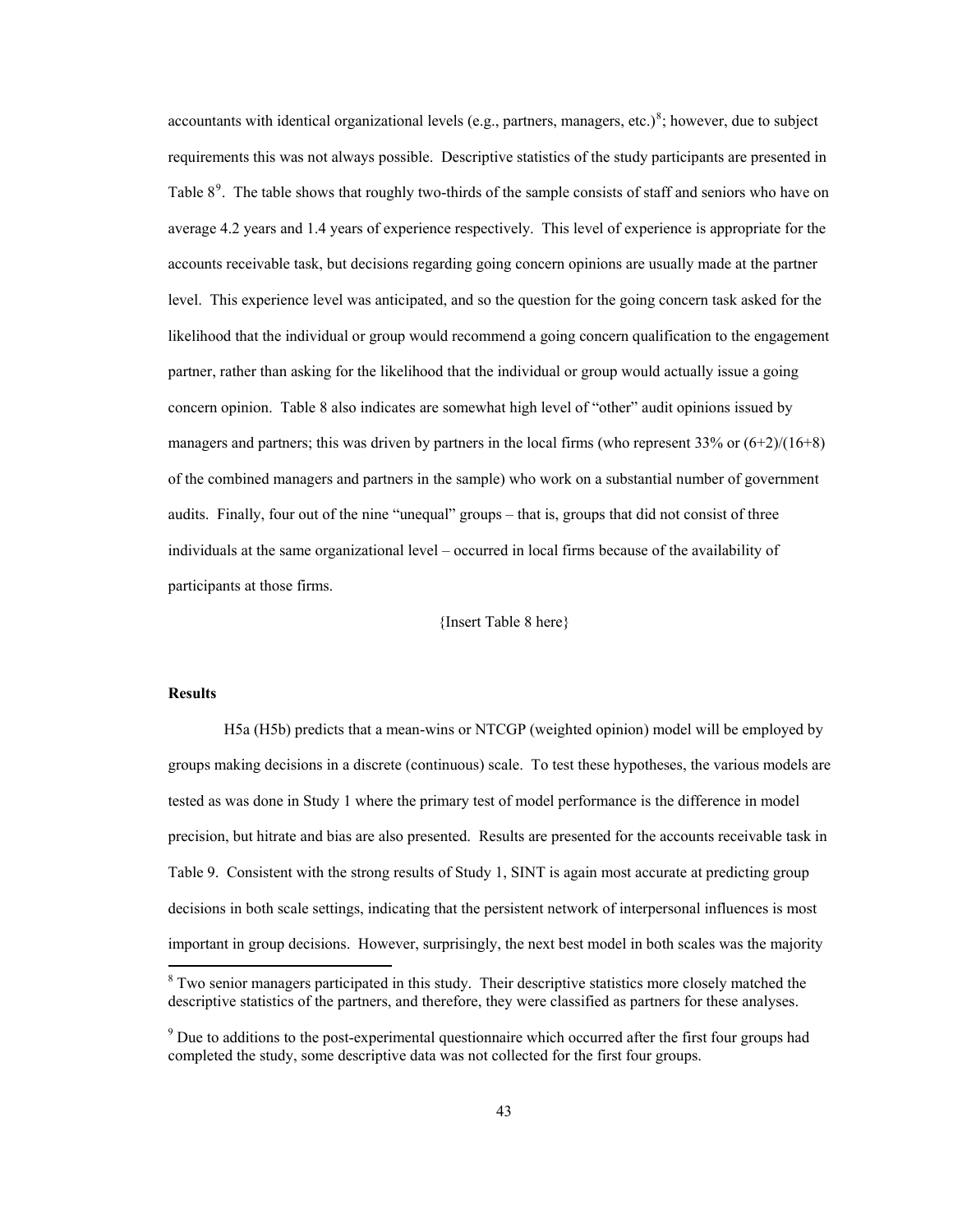<span id="page-49-0"></span>accountants with identical organizational levels (e.g., partners, managers, etc.)<sup>[8](#page-49-0)</sup>; however, due to subject requirements this was not always possible. Descriptive statistics of the study participants are presented in Table  $8<sup>9</sup>$  $8<sup>9</sup>$  $8<sup>9</sup>$ . The table shows that roughly two-thirds of the sample consists of staff and seniors who have on average 4.2 years and 1.4 years of experience respectively. This level of experience is appropriate for the accounts receivable task, but decisions regarding going concern opinions are usually made at the partner level. This experience level was anticipated, and so the question for the going concern task asked for the likelihood that the individual or group would recommend a going concern qualification to the engagement partner, rather than asking for the likelihood that the individual or group would actually issue a going concern opinion. Table 8 also indicates are somewhat high level of "other" audit opinions issued by managers and partners; this was driven by partners in the local firms (who represent  $33\%$  or  $(6+2)/(16+8)$ ) of the combined managers and partners in the sample) who work on a substantial number of government audits. Finally, four out of the nine "unequal" groups – that is, groups that did not consist of three individuals at the same organizational level – occurred in local firms because of the availability of participants at those firms.

# {Insert Table 8 here}

### **Results**

 $\overline{a}$ 

H5a (H5b) predicts that a mean-wins or NTCGP (weighted opinion) model will be employed by groups making decisions in a discrete (continuous) scale. To test these hypotheses, the various models are tested as was done in Study 1 where the primary test of model performance is the difference in model precision, but hitrate and bias are also presented. Results are presented for the accounts receivable task in Table 9. Consistent with the strong results of Study 1, SINT is again most accurate at predicting group decisions in both scale settings, indicating that the persistent network of interpersonal influences is most important in group decisions. However, surprisingly, the next best model in both scales was the majority

<sup>&</sup>lt;sup>8</sup> Two senior managers participated in this study. Their descriptive statistics more closely matched the descriptive statistics of the partners, and therefore, they were classified as partners for these analyses.

 $9^9$  Due to additions to the post-experimental questionnaire which occurred after the first four groups had completed the study, some descriptive data was not collected for the first four groups.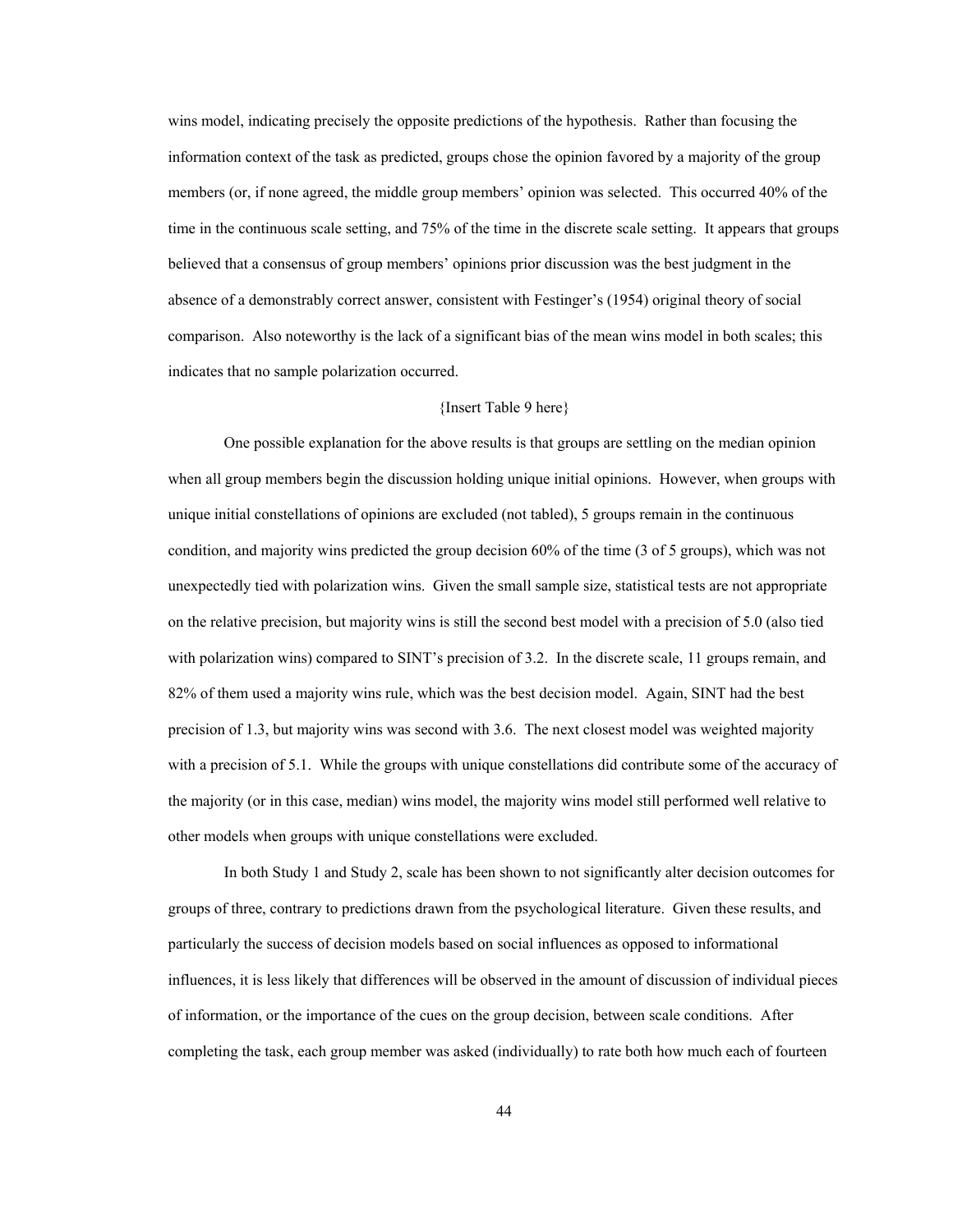wins model, indicating precisely the opposite predictions of the hypothesis. Rather than focusing the information context of the task as predicted, groups chose the opinion favored by a majority of the group members (or, if none agreed, the middle group members' opinion was selected. This occurred 40% of the time in the continuous scale setting, and 75% of the time in the discrete scale setting. It appears that groups believed that a consensus of group members' opinions prior discussion was the best judgment in the absence of a demonstrably correct answer, consistent with Festinger's (1954) original theory of social comparison. Also noteworthy is the lack of a significant bias of the mean wins model in both scales; this indicates that no sample polarization occurred.

# {Insert Table 9 here}

One possible explanation for the above results is that groups are settling on the median opinion when all group members begin the discussion holding unique initial opinions. However, when groups with unique initial constellations of opinions are excluded (not tabled), 5 groups remain in the continuous condition, and majority wins predicted the group decision 60% of the time (3 of 5 groups), which was not unexpectedly tied with polarization wins. Given the small sample size, statistical tests are not appropriate on the relative precision, but majority wins is still the second best model with a precision of 5.0 (also tied with polarization wins) compared to SINT's precision of 3.2. In the discrete scale, 11 groups remain, and 82% of them used a majority wins rule, which was the best decision model. Again, SINT had the best precision of 1.3, but majority wins was second with 3.6. The next closest model was weighted majority with a precision of 5.1. While the groups with unique constellations did contribute some of the accuracy of the majority (or in this case, median) wins model, the majority wins model still performed well relative to other models when groups with unique constellations were excluded.

In both Study 1 and Study 2, scale has been shown to not significantly alter decision outcomes for groups of three, contrary to predictions drawn from the psychological literature. Given these results, and particularly the success of decision models based on social influences as opposed to informational influences, it is less likely that differences will be observed in the amount of discussion of individual pieces of information, or the importance of the cues on the group decision, between scale conditions. After completing the task, each group member was asked (individually) to rate both how much each of fourteen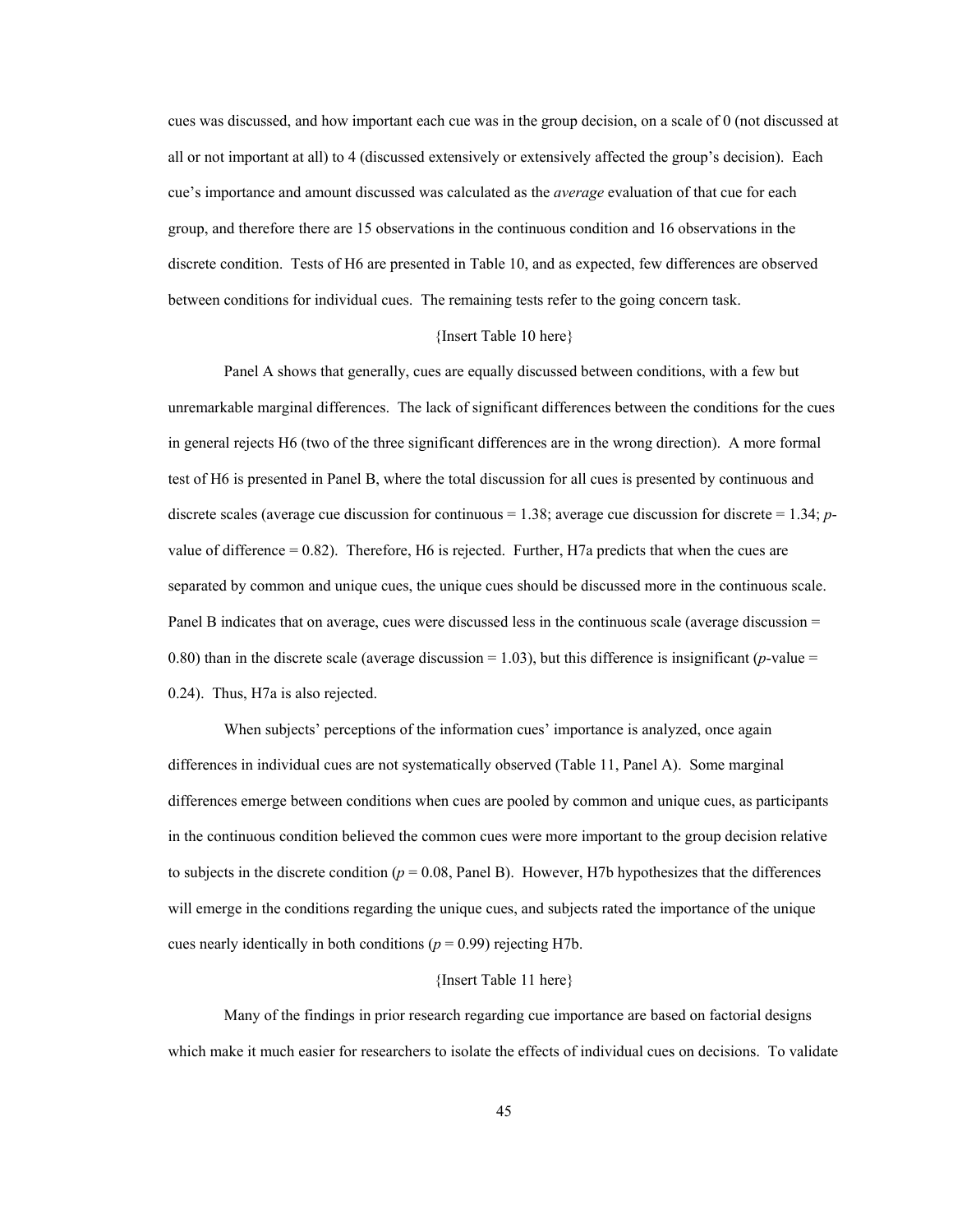cues was discussed, and how important each cue was in the group decision, on a scale of 0 (not discussed at all or not important at all) to 4 (discussed extensively or extensively affected the group's decision). Each cue's importance and amount discussed was calculated as the *average* evaluation of that cue for each group, and therefore there are 15 observations in the continuous condition and 16 observations in the discrete condition. Tests of H6 are presented in Table 10, and as expected, few differences are observed between conditions for individual cues. The remaining tests refer to the going concern task.

### {Insert Table 10 here}

 Panel A shows that generally, cues are equally discussed between conditions, with a few but unremarkable marginal differences. The lack of significant differences between the conditions for the cues in general rejects H6 (two of the three significant differences are in the wrong direction). A more formal test of H6 is presented in Panel B, where the total discussion for all cues is presented by continuous and discrete scales (average cue discussion for continuous = 1.38; average cue discussion for discrete = 1.34; *p*value of difference  $= 0.82$ ). Therefore, H6 is rejected. Further, H7a predicts that when the cues are separated by common and unique cues, the unique cues should be discussed more in the continuous scale. Panel B indicates that on average, cues were discussed less in the continuous scale (average discussion = 0.80) than in the discrete scale (average discussion  $= 1.03$ ), but this difference is insignificant (*p*-value  $=$ 0.24). Thus, H7a is also rejected.

 When subjects' perceptions of the information cues' importance is analyzed, once again differences in individual cues are not systematically observed (Table 11, Panel A). Some marginal differences emerge between conditions when cues are pooled by common and unique cues, as participants in the continuous condition believed the common cues were more important to the group decision relative to subjects in the discrete condition  $(p = 0.08, Panel B)$ . However, H7b hypothesizes that the differences will emerge in the conditions regarding the unique cues, and subjects rated the importance of the unique cues nearly identically in both conditions ( $p = 0.99$ ) rejecting H7b.

#### {Insert Table 11 here}

 Many of the findings in prior research regarding cue importance are based on factorial designs which make it much easier for researchers to isolate the effects of individual cues on decisions. To validate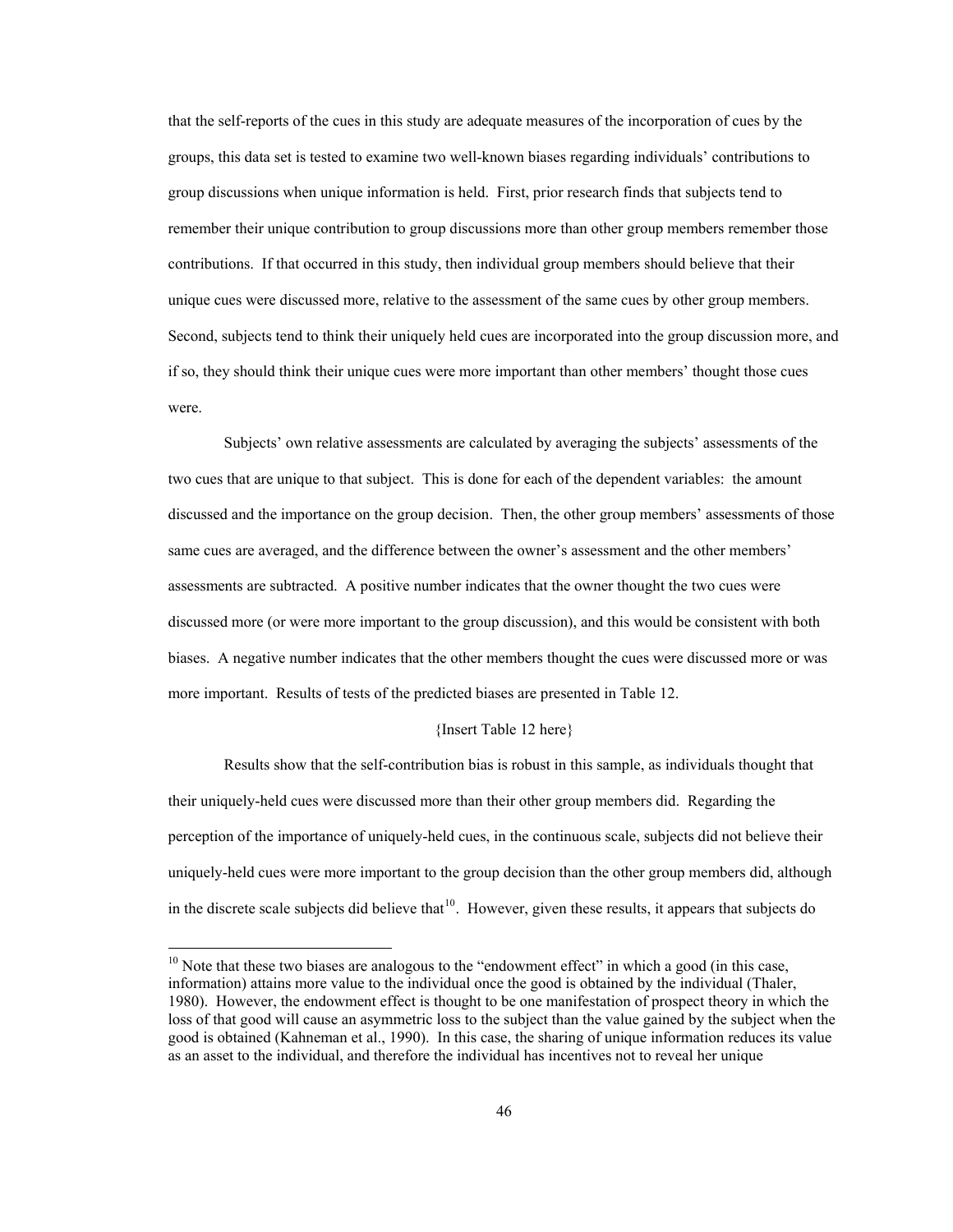<span id="page-52-0"></span>that the self-reports of the cues in this study are adequate measures of the incorporation of cues by the groups, this data set is tested to examine two well-known biases regarding individuals' contributions to group discussions when unique information is held. First, prior research finds that subjects tend to remember their unique contribution to group discussions more than other group members remember those contributions. If that occurred in this study, then individual group members should believe that their unique cues were discussed more, relative to the assessment of the same cues by other group members. Second, subjects tend to think their uniquely held cues are incorporated into the group discussion more, and if so, they should think their unique cues were more important than other members' thought those cues were.

 Subjects' own relative assessments are calculated by averaging the subjects' assessments of the two cues that are unique to that subject. This is done for each of the dependent variables: the amount discussed and the importance on the group decision. Then, the other group members' assessments of those same cues are averaged, and the difference between the owner's assessment and the other members' assessments are subtracted. A positive number indicates that the owner thought the two cues were discussed more (or were more important to the group discussion), and this would be consistent with both biases. A negative number indicates that the other members thought the cues were discussed more or was more important. Results of tests of the predicted biases are presented in Table 12.

### {Insert Table 12 here}

 Results show that the self-contribution bias is robust in this sample, as individuals thought that their uniquely-held cues were discussed more than their other group members did. Regarding the perception of the importance of uniquely-held cues, in the continuous scale, subjects did not believe their uniquely-held cues were more important to the group decision than the other group members did, although in the discrete scale subjects did believe that  $10$ . However, given these results, it appears that subjects do

 $\overline{a}$ 

 $10$  Note that these two biases are analogous to the "endowment effect" in which a good (in this case, information) attains more value to the individual once the good is obtained by the individual (Thaler, 1980). However, the endowment effect is thought to be one manifestation of prospect theory in which the loss of that good will cause an asymmetric loss to the subject than the value gained by the subject when the good is obtained (Kahneman et al., 1990). In this case, the sharing of unique information reduces its value as an asset to the individual, and therefore the individual has incentives not to reveal her unique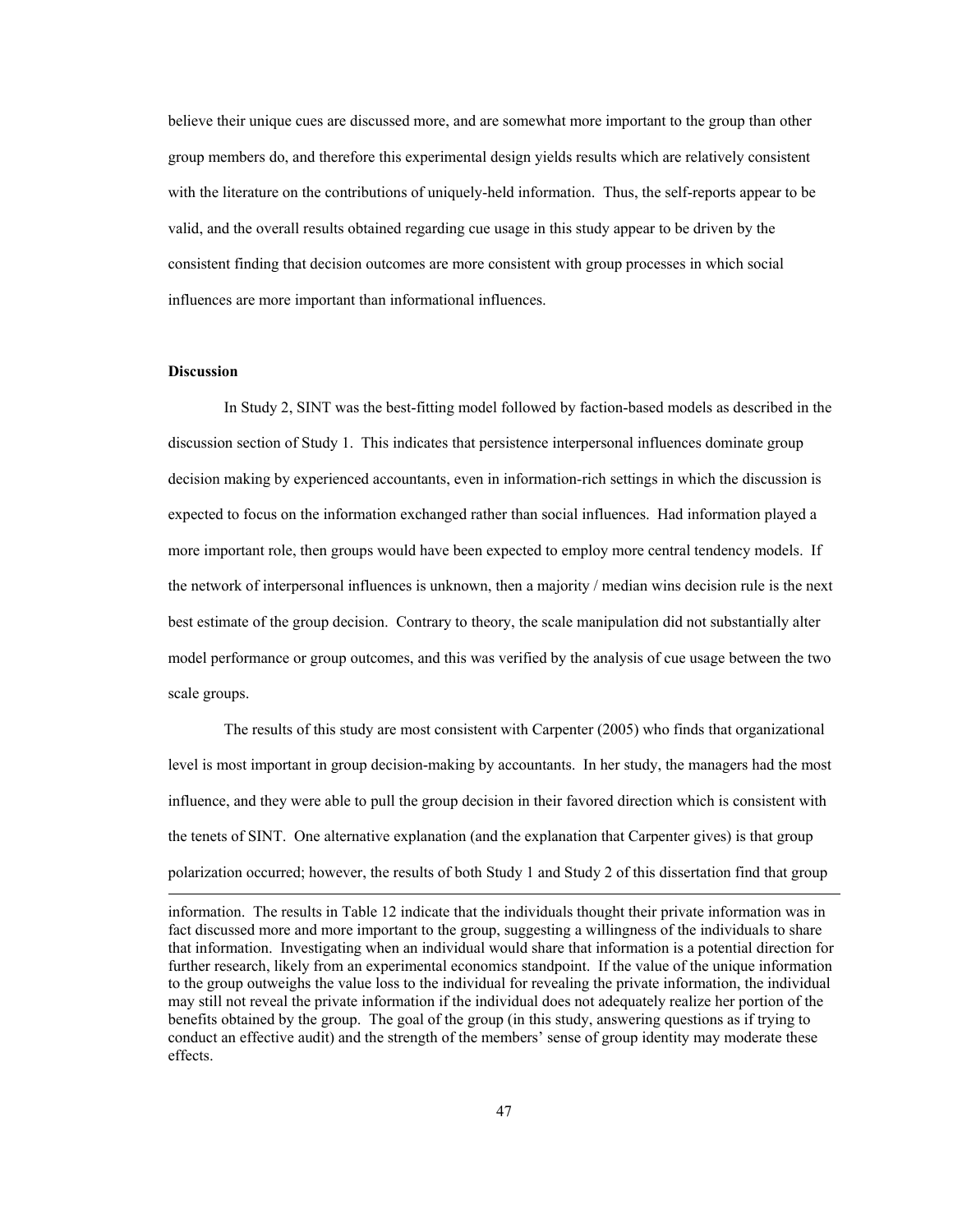believe their unique cues are discussed more, and are somewhat more important to the group than other group members do, and therefore this experimental design yields results which are relatively consistent with the literature on the contributions of uniquely-held information. Thus, the self-reports appear to be valid, and the overall results obtained regarding cue usage in this study appear to be driven by the consistent finding that decision outcomes are more consistent with group processes in which social influences are more important than informational influences.

# **Discussion**

 In Study 2, SINT was the best-fitting model followed by faction-based models as described in the discussion section of Study 1. This indicates that persistence interpersonal influences dominate group decision making by experienced accountants, even in information-rich settings in which the discussion is expected to focus on the information exchanged rather than social influences. Had information played a more important role, then groups would have been expected to employ more central tendency models. If the network of interpersonal influences is unknown, then a majority / median wins decision rule is the next best estimate of the group decision. Contrary to theory, the scale manipulation did not substantially alter model performance or group outcomes, and this was verified by the analysis of cue usage between the two scale groups.

 The results of this study are most consistent with Carpenter (2005) who finds that organizational level is most important in group decision-making by accountants. In her study, the managers had the most influence, and they were able to pull the group decision in their favored direction which is consistent with the tenets of SINT. One alternative explanation (and the explanation that Carpenter gives) is that group polarization occurred; however, the results of both Study 1 and Study 2 of this dissertation find that group

information. The results in Table 12 indicate that the individuals thought their private information was in fact discussed more and more important to the group, suggesting a willingness of the individuals to share that information. Investigating when an individual would share that information is a potential direction for further research, likely from an experimental economics standpoint. If the value of the unique information to the group outweighs the value loss to the individual for revealing the private information, the individual may still not reveal the private information if the individual does not adequately realize her portion of the benefits obtained by the group. The goal of the group (in this study, answering questions as if trying to conduct an effective audit) and the strength of the members' sense of group identity may moderate these effects.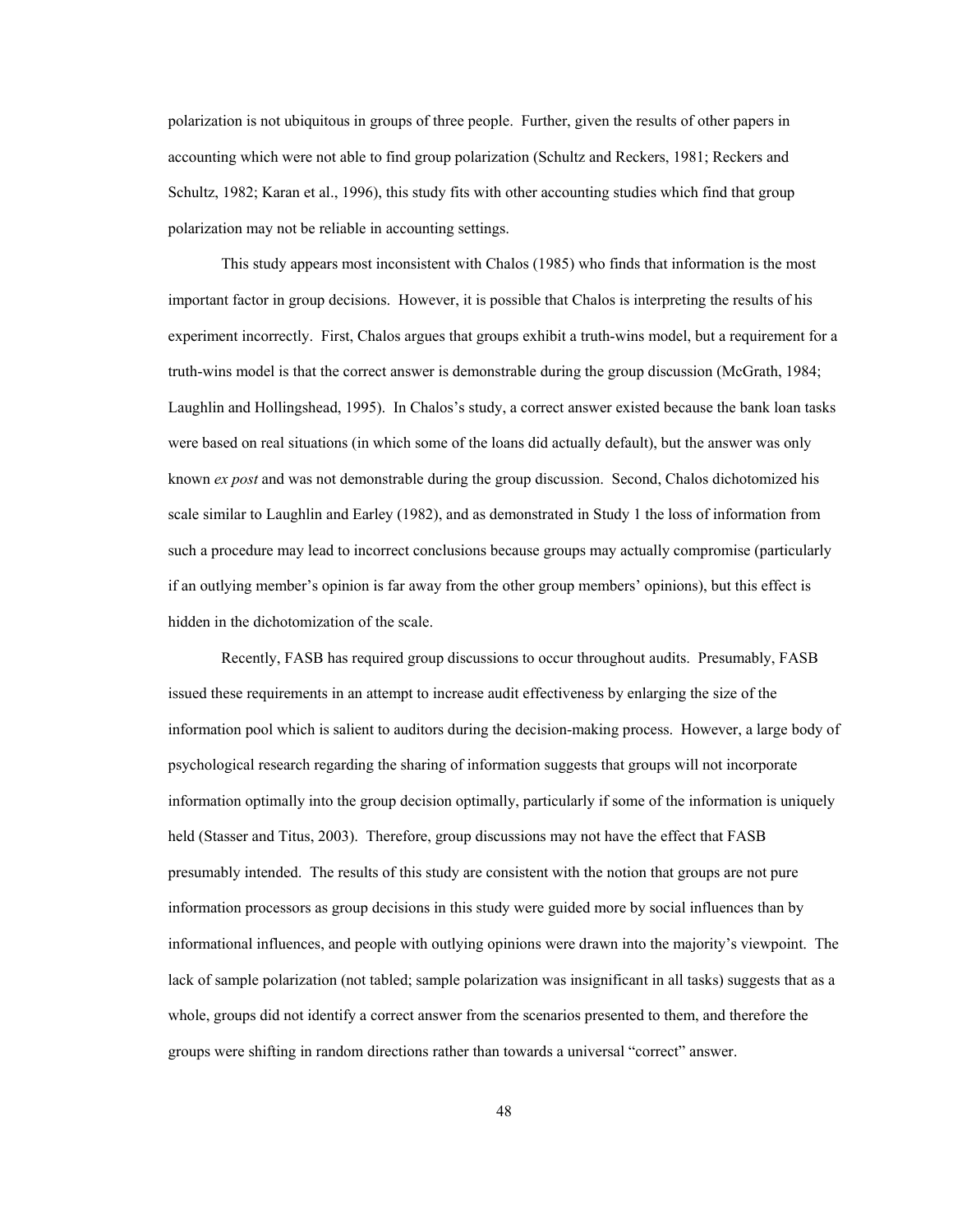polarization is not ubiquitous in groups of three people. Further, given the results of other papers in accounting which were not able to find group polarization (Schultz and Reckers, 1981; Reckers and Schultz, 1982; Karan et al., 1996), this study fits with other accounting studies which find that group polarization may not be reliable in accounting settings.

This study appears most inconsistent with Chalos (1985) who finds that information is the most important factor in group decisions. However, it is possible that Chalos is interpreting the results of his experiment incorrectly. First, Chalos argues that groups exhibit a truth-wins model, but a requirement for a truth-wins model is that the correct answer is demonstrable during the group discussion (McGrath, 1984; Laughlin and Hollingshead, 1995). In Chalos's study, a correct answer existed because the bank loan tasks were based on real situations (in which some of the loans did actually default), but the answer was only known *ex post* and was not demonstrable during the group discussion. Second, Chalos dichotomized his scale similar to Laughlin and Earley (1982), and as demonstrated in Study 1 the loss of information from such a procedure may lead to incorrect conclusions because groups may actually compromise (particularly if an outlying member's opinion is far away from the other group members' opinions), but this effect is hidden in the dichotomization of the scale.

Recently, FASB has required group discussions to occur throughout audits. Presumably, FASB issued these requirements in an attempt to increase audit effectiveness by enlarging the size of the information pool which is salient to auditors during the decision-making process. However, a large body of psychological research regarding the sharing of information suggests that groups will not incorporate information optimally into the group decision optimally, particularly if some of the information is uniquely held (Stasser and Titus, 2003). Therefore, group discussions may not have the effect that FASB presumably intended. The results of this study are consistent with the notion that groups are not pure information processors as group decisions in this study were guided more by social influences than by informational influences, and people with outlying opinions were drawn into the majority's viewpoint. The lack of sample polarization (not tabled; sample polarization was insignificant in all tasks) suggests that as a whole, groups did not identify a correct answer from the scenarios presented to them, and therefore the groups were shifting in random directions rather than towards a universal "correct" answer.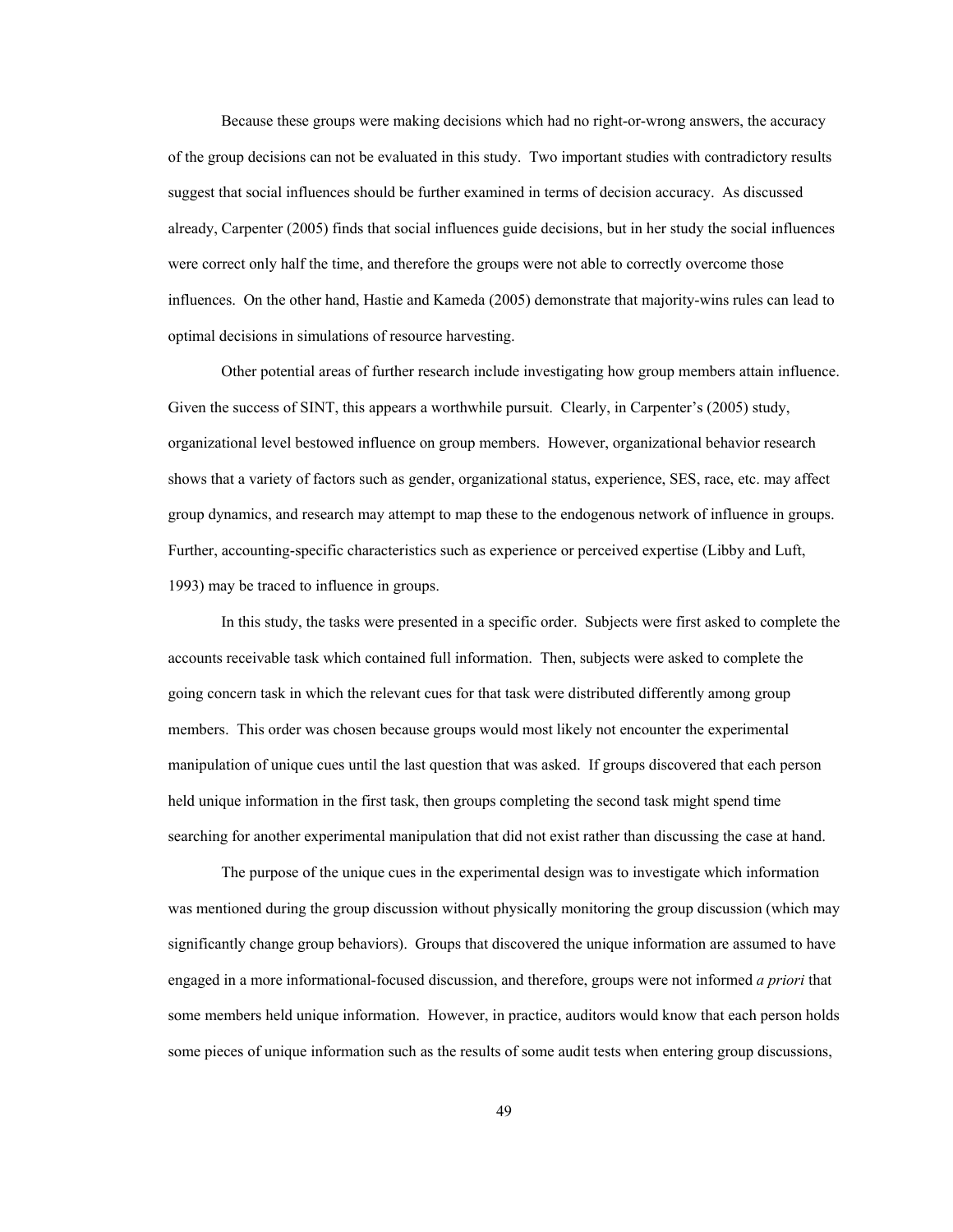Because these groups were making decisions which had no right-or-wrong answers, the accuracy of the group decisions can not be evaluated in this study. Two important studies with contradictory results suggest that social influences should be further examined in terms of decision accuracy. As discussed already, Carpenter (2005) finds that social influences guide decisions, but in her study the social influences were correct only half the time, and therefore the groups were not able to correctly overcome those influences. On the other hand, Hastie and Kameda (2005) demonstrate that majority-wins rules can lead to optimal decisions in simulations of resource harvesting.

Other potential areas of further research include investigating how group members attain influence. Given the success of SINT, this appears a worthwhile pursuit. Clearly, in Carpenter's (2005) study, organizational level bestowed influence on group members. However, organizational behavior research shows that a variety of factors such as gender, organizational status, experience, SES, race, etc. may affect group dynamics, and research may attempt to map these to the endogenous network of influence in groups. Further, accounting-specific characteristics such as experience or perceived expertise (Libby and Luft, 1993) may be traced to influence in groups.

In this study, the tasks were presented in a specific order. Subjects were first asked to complete the accounts receivable task which contained full information. Then, subjects were asked to complete the going concern task in which the relevant cues for that task were distributed differently among group members. This order was chosen because groups would most likely not encounter the experimental manipulation of unique cues until the last question that was asked. If groups discovered that each person held unique information in the first task, then groups completing the second task might spend time searching for another experimental manipulation that did not exist rather than discussing the case at hand.

The purpose of the unique cues in the experimental design was to investigate which information was mentioned during the group discussion without physically monitoring the group discussion (which may significantly change group behaviors). Groups that discovered the unique information are assumed to have engaged in a more informational-focused discussion, and therefore, groups were not informed *a priori* that some members held unique information. However, in practice, auditors would know that each person holds some pieces of unique information such as the results of some audit tests when entering group discussions,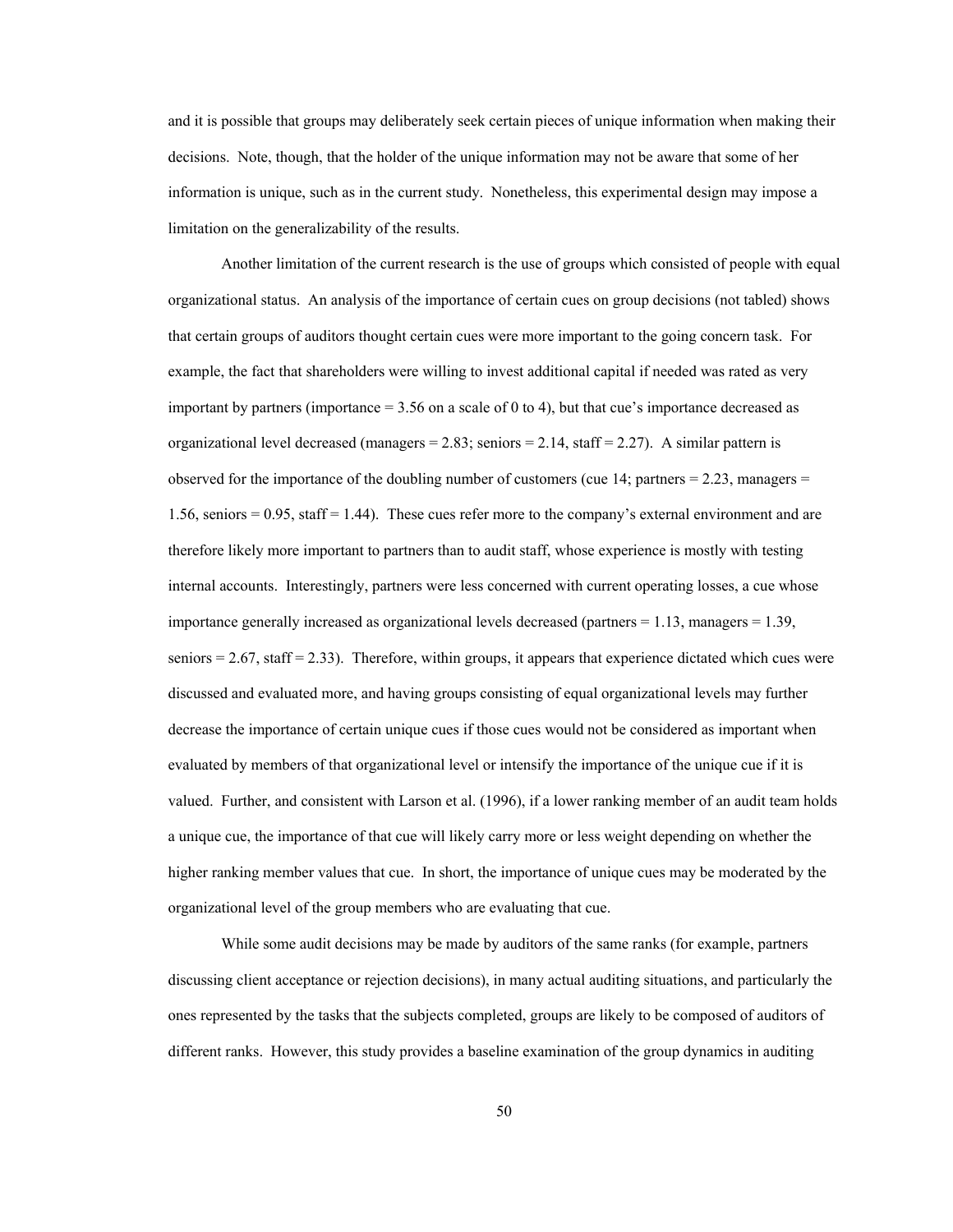and it is possible that groups may deliberately seek certain pieces of unique information when making their decisions. Note, though, that the holder of the unique information may not be aware that some of her information is unique, such as in the current study. Nonetheless, this experimental design may impose a limitation on the generalizability of the results.

Another limitation of the current research is the use of groups which consisted of people with equal organizational status. An analysis of the importance of certain cues on group decisions (not tabled) shows that certain groups of auditors thought certain cues were more important to the going concern task. For example, the fact that shareholders were willing to invest additional capital if needed was rated as very important by partners (importance  $= 3.56$  on a scale of 0 to 4), but that cue's importance decreased as organizational level decreased (managers =  $2.83$ ; seniors =  $2.14$ , staff =  $2.27$ ). A similar pattern is observed for the importance of the doubling number of customers (cue 14; partners  $= 2.23$ , managers  $=$ 1.56, seniors = 0.95, staff = 1.44). These cues refer more to the company's external environment and are therefore likely more important to partners than to audit staff, whose experience is mostly with testing internal accounts. Interestingly, partners were less concerned with current operating losses, a cue whose importance generally increased as organizational levels decreased (partners  $= 1.13$ , managers  $= 1.39$ , seniors  $= 2.67$ , staff  $= 2.33$ ). Therefore, within groups, it appears that experience dictated which cues were discussed and evaluated more, and having groups consisting of equal organizational levels may further decrease the importance of certain unique cues if those cues would not be considered as important when evaluated by members of that organizational level or intensify the importance of the unique cue if it is valued. Further, and consistent with Larson et al. (1996), if a lower ranking member of an audit team holds a unique cue, the importance of that cue will likely carry more or less weight depending on whether the higher ranking member values that cue. In short, the importance of unique cues may be moderated by the organizational level of the group members who are evaluating that cue.

While some audit decisions may be made by auditors of the same ranks (for example, partners discussing client acceptance or rejection decisions), in many actual auditing situations, and particularly the ones represented by the tasks that the subjects completed, groups are likely to be composed of auditors of different ranks. However, this study provides a baseline examination of the group dynamics in auditing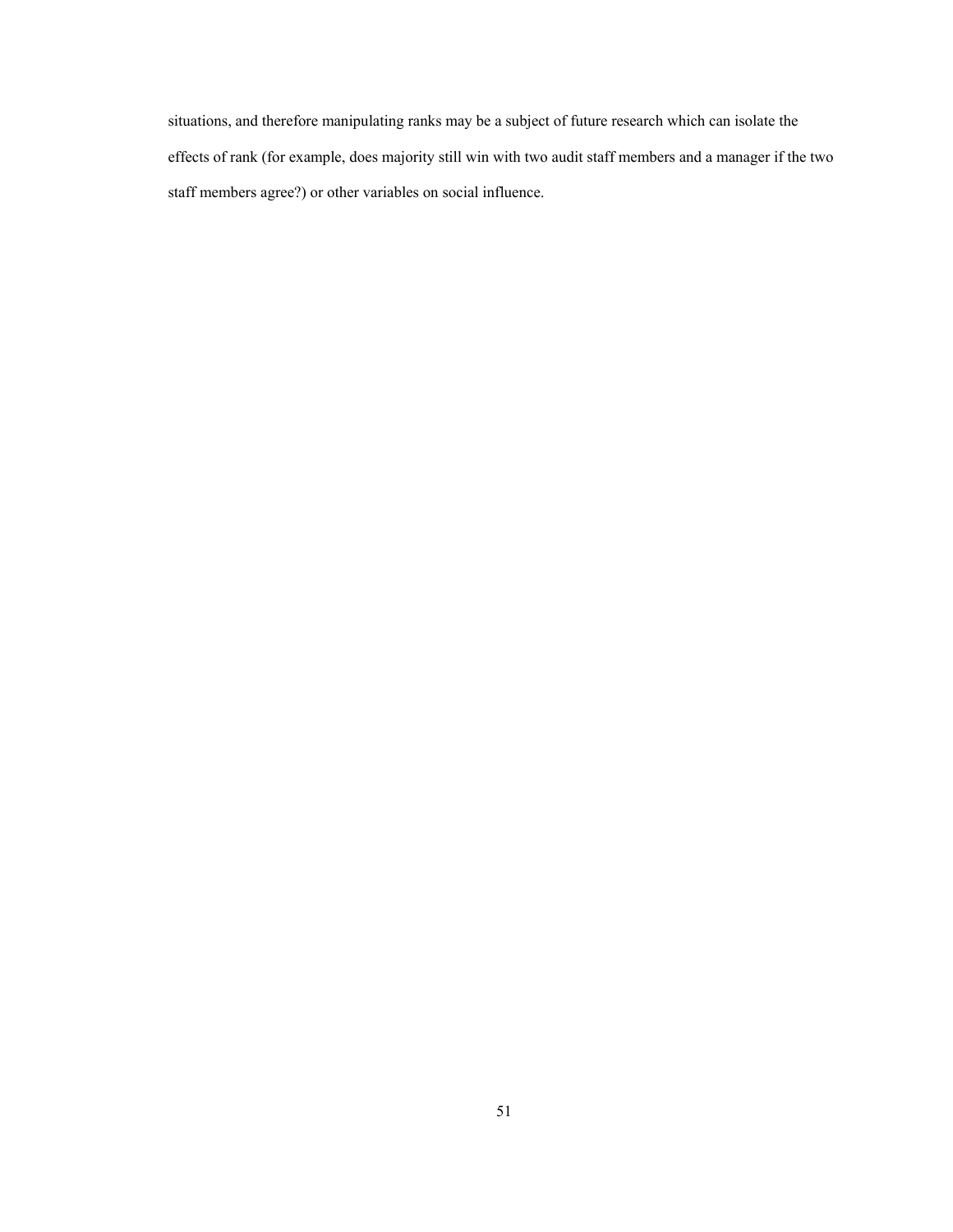situations, and therefore manipulating ranks may be a subject of future research which can isolate the effects of rank (for example, does majority still win with two audit staff members and a manager if the two staff members agree?) or other variables on social influence.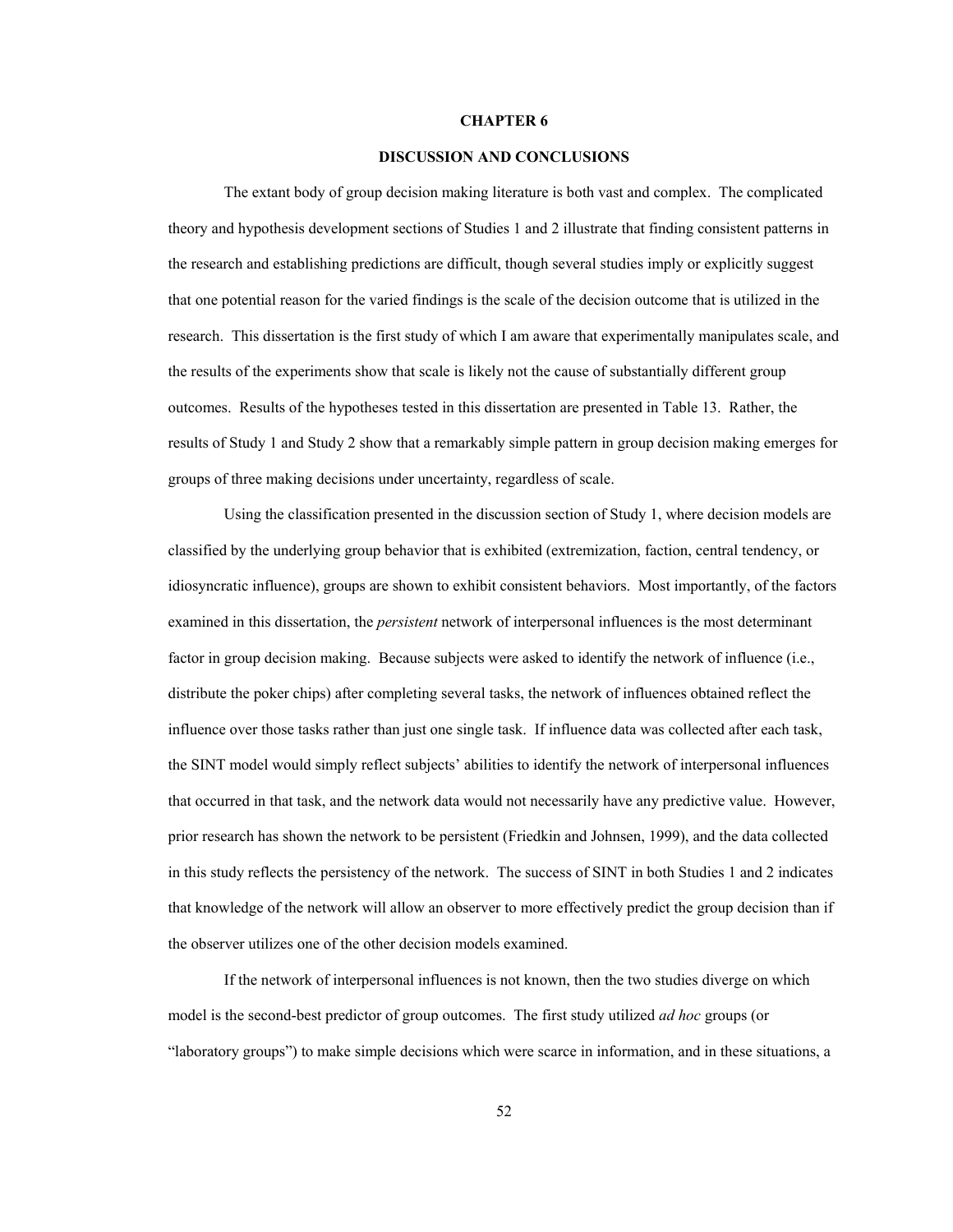### **CHAPTER 6**

### **DISCUSSION AND CONCLUSIONS**

The extant body of group decision making literature is both vast and complex. The complicated theory and hypothesis development sections of Studies 1 and 2 illustrate that finding consistent patterns in the research and establishing predictions are difficult, though several studies imply or explicitly suggest that one potential reason for the varied findings is the scale of the decision outcome that is utilized in the research. This dissertation is the first study of which I am aware that experimentally manipulates scale, and the results of the experiments show that scale is likely not the cause of substantially different group outcomes. Results of the hypotheses tested in this dissertation are presented in Table 13. Rather, the results of Study 1 and Study 2 show that a remarkably simple pattern in group decision making emerges for groups of three making decisions under uncertainty, regardless of scale.

Using the classification presented in the discussion section of Study 1, where decision models are classified by the underlying group behavior that is exhibited (extremization, faction, central tendency, or idiosyncratic influence), groups are shown to exhibit consistent behaviors. Most importantly, of the factors examined in this dissertation, the *persistent* network of interpersonal influences is the most determinant factor in group decision making. Because subjects were asked to identify the network of influence (i.e., distribute the poker chips) after completing several tasks, the network of influences obtained reflect the influence over those tasks rather than just one single task. If influence data was collected after each task, the SINT model would simply reflect subjects' abilities to identify the network of interpersonal influences that occurred in that task, and the network data would not necessarily have any predictive value. However, prior research has shown the network to be persistent (Friedkin and Johnsen, 1999), and the data collected in this study reflects the persistency of the network. The success of SINT in both Studies 1 and 2 indicates that knowledge of the network will allow an observer to more effectively predict the group decision than if the observer utilizes one of the other decision models examined.

If the network of interpersonal influences is not known, then the two studies diverge on which model is the second-best predictor of group outcomes. The first study utilized *ad hoc* groups (or "laboratory groups") to make simple decisions which were scarce in information, and in these situations, a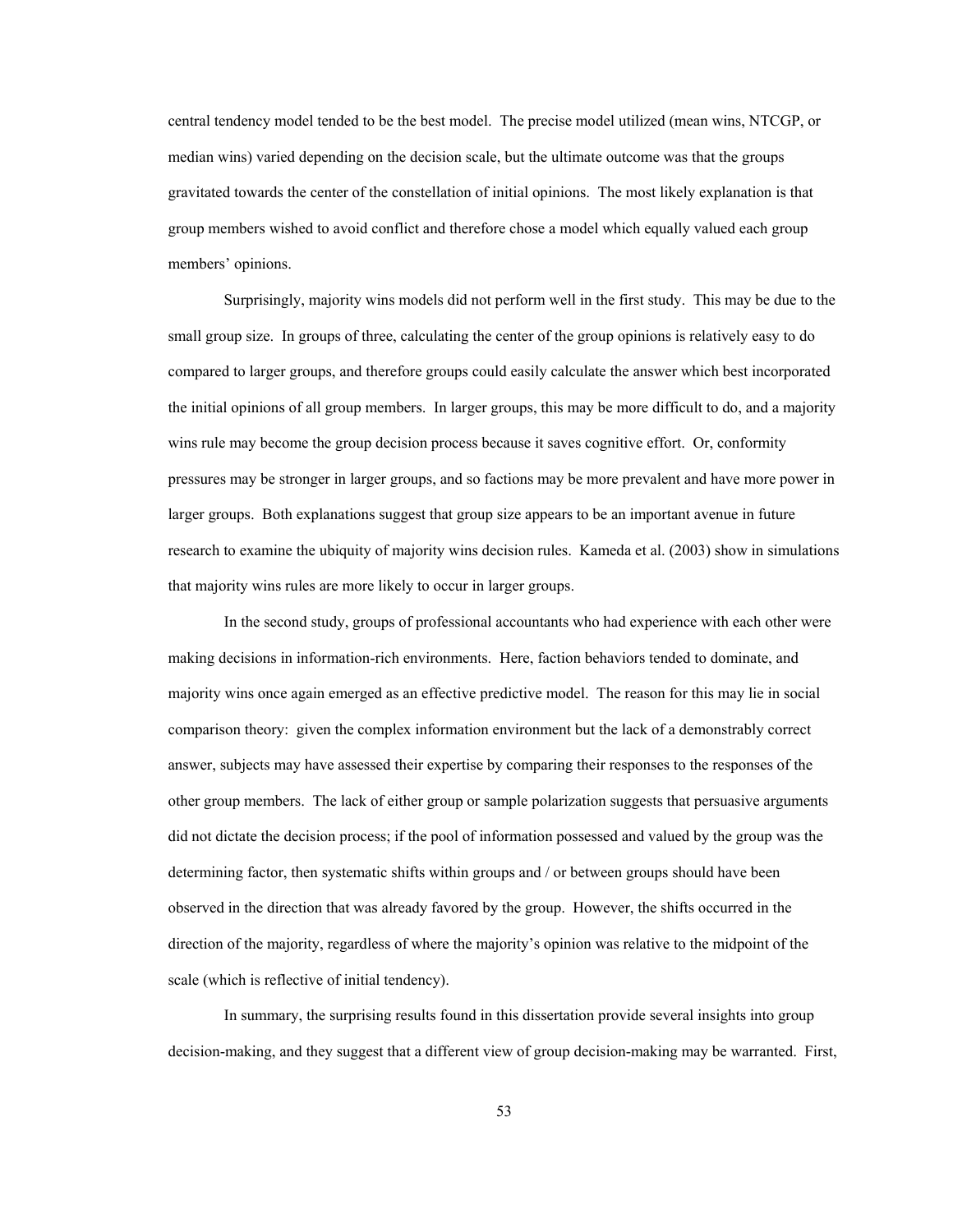central tendency model tended to be the best model. The precise model utilized (mean wins, NTCGP, or median wins) varied depending on the decision scale, but the ultimate outcome was that the groups gravitated towards the center of the constellation of initial opinions. The most likely explanation is that group members wished to avoid conflict and therefore chose a model which equally valued each group members' opinions.

Surprisingly, majority wins models did not perform well in the first study. This may be due to the small group size. In groups of three, calculating the center of the group opinions is relatively easy to do compared to larger groups, and therefore groups could easily calculate the answer which best incorporated the initial opinions of all group members. In larger groups, this may be more difficult to do, and a majority wins rule may become the group decision process because it saves cognitive effort. Or, conformity pressures may be stronger in larger groups, and so factions may be more prevalent and have more power in larger groups. Both explanations suggest that group size appears to be an important avenue in future research to examine the ubiquity of majority wins decision rules. Kameda et al. (2003) show in simulations that majority wins rules are more likely to occur in larger groups.

In the second study, groups of professional accountants who had experience with each other were making decisions in information-rich environments. Here, faction behaviors tended to dominate, and majority wins once again emerged as an effective predictive model. The reason for this may lie in social comparison theory: given the complex information environment but the lack of a demonstrably correct answer, subjects may have assessed their expertise by comparing their responses to the responses of the other group members. The lack of either group or sample polarization suggests that persuasive arguments did not dictate the decision process; if the pool of information possessed and valued by the group was the determining factor, then systematic shifts within groups and / or between groups should have been observed in the direction that was already favored by the group. However, the shifts occurred in the direction of the majority, regardless of where the majority's opinion was relative to the midpoint of the scale (which is reflective of initial tendency).

In summary, the surprising results found in this dissertation provide several insights into group decision-making, and they suggest that a different view of group decision-making may be warranted. First,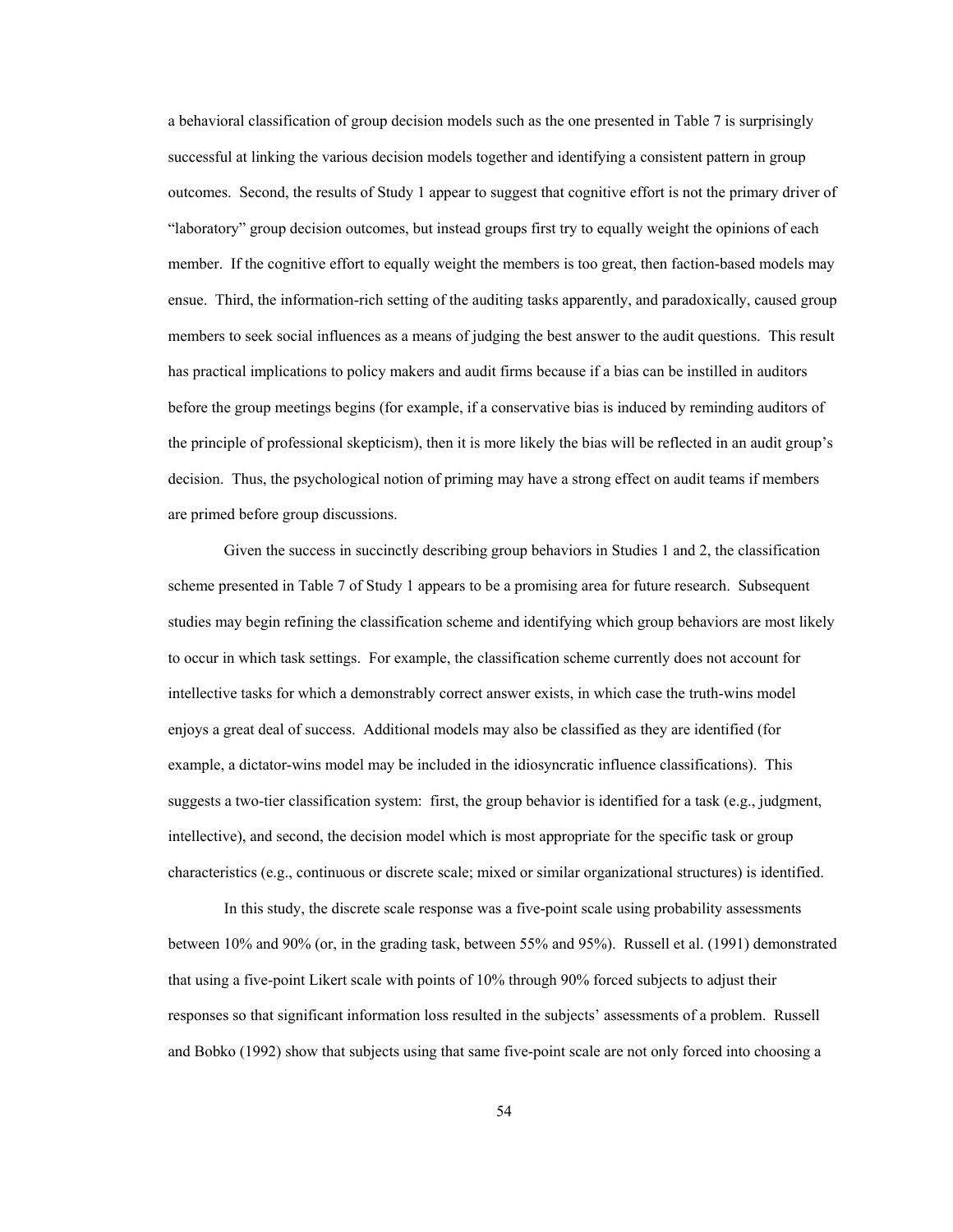a behavioral classification of group decision models such as the one presented in Table 7 is surprisingly successful at linking the various decision models together and identifying a consistent pattern in group outcomes. Second, the results of Study 1 appear to suggest that cognitive effort is not the primary driver of "laboratory" group decision outcomes, but instead groups first try to equally weight the opinions of each member. If the cognitive effort to equally weight the members is too great, then faction-based models may ensue. Third, the information-rich setting of the auditing tasks apparently, and paradoxically, caused group members to seek social influences as a means of judging the best answer to the audit questions. This result has practical implications to policy makers and audit firms because if a bias can be instilled in auditors before the group meetings begins (for example, if a conservative bias is induced by reminding auditors of the principle of professional skepticism), then it is more likely the bias will be reflected in an audit group's decision. Thus, the psychological notion of priming may have a strong effect on audit teams if members are primed before group discussions.

Given the success in succinctly describing group behaviors in Studies 1 and 2, the classification scheme presented in Table 7 of Study 1 appears to be a promising area for future research. Subsequent studies may begin refining the classification scheme and identifying which group behaviors are most likely to occur in which task settings. For example, the classification scheme currently does not account for intellective tasks for which a demonstrably correct answer exists, in which case the truth-wins model enjoys a great deal of success. Additional models may also be classified as they are identified (for example, a dictator-wins model may be included in the idiosyncratic influence classifications). This suggests a two-tier classification system: first, the group behavior is identified for a task (e.g., judgment, intellective), and second, the decision model which is most appropriate for the specific task or group characteristics (e.g., continuous or discrete scale; mixed or similar organizational structures) is identified.

In this study, the discrete scale response was a five-point scale using probability assessments between 10% and 90% (or, in the grading task, between 55% and 95%). Russell et al. (1991) demonstrated that using a five-point Likert scale with points of 10% through 90% forced subjects to adjust their responses so that significant information loss resulted in the subjects' assessments of a problem. Russell and Bobko (1992) show that subjects using that same five-point scale are not only forced into choosing a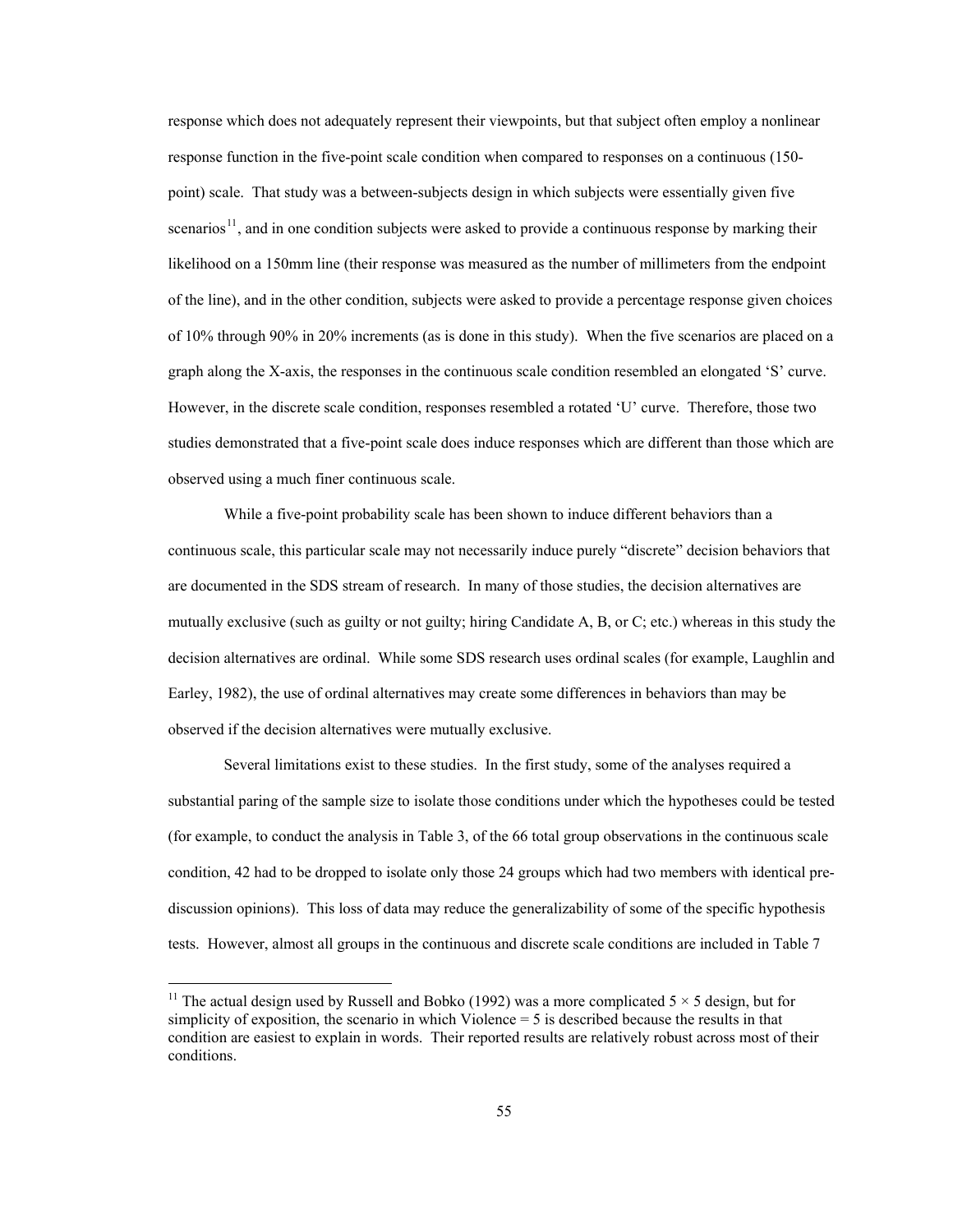<span id="page-61-0"></span>response which does not adequately represent their viewpoints, but that subject often employ a nonlinear response function in the five-point scale condition when compared to responses on a continuous (150 point) scale. That study was a between-subjects design in which subjects were essentially given five scenarios<sup>[11](#page-61-0)</sup>, and in one condition subjects were asked to provide a continuous response by marking their likelihood on a 150mm line (their response was measured as the number of millimeters from the endpoint of the line), and in the other condition, subjects were asked to provide a percentage response given choices of 10% through 90% in 20% increments (as is done in this study). When the five scenarios are placed on a graph along the X-axis, the responses in the continuous scale condition resembled an elongated 'S' curve. However, in the discrete scale condition, responses resembled a rotated 'U' curve. Therefore, those two studies demonstrated that a five-point scale does induce responses which are different than those which are observed using a much finer continuous scale.

While a five-point probability scale has been shown to induce different behaviors than a continuous scale, this particular scale may not necessarily induce purely "discrete" decision behaviors that are documented in the SDS stream of research. In many of those studies, the decision alternatives are mutually exclusive (such as guilty or not guilty; hiring Candidate A, B, or C; etc.) whereas in this study the decision alternatives are ordinal. While some SDS research uses ordinal scales (for example, Laughlin and Earley, 1982), the use of ordinal alternatives may create some differences in behaviors than may be observed if the decision alternatives were mutually exclusive.

Several limitations exist to these studies. In the first study, some of the analyses required a substantial paring of the sample size to isolate those conditions under which the hypotheses could be tested (for example, to conduct the analysis in Table 3, of the 66 total group observations in the continuous scale condition, 42 had to be dropped to isolate only those 24 groups which had two members with identical prediscussion opinions). This loss of data may reduce the generalizability of some of the specific hypothesis tests. However, almost all groups in the continuous and discrete scale conditions are included in Table 7

 $\overline{a}$ 

<sup>&</sup>lt;sup>11</sup> The actual design used by Russell and Bobko (1992) was a more complicated  $5 \times 5$  design, but for simplicity of exposition, the scenario in which Violence = 5 is described because the results in that condition are easiest to explain in words. Their reported results are relatively robust across most of their conditions.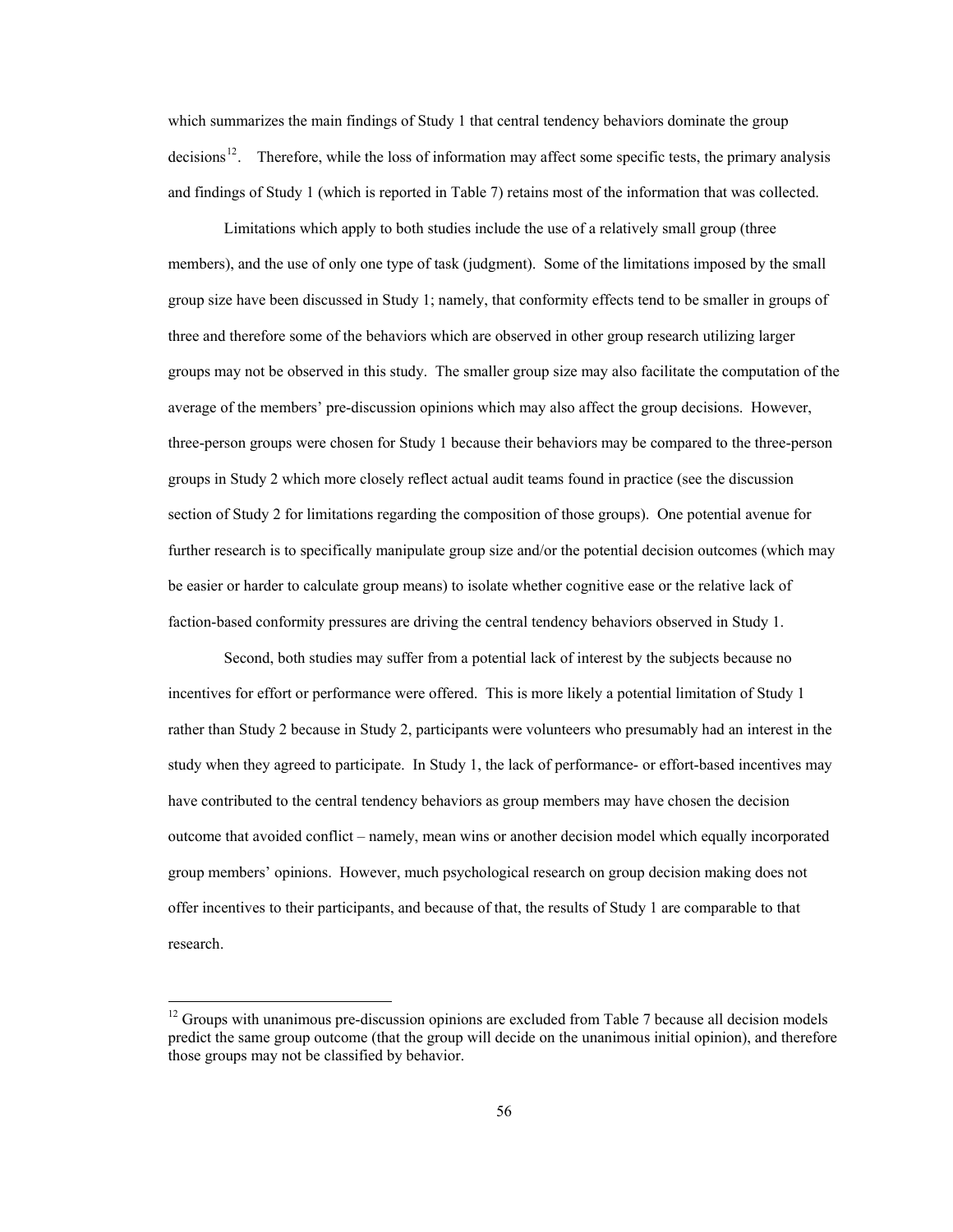<span id="page-62-0"></span>which summarizes the main findings of Study 1 that central tendency behaviors dominate the group decisions<sup>[12](#page-62-0)</sup>. Therefore, while the loss of information may affect some specific tests, the primary analysis and findings of Study 1 (which is reported in Table 7) retains most of the information that was collected.

Limitations which apply to both studies include the use of a relatively small group (three members), and the use of only one type of task (judgment). Some of the limitations imposed by the small group size have been discussed in Study 1; namely, that conformity effects tend to be smaller in groups of three and therefore some of the behaviors which are observed in other group research utilizing larger groups may not be observed in this study. The smaller group size may also facilitate the computation of the average of the members' pre-discussion opinions which may also affect the group decisions. However, three-person groups were chosen for Study 1 because their behaviors may be compared to the three-person groups in Study 2 which more closely reflect actual audit teams found in practice (see the discussion section of Study 2 for limitations regarding the composition of those groups). One potential avenue for further research is to specifically manipulate group size and/or the potential decision outcomes (which may be easier or harder to calculate group means) to isolate whether cognitive ease or the relative lack of faction-based conformity pressures are driving the central tendency behaviors observed in Study 1.

Second, both studies may suffer from a potential lack of interest by the subjects because no incentives for effort or performance were offered. This is more likely a potential limitation of Study 1 rather than Study 2 because in Study 2, participants were volunteers who presumably had an interest in the study when they agreed to participate. In Study 1, the lack of performance- or effort-based incentives may have contributed to the central tendency behaviors as group members may have chosen the decision outcome that avoided conflict – namely, mean wins or another decision model which equally incorporated group members' opinions. However, much psychological research on group decision making does not offer incentives to their participants, and because of that, the results of Study 1 are comparable to that research.

 $\overline{a}$ 

 $12$  Groups with unanimous pre-discussion opinions are excluded from Table 7 because all decision models predict the same group outcome (that the group will decide on the unanimous initial opinion), and therefore those groups may not be classified by behavior.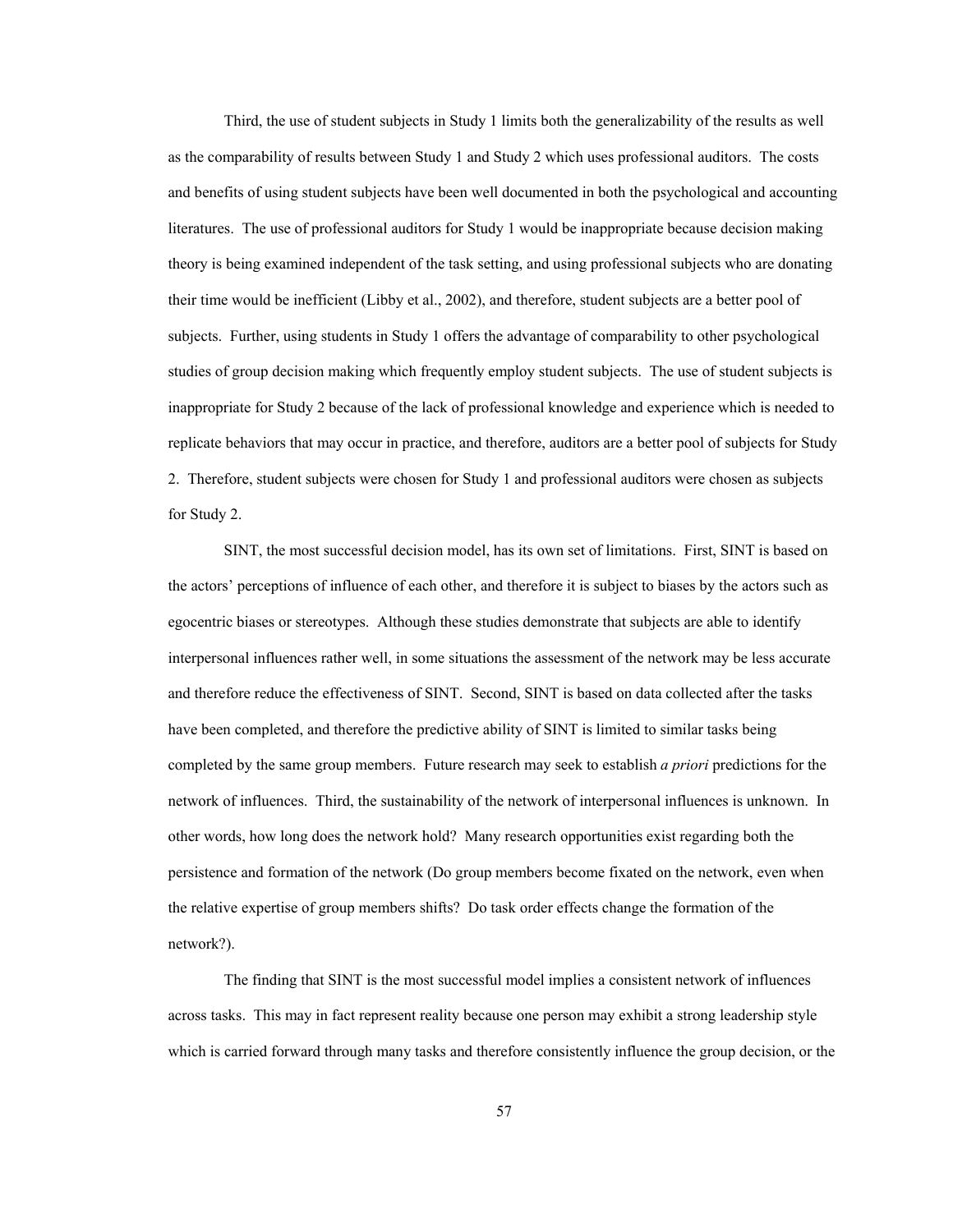Third, the use of student subjects in Study 1 limits both the generalizability of the results as well as the comparability of results between Study 1 and Study 2 which uses professional auditors. The costs and benefits of using student subjects have been well documented in both the psychological and accounting literatures. The use of professional auditors for Study 1 would be inappropriate because decision making theory is being examined independent of the task setting, and using professional subjects who are donating their time would be inefficient (Libby et al., 2002), and therefore, student subjects are a better pool of subjects. Further, using students in Study 1 offers the advantage of comparability to other psychological studies of group decision making which frequently employ student subjects. The use of student subjects is inappropriate for Study 2 because of the lack of professional knowledge and experience which is needed to replicate behaviors that may occur in practice, and therefore, auditors are a better pool of subjects for Study 2. Therefore, student subjects were chosen for Study 1 and professional auditors were chosen as subjects for Study 2.

SINT, the most successful decision model, has its own set of limitations. First, SINT is based on the actors' perceptions of influence of each other, and therefore it is subject to biases by the actors such as egocentric biases or stereotypes. Although these studies demonstrate that subjects are able to identify interpersonal influences rather well, in some situations the assessment of the network may be less accurate and therefore reduce the effectiveness of SINT. Second, SINT is based on data collected after the tasks have been completed, and therefore the predictive ability of SINT is limited to similar tasks being completed by the same group members. Future research may seek to establish *a priori* predictions for the network of influences. Third, the sustainability of the network of interpersonal influences is unknown. In other words, how long does the network hold? Many research opportunities exist regarding both the persistence and formation of the network (Do group members become fixated on the network, even when the relative expertise of group members shifts? Do task order effects change the formation of the network?).

The finding that SINT is the most successful model implies a consistent network of influences across tasks. This may in fact represent reality because one person may exhibit a strong leadership style which is carried forward through many tasks and therefore consistently influence the group decision, or the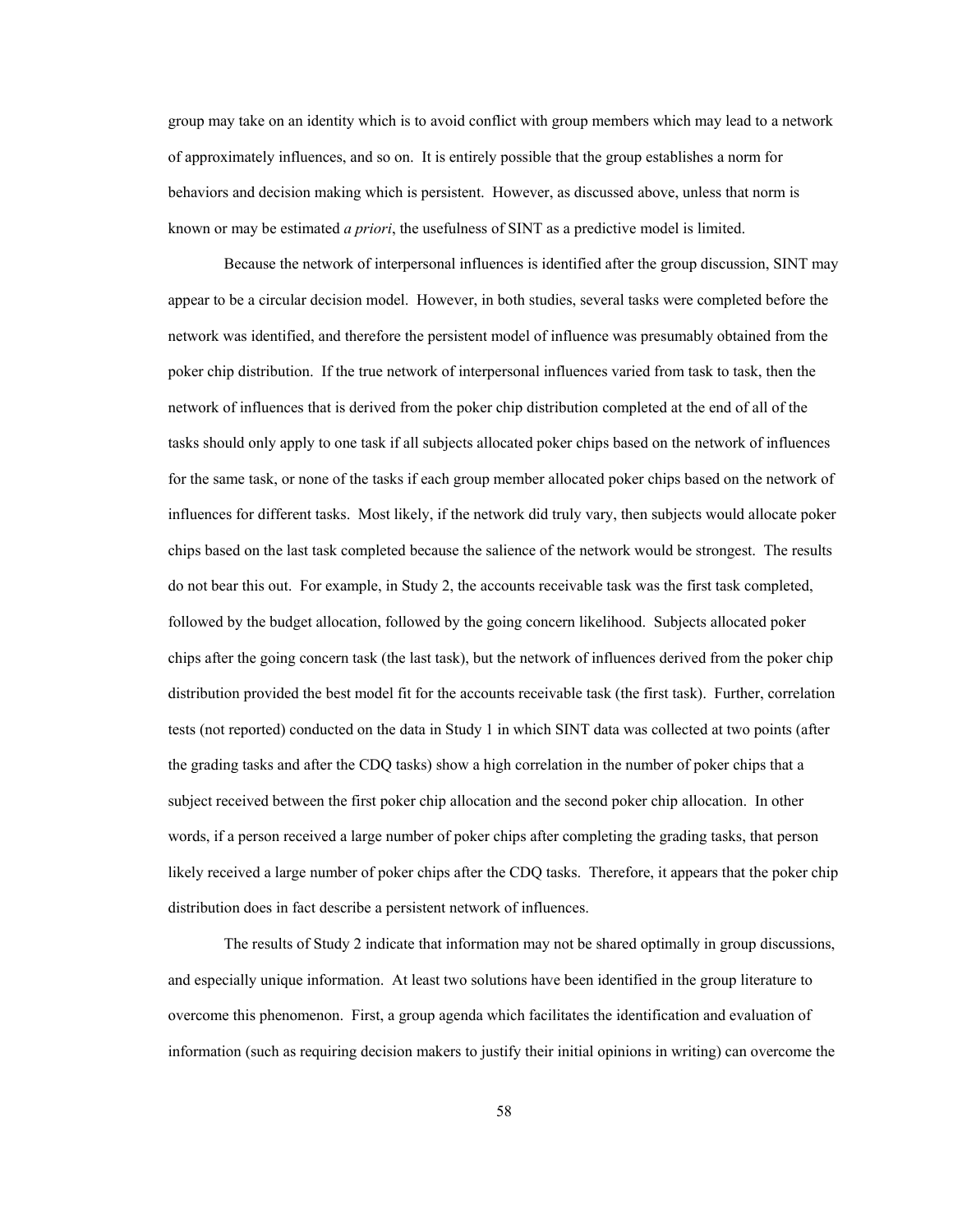group may take on an identity which is to avoid conflict with group members which may lead to a network of approximately influences, and so on. It is entirely possible that the group establishes a norm for behaviors and decision making which is persistent. However, as discussed above, unless that norm is known or may be estimated *a priori*, the usefulness of SINT as a predictive model is limited.

Because the network of interpersonal influences is identified after the group discussion, SINT may appear to be a circular decision model. However, in both studies, several tasks were completed before the network was identified, and therefore the persistent model of influence was presumably obtained from the poker chip distribution. If the true network of interpersonal influences varied from task to task, then the network of influences that is derived from the poker chip distribution completed at the end of all of the tasks should only apply to one task if all subjects allocated poker chips based on the network of influences for the same task, or none of the tasks if each group member allocated poker chips based on the network of influences for different tasks. Most likely, if the network did truly vary, then subjects would allocate poker chips based on the last task completed because the salience of the network would be strongest. The results do not bear this out. For example, in Study 2, the accounts receivable task was the first task completed, followed by the budget allocation, followed by the going concern likelihood. Subjects allocated poker chips after the going concern task (the last task), but the network of influences derived from the poker chip distribution provided the best model fit for the accounts receivable task (the first task). Further, correlation tests (not reported) conducted on the data in Study 1 in which SINT data was collected at two points (after the grading tasks and after the CDQ tasks) show a high correlation in the number of poker chips that a subject received between the first poker chip allocation and the second poker chip allocation. In other words, if a person received a large number of poker chips after completing the grading tasks, that person likely received a large number of poker chips after the CDQ tasks. Therefore, it appears that the poker chip distribution does in fact describe a persistent network of influences.

 The results of Study 2 indicate that information may not be shared optimally in group discussions, and especially unique information. At least two solutions have been identified in the group literature to overcome this phenomenon. First, a group agenda which facilitates the identification and evaluation of information (such as requiring decision makers to justify their initial opinions in writing) can overcome the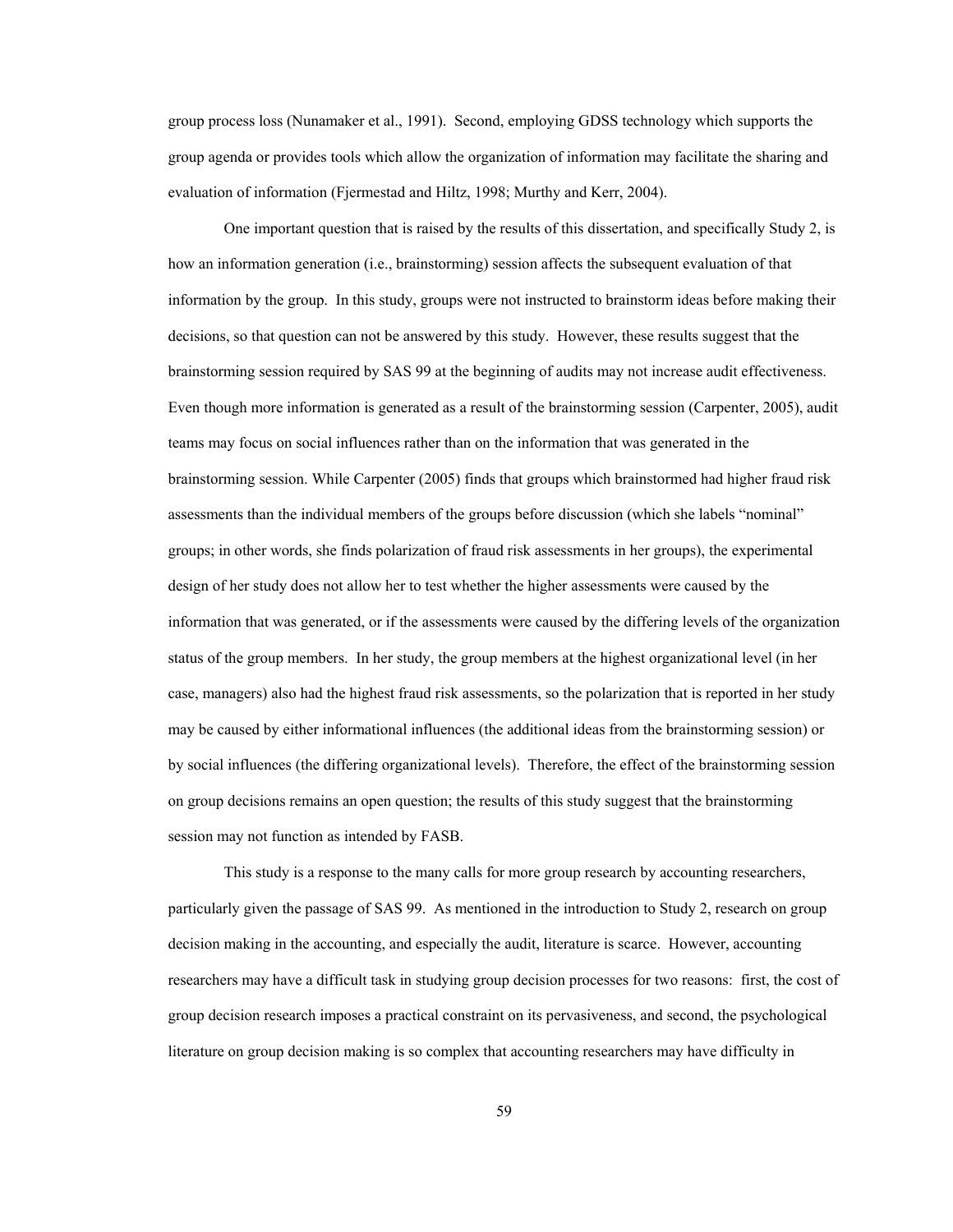group process loss (Nunamaker et al., 1991). Second, employing GDSS technology which supports the group agenda or provides tools which allow the organization of information may facilitate the sharing and evaluation of information (Fjermestad and Hiltz, 1998; Murthy and Kerr, 2004).

One important question that is raised by the results of this dissertation, and specifically Study 2, is how an information generation (i.e., brainstorming) session affects the subsequent evaluation of that information by the group. In this study, groups were not instructed to brainstorm ideas before making their decisions, so that question can not be answered by this study. However, these results suggest that the brainstorming session required by SAS 99 at the beginning of audits may not increase audit effectiveness. Even though more information is generated as a result of the brainstorming session (Carpenter, 2005), audit teams may focus on social influences rather than on the information that was generated in the brainstorming session. While Carpenter (2005) finds that groups which brainstormed had higher fraud risk assessments than the individual members of the groups before discussion (which she labels "nominal" groups; in other words, she finds polarization of fraud risk assessments in her groups), the experimental design of her study does not allow her to test whether the higher assessments were caused by the information that was generated, or if the assessments were caused by the differing levels of the organization status of the group members. In her study, the group members at the highest organizational level (in her case, managers) also had the highest fraud risk assessments, so the polarization that is reported in her study may be caused by either informational influences (the additional ideas from the brainstorming session) or by social influences (the differing organizational levels). Therefore, the effect of the brainstorming session on group decisions remains an open question; the results of this study suggest that the brainstorming session may not function as intended by FASB.

This study is a response to the many calls for more group research by accounting researchers, particularly given the passage of SAS 99. As mentioned in the introduction to Study 2, research on group decision making in the accounting, and especially the audit, literature is scarce. However, accounting researchers may have a difficult task in studying group decision processes for two reasons: first, the cost of group decision research imposes a practical constraint on its pervasiveness, and second, the psychological literature on group decision making is so complex that accounting researchers may have difficulty in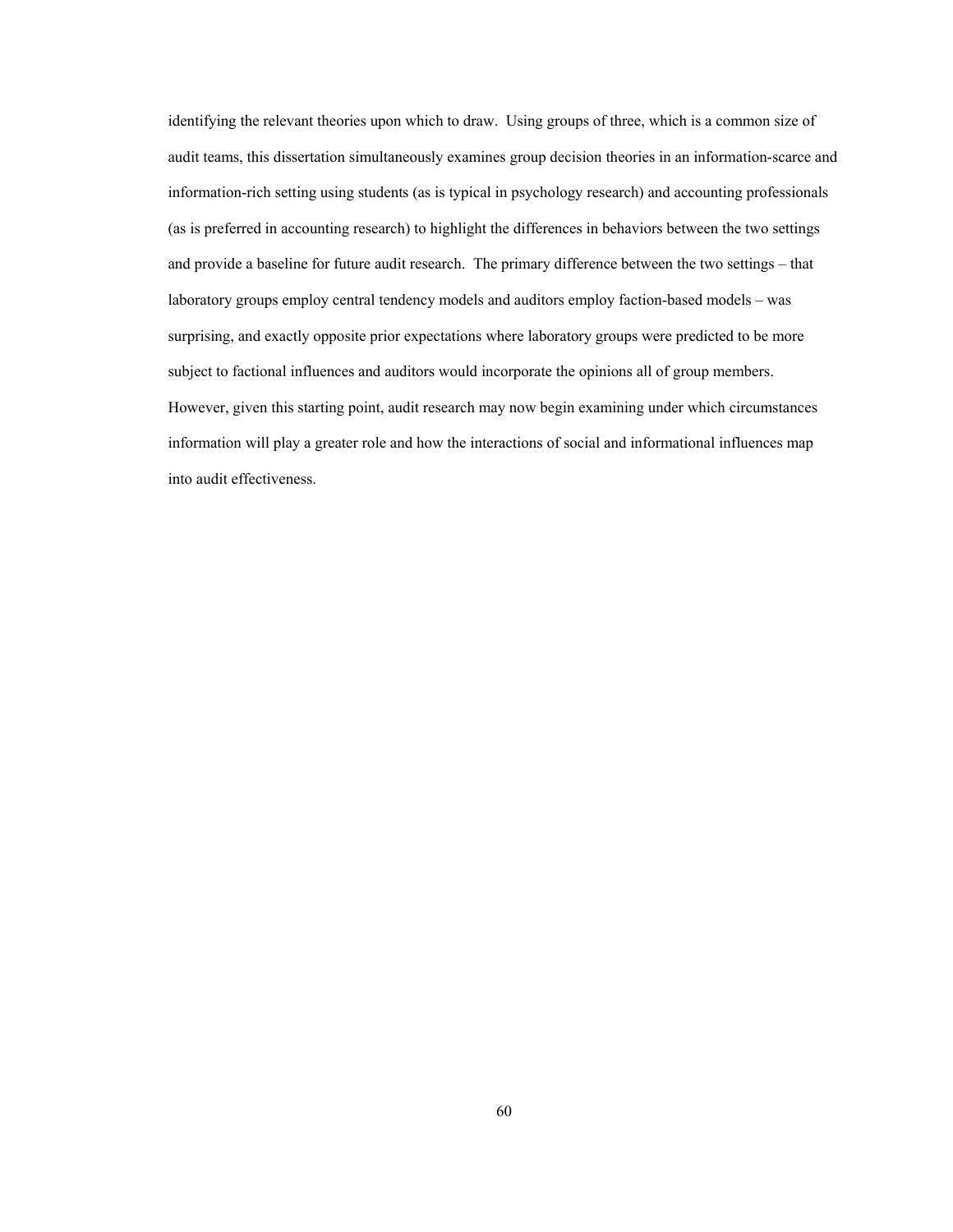identifying the relevant theories upon which to draw. Using groups of three, which is a common size of audit teams, this dissertation simultaneously examines group decision theories in an information-scarce and information-rich setting using students (as is typical in psychology research) and accounting professionals (as is preferred in accounting research) to highlight the differences in behaviors between the two settings and provide a baseline for future audit research. The primary difference between the two settings – that laboratory groups employ central tendency models and auditors employ faction-based models – was surprising, and exactly opposite prior expectations where laboratory groups were predicted to be more subject to factional influences and auditors would incorporate the opinions all of group members. However, given this starting point, audit research may now begin examining under which circumstances information will play a greater role and how the interactions of social and informational influences map into audit effectiveness.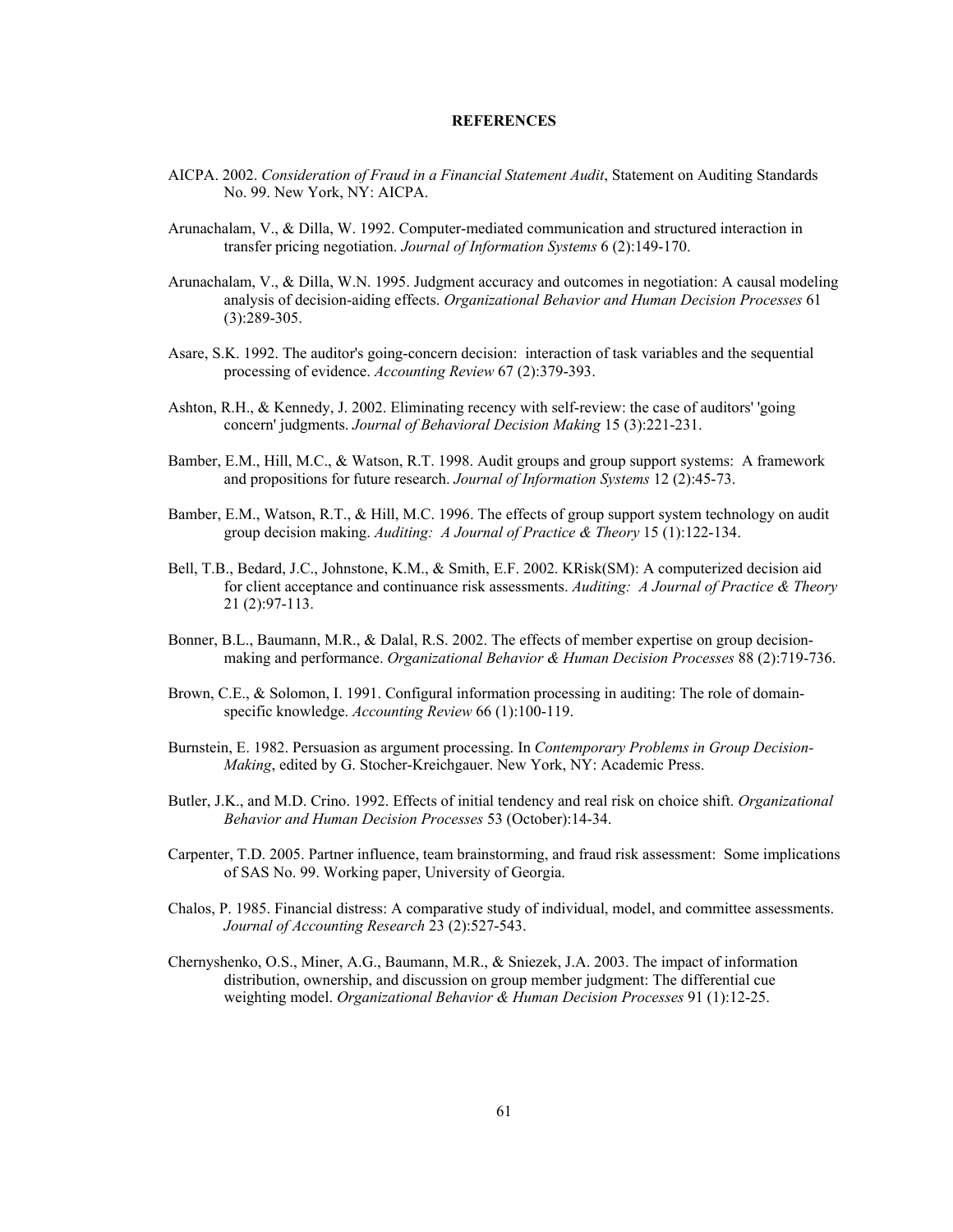# **REFERENCES**

- AICPA. 2002. *Consideration of Fraud in a Financial Statement Audit*, Statement on Auditing Standards No. 99. New York, NY: AICPA.
- Arunachalam, V., & Dilla, W. 1992. Computer-mediated communication and structured interaction in transfer pricing negotiation. *Journal of Information Systems* 6 (2):149-170.
- Arunachalam, V., & Dilla, W.N. 1995. Judgment accuracy and outcomes in negotiation: A causal modeling analysis of decision-aiding effects. *Organizational Behavior and Human Decision Processes* 61 (3):289-305.
- Asare, S.K. 1992. The auditor's going-concern decision: interaction of task variables and the sequential processing of evidence. *Accounting Review* 67 (2):379-393.
- Ashton, R.H., & Kennedy, J. 2002. Eliminating recency with self-review: the case of auditors' 'going concern' judgments. *Journal of Behavioral Decision Making* 15 (3):221-231.
- Bamber, E.M., Hill, M.C., & Watson, R.T. 1998. Audit groups and group support systems: A framework and propositions for future research. *Journal of Information Systems* 12 (2):45-73.
- Bamber, E.M., Watson, R.T., & Hill, M.C. 1996. The effects of group support system technology on audit group decision making. *Auditing: A Journal of Practice & Theory* 15 (1):122-134.
- Bell, T.B., Bedard, J.C., Johnstone, K.M., & Smith, E.F. 2002. KRisk(SM): A computerized decision aid for client acceptance and continuance risk assessments. *Auditing: A Journal of Practice & Theory* 21 (2):97-113.
- Bonner, B.L., Baumann, M.R., & Dalal, R.S. 2002. The effects of member expertise on group decisionmaking and performance. *Organizational Behavior & Human Decision Processes* 88 (2):719-736.
- Brown, C.E., & Solomon, I. 1991. Configural information processing in auditing: The role of domainspecific knowledge. *Accounting Review* 66 (1):100-119.
- Burnstein, E. 1982. Persuasion as argument processing. In *Contemporary Problems in Group Decision-Making*, edited by G. Stocher-Kreichgauer. New York, NY: Academic Press.
- Butler, J.K., and M.D. Crino. 1992. Effects of initial tendency and real risk on choice shift. *Organizational Behavior and Human Decision Processes* 53 (October):14-34.
- Carpenter, T.D. 2005. Partner influence, team brainstorming, and fraud risk assessment: Some implications of SAS No. 99. Working paper, University of Georgia.
- Chalos, P. 1985. Financial distress: A comparative study of individual, model, and committee assessments. *Journal of Accounting Research* 23 (2):527-543.
- Chernyshenko, O.S., Miner, A.G., Baumann, M.R., & Sniezek, J.A. 2003. The impact of information distribution, ownership, and discussion on group member judgment: The differential cue weighting model. *Organizational Behavior & Human Decision Processes* 91 (1):12-25.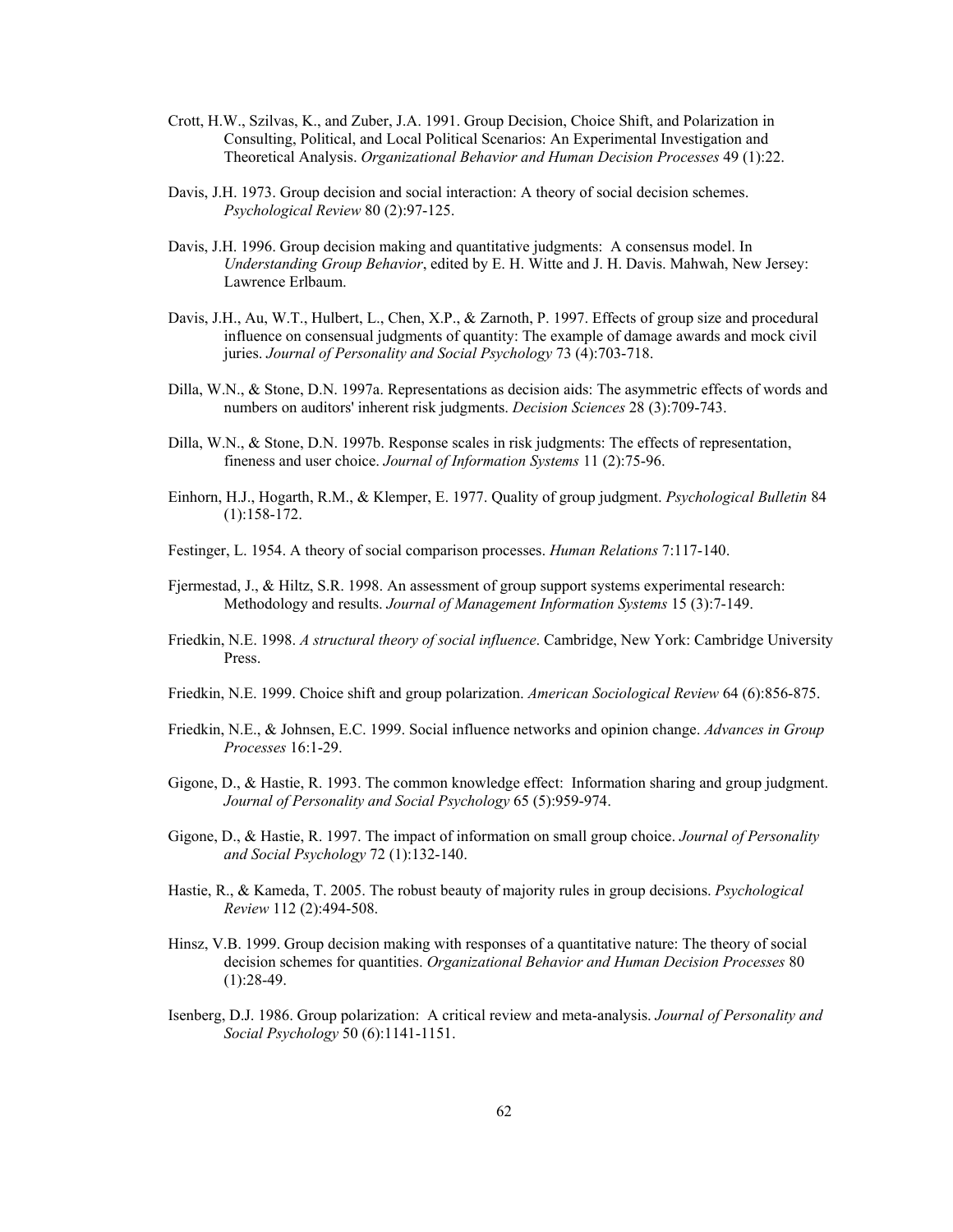- Crott, H.W., Szilvas, K., and Zuber, J.A. 1991. Group Decision, Choice Shift, and Polarization in Consulting, Political, and Local Political Scenarios: An Experimental Investigation and Theoretical Analysis. *Organizational Behavior and Human Decision Processes* 49 (1):22.
- Davis, J.H. 1973. Group decision and social interaction: A theory of social decision schemes. *Psychological Review* 80 (2):97-125.
- Davis, J.H. 1996. Group decision making and quantitative judgments: A consensus model. In *Understanding Group Behavior*, edited by E. H. Witte and J. H. Davis. Mahwah, New Jersey: Lawrence Erlbaum.
- Davis, J.H., Au, W.T., Hulbert, L., Chen, X.P., & Zarnoth, P. 1997. Effects of group size and procedural influence on consensual judgments of quantity: The example of damage awards and mock civil juries. *Journal of Personality and Social Psychology* 73 (4):703-718.
- Dilla, W.N., & Stone, D.N. 1997a. Representations as decision aids: The asymmetric effects of words and numbers on auditors' inherent risk judgments. *Decision Sciences* 28 (3):709-743.
- Dilla, W.N., & Stone, D.N. 1997b. Response scales in risk judgments: The effects of representation, fineness and user choice. *Journal of Information Systems* 11 (2):75-96.
- Einhorn, H.J., Hogarth, R.M., & Klemper, E. 1977. Quality of group judgment. *Psychological Bulletin* 84 (1):158-172.
- Festinger, L. 1954. A theory of social comparison processes. *Human Relations* 7:117-140.
- Fjermestad, J., & Hiltz, S.R. 1998. An assessment of group support systems experimental research: Methodology and results. *Journal of Management Information Systems* 15 (3):7-149.
- Friedkin, N.E. 1998. *A structural theory of social influence*. Cambridge, New York: Cambridge University Press.
- Friedkin, N.E. 1999. Choice shift and group polarization. *American Sociological Review* 64 (6):856-875.
- Friedkin, N.E., & Johnsen, E.C. 1999. Social influence networks and opinion change. *Advances in Group Processes* 16:1-29.
- Gigone, D., & Hastie, R. 1993. The common knowledge effect: Information sharing and group judgment. *Journal of Personality and Social Psychology* 65 (5):959-974.
- Gigone, D., & Hastie, R. 1997. The impact of information on small group choice. *Journal of Personality and Social Psychology* 72 (1):132-140.
- Hastie, R., & Kameda, T. 2005. The robust beauty of majority rules in group decisions. *Psychological Review* 112 (2):494-508.
- Hinsz, V.B. 1999. Group decision making with responses of a quantitative nature: The theory of social decision schemes for quantities. *Organizational Behavior and Human Decision Processes* 80  $(1):28-49.$
- Isenberg, D.J. 1986. Group polarization: A critical review and meta-analysis. *Journal of Personality and Social Psychology* 50 (6):1141-1151.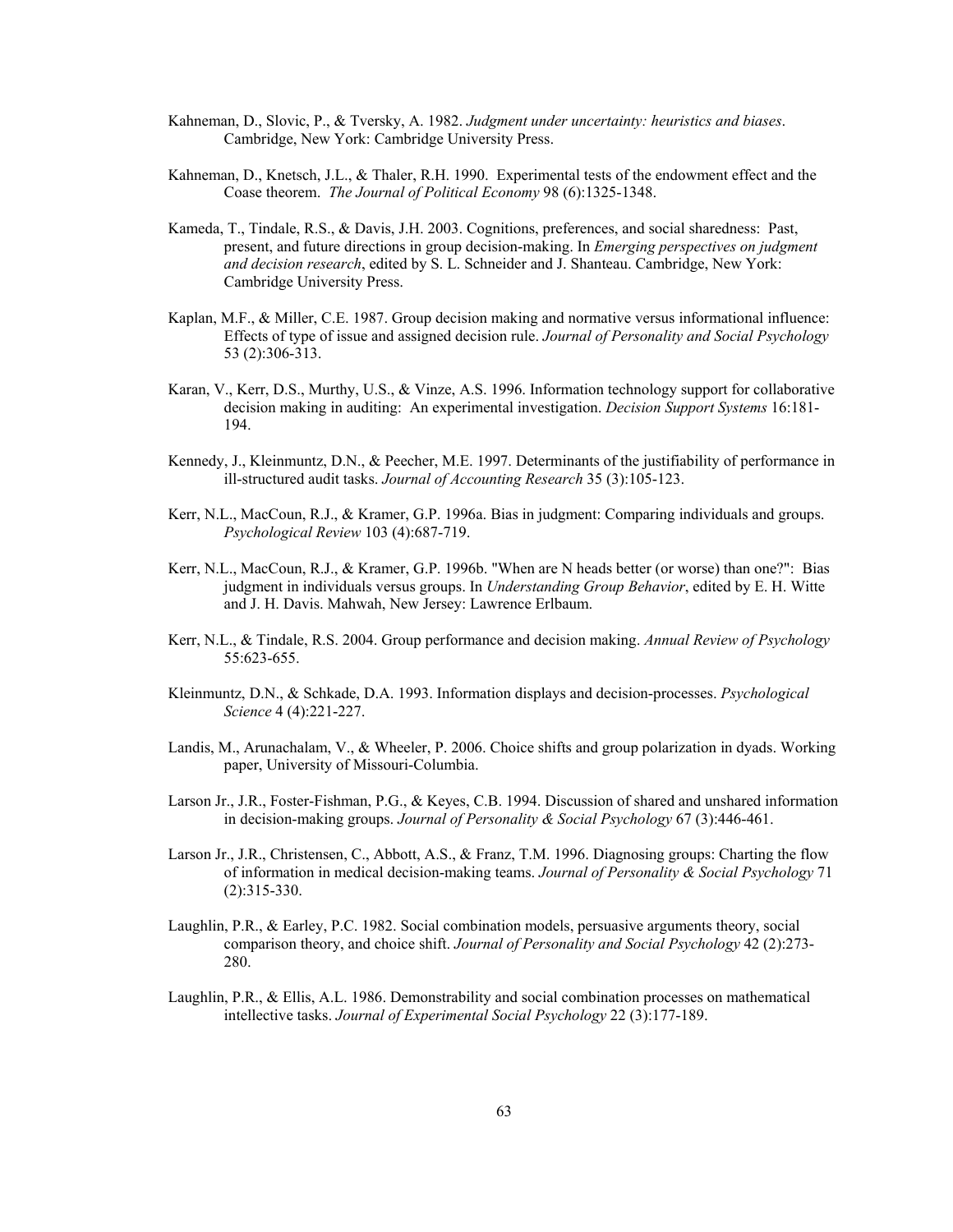- Kahneman, D., Slovic, P., & Tversky, A. 1982. *Judgment under uncertainty: heuristics and biases*. Cambridge, New York: Cambridge University Press.
- Kahneman, D., Knetsch, J.L., & Thaler, R.H. 1990. Experimental tests of the endowment effect and the Coase theorem. *The Journal of Political Economy* 98 (6):1325-1348.
- Kameda, T., Tindale, R.S., & Davis, J.H. 2003. Cognitions, preferences, and social sharedness: Past, present, and future directions in group decision-making. In *Emerging perspectives on judgment and decision research*, edited by S. L. Schneider and J. Shanteau. Cambridge, New York: Cambridge University Press.
- Kaplan, M.F., & Miller, C.E. 1987. Group decision making and normative versus informational influence: Effects of type of issue and assigned decision rule. *Journal of Personality and Social Psychology* 53 (2):306-313.
- Karan, V., Kerr, D.S., Murthy, U.S., & Vinze, A.S. 1996. Information technology support for collaborative decision making in auditing: An experimental investigation. *Decision Support Systems* 16:181- 194.
- Kennedy, J., Kleinmuntz, D.N., & Peecher, M.E. 1997. Determinants of the justifiability of performance in ill-structured audit tasks. *Journal of Accounting Research* 35 (3):105-123.
- Kerr, N.L., MacCoun, R.J., & Kramer, G.P. 1996a. Bias in judgment: Comparing individuals and groups. *Psychological Review* 103 (4):687-719.
- Kerr, N.L., MacCoun, R.J., & Kramer, G.P. 1996b. "When are N heads better (or worse) than one?": Bias judgment in individuals versus groups. In *Understanding Group Behavior*, edited by E. H. Witte and J. H. Davis. Mahwah, New Jersey: Lawrence Erlbaum.
- Kerr, N.L., & Tindale, R.S. 2004. Group performance and decision making. *Annual Review of Psychology* 55:623-655.
- Kleinmuntz, D.N., & Schkade, D.A. 1993. Information displays and decision-processes. *Psychological Science* 4 (4):221-227.
- Landis, M., Arunachalam, V., & Wheeler, P. 2006. Choice shifts and group polarization in dyads. Working paper, University of Missouri-Columbia.
- Larson Jr., J.R., Foster-Fishman, P.G., & Keyes, C.B. 1994. Discussion of shared and unshared information in decision-making groups. *Journal of Personality & Social Psychology* 67 (3):446-461.
- Larson Jr., J.R., Christensen, C., Abbott, A.S., & Franz, T.M. 1996. Diagnosing groups: Charting the flow of information in medical decision-making teams. *Journal of Personality & Social Psychology* 71 (2):315-330.
- Laughlin, P.R., & Earley, P.C. 1982. Social combination models, persuasive arguments theory, social comparison theory, and choice shift. *Journal of Personality and Social Psychology* 42 (2):273- 280.
- Laughlin, P.R., & Ellis, A.L. 1986. Demonstrability and social combination processes on mathematical intellective tasks. *Journal of Experimental Social Psychology* 22 (3):177-189.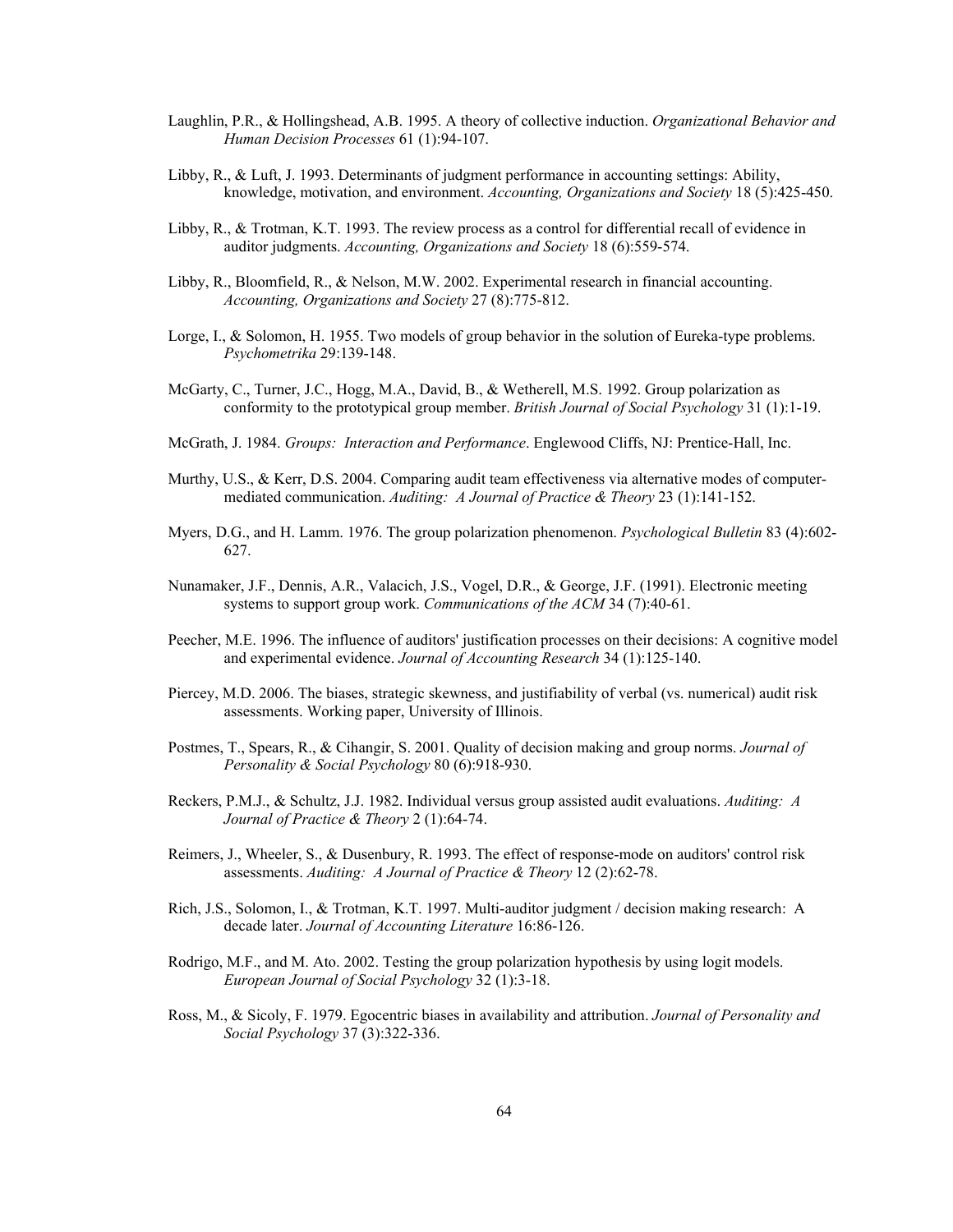- Laughlin, P.R., & Hollingshead, A.B. 1995. A theory of collective induction. *Organizational Behavior and Human Decision Processes* 61 (1):94-107.
- Libby, R., & Luft, J. 1993. Determinants of judgment performance in accounting settings: Ability, knowledge, motivation, and environment. *Accounting, Organizations and Society* 18 (5):425-450.
- Libby, R., & Trotman, K.T. 1993. The review process as a control for differential recall of evidence in auditor judgments. *Accounting, Organizations and Society* 18 (6):559-574.
- Libby, R., Bloomfield, R., & Nelson, M.W. 2002. Experimental research in financial accounting. *Accounting, Organizations and Society* 27 (8):775-812.
- Lorge, I., & Solomon, H. 1955. Two models of group behavior in the solution of Eureka-type problems. *Psychometrika* 29:139-148.
- McGarty, C., Turner, J.C., Hogg, M.A., David, B., & Wetherell, M.S. 1992. Group polarization as conformity to the prototypical group member. *British Journal of Social Psychology* 31 (1):1-19.
- McGrath, J. 1984. *Groups: Interaction and Performance*. Englewood Cliffs, NJ: Prentice-Hall, Inc.
- Murthy, U.S., & Kerr, D.S. 2004. Comparing audit team effectiveness via alternative modes of computermediated communication. *Auditing: A Journal of Practice & Theory* 23 (1):141-152.
- Myers, D.G., and H. Lamm. 1976. The group polarization phenomenon. *Psychological Bulletin* 83 (4):602- 627.
- Nunamaker, J.F., Dennis, A.R., Valacich, J.S., Vogel, D.R., & George, J.F. (1991). Electronic meeting systems to support group work. *Communications of the ACM* 34 (7):40-61.
- Peecher, M.E. 1996. The influence of auditors' justification processes on their decisions: A cognitive model and experimental evidence. *Journal of Accounting Research* 34 (1):125-140.
- Piercey, M.D. 2006. The biases, strategic skewness, and justifiability of verbal (vs. numerical) audit risk assessments. Working paper, University of Illinois.
- Postmes, T., Spears, R., & Cihangir, S. 2001. Quality of decision making and group norms. *Journal of Personality & Social Psychology* 80 (6):918-930.
- Reckers, P.M.J., & Schultz, J.J. 1982. Individual versus group assisted audit evaluations. *Auditing: A Journal of Practice & Theory* 2 (1):64-74.
- Reimers, J., Wheeler, S., & Dusenbury, R. 1993. The effect of response-mode on auditors' control risk assessments. *Auditing: A Journal of Practice & Theory* 12 (2):62-78.
- Rich, J.S., Solomon, I., & Trotman, K.T. 1997. Multi-auditor judgment / decision making research: A decade later. *Journal of Accounting Literature* 16:86-126.
- Rodrigo, M.F., and M. Ato. 2002. Testing the group polarization hypothesis by using logit models. *European Journal of Social Psychology* 32 (1):3-18.
- Ross, M., & Sicoly, F. 1979. Egocentric biases in availability and attribution. *Journal of Personality and Social Psychology* 37 (3):322-336.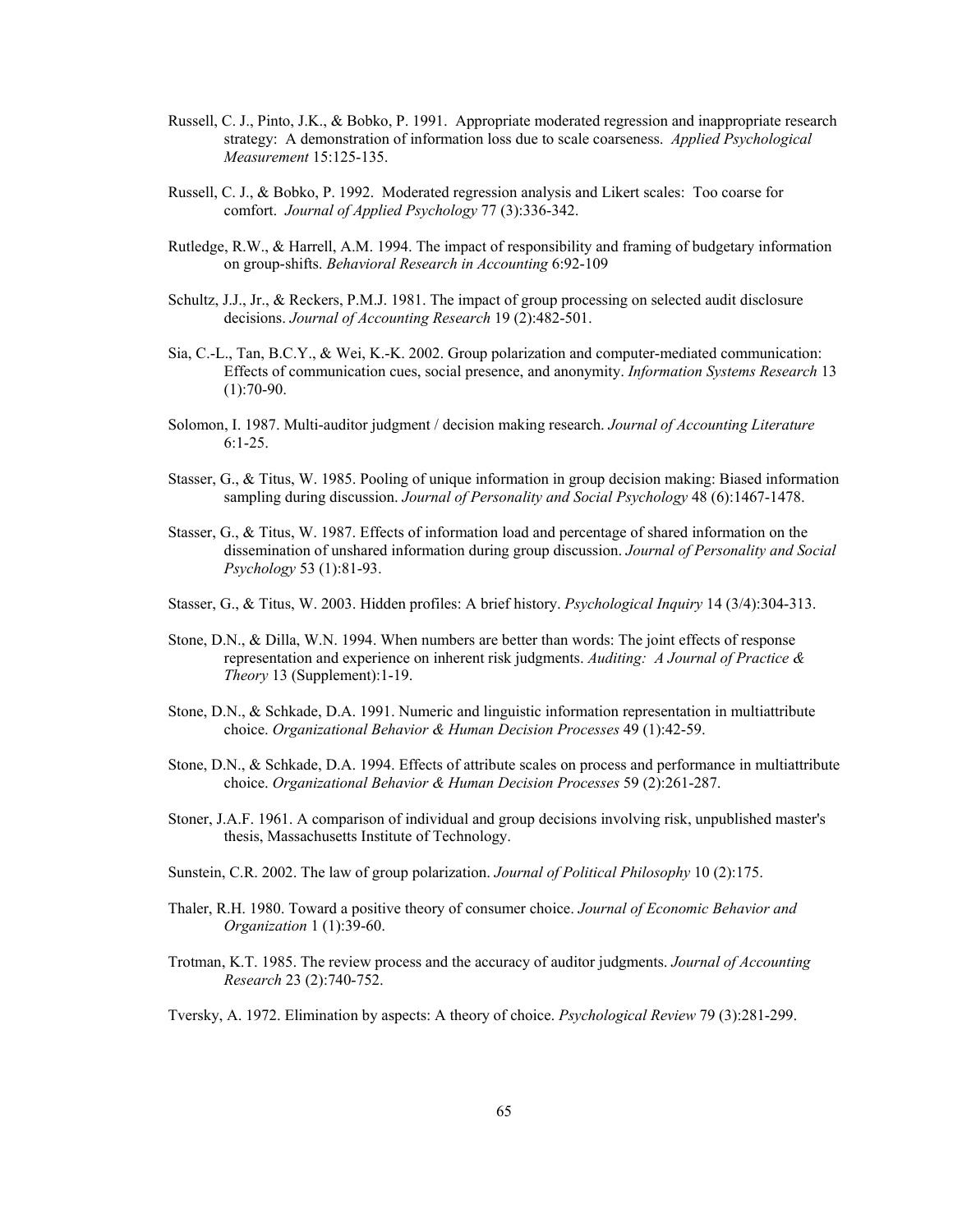- Russell, C. J., Pinto, J.K., & Bobko, P. 1991. Appropriate moderated regression and inappropriate research strategy: A demonstration of information loss due to scale coarseness. *Applied Psychological Measurement* 15:125-135.
- Russell, C. J., & Bobko, P. 1992. Moderated regression analysis and Likert scales: Too coarse for comfort. *Journal of Applied Psychology* 77 (3):336-342.
- Rutledge, R.W., & Harrell, A.M. 1994. The impact of responsibility and framing of budgetary information on group-shifts. *Behavioral Research in Accounting* 6:92-109
- Schultz, J.J., Jr., & Reckers, P.M.J. 1981. The impact of group processing on selected audit disclosure decisions. *Journal of Accounting Research* 19 (2):482-501.
- Sia, C.-L., Tan, B.C.Y., & Wei, K.-K. 2002. Group polarization and computer-mediated communication: Effects of communication cues, social presence, and anonymity. *Information Systems Research* 13  $(1):70-90.$
- Solomon, I. 1987. Multi-auditor judgment / decision making research. *Journal of Accounting Literature*  6:1-25.
- Stasser, G., & Titus, W. 1985. Pooling of unique information in group decision making: Biased information sampling during discussion. *Journal of Personality and Social Psychology* 48 (6):1467-1478.
- Stasser, G., & Titus, W. 1987. Effects of information load and percentage of shared information on the dissemination of unshared information during group discussion. *Journal of Personality and Social Psychology* 53 (1):81-93.
- Stasser, G., & Titus, W. 2003. Hidden profiles: A brief history. *Psychological Inquiry* 14 (3/4):304-313.
- Stone, D.N., & Dilla, W.N. 1994. When numbers are better than words: The joint effects of response representation and experience on inherent risk judgments. *Auditing: A Journal of Practice & Theory* 13 (Supplement):1-19.
- Stone, D.N., & Schkade, D.A. 1991. Numeric and linguistic information representation in multiattribute choice. *Organizational Behavior & Human Decision Processes* 49 (1):42-59.
- Stone, D.N., & Schkade, D.A. 1994. Effects of attribute scales on process and performance in multiattribute choice. *Organizational Behavior & Human Decision Processes* 59 (2):261-287.
- Stoner, J.A.F. 1961. A comparison of individual and group decisions involving risk, unpublished master's thesis, Massachusetts Institute of Technology.
- Sunstein, C.R. 2002. The law of group polarization. *Journal of Political Philosophy* 10 (2):175.
- Thaler, R.H. 1980. Toward a positive theory of consumer choice. *Journal of Economic Behavior and Organization* 1 (1):39-60.
- Trotman, K.T. 1985. The review process and the accuracy of auditor judgments. *Journal of Accounting Research* 23 (2):740-752.
- Tversky, A. 1972. Elimination by aspects: A theory of choice. *Psychological Review* 79 (3):281-299.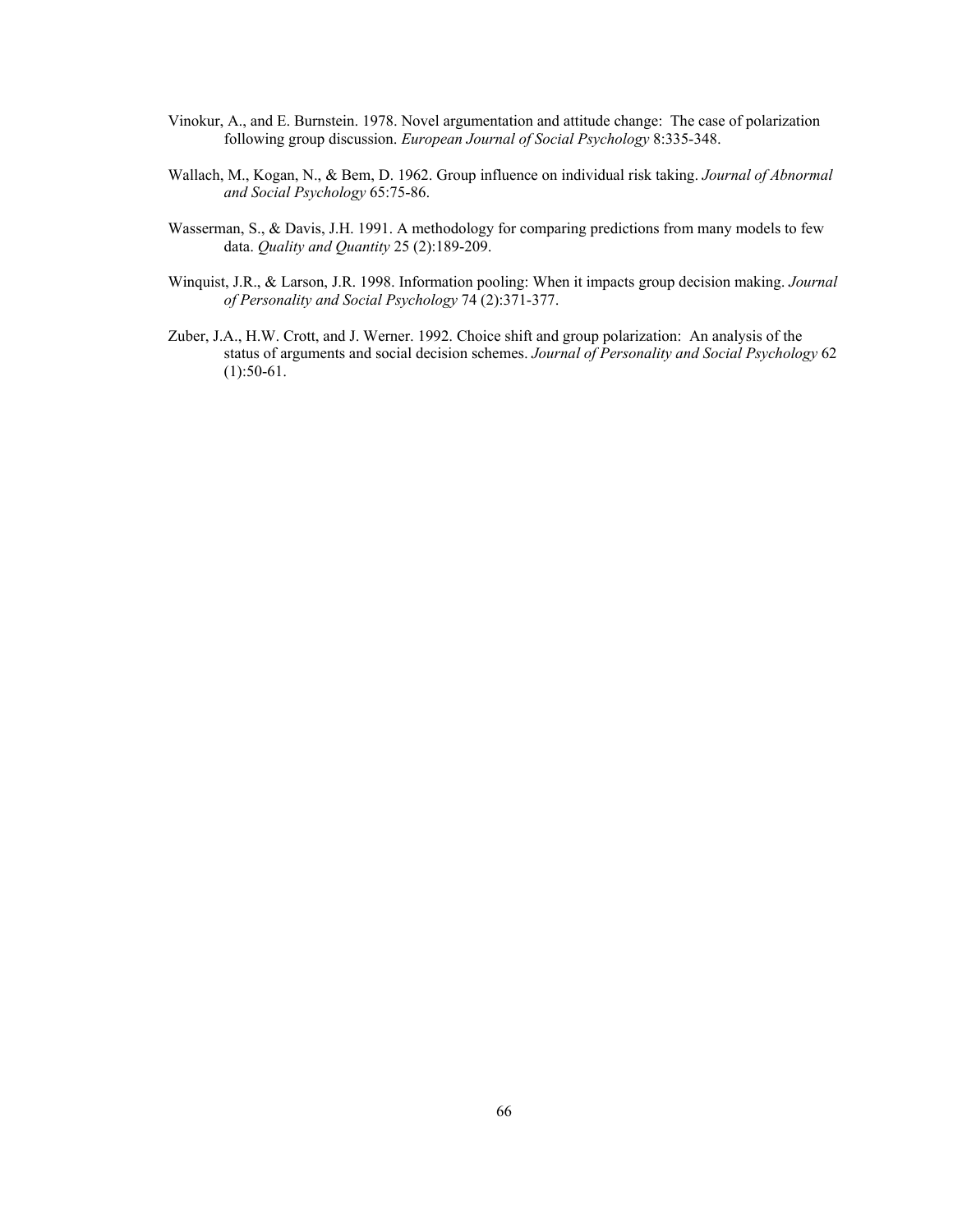- Vinokur, A., and E. Burnstein. 1978. Novel argumentation and attitude change: The case of polarization following group discussion. *European Journal of Social Psychology* 8:335-348.
- Wallach, M., Kogan, N., & Bem, D. 1962. Group influence on individual risk taking. *Journal of Abnormal and Social Psychology* 65:75-86.
- Wasserman, S., & Davis, J.H. 1991. A methodology for comparing predictions from many models to few data. *Quality and Quantity* 25 (2):189-209.
- Winquist, J.R., & Larson, J.R. 1998. Information pooling: When it impacts group decision making. *Journal of Personality and Social Psychology* 74 (2):371-377.
- Zuber, J.A., H.W. Crott, and J. Werner. 1992. Choice shift and group polarization: An analysis of the status of arguments and social decision schemes. *Journal of Personality and Social Psychology* 62  $(1):50-61.$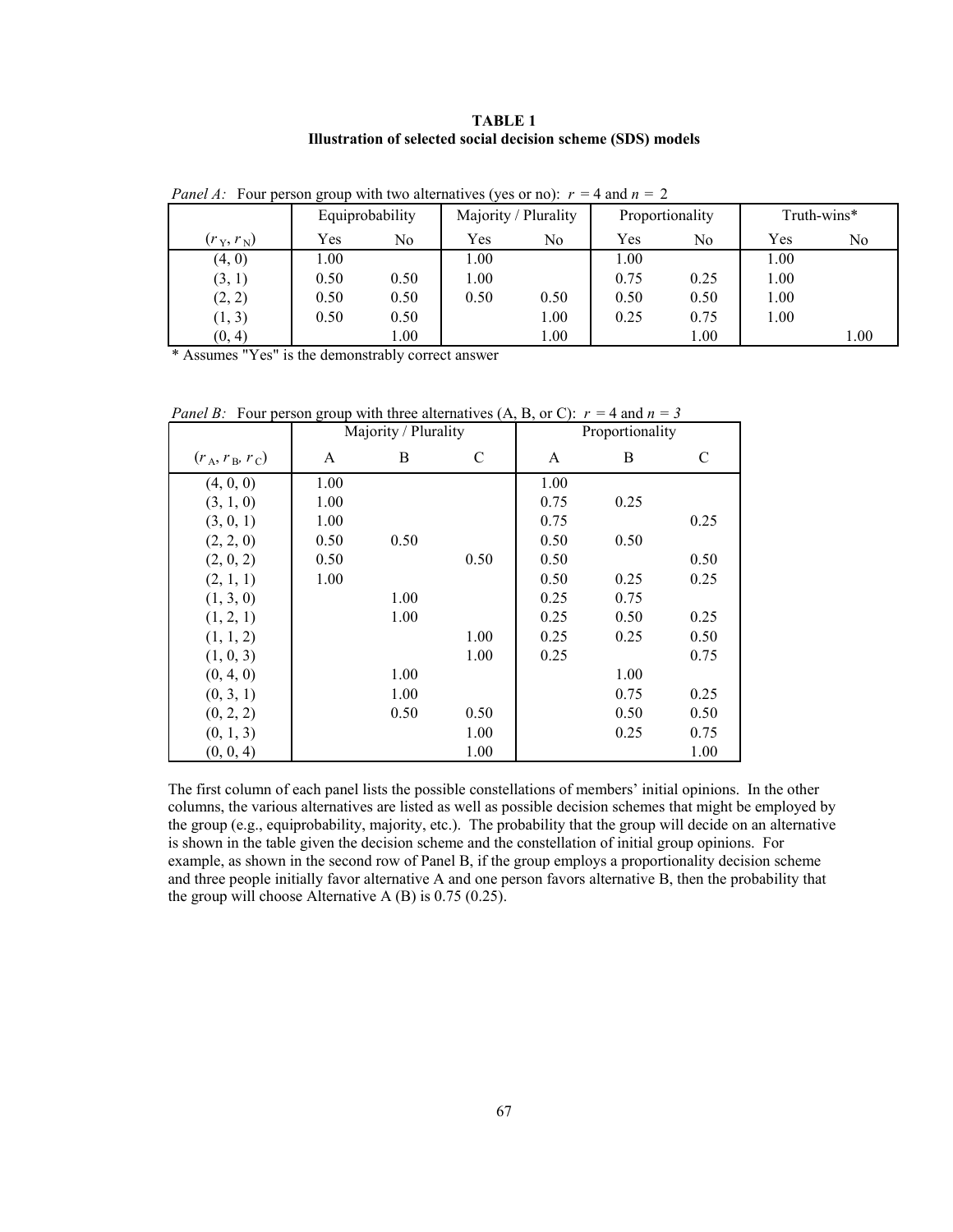**TABLE 1 Illustration of selected social decision scheme (SDS) models** 

|                         |      | Equiprobability | Majority / Plurality |      |          | Proportionality | Truth-wins* |                |
|-------------------------|------|-----------------|----------------------|------|----------|-----------------|-------------|----------------|
| $(r_{\rm Y},r_{\rm N})$ | Yes  | No              | Yes                  | No   | Yes      | No              | Yes         | N <sub>0</sub> |
| (4, 0)                  | 1.00 |                 | 1.00                 |      | $1.00\,$ |                 | 1.00        |                |
| (3, 1)                  | 0.50 | 0.50            | 1.00                 |      | 0.75     | 0.25            | 1.00        |                |
| (2, 2)                  | 0.50 | 0.50            | 0.50                 | 0.50 | 0.50     | 0.50            | 1.00        |                |
| (1, 3)                  | 0.50 | 0.50            |                      | 1.00 | 0.25     | 0.75            | 1.00        |                |
| (0, 4)                  |      | 1.00            |                      | 1.00 |          | 1.00            |             | 1.00           |

*Panel A:* Four person group with two alternatives (yes or no):  $r = 4$  and  $n = 2$ 

\* Assumes "Yes" is the demonstrably correct answer

*Panel B:* Four person group with three alternatives  $(A, B, or C)$ :  $r = 4$  and  $n = 3$ 

|                   |      | Majority / Plurality |      |      | Proportionality |               |  |  |  |
|-------------------|------|----------------------|------|------|-----------------|---------------|--|--|--|
| $(r_A, r_B, r_C)$ | A    | B                    | C    | A    | B               | $\mathcal{C}$ |  |  |  |
| (4, 0, 0)         | 1.00 |                      |      | 1.00 |                 |               |  |  |  |
| (3, 1, 0)         | 1.00 |                      |      | 0.75 | 0.25            |               |  |  |  |
| (3, 0, 1)         | 1.00 |                      |      | 0.75 |                 | 0.25          |  |  |  |
| (2, 2, 0)         | 0.50 | 0.50                 |      | 0.50 | 0.50            |               |  |  |  |
| (2, 0, 2)         | 0.50 |                      | 0.50 | 0.50 |                 | 0.50          |  |  |  |
| (2, 1, 1)         | 1.00 |                      |      | 0.50 | 0.25            | 0.25          |  |  |  |
| (1, 3, 0)         |      | 1.00                 |      | 0.25 | 0.75            |               |  |  |  |
| (1, 2, 1)         |      | 1.00                 |      | 0.25 | 0.50            | 0.25          |  |  |  |
| (1, 1, 2)         |      |                      | 1.00 | 0.25 | 0.25            | 0.50          |  |  |  |
| (1, 0, 3)         |      |                      | 1.00 | 0.25 |                 | 0.75          |  |  |  |
| (0, 4, 0)         |      | 1.00                 |      |      | 1.00            |               |  |  |  |
| (0, 3, 1)         |      | 1.00                 |      |      | 0.75            | 0.25          |  |  |  |
| (0, 2, 2)         |      | 0.50                 | 0.50 |      | 0.50            | 0.50          |  |  |  |
| (0, 1, 3)         |      |                      | 1.00 |      | 0.25            | 0.75          |  |  |  |
| (0, 0, 4)         |      |                      | 1.00 |      |                 | 1.00          |  |  |  |

The first column of each panel lists the possible constellations of members' initial opinions. In the other columns, the various alternatives are listed as well as possible decision schemes that might be employed by the group (e.g., equiprobability, majority, etc.). The probability that the group will decide on an alternative is shown in the table given the decision scheme and the constellation of initial group opinions. For example, as shown in the second row of Panel B, if the group employs a proportionality decision scheme and three people initially favor alternative A and one person favors alternative B, then the probability that the group will choose Alternative A (B) is 0.75 (0.25).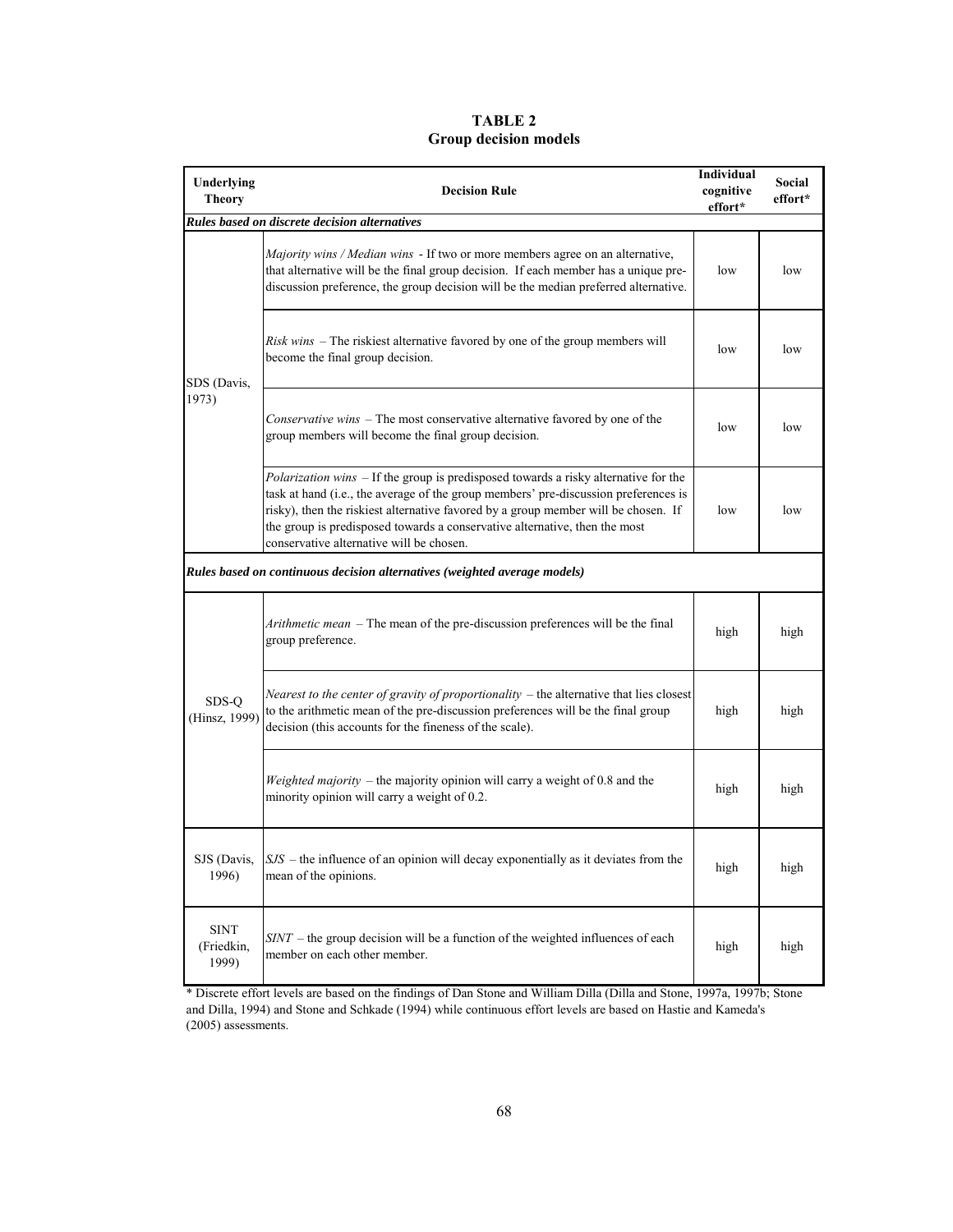### **TABLE 2 Group decision models**

| Underlying                         |                                                                                                                                                                                                                                                                                                                                                                                                   | Individual           | Social  |
|------------------------------------|---------------------------------------------------------------------------------------------------------------------------------------------------------------------------------------------------------------------------------------------------------------------------------------------------------------------------------------------------------------------------------------------------|----------------------|---------|
| <b>Theory</b>                      | <b>Decision Rule</b>                                                                                                                                                                                                                                                                                                                                                                              | cognitive<br>effort* | effort* |
|                                    | Rules based on discrete decision alternatives                                                                                                                                                                                                                                                                                                                                                     |                      |         |
|                                    | <i>Majority wins / Median wins</i> - If two or more members agree on an alternative,<br>that alternative will be the final group decision. If each member has a unique pre-<br>discussion preference, the group decision will be the median preferred alternative.                                                                                                                                | low                  | low     |
| SDS (Davis,                        | Risk wins – The riskiest alternative favored by one of the group members will<br>become the final group decision.                                                                                                                                                                                                                                                                                 | low                  | low     |
| 1973)                              | Conservative wins - The most conservative alternative favored by one of the<br>group members will become the final group decision.                                                                                                                                                                                                                                                                | low                  | low     |
|                                    | <i>Polarization wins</i> – If the group is predisposed towards a risky alternative for the<br>task at hand (i.e., the average of the group members' pre-discussion preferences is<br>risky), then the riskiest alternative favored by a group member will be chosen. If<br>the group is predisposed towards a conservative alternative, then the most<br>conservative alternative will be chosen. | low                  | low     |
|                                    | Rules based on continuous decision alternatives (weighted average models)                                                                                                                                                                                                                                                                                                                         |                      |         |
|                                    | <i>Arithmetic mean</i> – The mean of the pre-discussion preferences will be the final<br>group preference.                                                                                                                                                                                                                                                                                        | high                 | high    |
| SDS-Q<br>(Hinsz, 1999)             | Nearest to the center of gravity of proportionality $-$ the alternative that lies closest<br>to the arithmetic mean of the pre-discussion preferences will be the final group<br>decision (this accounts for the fineness of the scale).                                                                                                                                                          | high                 | high    |
|                                    | Weighted majority – the majority opinion will carry a weight of 0.8 and the<br>minority opinion will carry a weight of 0.2.                                                                                                                                                                                                                                                                       | high                 | high    |
| SJS (Davis,<br>1996)               | $ SJS -$ the influence of an opinion will decay exponentially as it deviates from the<br>mean of the opinions.                                                                                                                                                                                                                                                                                    | high                 | high    |
| <b>SINT</b><br>(Friedkin,<br>1999) | $SINT$ – the group decision will be a function of the weighted influences of each<br>member on each other member.                                                                                                                                                                                                                                                                                 | high                 | high    |

\* Discrete effort levels are based on the findings of Dan Stone and William Dilla (Dilla and Stone, 1997a, 1997b; Stone and Dilla, 1994) and Stone and Schkade (1994) while continuous effort levels are based on Hastie and Kameda's (2005) assessments.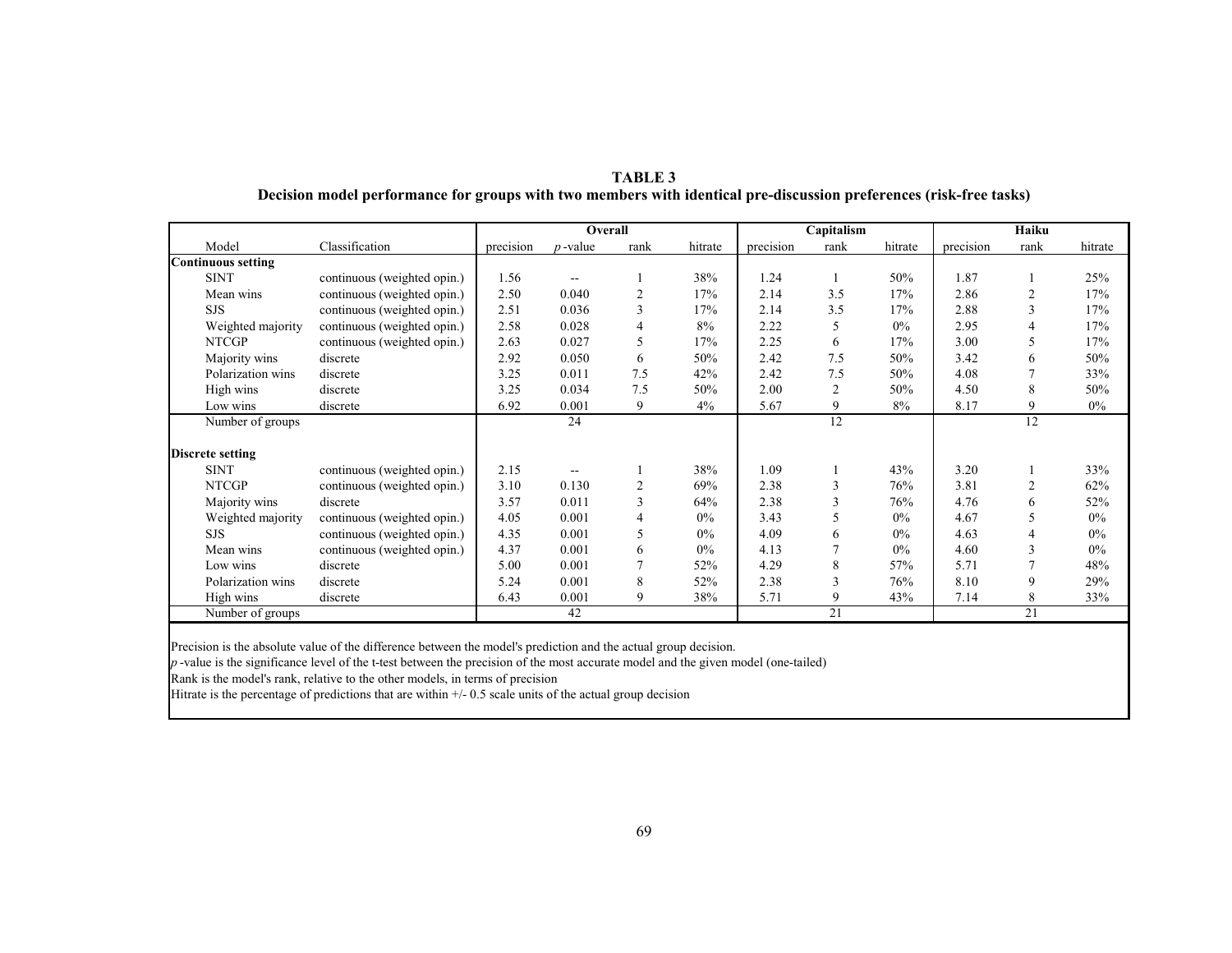|                           |                             |           | Overall    |                |         | Capitalism |      |         | <b>Haiku</b> |                |         |
|---------------------------|-----------------------------|-----------|------------|----------------|---------|------------|------|---------|--------------|----------------|---------|
| Model                     | Classification              | precision | $p$ -value | rank           | hitrate | precision  | rank | hitrate | precision    | rank           | hitrate |
| <b>Continuous setting</b> |                             |           |            |                |         |            |      |         |              |                |         |
| <b>SINT</b>               | continuous (weighted opin.) | 1.56      |            |                | 38%     | 1.24       |      | 50%     | 1.87         |                | 25%     |
| Mean wins                 | continuous (weighted opin.) | 2.50      | 0.040      | $\overline{c}$ | 17%     | 2.14       | 3.5  | 17%     | 2.86         | $\overline{2}$ | 17%     |
| <b>SJS</b>                | continuous (weighted opin.) | 2.51      | 0.036      | 3              | 17%     | 2.14       | 3.5  | 17%     | 2.88         | 3              | 17%     |
| Weighted majority         | continuous (weighted opin.) | 2.58      | 0.028      | 4              | 8%      | 2.22       | 5    | $0\%$   | 2.95         | 4              | 17%     |
| <b>NTCGP</b>              | continuous (weighted opin.) | 2.63      | 0.027      | 5              | 17%     | 2.25       | 6    | 17%     | 3.00         | 5              | 17%     |
| Majority wins             | discrete                    | 2.92      | 0.050      | 6              | 50%     | 2.42       | 7.5  | 50%     | 3.42         | 6              | 50%     |
| Polarization wins         | discrete                    | 3.25      | 0.011      | 7.5            | 42%     | 2.42       | 7.5  | 50%     | 4.08         | $\overline{7}$ | 33%     |
| High wins                 | discrete                    | 3.25      | 0.034      | 7.5            | 50%     | 2.00       | 2    | 50%     | 4.50         | 8              | 50%     |
| Low wins                  | discrete                    | 6.92      | 0.001      | 9              | 4%      | 5.67       | 9    | 8%      | 8.17         | 9              | $0\%$   |
| Number of groups          |                             |           | 24         |                |         |            | 12   |         |              | 12             |         |
|                           |                             |           |            |                |         |            |      |         |              |                |         |
| <b>Discrete setting</b>   |                             |           |            |                |         |            |      |         |              |                |         |
| <b>SINT</b>               | continuous (weighted opin.) | 2.15      |            |                | 38%     | 1.09       |      | 43%     | 3.20         |                | 33%     |
| <b>NTCGP</b>              | continuous (weighted opin.) | 3.10      | 0.130      | $\overline{2}$ | 69%     | 2.38       | 3    | 76%     | 3.81         | $\overline{2}$ | 62%     |
| Majority wins             | discrete                    | 3.57      | 0.011      | 3              | 64%     | 2.38       | 3    | 76%     | 4.76         | 6              | 52%     |
| Weighted majority         | continuous (weighted opin.) | 4.05      | 0.001      | 4              | $0\%$   | 3.43       | 5    | $0\%$   | 4.67         | 5              | $0\%$   |
| <b>SJS</b>                | continuous (weighted opin.) | 4.35      | 0.001      | 5              | 0%      | 4.09       | 6    | $0\%$   | 4.63         | $\overline{4}$ | $0\%$   |
| Mean wins                 | continuous (weighted opin.) | 4.37      | 0.001      | 6              | 0%      | 4.13       | 7    | $0\%$   | 4.60         | 3              | $0\%$   |
| Low wins                  | discrete                    | 5.00      | 0.001      | 7              | 52%     | 4.29       | 8    | 57%     | 5.71         |                | 48%     |
| Polarization wins         | discrete                    | 5.24      | 0.001      | 8              | 52%     | 2.38       | 3    | 76%     | 8.10         | 9              | 29%     |
| High wins                 | discrete                    | 6.43      | 0.001      | 9              | 38%     | 5.71       | 9    | 43%     | 7.14         | 8              | 33%     |
| Number of groups          |                             |           | 42         |                |         |            | 21   |         |              | 21             |         |

**TABLE 3 Decision model performance for groups with two members with identical pre-discussion preferences (risk-free tasks)** 

Precision is the absolute value of the difference between the model's prediction and the actual group decision.

*p* -value is the significance level of the t-test between the precision of the most accurate model and the given model (one-tailed)

Rank is the model's rank, relative to the other models, in terms of precision

Hitrate is the percentage of predictions that are within  $+/$  0.5 scale units of the actual group decision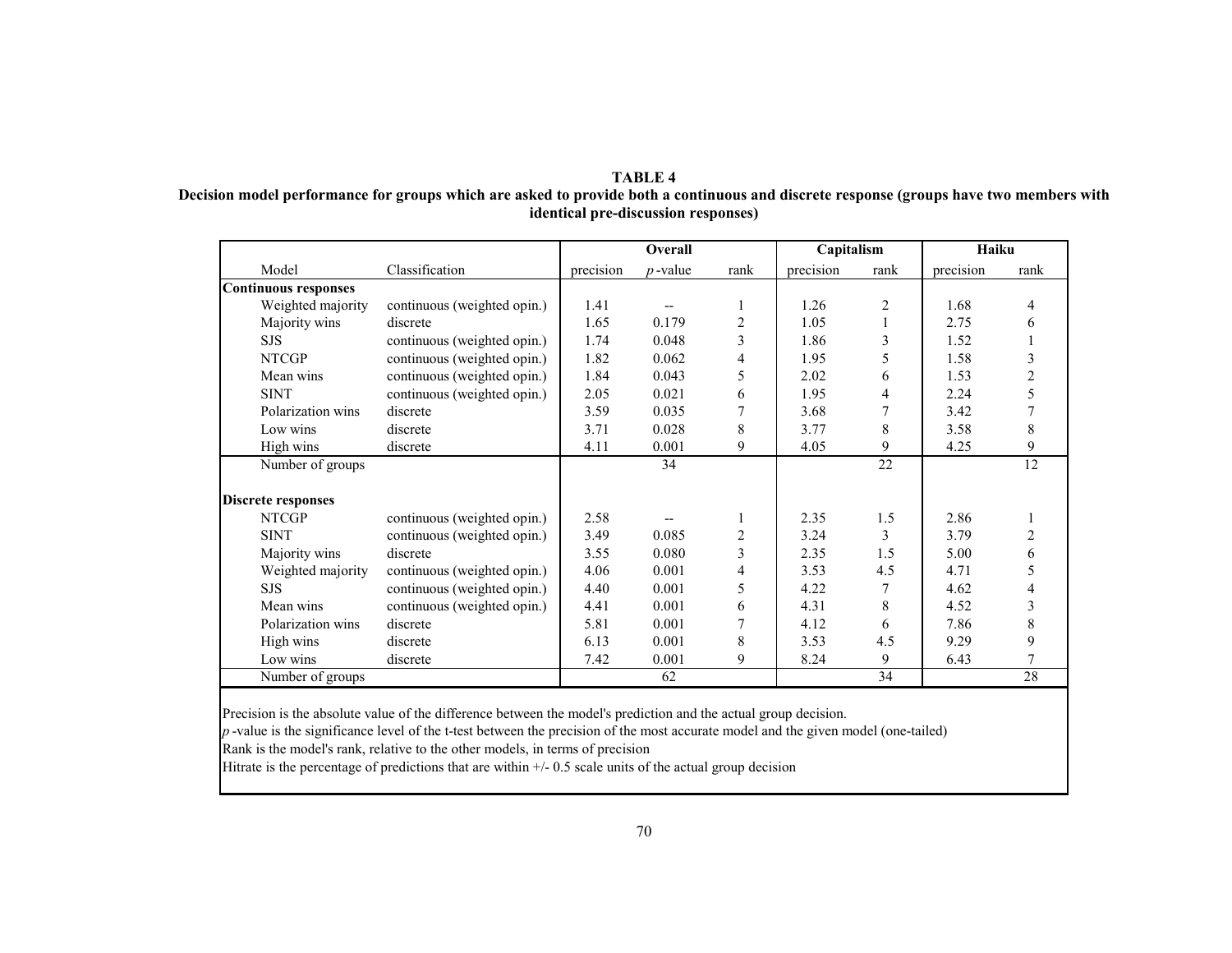#### **TABLE 4 Decision model performance for groups which are asked to provide both a continuous and discrete response (groups have two members with identical pre-discussion responses)**

|                             |                             |           | Overall    |                | Capitalism |      | Haiku     |                |
|-----------------------------|-----------------------------|-----------|------------|----------------|------------|------|-----------|----------------|
| Model                       | Classification              | precision | $p$ -value | rank           | precision  | rank | precision | rank           |
| <b>Continuous responses</b> |                             |           |            |                |            |      |           |                |
| Weighted majority           | continuous (weighted opin.) | 1.41      |            |                | 1.26       | 2    | 1.68      | $\overline{4}$ |
| Majority wins               | discrete                    | 1.65      | 0.179      | $\overline{2}$ | 1.05       |      | 2.75      | 6              |
| <b>SJS</b>                  | continuous (weighted opin.) | 1.74      | 0.048      | 3              | 1.86       | 3    | 1.52      |                |
| <b>NTCGP</b>                | continuous (weighted opin.) | 1.82      | 0.062      | 4              | 1.95       | 5    | 1.58      | 3              |
| Mean wins                   | continuous (weighted opin.) | 1.84      | 0.043      | 5              | 2.02       | 6    | 1.53      | $\overline{2}$ |
| <b>SINT</b>                 | continuous (weighted opin.) | 2.05      | 0.021      | 6              | 1.95       | 4    | 2.24      | 5              |
| Polarization wins           | discrete                    | 3.59      | 0.035      | 7              | 3.68       |      | 3.42      |                |
| Low wins                    | discrete                    | 3.71      | 0.028      | 8              | 3.77       | 8    | 3.58      | 8              |
| High wins                   | discrete                    | 4.11      | 0.001      | 9              | 4.05       | 9    | 4.25      | 9              |
| Number of groups            |                             |           | 34         |                |            | 22   |           | 12             |
|                             |                             |           |            |                |            |      |           |                |
| <b>Discrete responses</b>   |                             |           |            |                |            |      |           |                |
| <b>NTCGP</b>                | continuous (weighted opin.) | 2.58      |            |                | 2.35       | 1.5  | 2.86      |                |
| <b>SINT</b>                 | continuous (weighted opin.) | 3.49      | 0.085      | 2              | 3.24       | 3    | 3.79      | 2              |
| Majority wins               | discrete                    | 3.55      | 0.080      | 3              | 2.35       | 1.5  | 5.00      | 6              |
| Weighted majority           | continuous (weighted opin.) | 4.06      | 0.001      | 4              | 3.53       | 4.5  | 4.71      | 5              |
| <b>SJS</b>                  | continuous (weighted opin.) | 4.40      | 0.001      | 5              | 4.22       |      | 4.62      | 4              |
| Mean wins                   | continuous (weighted opin.) | 4.41      | 0.001      | 6              | 4.31       | 8    | 4.52      | 3              |
| Polarization wins           | discrete                    | 5.81      | 0.001      | 7              | 4.12       | 6    | 7.86      | 8              |
| High wins                   | discrete                    | 6.13      | 0.001      | 8              | 3.53       | 4.5  | 9.29      | 9              |
| Low wins                    | discrete                    | 7.42      | 0.001      | 9              | 8.24       | 9    | 6.43      | 7              |
| Number of groups            |                             |           | 62         |                |            | 34   |           | 28             |

Precision is the absolute value of the difference between the model's prediction and the actual group decision.

*p* -value is the significance level of the t-test between the precision of the most accurate model and the given model (one-tailed)

Rank is the model's rank, relative to the other models, in terms of precision

Hitrate is the percentage of predictions that are within  $+/$ - 0.5 scale units of the actual group decision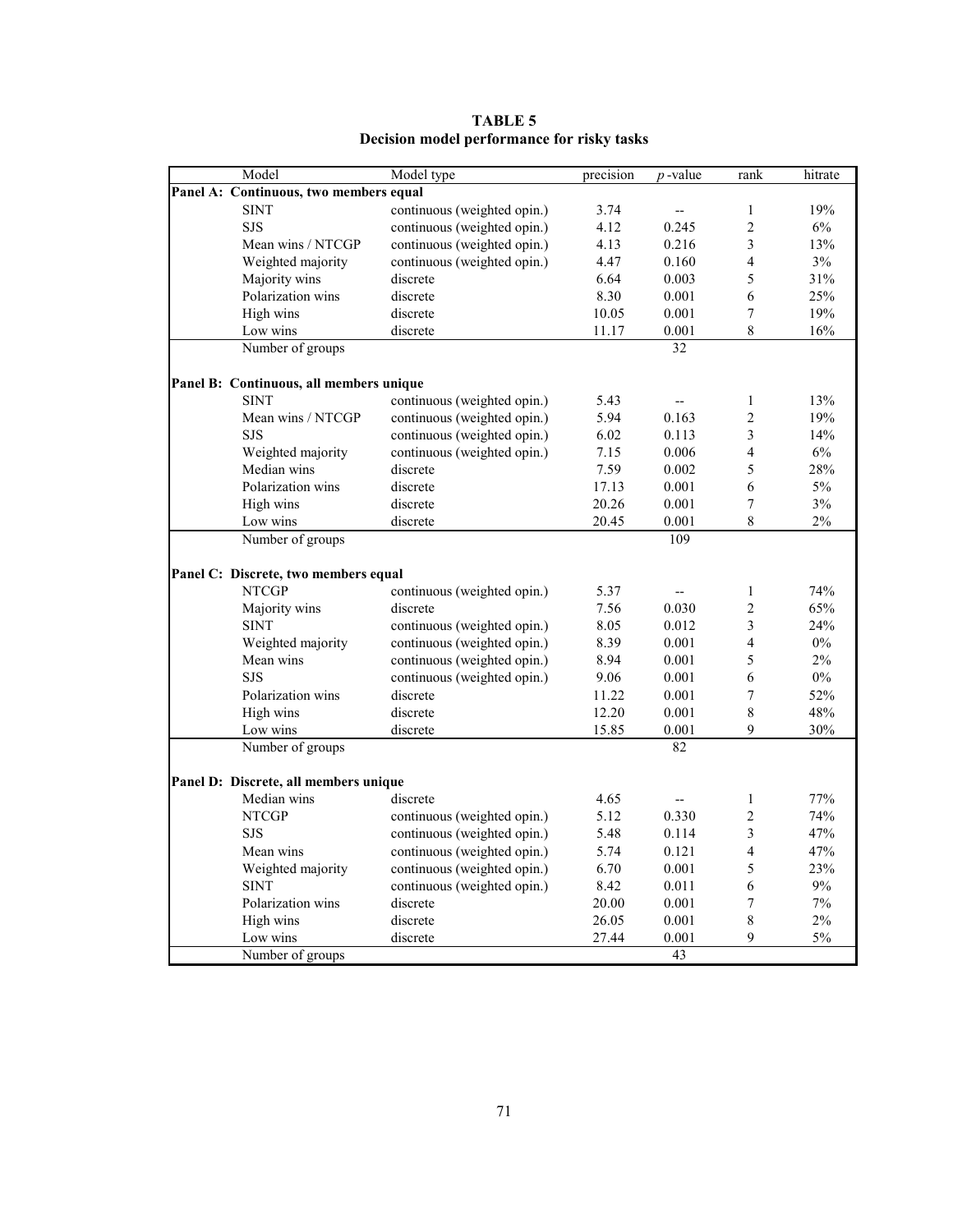| Model                                   | Model type                  | precision | $p$ -value | rank           | hitrate |
|-----------------------------------------|-----------------------------|-----------|------------|----------------|---------|
| Panel A: Continuous, two members equal  |                             |           |            |                |         |
| <b>SINT</b>                             | continuous (weighted opin.) | 3.74      | --         | 1              | 19%     |
| <b>SJS</b>                              | continuous (weighted opin.) | 4.12      | 0.245      | $\overline{c}$ | 6%      |
| Mean wins / NTCGP                       | continuous (weighted opin.) | 4.13      | 0.216      | 3              | 13%     |
| Weighted majority                       | continuous (weighted opin.) | 4.47      | 0.160      | $\overline{4}$ | 3%      |
| Majority wins                           | discrete                    | 6.64      | 0.003      | 5              | 31%     |
| Polarization wins                       | discrete                    | 8.30      | 0.001      | 6              | 25%     |
| High wins                               | discrete                    | 10.05     | 0.001      | 7              | 19%     |
| Low wins                                | discrete                    | 11.17     | 0.001      | 8              | 16%     |
| Number of groups                        |                             |           | 32         |                |         |
| Panel B: Continuous, all members unique |                             |           |            |                |         |
| <b>SINT</b>                             | continuous (weighted opin.) | 5.43      | --         | $\mathbf{1}$   | 13%     |
| Mean wins / NTCGP                       | continuous (weighted opin.) | 5.94      | 0.163      | $\overline{2}$ | 19%     |
| <b>SJS</b>                              | continuous (weighted opin.) | 6.02      | 0.113      | 3              | 14%     |
| Weighted majority                       | continuous (weighted opin.) | 7.15      | 0.006      | $\overline{4}$ | 6%      |
| Median wins                             | discrete                    | 7.59      | 0.002      | 5              | 28%     |
| Polarization wins                       | discrete                    | 17.13     | 0.001      | 6              | $5\%$   |
|                                         |                             |           |            |                |         |
| High wins                               | discrete                    | 20.26     | 0.001      | $\overline{7}$ | 3%      |
| Low wins                                | discrete                    | 20.45     | 0.001      | 8              | 2%      |
| Number of groups                        |                             |           | 109        |                |         |
| Panel C: Discrete, two members equal    |                             |           |            |                |         |
| <b>NTCGP</b>                            | continuous (weighted opin.) | 5.37      | --         | $\mathbf{1}$   | 74%     |
| Majority wins                           | discrete                    | 7.56      | 0.030      | $\overline{c}$ | 65%     |
| <b>SINT</b>                             | continuous (weighted opin.) | 8.05      | 0.012      | 3              | 24%     |
| Weighted majority                       | continuous (weighted opin.) | 8.39      | 0.001      | 4              | $0\%$   |
| Mean wins                               | continuous (weighted opin.) | 8.94      | 0.001      | 5              | 2%      |
| <b>SJS</b>                              | continuous (weighted opin.) | 9.06      | 0.001      | 6              | $0\%$   |
| Polarization wins                       | discrete                    | 11.22     | 0.001      | 7              | 52%     |
| High wins                               | discrete                    | 12.20     | 0.001      | 8              | 48%     |
| Low wins                                | discrete                    | 15.85     | 0.001      | 9              | 30%     |
| Number of groups                        |                             |           | 82         |                |         |
|                                         |                             |           |            |                |         |
| Panel D: Discrete, all members unique   |                             |           |            |                |         |
| Median wins                             | discrete                    | 4.65      |            | $\mathbf{1}$   | 77%     |
| <b>NTCGP</b>                            | continuous (weighted opin.) | 5.12      | 0.330      | $\overline{c}$ | 74%     |
| <b>SJS</b>                              | continuous (weighted opin.) | 5.48      | 0.114      | 3              | 47%     |
| Mean wins                               | continuous (weighted opin.) | 5.74      | 0.121      | $\overline{4}$ | 47%     |
| Weighted majority                       | continuous (weighted opin.) | 6.70      | 0.001      | 5              | 23%     |
| <b>SINT</b>                             | continuous (weighted opin.) | 8.42      | 0.011      | 6              | 9%      |
| Polarization wins                       | discrete                    | 20.00     | 0.001      | 7              | 7%      |
| High wins                               | discrete                    | 26.05     | 0.001      | 8              | $2\%$   |
| Low wins                                | discrete                    | 27.44     | 0.001      | 9              | 5%      |
| Number of groups                        |                             |           | 43         |                |         |

**TABLE 5 Decision model performance for risky tasks**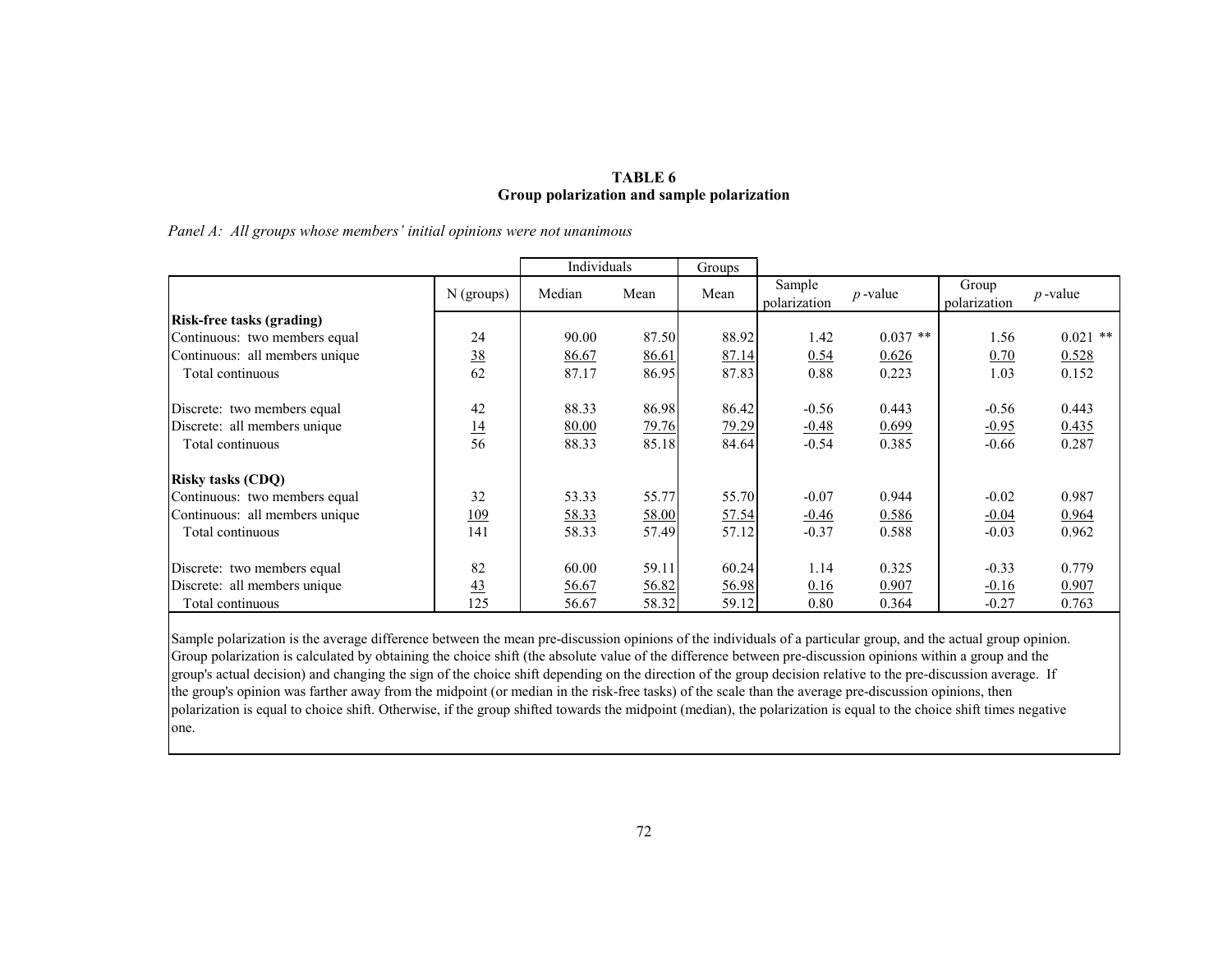### **TABLE 6 Group polarization and sample polarization**

|  | Panel A: All groups whose members' initial opinions were not unanimous |
|--|------------------------------------------------------------------------|
|  |                                                                        |

|                                  |                 | Individuals |       | Groups |                        |            |                       |            |
|----------------------------------|-----------------|-------------|-------|--------|------------------------|------------|-----------------------|------------|
|                                  | $N$ (groups)    | Median      | Mean  | Mean   | Sample<br>polarization | $p$ -value | Group<br>polarization | $p$ -value |
| <b>Risk-free tasks (grading)</b> |                 |             |       |        |                        |            |                       |            |
| Continuous: two members equal    | 24              | 90.00       | 87.50 | 88.92  | 1.42                   | $0.037$ ** | 1.56                  | $0.021$ ** |
| Continuous: all members unique   | <u>38</u>       | 86.67       | 86.61 | 87.14  | 0.54                   | 0.626      | 0.70                  | 0.528      |
| Total continuous                 | 62              | 87.17       | 86.95 | 87.83  | 0.88                   | 0.223      | 1.03                  | 0.152      |
| Discrete: two members equal      | 42              | 88.33       | 86.98 | 86.42  | $-0.56$                | 0.443      | $-0.56$               | 0.443      |
| Discrete: all members unique     |                 | 80.00       | 79.76 | 79.29  | $-0.48$                | 0.699      | $-0.95$               | 0.435      |
| Total continuous                 | $\frac{14}{56}$ | 88.33       | 85.18 | 84.64  | $-0.54$                | 0.385      | $-0.66$               | 0.287      |
| <b>Risky tasks (CDQ)</b>         |                 |             |       |        |                        |            |                       |            |
| Continuous: two members equal    | 32              | 53.33       | 55.77 | 55.70  | $-0.07$                | 0.944      | $-0.02$               | 0.987      |
| Continuous: all members unique   | <u>109</u>      | 58.33       | 58.00 | 57.54  | $-0.46$                | 0.586      | $-0.04$               | 0.964      |
| Total continuous                 | 141             | 58.33       | 57.49 | 57.12  | $-0.37$                | 0.588      | $-0.03$               | 0.962      |
| Discrete: two members equal      | 82              | 60.00       | 59.11 | 60.24  | 1.14                   | 0.325      | $-0.33$               | 0.779      |
| Discrete: all members unique     | 43              | 56.67       | 56.82 | 56.98  | 0.16                   | 0.907      | $-0.16$               | 0.907      |
| Total continuous                 | 125             | 56.67       | 58.32 | 59.12  | 0.80                   | 0.364      | $-0.27$               | 0.763      |

Sample polarization is the average difference between the mean pre-discussion opinions of the individuals of a particular group, and the actual group opinion. Group polarization is calculated by obtaining the choice shift (the absolute value of the difference between pre-discussion opinions within a group and the group's actual decision) and changing the sign of the choice shift depending on the direction of the group decision relative to the pre-discussion average. If the group's opinion was farther away from the midpoint (or median in the risk-free tasks) of the scale than the average pre-discussion opinions, then polarization is equal to choice shift. Otherwise, if the group shifted towards the midpoint (median), the polarization is equal to the choice shift times negative one.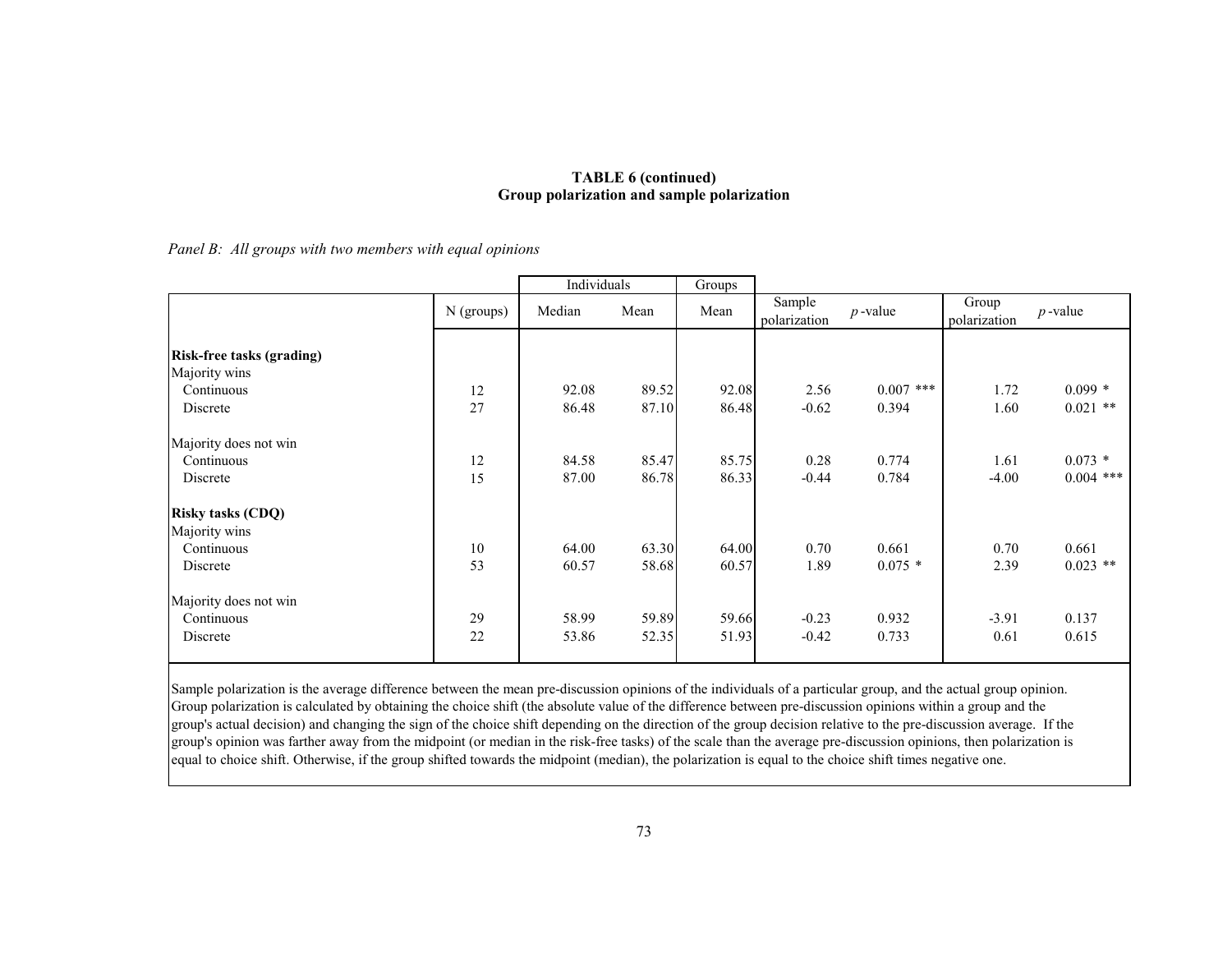### **TABLE 6 (continued) Group polarization and sample polarization**

*Panel B: All groups with two members with equal opinions* 

|                                                                             |              | Individuals    |                | Groups         |                        |                      |                       |                          |
|-----------------------------------------------------------------------------|--------------|----------------|----------------|----------------|------------------------|----------------------|-----------------------|--------------------------|
|                                                                             | $N$ (groups) | Median         | Mean           | Mean           | Sample<br>polarization | $p$ -value           | Group<br>polarization | $p$ -value               |
| <b>Risk-free tasks (grading)</b><br>Majority wins<br>Continuous<br>Discrete | 12<br>27     | 92.08<br>86.48 | 89.52<br>87.10 | 92.08<br>86.48 | 2.56<br>$-0.62$        | $0.007$ ***<br>0.394 | 1.72<br>1.60          | $0.099*$<br>$0.021$ **   |
| Majority does not win<br>Continuous<br>Discrete                             | 12<br>15     | 84.58<br>87.00 | 85.47<br>86.78 | 85.75<br>86.33 | 0.28<br>$-0.44$        | 0.774<br>0.784       | 1.61<br>$-4.00$       | $0.073 *$<br>$0.004$ *** |
| <b>Risky tasks (CDQ)</b><br>Majority wins<br>Continuous<br>Discrete         | 10<br>53     | 64.00<br>60.57 | 63.30<br>58.68 | 64.00<br>60.57 | 0.70<br>1.89           | 0.661<br>$0.075*$    | 0.70<br>2.39          | 0.661<br>$0.023$ **      |
| Majority does not win<br>Continuous<br>Discrete                             | 29<br>22     | 58.99<br>53.86 | 59.89<br>52.35 | 59.66<br>51.93 | $-0.23$<br>$-0.42$     | 0.932<br>0.733       | $-3.91$<br>0.61       | 0.137<br>0.615           |

Sample polarization is the average difference between the mean pre-discussion opinions of the individuals of a particular group, and the actual group opinion. Group polarization is calculated by obtaining the choice shift (the absolute value of the difference between pre-discussion opinions within a group and the group's actual decision) and changing the sign of the choice shift depending on the direction of the group decision relative to the pre-discussion average. If the group's opinion was farther away from the midpoint (or median in the risk-free tasks) of the scale than the average pre-discussion opinions, then polarization is equal to choice shift. Otherwise, if the group shifted towards the midpoint (median), the polarization is equal to the choice shift times negative one.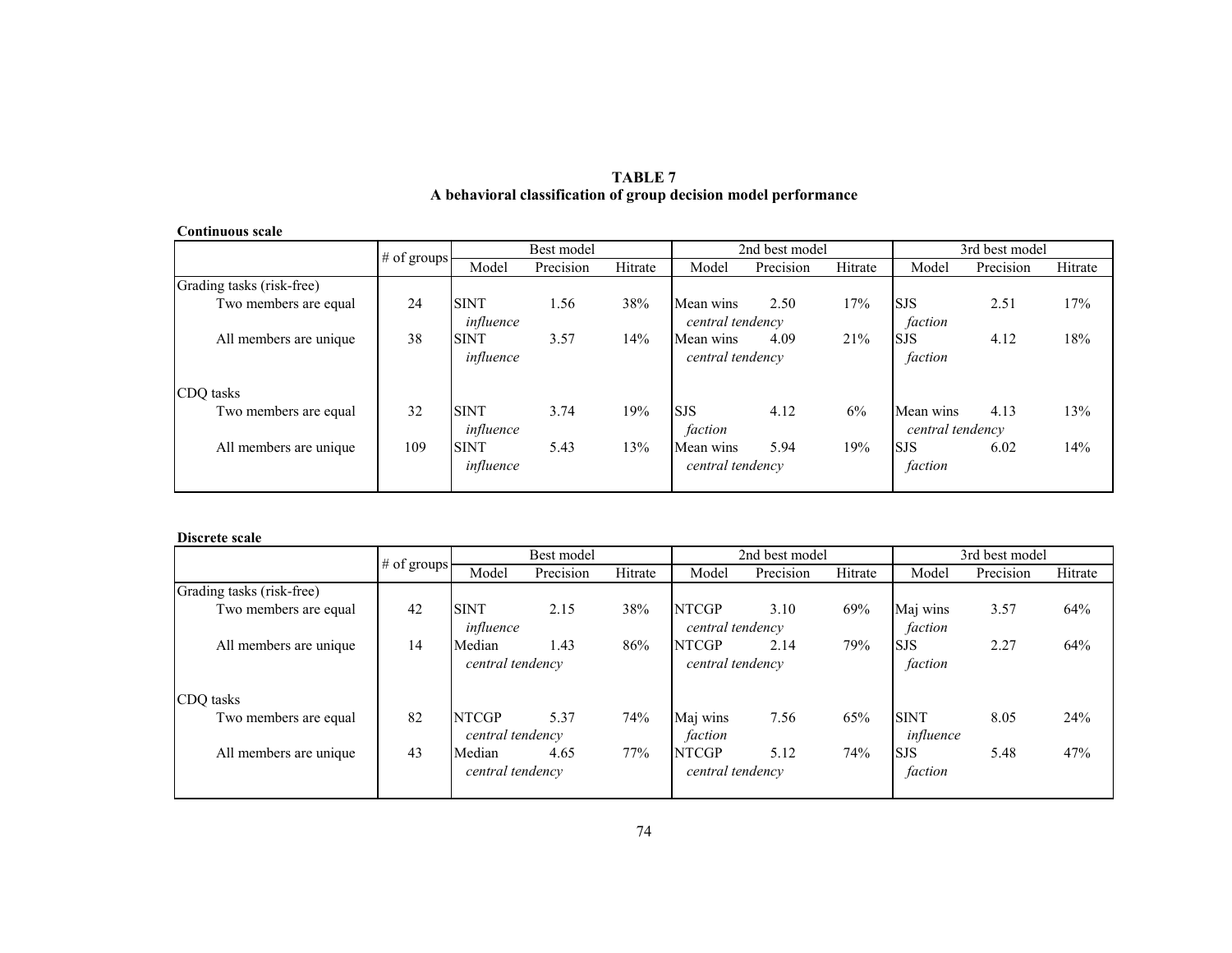| <b>Continuous scale</b>   |               |                          |            |         |                               |                |         |                               |                |         |  |
|---------------------------|---------------|--------------------------|------------|---------|-------------------------------|----------------|---------|-------------------------------|----------------|---------|--|
|                           |               |                          | Best model |         |                               | 2nd best model |         |                               | 3rd best model |         |  |
|                           | $#$ of groups | Model                    | Precision  | Hitrate | Model                         | Precision      | Hitrate | Model                         | Precision      | Hitrate |  |
| Grading tasks (risk-free) |               |                          |            |         |                               |                |         |                               |                |         |  |
| Two members are equal     | 24            | <b>SINT</b><br>influence | 1.56       | 38%     | Mean wins<br>central tendency | 2.50           | 17%     | <b>SJS</b><br>faction         | 2.51           | 17%     |  |
| All members are unique    | 38            | <b>SINT</b><br>influence | 3.57       | 14%     | Mean wins<br>central tendency | 4.09           | 21%     | <b>SJS</b><br>faction         | 4.12           | 18%     |  |
| CDQ tasks                 |               |                          |            |         |                               |                |         |                               |                |         |  |
| Two members are equal     | 32            | <b>SINT</b><br>influence | 3.74       | 19%     | <b>SJS</b><br>faction         | 4.12           | 6%      | Mean wins<br>central tendency | 4.13           | 13%     |  |
| All members are unique.   | 109           | <b>SINT</b><br>influence | 5.43       | 13%     | Mean wins<br>central tendency | 5.94           | 19%     | <b>SJS</b><br>faction         | 6.02           | 14%     |  |

### **TABLE 7 A behavioral classification of group decision model performance**

#### **Discrete scale**

|                           |             |                  | Best model |         |                  | 2nd best model |         |             | 3rd best model |         |
|---------------------------|-------------|------------------|------------|---------|------------------|----------------|---------|-------------|----------------|---------|
|                           | # of groups | Model            | Precision  | Hitrate | Model            | Precision      | Hitrate | Model       | Precision      | Hitrate |
| Grading tasks (risk-free) |             |                  |            |         |                  |                |         |             |                |         |
| Two members are equal     | 42          | <b>SINT</b>      | 2.15       | 38%     | <b>NTCGP</b>     | 3.10           | 69%     | Maj wins    | 3.57           | 64%     |
|                           |             | influence        |            |         | central tendency |                |         | faction     |                |         |
| All members are unique.   | 14          | Median           | 1.43       | 86%     | <b>NTCGP</b>     | 2.14           | 79%     | <b>SJS</b>  | 2.27           | 64%     |
|                           |             | central tendency |            |         | central tendency |                |         | faction     |                |         |
| CDO tasks                 |             |                  |            |         |                  |                |         |             |                |         |
| Two members are equal     | 82          | <b>NTCGP</b>     | 5.37       | 74%     | Maj wins         | 7.56           | 65%     | <b>SINT</b> | 8.05           | 24%     |
|                           |             | central tendency |            |         | faction          |                |         | influence   |                |         |
| All members are unique    | 43          | Median           | 4.65       | 77%     | <b>NTCGP</b>     | 5.12           | 74%     | <b>SJS</b>  | 5.48           | 47%     |
|                           |             | central tendency |            |         | central tendency |                |         | faction     |                |         |
|                           |             |                  |            |         |                  |                |         |             |                |         |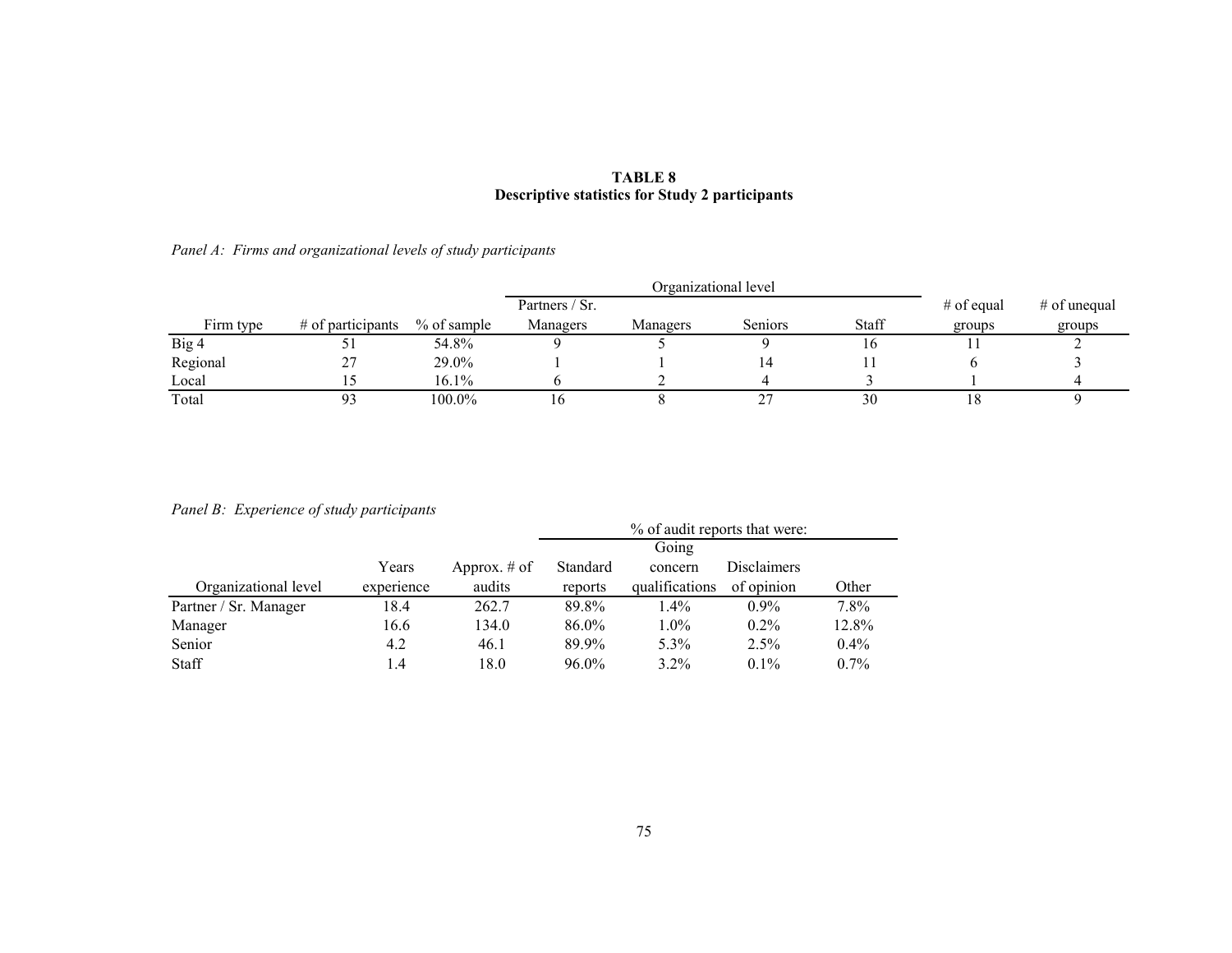### **TABLE 8 Descriptive statistics for Study 2 participants**

## *Panel A: Firms and organizational levels of study participants*

|           |                     |             |                | Organizational level |                |       |              |                |
|-----------|---------------------|-------------|----------------|----------------------|----------------|-------|--------------|----------------|
|           |                     |             | Partners / Sr. |                      |                |       | $#$ of equal | $#$ of unequal |
| Firm type | $#$ of participants | % of sample | Managers       | Managers             | <b>Seniors</b> | Staff | groups       | groups         |
| Big 4     |                     | 54.8%       |                |                      |                |       |              |                |
| Regional  | ، ،                 | 29.0%       |                |                      | 4،             |       |              |                |
| Local     |                     | 16.1%       |                |                      |                |       |              |                |
| Total     |                     | 100.0%      | l 6            |                      | 27             | 30    | 18           |                |

## *Panel B: Experience of study participants*

| <i>r</i> anci <i>B</i> . <i>Baperience</i> of state, participants |            |                | % of audit reports that were: |                |                    |         |  |
|-------------------------------------------------------------------|------------|----------------|-------------------------------|----------------|--------------------|---------|--|
|                                                                   |            |                |                               | Going          |                    |         |  |
|                                                                   | Years      | Approx. $#$ of | Standard                      | concern        | <b>Disclaimers</b> |         |  |
| Organizational level                                              | experience | audits         | reports                       | qualifications | of opinion         | Other   |  |
| Partner / Sr. Manager                                             | 18.4       | 262.7          | 89.8%                         | $1.4\%$        | $0.9\%$            | 7.8%    |  |
| Manager                                                           | 16.6       | 134.0          | 86.0%                         | $1.0\%$        | $0.2\%$            | 12.8%   |  |
| Senior                                                            | 4.2        | 46.1           | 89.9%                         | 5.3%           | 2.5%               | $0.4\%$ |  |
| <b>Staff</b>                                                      | 1.4        | 18.0           | $96.0\%$                      | $3.2\%$        | $0.1\%$            | $0.7\%$ |  |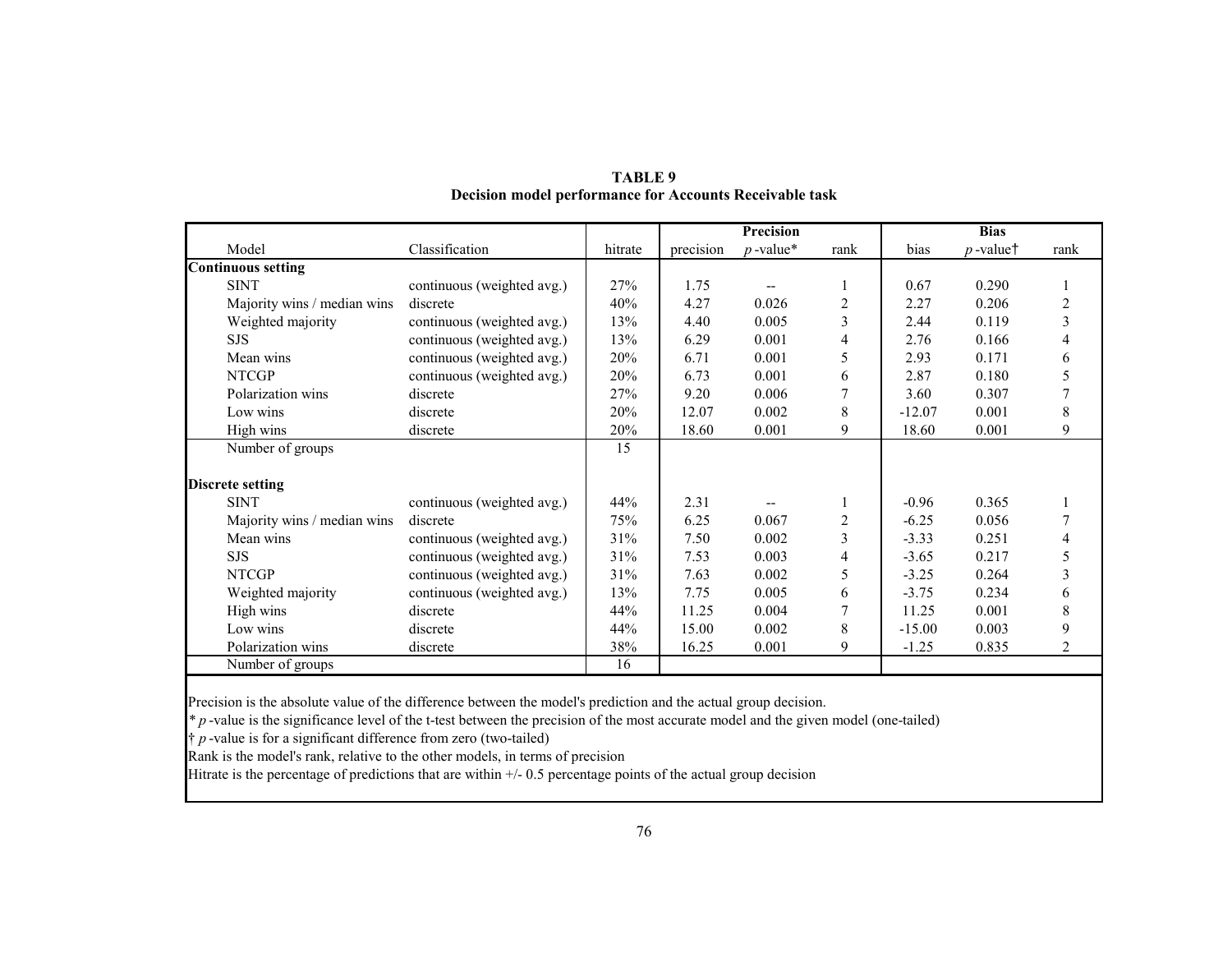|                             |                            |         | Precision |             |                | <b>Bias</b> |             |      |
|-----------------------------|----------------------------|---------|-----------|-------------|----------------|-------------|-------------|------|
| Model                       | Classification             | hitrate | precision | $p$ -value* | rank           | bias        | $p$ -value† | rank |
| <b>Continuous setting</b>   |                            |         |           |             |                |             |             |      |
| <b>SINT</b>                 | continuous (weighted avg.) | 27%     | 1.75      |             |                | 0.67        | 0.290       | 1    |
| Majority wins / median wins | discrete                   | 40%     | 4.27      | 0.026       | $\overline{2}$ | 2.27        | 0.206       | 2    |
| Weighted majority           | continuous (weighted avg.) | 13%     | 4.40      | 0.005       | 3              | 2.44        | 0.119       | 3    |
| <b>SJS</b>                  | continuous (weighted avg.) | 13%     | 6.29      | 0.001       | 4              | 2.76        | 0.166       | 4    |
| Mean wins                   | continuous (weighted avg.) | 20%     | 6.71      | 0.001       | 5              | 2.93        | 0.171       | 6    |
| <b>NTCGP</b>                | continuous (weighted avg.) | 20%     | 6.73      | 0.001       | 6              | 2.87        | 0.180       | 5    |
| Polarization wins           | discrete                   | 27%     | 9.20      | 0.006       | 7              | 3.60        | 0.307       |      |
| Low wins                    | discrete                   | 20%     | 12.07     | 0.002       | 8              | $-12.07$    | 0.001       | 8    |
| High wins                   | discrete                   | 20%     | 18.60     | 0.001       | 9              | 18.60       | 0.001       | 9    |
| Number of groups            |                            | 15      |           |             |                |             |             |      |
|                             |                            |         |           |             |                |             |             |      |
| <b>Discrete setting</b>     |                            |         |           |             |                |             |             |      |
| <b>SINT</b>                 | continuous (weighted avg.) | 44%     | 2.31      |             |                | $-0.96$     | 0.365       |      |
| Majority wins / median wins | discrete                   | 75%     | 6.25      | 0.067       | $\overline{2}$ | $-6.25$     | 0.056       |      |
| Mean wins                   | continuous (weighted avg.) | 31%     | 7.50      | 0.002       | 3              | $-3.33$     | 0.251       | 4    |
| <b>SJS</b>                  | continuous (weighted avg.) | 31%     | 7.53      | 0.003       | 4              | $-3.65$     | 0.217       | 5    |
| <b>NTCGP</b>                | continuous (weighted avg.) | 31%     | 7.63      | 0.002       | 5              | $-3.25$     | 0.264       | 3    |
| Weighted majority           | continuous (weighted avg.) | 13%     | 7.75      | 0.005       | 6              | $-3.75$     | 0.234       | 6    |
| High wins                   | discrete                   | 44%     | 11.25     | 0.004       | 7              | 11.25       | 0.001       | 8    |
| Low wins                    | discrete                   | 44%     | 15.00     | 0.002       | 8              | $-15.00$    | 0.003       | 9    |
| Polarization wins           | discrete                   | 38%     | 16.25     | 0.001       | 9              | $-1.25$     | 0.835       | 2    |
| Number of groups            |                            | 16      |           |             |                |             |             |      |

**TABLE 9 Decision model performance for Accounts Receivable task** 

Precision is the absolute value of the difference between the model's prediction and the actual group decision.

*\* p* -value is the significance level of the t-test between the precision of the most accurate model and the given model (one-tailed)

† *p* -value is for a significant difference from zero (two-tailed)

Rank is the model's rank, relative to the other models, in terms of precision

Hitrate is the percentage of predictions that are within +/- 0.5 percentage points of the actual group decision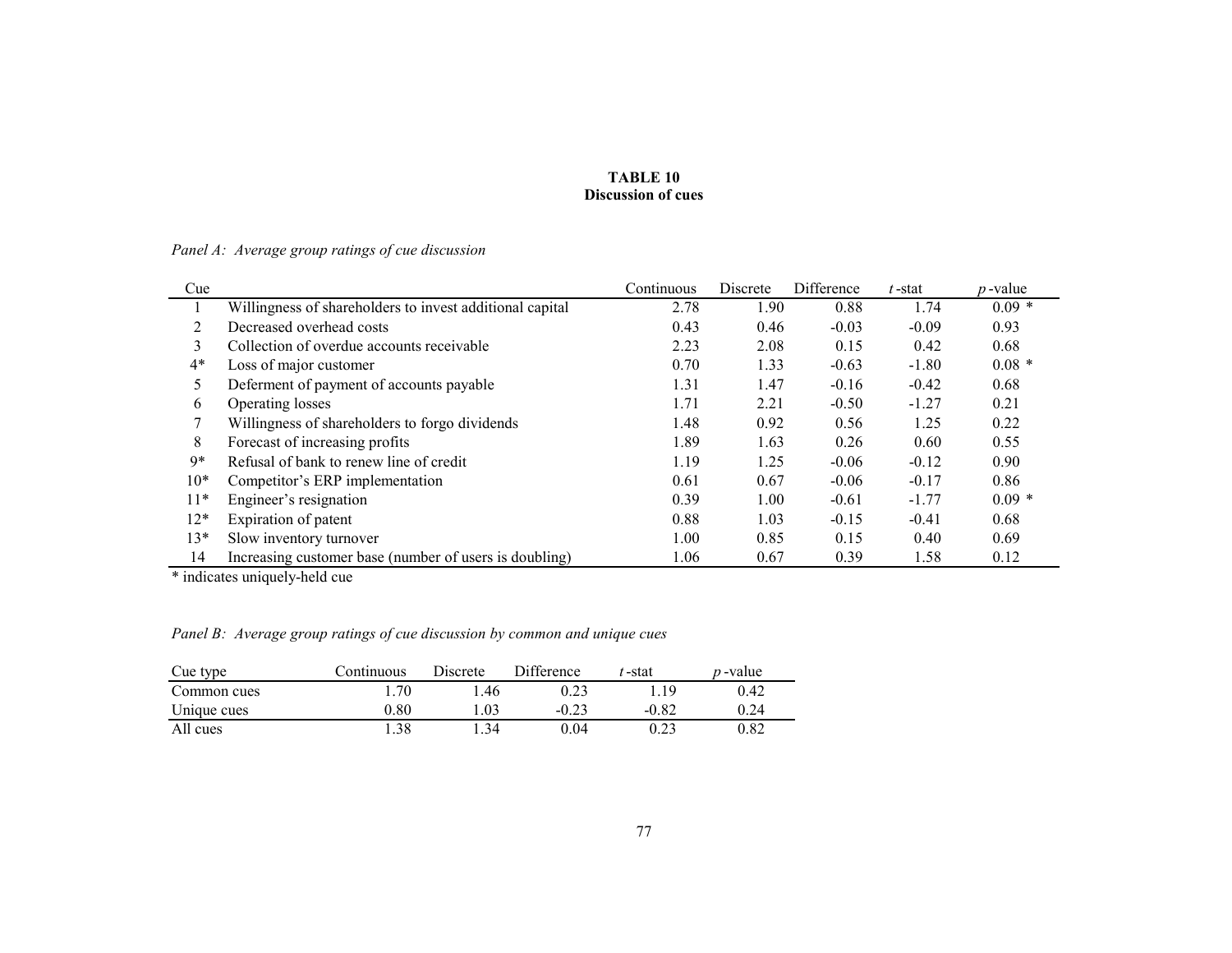#### **TABLE 10 Discussion of cues**

*Panel A: Average group ratings of cue discussion*

| Cue   |                                                          | Continuous | Discrete | Difference | t-stat  | $p$ -value |
|-------|----------------------------------------------------------|------------|----------|------------|---------|------------|
|       | Willingness of shareholders to invest additional capital | 2.78       | 1.90     | 0.88       | 1.74    | $0.09*$    |
| 2     | Decreased overhead costs                                 | 0.43       | 0.46     | $-0.03$    | $-0.09$ | 0.93       |
| 3     | Collection of overdue accounts receivable                | 2.23       | 2.08     | 0.15       | 0.42    | 0.68       |
| $4*$  | Loss of major customer                                   | 0.70       | 1.33     | $-0.63$    | $-1.80$ | $0.08 *$   |
| 5     | Deferment of payment of accounts payable                 | 1.31       | 1.47     | $-0.16$    | $-0.42$ | 0.68       |
| 6     | Operating losses                                         | 1.71       | 2.21     | $-0.50$    | $-1.27$ | 0.21       |
|       | Willingness of shareholders to forgo dividends           | 1.48       | 0.92     | 0.56       | 1.25    | 0.22       |
| 8     | Forecast of increasing profits                           | 1.89       | 1.63     | 0.26       | 0.60    | 0.55       |
| 9*    | Refusal of bank to renew line of credit                  | 1.19       | 1.25     | $-0.06$    | $-0.12$ | 0.90       |
| $10*$ | Competitor's ERP implementation                          | 0.61       | 0.67     | $-0.06$    | $-0.17$ | 0.86       |
| $11*$ | Engineer's resignation                                   | 0.39       | 1.00     | $-0.61$    | $-1.77$ | $0.09*$    |
| $12*$ | Expiration of patent                                     | 0.88       | 1.03     | $-0.15$    | $-0.41$ | 0.68       |
| $13*$ | Slow inventory turnover                                  | 1.00       | 0.85     | 0.15       | 0.40    | 0.69       |
| 14    | Increasing customer base (number of users is doubling)   | 1.06       | 0.67     | 0.39       | 1.58    | 0.12       |

\* indicates uniquely-held cue

*Panel B: Average group ratings of cue discussion by common and unique cues*

| Cue type    | Continuous | Discrete | Difference | '-stat  | <i>p</i> -value |
|-------------|------------|----------|------------|---------|-----------------|
| Common cues | 1.70       | L 46     | 0.23       | ∣ 19    | 0.42            |
| Unique cues | $0.80\,$   | .03      | $-0.23$    | $-0.82$ | 0.24            |
| All cues    | l.38       | 34       | 0.04       | 0.23    | 0.82            |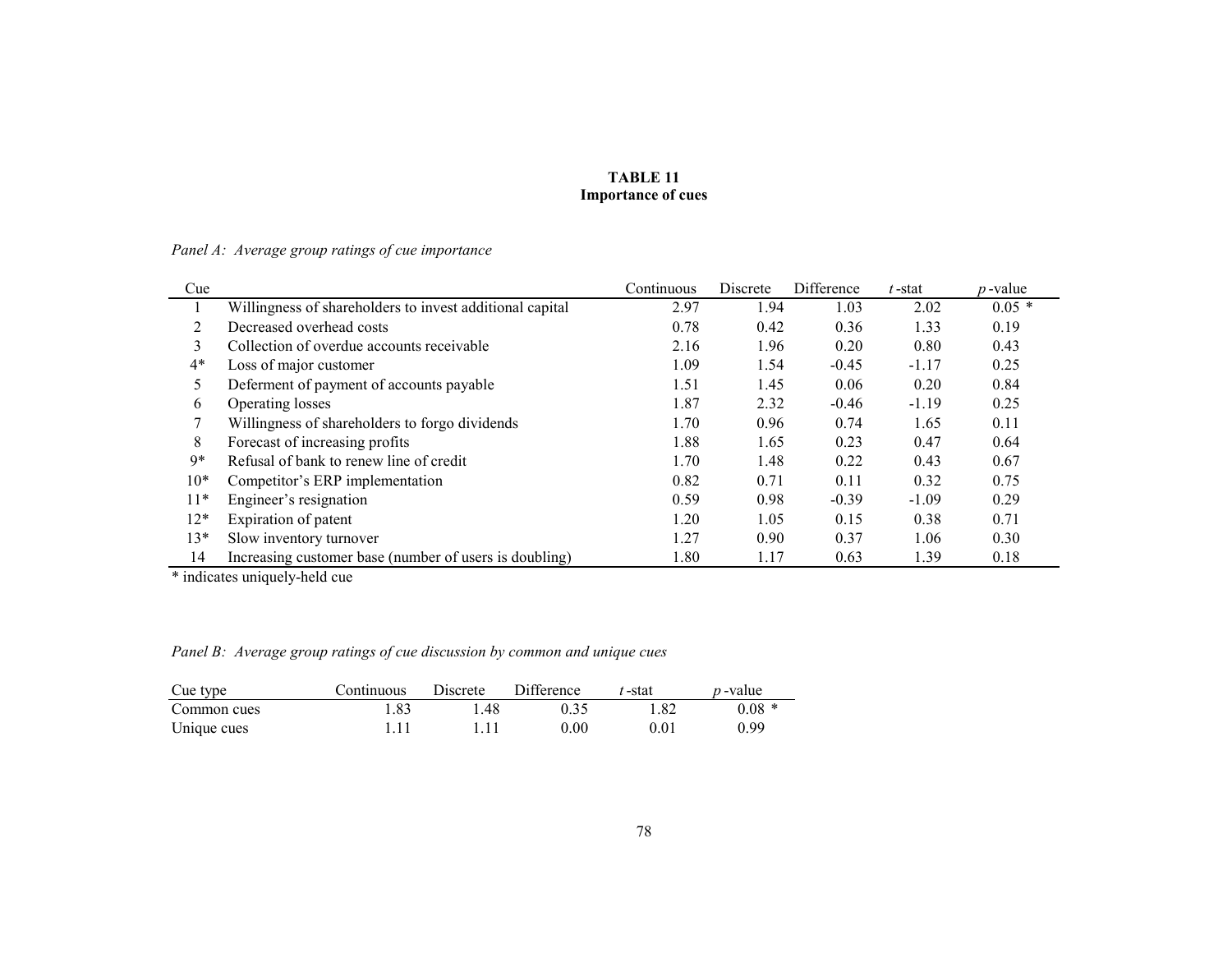### **TABLE 11 Importance of cues**

*Panel A: Average group ratings of cue importance*

| Cue   |                                                          | Continuous | Discrete | Difference | $t$ -stat | $p$ -value |
|-------|----------------------------------------------------------|------------|----------|------------|-----------|------------|
|       | Willingness of shareholders to invest additional capital | 2.97       | 1.94     | 1.03       | 2.02      | $0.05*$    |
| 2     | Decreased overhead costs                                 | 0.78       | 0.42     | 0.36       | 1.33      | 0.19       |
| 3     | Collection of overdue accounts receivable                | 2.16       | 1.96     | 0.20       | 0.80      | 0.43       |
| $4*$  | Loss of major customer                                   | 1.09       | 1.54     | $-0.45$    | $-1.17$   | 0.25       |
| 5     | Deferment of payment of accounts payable                 | 1.51       | 1.45     | 0.06       | 0.20      | 0.84       |
| 6     | Operating losses                                         | 1.87       | 2.32     | $-0.46$    | $-1.19$   | 0.25       |
|       | Willingness of shareholders to forgo dividends           | 1.70       | 0.96     | 0.74       | 1.65      | 0.11       |
| 8     | Forecast of increasing profits                           | 1.88       | 1.65     | 0.23       | 0.47      | 0.64       |
| 9*    | Refusal of bank to renew line of credit                  | 1.70       | 1.48     | 0.22       | 0.43      | 0.67       |
| $10*$ | Competitor's ERP implementation                          | 0.82       | 0.71     | 0.11       | 0.32      | 0.75       |
| $11*$ | Engineer's resignation                                   | 0.59       | 0.98     | $-0.39$    | $-1.09$   | 0.29       |
| $12*$ | Expiration of patent                                     | 1.20       | 1.05     | 0.15       | 0.38      | 0.71       |
| $13*$ | Slow inventory turnover                                  | 1.27       | 0.90     | 0.37       | 1.06      | 0.30       |
| 14    | Increasing customer base (number of users is doubling)   | 1.80       | 1.17     | 0.63       | 1.39      | 0.18       |

\* indicates uniquely-held cue

*Panel B: Average group ratings of cue discussion by common and unique cues*

| Cue type    | Continuous | Discrete | Difference | t -stat | <i>p</i> -value |
|-------------|------------|----------|------------|---------|-----------------|
| Common cues | 1.83       | .48      |            | 1.82    | $0.08*$         |
| Unique cues |            |          | 0.00       | 0.01    | 0.99            |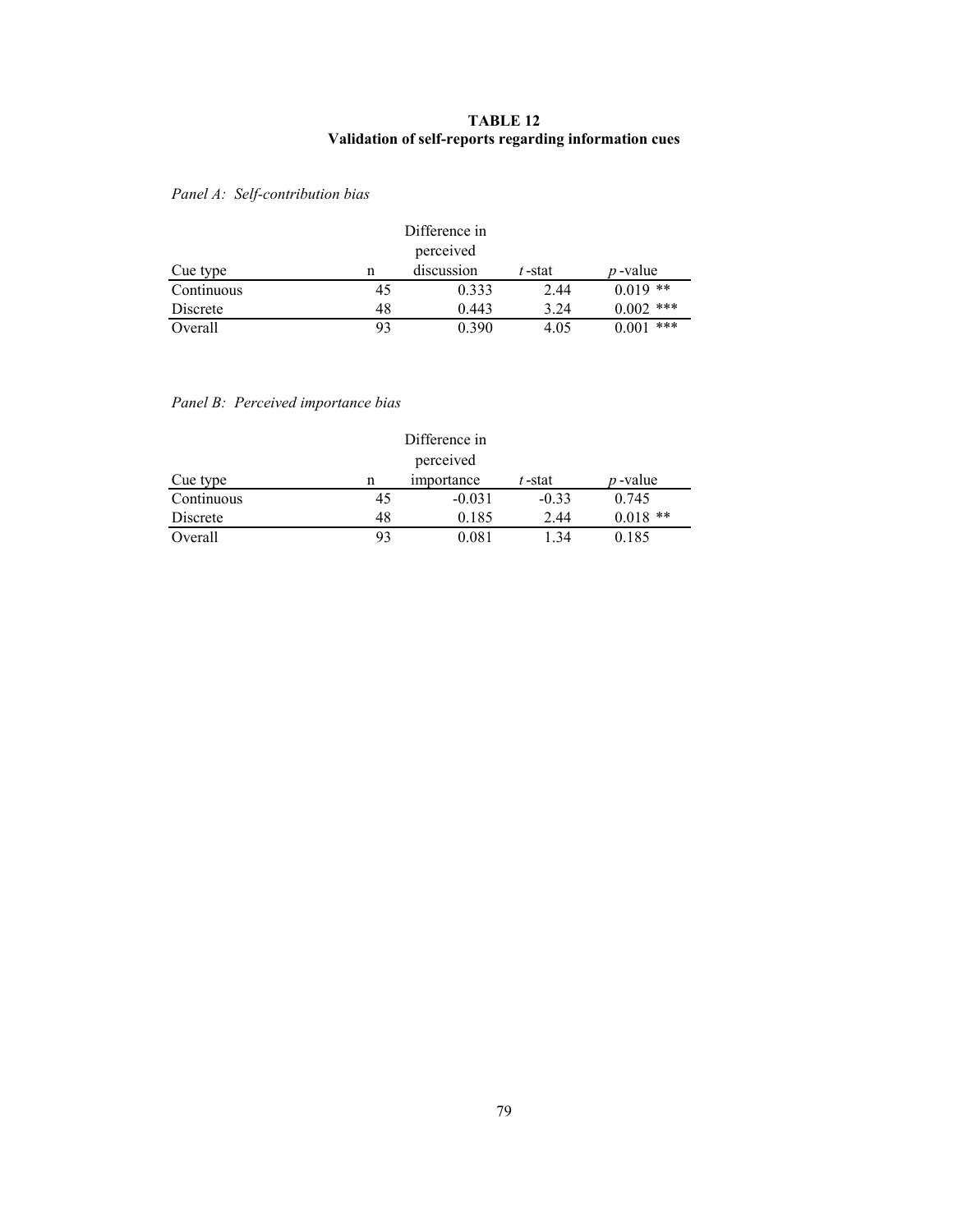## **TABLE 12 Validation of self-reports regarding information cues**

# *Panel A: Self-contribution bias*

|            | Difference in |            |        |                 |  |  |  |
|------------|---------------|------------|--------|-----------------|--|--|--|
|            | perceived     |            |        |                 |  |  |  |
| Cue type   | n             | discussion | t-stat | <i>p</i> -value |  |  |  |
| Continuous | 45            | 0.333      | 2.44   | $0.019$ **      |  |  |  |
| Discrete   | 48            | 0.443      | 3.24   | $0.002$ ***     |  |  |  |
| Overall    | 93            | 0.390      | 4.05   | ***<br>0.001    |  |  |  |

## *Panel B: Perceived importance bias*

|            | Difference in |            |           |                 |  |  |  |
|------------|---------------|------------|-----------|-----------------|--|--|--|
|            | perceived     |            |           |                 |  |  |  |
| Cue type   | n             | importance | $t$ -stat | <i>p</i> -value |  |  |  |
| Continuous | 45            | $-0.031$   | $-0.33$   | 0.745           |  |  |  |
| Discrete   | 48            | 0.185      | 2.44      | $0.018$ **      |  |  |  |
| Overall    | 93            | 0.081      | 1.34      | 0.185           |  |  |  |